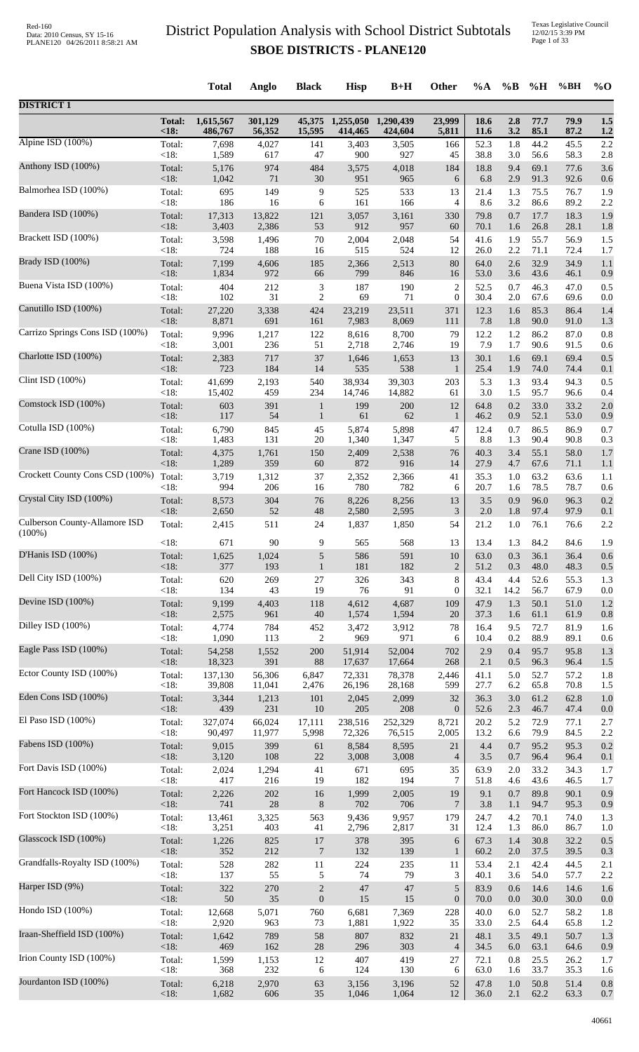|                                 |                        | <b>Total</b>         | Anglo             | <b>Black</b>     | <b>Hisp</b>                 | $B+H$                | Other            | $\%A$        | $\%B$      | %H           | %BH          | $\%$ O     |
|---------------------------------|------------------------|----------------------|-------------------|------------------|-----------------------------|----------------------|------------------|--------------|------------|--------------|--------------|------------|
| <b>DISTRICT 1</b>               |                        |                      |                   |                  |                             |                      |                  |              |            |              |              |            |
|                                 | <b>Total:</b><br>< 18: | 1,615,567<br>486,767 | 301,129<br>56,352 | 15,595           | 45,375 1,255,050<br>414,465 | 1,290,439<br>424,604 | 23,999<br>5,811  | 18.6<br>11.6 | 2.8<br>3.2 | 77.7<br>85.1 | 79.9<br>87.2 | 1.5<br>1.2 |
| Alpine ISD (100%)               | Total:                 | 7,698                | 4,027             | 141              | 3,403                       | 3,505                | 166              | 52.3         | 1.8        | 44.2         | 45.5         | 2.2        |
| Anthony ISD (100%)              | <18:                   | 1,589                | 617               | 47               | 900                         | 927                  | 45               | 38.8         | 3.0        | 56.6         | 58.3         | 2.8        |
|                                 | Total:                 | 5,176                | 974               | 484              | 3,575                       | 4,018                | 184              | 18.8         | 9.4        | 69.1         | 77.6         | 3.6        |
| Balmorhea ISD (100%)            | <18:                   | 1,042                | 71                | 30               | 951                         | 965                  | 6                | 6.8          | 2.9        | 91.3         | 92.6         | 0.6        |
|                                 | Total:                 | 695                  | 149               | 9                | 525                         | 533                  | 13               | 21.4         | 1.3        | 75.5         | 76.7         | 1.9        |
| Bandera ISD (100%)              | <18:                   | 186                  | 16                | 6                | 161                         | 166                  | 4                | 8.6          | 3.2        | 86.6         | 89.2         | 2.2        |
|                                 | Total:                 | 17,313               | 13,822            | 121              | 3,057                       | 3,161                | 330              | 79.8         | 0.7        | 17.7         | 18.3         | 1.9        |
| Brackett ISD (100%)             | <18:                   | 3,403                | 2,386             | 53               | 912                         | 957                  | 60               | 70.1         | 1.6        | 26.8         | 28.1         | 1.8        |
|                                 | Total:                 | 3,598                | 1,496             | 70               | 2,004                       | 2,048                | 54               | 41.6         | 1.9        | 55.7         | 56.9         | 1.5        |
|                                 | <18:                   | 724                  | 188               | 16               | 515                         | 524                  | 12               | 26.0         | 2.2        | 71.1         | 72.4         | 1.7        |
| Brady ISD (100%)                | Total:                 | 7,199                | 4,606             | 185              | 2,366                       | 2,513                | 80               | 64.0         | 2.6        | 32.9         | 34.9         | 1.1        |
|                                 | < 18:                  | 1,834                | 972               | 66               | 799                         | 846                  | 16               | 53.0         | 3.6        | 43.6         | 46.1         | 0.9        |
| Buena Vista ISD (100%)          | Total:                 | 404                  | 212               | 3                | 187                         | 190                  | $\overline{2}$   | 52.5         | 0.7        | 46.3         | 47.0         | 0.5        |
|                                 | $<18$ :                | 102                  | 31                | $\overline{c}$   | 69                          | 71                   | $\boldsymbol{0}$ | 30.4         | 2.0        | 67.6         | 69.6         | 0.0        |
| Canutillo ISD (100%)            | Total:                 | 27,220               | 3,338             | 424              | 23,219                      | 23,511               | 371              | 12.3         | 1.6        | 85.3         | 86.4         | 1.4        |
|                                 | <18:                   | 8,871                | 691               | 161              | 7,983                       | 8,069                | 111              | 7.8          | 1.8        | 90.0         | 91.0         | 1.3        |
| Carrizo Springs Cons ISD (100%) | Total:                 | 9,996                | 1,217             | 122              | 8,616                       | 8,700                | 79               | 12.2         | 1.2        | 86.2         | 87.0         | 0.8        |
|                                 | <18:                   | 3,001                | 236               | 51               | 2,718                       | 2,746                | 19               | 7.9          | 1.7        | 90.6         | 91.5         | 0.6        |
| Charlotte ISD (100%)            | Total:<br><18:         | 2,383<br>723         | 717<br>184        | 37<br>14         | 1,646<br>535                | 1,653<br>538         | 13               | 30.1<br>25.4 | 1.6<br>1.9 | 69.1<br>74.0 | 69.4<br>74.4 | 0.5        |
| Clint ISD (100%)                | Total:                 | 41,699               | 2,193             | 540              | 38,934                      | 39,303               | 1<br>203         | 5.3          | 1.3        | 93.4         | 94.3         | 0.1<br>0.5 |
| Comstock ISD (100%)             | <18:                   | 15,402               | 459               | 234              | 14,746                      | 14,882               | 61               | 3.0          | 1.5        | 95.7         | 96.6         | 0.4        |
|                                 | Total:                 | 603                  | 391               | $\mathbf{1}$     | 199                         | 200                  | 12               | 64.8         | 0.2        | 33.0         | 33.2         | 2.0        |
| Cotulla ISD (100%)              | $<18$ :                | 117                  | 54                | $\mathbf{1}$     | 61                          | 62                   | $\mathbf{1}$     | 46.2         | 0.9        | 52.1         | 53.0         | 0.9        |
|                                 | Total:                 | 6,790                | 845               | 45               | 5,874                       | 5,898                | 47               | 12.4         | 0.7        | 86.5         | 86.9         | 0.7        |
|                                 | <18:                   | 1,483                | 131               | 20               | 1,340                       | 1,347                | 5                | 8.8          | 1.3        | 90.4         | 90.8         | 0.3        |
| Crane ISD (100%)                | Total:                 | 4,375                | 1,761             | 150              | 2,409                       | 2,538                | 76               | 40.3         | 3.4        | 55.1         | 58.0         | 1.7        |
|                                 | <18:                   | 1,289                | 359               | 60               | 872                         | 916                  | 14               | 27.9         | 4.7        | 67.6         | 71.1         | 1.1        |
| Crockett County Cons CSD (100%) | Total:<br><18:         | 3,719<br>994         | 1,312<br>206      | 37<br>16         | 2,352<br>780                | 2,366<br>782         | 41<br>6          | 35.3<br>20.7 | 1.0<br>1.6 | 63.2<br>78.5 | 63.6<br>78.7 | 1.1        |
| Crystal City ISD (100%)         | Total:                 | 8,573                | 304               | 76               | 8,226                       | 8,256                | 13               | 3.5          | 0.9        | 96.0         | 96.3         | 0.6<br>0.2 |
| Culberson County-Allamore ISD   | <18:                   | 2,650                | 52                | 48               | 2,580                       | 2,595                | 3                | 2.0          | 1.8        | 97.4         | 97.9         | 0.1        |
|                                 | Total:                 | 2,415                | 511               | 24               | 1,837                       | 1,850                | 54               | 21.2         | 1.0        | 76.1         | 76.6         | 2.2        |
| $(100\%)$                       | <18:                   | 671                  | 90                | 9                | 565                         | 568                  | 13               | 13.4         | 1.3        | 84.2         | 84.6         | 1.9        |
| D'Hanis ISD (100%)              | Total:                 | 1,625                | 1,024             | $\sqrt{5}$       | 586                         | 591                  | 10               | 63.0         | 0.3        | 36.1         | 36.4         | 0.6        |
|                                 | <18:                   | 377                  | 193               | $\mathbf{1}$     | 181                         | 182                  | $\overline{2}$   | 51.2         | 0.3        | 48.0         | 48.3         | 0.5        |
| Dell City ISD (100%)            | Total:                 | 620                  | 269               | 27               | 326                         | 343                  | 8                | 43.4         | 4.4        | 52.6         | 55.3         | 1.3        |
| Devine ISD (100%)               | <18:                   | 134                  | 43                | 19               | 76                          | 91                   | $\mathbf{0}$     | 32.1         | 14.2       | 56.7         | 67.9         | 0.0        |
|                                 | Total:                 | 9,199                | 4,403             | 118              | 4,612                       | 4,687                | 109              | 47.9         | 1.3        | 50.1         | 51.0         | 1.2        |
| Dilley ISD (100%)               | <18:                   | 2,575                | 961               | 40               | 1,574                       | 1,594                | $20\,$           | 37.3         | 1.6        | 61.1         | 61.9         | 0.8        |
|                                 | Total:                 | 4,774                | 784               | 452              | 3,472                       | 3,912                | 78               | 16.4         | 9.5        | 72.7         | 81.9         | 1.6        |
| Eagle Pass ISD (100%)           | <18:                   | 1,090                | 113               | $\boldsymbol{2}$ | 969                         | 971                  | 6                | 10.4         | 0.2        | 88.9         | 89.1         | 0.6        |
|                                 | Total:                 | 54,258               | 1,552             | 200              | 51,914                      | 52,004               | 702              | 2.9          | 0.4        | 95.7         | 95.8         | 1.3        |
| Ector County ISD (100%)         | <18:                   | 18,323               | 391               | 88               | 17,637                      | 17,664               | 268              | 2.1          | 0.5        | 96.3         | 96.4         | 1.5        |
|                                 | Total:                 | 137,130              | 56,306            | 6,847            | 72,331                      | 78,378               | 2,446            | 41.1         | 5.0        | 52.7         | 57.2         | 1.8        |
|                                 | $<18$ :                | 39,808               | 11,041            | 2,476            | 26,196                      | 28,168               | 599              | 27.7         | 6.2        | 65.8         | 70.8         | 1.5        |
| Eden Cons ISD (100%)            | Total:                 | 3,344                | 1,213             | 101              | 2,045                       | 2,099                | 32               | 36.3         | 3.0        | 61.2         | 62.8         | 1.0        |
|                                 | $<18$ :                | 439                  | 231               | 10               | 205                         | 208                  | $\overline{0}$   | 52.6         | 2.3        | 46.7         | 47.4         | 0.0        |
| El Paso ISD (100%)              | Total:                 | 327,074              | 66,024            | 17,111           | 238,516                     | 252,329              | 8,721            | 20.2         | 5.2        | 72.9         | 77.1         | $2.7\,$    |
|                                 | $<18$ :                | 90,497               | 11,977            | 5,998            | 72,326                      | 76,515               | 2,005            | 13.2         | 6.6        | 79.9         | 84.5         | 2.2        |
| Fabens ISD (100%)               | Total:                 | 9,015                | 399               | 61               | 8,584                       | 8,595                | $21\,$           | 4.4          | 0.7        | 95.2         | 95.3         | $0.2\,$    |
| Fort Davis ISD (100%)           | <18:                   | 3,120                | 108               | $22\,$           | 3,008                       | 3,008                | $\overline{4}$   | $3.5$        | 0.7        | 96.4         | 96.4         | 0.1        |
|                                 | Total:                 | 2,024                | 1,294             | 41               | 671                         | 695                  | 35               | 63.9         | 2.0        | 33.2         | 34.3         | 1.7        |
| Fort Hancock ISD (100%)         | <18:                   | 417                  | 216               | 19               | 182                         | 194                  | 7                | 51.8         | 4.6        | 43.6         | 46.5         | 1.7        |
|                                 | Total:                 | 2,226                | 202               | 16               | 1,999                       | 2,005                | 19               | 9.1          | 0.7        | 89.8         | 90.1         | 0.9        |
| Fort Stockton ISD (100%)        | $<18$ :                | 741                  | $28\,$            | $\,8\,$          | 702                         | 706                  | 7                | 3.8          | 1.1        | 94.7         | 95.3         | 0.9        |
|                                 | Total:                 | 13,461               | 3,325             | 563              | 9,436                       | 9,957                | 179              | 24.7         | 4.2        | 70.1         | 74.0         | 1.3        |
| Glasscock ISD (100%)            | <18:                   | 3,251                | 403               | 41               | 2,796                       | 2,817                | 31               | 12.4         | 1.3        | 86.0         | 86.7         | 1.0        |
|                                 | Total:                 | 1,226                | 825               | 17               | 378                         | 395                  | $\sqrt{6}$       | 67.3         | 1.4        | 30.8         | 32.2         | 0.5        |
|                                 | $<18$ :                | 352                  | 212               | $\overline{7}$   | 132                         | 139                  | $\mathbf{1}$     | 60.2         | 2.0        | 37.5         | 39.5         | 0.3        |
| Grandfalls-Royalty ISD (100%)   | Total:                 | 528                  | 282               | 11               | 224                         | 235                  | 11               | 53.4         | 2.1        | 42.4         | 44.5         | 2.1        |
|                                 | <18:                   | 137                  | 55                | 5                | 74                          | 79                   | 3                | 40.1         | 3.6        | 54.0         | 57.7         | 2.2        |
| Harper ISD (9%)                 | Total:                 | 322                  | 270               | $\sqrt{2}$       | 47                          | 47                   | 5                | 83.9         | 0.6        | 14.6         | 14.6         | 1.6        |
|                                 | <18:                   | 50                   | 35                | $\boldsymbol{0}$ | 15                          | 15                   | $\mathbf{0}$     | 70.0         | 0.0        | 30.0         | 30.0         | 0.0        |
| Hondo ISD (100%)                | Total:                 | 12,668               | 5,071             | 760              | 6,681                       | 7,369                | 228              | 40.0         | 6.0        | 52.7         | 58.2         | 1.8        |
| Iraan-Sheffield ISD (100%)      | <18:                   | 2,920                | 963               | 73               | 1,881                       | 1,922                | 35               | 33.0         | $2.5\,$    | 64.4         | 65.8         | 1.2        |
|                                 | Total:                 | 1,642                | 789               | 58               | 807                         | 832                  | 21               | 48.1         | 3.5        | 49.1         | 50.7         | 1.3        |
| Irion County ISD (100%)         | <18:                   | 469                  | 162               | $28\,$           | 296                         | 303                  | $\overline{4}$   | 34.5         | 6.0        | 63.1         | 64.6         | 0.9        |
|                                 | Total:                 | 1,599                | 1,153             | 12               | 407                         | 419                  | 27               | 72.1         | 0.8        | 25.5         | 26.2         | 1.7        |
| Jourdanton ISD (100%)           | $<18$ :                | 368                  | 232               | 6                | 124                         | 130                  | 6                | 63.0         | 1.6        | 33.7         | 35.3         | 1.6        |
|                                 | Total:                 | 6,218                | 2,970             | 63               | 3,156                       | 3,196                | 52               | 47.8         | 1.0        | 50.8         | 51.4         | 0.8        |
|                                 | <18:                   | 1,682                | 606               | 35               | 1,046                       | 1,064                | 12               | 36.0         | 2.1        | 62.2         | 63.3         | $0.7\,$    |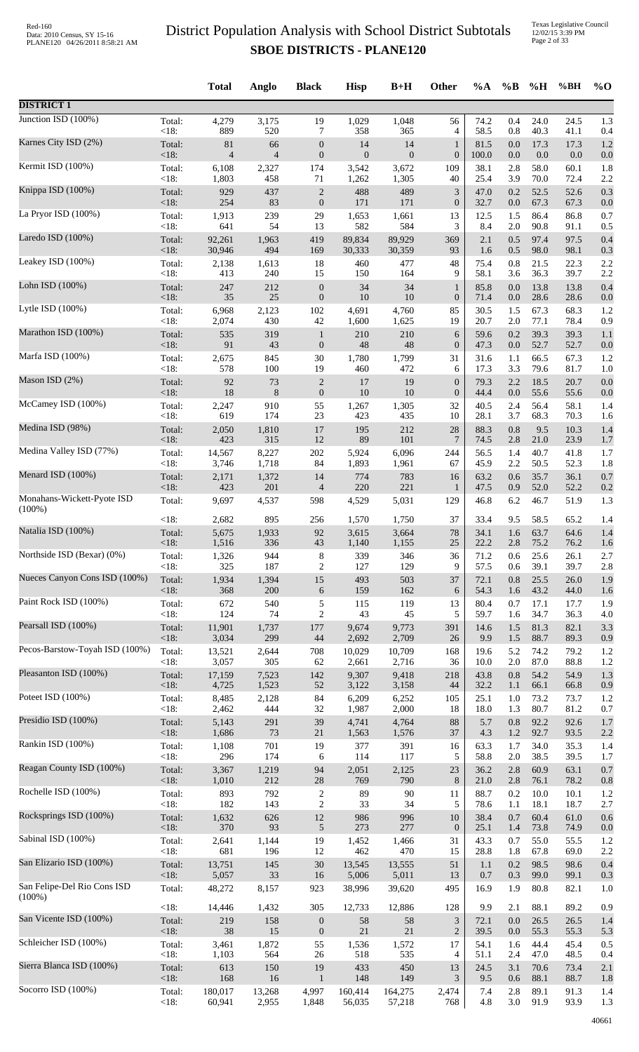Texas Legislative Council 12/02/15 3:39 PM Page 2 of 33

|                                          |                 | <b>Total</b> | Anglo          | <b>Black</b>                     | <b>Hisp</b>  | $B+H$            | Other                       | $\%A$        | $\%B$      | %H           | %BH          | $\%$ O     |
|------------------------------------------|-----------------|--------------|----------------|----------------------------------|--------------|------------------|-----------------------------|--------------|------------|--------------|--------------|------------|
| <b>DISTRICT 1</b>                        |                 |              |                |                                  |              |                  |                             |              |            |              |              |            |
| Junction ISD $(100\%)$                   | Total:          | 4,279        | 3,175          | 19                               | 1,029        | 1,048            | 56                          | 74.2         | 0.4        | 24.0         | 24.5         | 1.3        |
| Karnes City ISD (2%)                     | < 18:           | 889          | 520            | 7                                | 358          | 365              | 4                           | 58.5         | 0.8        | 40.3         | 41.1         | 0.4        |
|                                          | Total:          | 81           | 66             | $\boldsymbol{0}$                 | 14           | 14               | $\mathbf{1}$                | 81.5         | 0.0        | 17.3         | 17.3         | 1.2        |
| Kermit ISD (100%)                        | <18:            | 4            | $\overline{4}$ | $\boldsymbol{0}$                 | $\mathbf{0}$ | $\boldsymbol{0}$ | $\boldsymbol{0}$            | 100.0        | 0.0        | $0.0\,$      | 0.0          | 0.0        |
|                                          | Total:          | 6,108        | 2,327          | 174                              | 3,542        | 3,672            | 109                         | 38.1         | 2.8        | 58.0         | 60.1         | 1.8        |
|                                          | < 18:           | 1,803        | 458            | 71                               | 1,262        | 1,305            | 40                          | 25.4         | 3.9        | 70.0         | 72.4         | 2.2        |
| Knippa ISD (100%)                        | Total:          | 929          | 437            | $\boldsymbol{2}$                 | 488          | 489              | $\mathfrak{Z}$              | 47.0         | 0.2        | 52.5         | 52.6         | 0.3        |
|                                          | <18:            | 254          | 83             | $\boldsymbol{0}$                 | 171          | 171              | $\boldsymbol{0}$            | 32.7         | 0.0        | 67.3         | 67.3         | 0.0        |
| La Pryor ISD (100%)                      | Total:          | 1,913        | 239            | 29                               | 1,653        | 1,661            | 13                          | 12.5         | 1.5        | 86.4         | 86.8         | 0.7        |
|                                          | <18:            | 641          | 54             | 13                               | 582          | 584              | 3                           | 8.4          | 2.0        | 90.8         | 91.1         | 0.5        |
| Laredo ISD (100%)                        | Total:          | 92,261       | 1,963          | 419                              | 89,834       | 89,929           | 369                         | 2.1          | 0.5        | 97.4         | 97.5         | 0.4        |
|                                          | $<18$ :         | 30,946       | 494            | 169                              | 30,333       | 30,359           | 93                          | 1.6          | 0.5        | 98.0         | 98.1         | 0.3        |
| Leakey ISD (100%)                        | Total:          | 2,138        | 1,613          | 18                               | 460          | 477              | 48                          | 75.4         | 0.8        | 21.5         | 22.3         | 2.2        |
| Lohn ISD (100%)                          | < 18:           | 413          | 240            | 15                               | 150          | 164              | 9                           | 58.1         | 3.6        | 36.3         | 39.7         | 2.2        |
|                                          | Total:          | 247          | 212            | $\boldsymbol{0}$                 | 34           | 34               | $\mathbf{1}$                | 85.8         | 0.0        | 13.8         | 13.8         | 0.4        |
| Lytle ISD (100%)                         | $<18$ :         | 35           | 25             | $\boldsymbol{0}$                 | 10           | 10               | $\boldsymbol{0}$            | 71.4         | 0.0        | 28.6         | 28.6         | 0.0        |
|                                          | Total:          | 6,968        | 2,123          | 102                              | 4,691        | 4,760            | 85                          | 30.5         | 1.5        | 67.3         | 68.3         | 1.2        |
| Marathon ISD (100%)                      | < 18:<br>Total: | 2,074<br>535 | 430<br>319     | 42                               | 1,600<br>210 | 1,625<br>210     | 19<br>6                     | 20.7<br>59.6 | 2.0<br>0.2 | 77.1<br>39.3 | 78.4<br>39.3 | 0.9<br>1.1 |
|                                          | <18:            | 91           | 43             | $\mathbf{1}$<br>$\boldsymbol{0}$ | 48           | 48               | $\boldsymbol{0}$            | 47.3         | 0.0        | 52.7         | 52.7         | 0.0        |
| Marfa ISD (100%)                         | Total:          | 2,675        | 845            | $30\,$                           | 1,780        | 1,799            | 31                          | 31.6         | 1.1        | 66.5         | 67.3         | 1.2        |
|                                          | <18:            | 578          | 100            | 19                               | 460          | 472              | 6                           | 17.3         | 3.3        | 79.6         | 81.7         | 1.0        |
| Mason ISD (2%)                           | Total:          | 92           | 73             | $\boldsymbol{2}$                 | 17           | 19               | $\boldsymbol{0}$            | 79.3         | 2.2        | 18.5         | 20.7         | 0.0        |
|                                          | <18:            | 18           | $8\phantom{1}$ | $\boldsymbol{0}$                 | 10           | 10               | $\boldsymbol{0}$            | 44.4         | 0.0        | 55.6         | 55.6         | 0.0        |
| McCamey ISD (100%)                       | Total:          | 2,247        | 910            | 55                               | 1,267        | 1,305            | 32                          | 40.5         | 2.4        | 56.4         | 58.1         | 1.4        |
| Medina ISD (98%)                         | < 18:           | 619          | 174            | 23                               | 423          | 435              | 10                          | 28.1         | 3.7        | 68.3         | 70.3         | 1.6        |
|                                          | Total:          | 2,050        | 1,810          | 17                               | 195          | 212              | $28\,$                      | 88.3         | 0.8        | 9.5          | 10.3         | 1.4        |
| Medina Valley ISD (77%)                  | <18:            | 423          | 315            | $12\,$                           | 89           | $101\,$          | 7                           | 74.5         | 2.8        | 21.0         | 23.9         | 1.7        |
|                                          | Total:          | 14,567       | 8,227          | $202\,$                          | 5,924        | 6,096            | 244                         | 56.5         | 1.4        | 40.7         | 41.8         | 1.7        |
| Menard ISD (100%)                        | <18:            | 3,746        | 1,718          | 84                               | 1,893        | 1,961            | 67                          | 45.9         | 2.2        | 50.5         | 52.3         | 1.8        |
|                                          | Total:          | 2,171        | 1,372          | 14                               | 774          | 783              | 16                          | 63.2         | 0.6        | 35.7         | 36.1         | 0.7        |
|                                          | <18:            | 423          | 201            | $\overline{\mathcal{A}}$         | 220          | 221              | $\mathbf{1}$                | 47.5         | 0.9        | 52.0         | 52.2         | 0.2        |
| Monahans-Wickett-Pyote ISD<br>$(100\%)$  | Total:          | 9,697        | 4,537          | 598                              | 4,529        | 5,031            | 129                         | 46.8         | 6.2        | 46.7         | 51.9         | 1.3        |
| Natalia ISD (100%)                       | <18:            | 2,682        | 895            | 256                              | 1,570        | 1,750            | 37                          | 33.4         | 9.5        | 58.5         | 65.2         | 1.4        |
|                                          | Total:          | 5,675        | 1,933          | 92                               | 3,615        | 3,664            | $78\,$                      | 34.1         | 1.6        | 63.7         | 64.6         | 1.4        |
| Northside ISD (Bexar) (0%)               | ${<}18:$        | 1,516        | 336            | 43                               | 1,140        | 1,155            | 25                          | 22.2         | 2.8        | 75.2         | 76.2         | 1.6        |
|                                          | Total:          | 1,326        | 944            | 8                                | 339          | 346              | 36                          | 71.2         | 0.6        | 25.6         | 26.1         | 2.7        |
|                                          | < 18:           | 325          | 187            | 2                                | 127          | 129              | 9                           | 57.5         | 0.6        | 39.1         | 39.7         | 2.8        |
| Nueces Canyon Cons ISD (100%)            | Total:          | 1,934        | 1,394          | 15                               | 493          | 503              | 37                          | 72.1         | 0.8        | 25.5         | 26.0         | 1.9        |
|                                          | <18:            | 368          | 200            | 6                                | 159          | 162              | 6                           | 54.3         | 1.6        | 43.2         | 44.0         | 1.6        |
| Paint Rock ISD (100%)                    | Total:          | 672          | 540            | 5                                | 115          | 119              | 13                          | 80.4         | 0.7        | 17.1         | 17.7         | 1.9        |
|                                          | <18:            | 124          | 74             | $\overline{c}$                   | 43           | 45               | 5                           | 59.7         | 1.6        | 34.7         | 36.3         | 4.0        |
| Pearsall ISD (100%)                      | Total:          | 11,901       | 1,737          | 177                              | 9,674        | 9,773            | 391                         | 14.6         | 1.5        | 81.3         | 82.1         | 3.3        |
| Pecos-Barstow-Toyah ISD (100%)           | <18:            | 3,034        | 299            | $44\,$                           | 2,692        | 2,709            | 26                          | 9.9          | 1.5        | 88.7         | 89.3         | 0.9        |
|                                          | Total:          | 13,521       | 2,644          | 708                              | 10,029       | 10,709           | 168                         | 19.6         | 5.2        | 74.2         | 79.2         | 1.2        |
| Pleasanton ISD (100%)                    | < 18:           | 3,057        | 305            | 62                               | 2,661        | 2,716            | 36                          | 10.0         | $2.0\,$    | 87.0         | 88.8         | 1.2        |
|                                          | Total:          | 17,159       | 7,523          | 142                              | 9,307        | 9,418            | 218                         | 43.8         | 0.8        | 54.2         | 54.9         | 1.3        |
|                                          | <18:            | 4,725        | 1,523          | 52                               | 3,122        | 3,158            | 44                          | 32.2         | 1.1        | 66.1         | 66.8         | 0.9        |
| Poteet ISD (100%)                        | Total:          | 8,485        | 2,128          | 84                               | 6,209        | 6,252            | 105                         | 25.1         | 1.0        | 73.2         | 73.7         | 1.2        |
|                                          | < 18:           | 2,462        | 444            | 32                               | 1,987        | 2,000            | 18                          | 18.0         | 1.3        | 80.7         | 81.2         | 0.7        |
| Presidio ISD (100%)                      | Total:          | 5,143        | 291            | 39                               | 4,741        | 4,764            | 88                          | 5.7          | 0.8        | 92.2         | 92.6         | 1.7        |
|                                          | <18:            | 1,686        | 73             | $21\,$                           | 1,563        | 1,576            | 37                          | 4.3          | $1.2\,$    | 92.7         | 93.5         | 2.2        |
| Rankin ISD (100%)                        | Total:          | 1,108        | 701            | 19                               | 377          | 391              | 16                          | 63.3         | 1.7        | 34.0         | 35.3         | 1.4        |
|                                          | < 18:           | 296          | 174            | 6                                | 114          | 117              | 5                           | 58.8         | $2.0\,$    | 38.5         | 39.5         | 1.7        |
| Reagan County ISD (100%)                 | Total:          | 3,367        | 1,219          | 94                               | 2,051        | 2,125            | 23                          | 36.2         | $2.8\,$    | 60.9         | 63.1         | 0.7        |
| Rochelle ISD (100%)                      | <18:            | 1,010        | 212            | $28\,$                           | 769          | 790              | $8\,$                       | 21.0         | 2.8        | 76.1         | 78.2         | 0.8        |
|                                          | Total:          | 893          | 792            | $\boldsymbol{2}$                 | 89           | $90\,$           | 11                          | 88.7         | 0.2        | 10.0         | 10.1         | 1.2        |
| Rocksprings ISD (100%)                   | <18:            | 182          | 143            | $\boldsymbol{2}$                 | 33           | 34               | 5                           | 78.6         | 1.1        | 18.1         | 18.7         | 2.7        |
|                                          | Total:          | 1,632        | 626            | $12\,$                           | 986          | 996              | 10                          | 38.4         | 0.7        | 60.4         | 61.0         | 0.6        |
| Sabinal ISD (100%)                       | <18:            | 370          | 93             | $\sqrt{5}$                       | 273          | 277              | $\mathbf{0}$                | 25.1         | 1.4        | 73.8         | 74.9         | 0.0        |
|                                          | Total:          | 2,641        | 1,144          | 19                               | 1,452        | 1,466            | 31                          | 43.3         | 0.7        | 55.0         | 55.5         | 1.2        |
|                                          | <18:            | 681          | 196            | 12                               | 462          | 470              | 15                          | 28.8         | 1.8        | 67.8         | 69.0         | 2.2        |
| San Elizario ISD (100%)                  | Total:          | 13,751       | 145            | $30\,$                           | 13,545       | 13,555           | 51                          | 1.1          | 0.2        | 98.5         | 98.6         | 0.4        |
|                                          | < 18:           | 5,057        | 33             | 16                               | 5,006        | 5,011            | 13                          | 0.7          | 0.3        | 99.0         | 99.1         | 0.3        |
| San Felipe-Del Rio Cons ISD<br>$(100\%)$ | Total:          | 48,272       | 8,157          | 923                              | 38,996       | 39,620           | 495                         | 16.9         | 1.9        | 80.8         | 82.1         | 1.0        |
| San Vicente ISD (100%)                   | <18:            | 14,446       | 1,432          | 305                              | 12,733       | 12,886           | 128                         | 9.9          | 2.1        | 88.1         | 89.2         | 0.9        |
|                                          | Total:          | 219          | 158            | $\boldsymbol{0}$                 | 58           | 58               | $\ensuremath{\mathfrak{Z}}$ | 72.1         | 0.0        | 26.5         | 26.5         | 1.4        |
|                                          | <18:            | 38           | 15             | $\boldsymbol{0}$                 | 21           | $21\,$           | $\sqrt{2}$                  | 39.5         | 0.0        | 55.3         | 55.3         | 5.3        |
| Schleicher ISD (100%)                    | Total:          | 3,461        | 1,872          | 55                               | 1,536        | 1,572            | 17                          | 54.1         | 1.6        | 44.4         | 45.4         | 0.5        |
|                                          | $<18$ :         | 1,103        | 564            | 26                               | 518          | 535              | 4                           | 51.1         | 2.4        | 47.0         | 48.5         | 0.4        |
| Sierra Blanca ISD (100%)                 | Total:          | 613          | 150            | 19                               | 433          | 450              | 13                          | 24.5         | 3.1        | 70.6         | 73.4         | 2.1        |
|                                          | <18:            | 168          | 16             | 1                                | 148          | 149              | 3                           | 9.5          | 0.6        | 88.1         | 88.7         | 1.8        |
| Socorro ISD (100%)                       | Total:          | 180,017      | 13,268         | 4,997                            | 160,414      | 164,275          | 2,474                       | 7.4          | 2.8        | 89.1         | 91.3         | 1.4        |
|                                          | <18:            | 60,941       | 2,955          | 1,848                            | 56,035       | 57,218           | 768                         | 4.8          | 3.0        | 91.9         | 93.9         | 1.3        |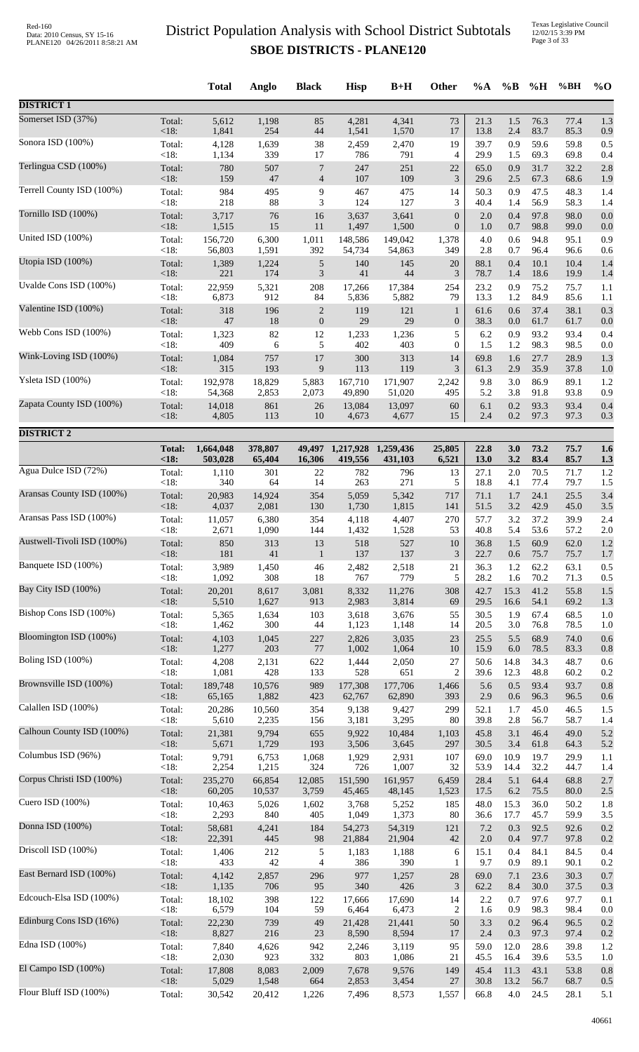Texas Legislative Council 12/02/15 3:39 PM Page 3 of 33

|                            |                   | <b>Total</b>    | Anglo          | <b>Black</b>        | <b>Hisp</b>    | $B+H$           | Other            | $\%A$        | $\%$ B      | %H           | %BH          | $%$ <sup>O</sup> |
|----------------------------|-------------------|-----------------|----------------|---------------------|----------------|-----------------|------------------|--------------|-------------|--------------|--------------|------------------|
| <b>DISTRICT 1</b>          |                   |                 |                |                     |                |                 |                  |              |             |              |              |                  |
| Somerset ISD (37%)         | Total:            | 5,612           | 1,198          | 85                  | 4,281          | 4,341           | 73               | 21.3         | 1.5         | 76.3         | 77.4         | 1.3              |
| Sonora ISD (100%)          | $<18$ :           | 1,841           | 254            | $44\,$              | 1,541          | 1,570           | 17               | 13.8         | 2.4         | 83.7         | 85.3         | 0.9              |
|                            | Total:            | 4,128           | 1,639          | 38                  | 2,459          | 2,470           | 19               | 39.7         | 0.9         | 59.6         | 59.8         | 0.5              |
|                            | < 18:             | 1,134           | 339            | 17                  | 786            | 791             | 4                | 29.9         | 1.5         | 69.3         | 69.8         | 0.4              |
| Terlingua CSD (100%)       | Total:            | 780             | 507            | 7                   | 247            | 251             | 22               | 65.0         | 0.9         | 31.7         | 32.2         | 2.8              |
|                            | $<18$ :           | 159             | 47             | $\overline{4}$      | 107            | 109             | $\mathfrak{Z}$   | 29.6         | 2.5         | 67.3         | 68.6         | 1.9              |
| Terrell County ISD (100%)  | Total:            | 984             | 495            | 9                   | 467            | 475             | 14               | 50.3         | 0.9         | 47.5         | 48.3         | 1.4              |
|                            | < 18:             | 218             | 88             | 3                   | 124            | 127             | 3                | 40.4         | 1.4         | 56.9         | 58.3         | 1.4              |
| Tornillo ISD (100%)        | Total:            | 3,717           | 76             | 16                  | 3,637          | 3,641           | $\mathbf{0}$     | 2.0          | 0.4         | 97.8         | 98.0         | 0.0              |
| United ISD (100%)          | $<18$ :           | 1,515           | 15             | 11                  | 1,497          | 1,500           | $\boldsymbol{0}$ | 1.0          | 0.7         | 98.8         | 99.0         | 0.0              |
|                            | Total:            | 156,720         | 6,300          | 1,011               | 148,586        | 149,042         | 1,378            | 4.0          | 0.6         | 94.8         | 95.1         | 0.9              |
| Utopia ISD (100%)          | $<18$ :<br>Total: | 56,803<br>1,389 | 1,591<br>1,224 | 392                 | 54,734<br>140  | 54,863<br>145   | 349<br>20        | 2.8<br>88.1  | 0.7<br>0.4  | 96.4<br>10.1 | 96.6<br>10.4 | 0.6<br>1.4       |
|                            | < 18:             | 221             | 174            | 5<br>$\mathfrak{Z}$ | 41             | 44              | 3                | 78.7         | 1.4         | 18.6         | 19.9         | 1.4              |
| Uvalde Cons ISD (100%)     | Total:            | 22,959          | 5,321          | 208                 | 17,266         | 17,384          | 254              | 23.2         | 0.9         | 75.2         | 75.7         | 1.1              |
|                            | <18:              | 6,873           | 912            | 84                  | 5,836          | 5,882           | 79               | 13.3         | $1.2\,$     | 84.9         | 85.6         | 1.1              |
| Valentine ISD (100%)       | Total:            | 318             | 196            | $\mathbf{2}$        | 119            | 121             | $\mathbf{1}$     | 61.6         | 0.6         | 37.4         | 38.1         | 0.3              |
|                            | < 18:             | $47\,$          | 18             | $\boldsymbol{0}$    | 29             | 29              | $\boldsymbol{0}$ | 38.3         | 0.0         | 61.7         | 61.7         | 0.0              |
| Webb Cons ISD (100%)       | Total:            | 1,323           | 82             | 12                  | 1,233          | 1,236           | 5                | 6.2          | 0.9         | 93.2         | 93.4         | 0.4              |
| Wink-Loving ISD (100%)     | $<18$ :           | 409             | 6              | 5                   | 402            | 403             | $\theta$         | 1.5          | 1.2         | 98.3         | 98.5         | 0.0              |
|                            | Total:            | 1,084           | 757            | 17                  | 300            | 313             | 14               | 69.8         | 1.6         | 27.7         | 28.9         | 1.3              |
| Ysleta ISD (100%)          | < 18:             | 315             | 193            | 9                   | 113            | 119             | 3                | 61.3         | 2.9         | 35.9         | 37.8         | 1.0              |
|                            | Total:            | 192,978         | 18,829         | 5,883               | 167,710        | 171,907         | 2,242            | 9.8          | 3.0         | 86.9         | 89.1         | 1.2              |
|                            | $<18$ :           | 54,368          | 2,853          | 2,073               | 49,890         | 51,020          | 495              | 5.2          | 3.8         | 91.8         | 93.8         | 0.9              |
| Zapata County ISD (100%)   | Total:            | 14,018          | 861            | 26                  | 13,084         | 13,097          | 60               | 6.1          | 0.2         | 93.3         | 93.4         | 0.4              |
|                            | $<18$ :           | 4,805           | 113            | $10\,$              | 4,673          | 4,677           | 15               | 2.4          | $0.2\,$     | 97.3         | 97.3         | 0.3              |
| <b>DISTRICT 2</b>          |                   |                 |                |                     |                |                 |                  |              |             |              |              |                  |
|                            | <b>Total:</b>     | 1,664,048       | 378,807        | 49,497              | 1,217,928      | 1,259,436       | 25,805           | 22.8         | 3.0         | 73.2         | 75.7         | 1.6              |
|                            | <18               | 503,028         | 65,404         | 16,306              | 419,556        | 431,103         | 6,521            | 13.0         | 3.2         | 83.4         | 85.7         | 1.3              |
| Agua Dulce ISD (72%)       | Total:            | 1,110           | 301            | 22                  | 782            | 796             | 13               | 27.1         | 2.0         | 70.5         | 71.7         | 1.2              |
| Aransas County ISD (100%)  | $<18$ :           | 340             | 64             | 14                  | 263            | 271             | 5                | 18.8         | 4.1         | 77.4         | 79.7         | 1.5              |
|                            | Total:            | 20,983          | 14,924         | 354                 | 5,059          | 5,342           | 717              | 71.1         | 1.7         | 24.1         | 25.5         | 3.4              |
| Aransas Pass ISD (100%)    | <18:              | 4,037           | 2,081          | 130                 | 1,730          | 1,815           | 141              | 51.5         | 3.2         | 42.9         | 45.0         | 3.5              |
|                            | Total:            | 11,057          | 6,380          | 354                 | 4,118          | 4,407           | 270              | 57.7         | 3.2         | 37.2         | 39.9         | 2.4              |
| Austwell-Tivoli ISD (100%) | $<18$ :           | 2,671           | 1,090          | 144                 | 1,432<br>518   | 1,528<br>527    | 53<br>10         | 40.8<br>36.8 | 5.4         | 53.6<br>60.9 | 57.2<br>62.0 | 2.0<br>1.2       |
|                            | Total:<br>$<18$ : | 850<br>181      | 313<br>41      | 13<br>$\mathbf{1}$  | 137            | 137             | 3                | 22.7         | 1.5<br>0.6  | 75.7         | 75.7         | 1.7              |
| Banquete ISD (100%)        | Total:            | 3,989           | 1,450          | 46                  | 2,482          | 2,518           | 21               | 36.3         | 1.2         | 62.2         | 63.1         | 0.5              |
|                            | <18:              | 1,092           | 308            | 18                  | 767            | 779             | 5                | 28.2         | 1.6         | 70.2         | 71.3         | 0.5              |
| Bay City ISD (100%)        | Total:            | 20,201          | 8,617          | 3,081               | 8,332          | 11,276          | 308              | 42.7         | 15.3        | 41.2         | 55.8         | 1.5              |
|                            | $<18$ :           | 5,510           | 1,627          | 913                 | 2,983          | 3,814           | 69               | 29.5         | 16.6        | 54.1         | 69.2         | 1.3              |
| Bishop Cons ISD (100%)     | Total:            | 5,365           | 1,634          | 103                 | 3,618          | 3,676           | 55               | 30.5         | 1.9         | 67.4         | 68.5         | 1.0              |
| Bloomington ISD (100%)     | <18:              | 1,462           | 300            | $44$                | 1,123          | 1,148           | 14               | 20.5         | 3.0         | 76.8         | 78.5         | 1.0              |
|                            | Total:            | 4,103           | 1,045          | 227                 | 2,826          | 3,035           | 23               | 25.5         | 5.5         | 68.9         | 74.0         | 0.6              |
| Boling ISD (100%)          | < 18:             | 1,277           | 203            | 77                  | 1,002          | 1,064           | 10               | 15.9         | 6.0         | 78.5         | 83.3         | 0.8              |
|                            | Total:            | 4,208           | 2,131          | 622                 | 1,444          | 2,050           | 27               | 50.6         | 14.8        | 34.3         | 48.7         | 0.6              |
|                            | <18:              | 1,081           | 428            | 133                 | 528            | 651             | $\overline{2}$   | 39.6         | 12.3        | 48.8         | 60.2         | 0.2              |
| Brownsville ISD (100%)     | Total:            | 189,748         | 10,576         | 989                 | 177,308        | 177,706         | 1,466            | 5.6          | 0.5         | 93.4         | 93.7         | 0.8              |
|                            | $<18$ :           | 65,165          | 1,882          | 423                 | 62,767         | 62,890          | 393              | 2.9          | 0.6         | 96.3         | 96.5         | 0.6              |
| Calallen ISD (100%)        | Total:            | 20,286          | 10,560         | 354                 | 9,138          | 9,427           | 299              | 52.1         | 1.7         | 45.0         | 46.5         | 1.5              |
|                            | $<18$ :           | 5,610           | 2,235          | 156                 | 3,181          | 3,295           | 80               | 39.8         | 2.8         | 56.7         | 58.7         | 1.4              |
| Calhoun County ISD (100%)  | Total:            | 21,381          | 9,794          | 655                 | 9,922          | 10,484          | 1,103            | 45.8         | 3.1         | 46.4         | 49.0         | 5.2              |
| Columbus ISD (96%)         | $<18$ :           | 5,671           | 1,729          | 193                 | 3,506          | 3,645           | 297              | 30.5         | 3.4         | 61.8         | 64.3         | 5.2              |
|                            | Total:            | 9,791           | 6,753          | 1,068               | 1,929          | 2,931           | 107              | 69.0         | 10.9        | 19.7         | 29.9         | 1.1              |
| Corpus Christi ISD (100%)  | $<18$ :           | 2,254           | 1,215          | 324                 | 726            | 1,007           | 32               | 53.9         | 14.4        | 32.2         | 44.7         | 1.4              |
|                            | Total:            | 235,270         | 66,854         | 12,085              | 151,590        | 161,957         | 6,459            | 28.4         | 5.1         | 64.4         | 68.8         | 2.7              |
| Cuero ISD (100%)           | < 18:             | 60,205          | 10,537         | 3,759               | 45,465         | 48,145          | 1,523            | 17.5         | 6.2         | 75.5         | 80.0         | 2.5              |
|                            | Total:            | 10,463          | 5,026          | 1,602               | 3,768          | 5,252           | 185              | 48.0         | 15.3        | 36.0         | 50.2         | 1.8              |
| Donna ISD (100%)           | $<18$ :           | 2,293           | 840            | 405                 | 1,049          | 1,373           | 80               | 36.6         | 17.7        | 45.7         | 59.9         | 3.5              |
|                            | Total:            | 58,681          | 4,241          | 184                 | 54,273         | 54,319          | 121              | 7.2          | 0.3         | 92.5         | 92.6         | 0.2              |
|                            | < 18:             | 22,391          | 445            | 98                  | 21,884         | 21,904          | 42               | 2.0          | 0.4         | 97.7         | 97.8         | 0.2              |
| Driscoll ISD (100%)        | Total:            | 1,406           | 212            | 5                   | 1,183          | 1,188           | 6                | 15.1         | 0.4         | 84.1         | 84.5         | 0.4              |
|                            | $<18$ :           | 433             | 42             | 4                   | 386            | 390             | 1                | 9.7          | 0.9         | 89.1         | 90.1         | 0.2              |
| East Bernard ISD (100%)    | Total:            | 4,142           | 2,857          | 296                 | 977            | 1,257           | 28               | 69.0         | 7.1         | 23.6         | 30.3         | 0.7              |
|                            | $<18$ :           | 1,135           | 706            | 95                  | 340            | 426             | $\mathfrak{Z}$   | 62.2         | 8.4         | 30.0         | 37.5         | 0.3              |
| Edcouch-Elsa ISD (100%)    | Total:            | 18,102          | 398            | 122                 | 17,666         | 17,690          | 14               | 2.2          | 0.7         | 97.6         | 97.7         | 0.1              |
|                            | <18:              | 6,579           | 104            | 59                  | 6,464          | 6,473           | $\overline{c}$   | 1.6          | 0.9         | 98.3         | 98.4         | 0.0              |
| Edinburg Cons ISD (16%)    | Total:            | 22,230<br>8,827 | 739<br>216     | 49                  | 21,428         | 21,441<br>8,594 | 50<br>17         | 3.3<br>2.4   | 0.2         | 96.4         | 96.5         | 0.2              |
| Edna ISD (100%)            | $<18$ :<br>Total: | 7,840           | 4,626          | 23<br>942           | 8,590<br>2,246 | 3,119           | 95               | 59.0         | 0.3<br>12.0 | 97.3<br>28.6 | 97.4<br>39.8 | 0.2<br>1.2       |
| El Campo ISD (100%)        | <18:              | 2,030           | 923            | 332                 | 803            | 1,086           | 21               | 45.5         | 16.4        | 39.6         | 53.5         | 1.0              |
|                            | Total:            | 17,808          | 8,083          | 2,009               | 7,678          | 9,576           | 149              | 45.4         | 11.3        | 43.1         | 53.8         | 0.8              |
| Flour Bluff ISD (100%)     | $<18$ :           | 5,029           | 1,548          | 664                 | 2,853          | 3,454           | 27               | 30.8         | 13.2        | 56.7         | 68.7         | 0.5              |
|                            | Total:            | 30,542          | 20,412         | 1,226               | 7,496          | 8,573           | 1,557            | 66.8         | 4.0         | 24.5         | 28.1         | 5.1              |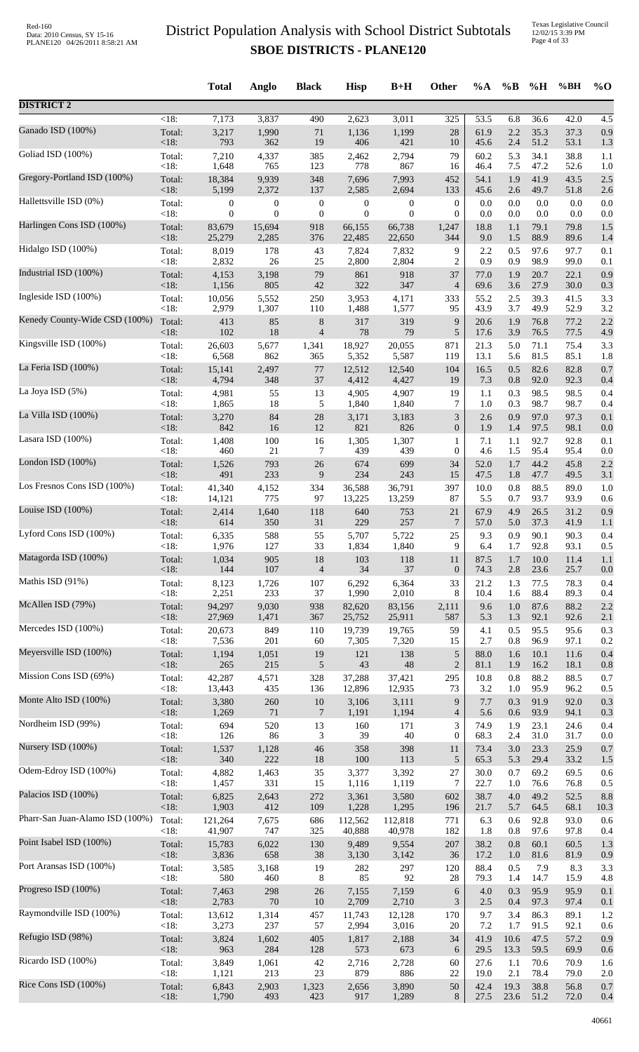|                                 |                    | <b>Total</b>     | Anglo            | <b>Black</b>             | <b>Hisp</b>      | $B+H$            | Other            | $\%A$        | $\%$ B     | %H           | %BH          | $%$ <sup>O</sup> |
|---------------------------------|--------------------|------------------|------------------|--------------------------|------------------|------------------|------------------|--------------|------------|--------------|--------------|------------------|
| <b>DISTRICT 2</b>               |                    |                  |                  |                          |                  |                  |                  |              |            |              |              |                  |
| Ganado ISD (100%)               | $\overline{<}18$ : | 7,173            | 3,837            | 490                      | 2,623            | 3,011            | $\overline{325}$ | 53.5         | 6.8        | 36.6         | 42.0         | 4.5              |
|                                 | Total:             | 3,217            | 1,990            | 71                       | 1,136            | 1,199            | $28\,$           | 61.9         | 2.2        | 35.3         | 37.3         | 0.9              |
|                                 | $<18$ :            | 793              | 362              | 19                       | 406              | 421              | 10               | 45.6         | 2.4        | 51.2         | 53.1         | 1.3              |
| Goliad ISD (100%)               | Total:             | 7,210            | 4,337            | 385                      | 2,462            | 2,794            | 79               | 60.2         | 5.3        | 34.1         | 38.8         | 1.1              |
|                                 | <18:               | 1,648            | 765              | 123                      | 778              | 867              | 16               | 46.4         | 7.5        | 47.2         | 52.6         | 1.0              |
| Gregory-Portland ISD (100%)     | Total:             | 18,384           | 9,939            | 348                      | 7,696            | 7,993            | 452              | 54.1         | 1.9        | 41.9         | 43.5         | 2.5              |
|                                 | <18:               | 5,199            | 2,372            | 137                      | 2,585            | 2,694            | 133              | 45.6         | 2.6        | 49.7         | 51.8         | 2.6              |
| Hallettsville ISD (0%)          | Total:             | $\boldsymbol{0}$ | $\boldsymbol{0}$ | $\boldsymbol{0}$         | $\boldsymbol{0}$ | $\boldsymbol{0}$ | $\boldsymbol{0}$ | 0.0          | 0.0        | 0.0          | 0.0          | 0.0              |
| Harlingen Cons ISD (100%)       | <18:               | $\overline{0}$   | $\overline{0}$   | $\boldsymbol{0}$         | $\boldsymbol{0}$ | $\overline{0}$   | $\overline{0}$   | 0.0          | 0.0        | 0.0          | 0.0          | 0.0              |
|                                 | Total:             | 83,679           | 15,694           | 918                      | 66,155           | 66,738           | 1,247            | 18.8         | 1.1        | 79.1         | 79.8         | 1.5              |
| Hidalgo ISD (100%)              | <18:               | 25,279           | 2,285            | 376                      | 22,485           | 22,650           | 344              | 9.0          | 1.5        | 88.9         | 89.6         | 1.4              |
|                                 | Total:             | 8,019            | 178              | 43                       | 7,824            | 7,832            | 9                | 2.2          | 0.5        | 97.6         | 97.7         | 0.1              |
|                                 | < 18:              | 2,832            | 26               | 25                       | 2,800            | 2,804            | $\overline{c}$   | 0.9          | 0.9        | 98.9         | 99.0         | 0.1              |
| Industrial ISD (100%)           | Total:             | 4,153            | 3,198            | 79                       | 861              | 918              | 37               | 77.0         | 1.9        | 20.7         | 22.1         | 0.9              |
|                                 | < 18:              | 1,156            | 805              | 42                       | 322              | 347              | 4                | 69.6         | 3.6        | 27.9         | 30.0         | 0.3              |
| Ingleside ISD (100%)            | Total:             | 10,056           | 5,552            | 250                      | 3,953            | 4,171            | 333              | 55.2         | 2.5        | 39.3         | 41.5         | 3.3              |
| Kenedy County-Wide CSD (100%)   | < 18:              | 2,979            | 1,307            | 110                      | 1,488            | 1,577            | 95               | 43.9         | 3.7        | 49.9         | 52.9         | 3.2              |
|                                 | Total:             | 413              | 85               | $8\,$                    | 317              | 319              | 9                | 20.6         | 1.9        | 76.8         | 77.2         | 2.2              |
| Kingsville ISD (100%)           | <18:               | 102              | 18               | $\overline{\mathcal{L}}$ | 78               | 79               | 5                | 17.6         | 3.9        | 76.5         | 77.5         | 4.9              |
|                                 | Total:             | 26,603           | 5,677            | 1,341                    | 18,927           | 20,055           | 871              | 21.3         | 5.0        | 71.1         | 75.4         | 3.3              |
|                                 | < 18:              | 6,568            | 862              | 365                      | 5,352            | 5,587            | 119              | 13.1         | 5.6        | 81.5         | 85.1         | 1.8              |
| La Feria ISD (100%)             | Total:             | 15,141           | 2,497            | 77                       | 12,512           | 12,540           | 104              | 16.5         | 0.5        | 82.6         | 82.8         | 0.7              |
|                                 | $<18$ :            | 4,794            | 348              | 37                       | 4,412            | 4,427            | 19               | 7.3          | 0.8        | 92.0         | 92.3         | 0.4              |
| La Joya ISD (5%)                | Total:             | 4,981            | 55               | 13                       | 4,905            | 4,907            | 19               | 1.1          | 0.3        | 98.5         | 98.5         | 0.4              |
|                                 | < 18:              | 1,865            | 18               | 5                        | 1,840            | 1,840            | 7                | 1.0          | 0.3        | 98.7         | 98.7         | 0.4              |
| La Villa ISD (100%)             | Total:             | 3,270            | 84               | 28                       | 3,171            | 3,183            | 3                | 2.6          | 0.9        | 97.0         | 97.3         | 0.1              |
| Lasara ISD (100%)               | <18:               | 842              | 16               | 12                       | 821              | 826              | $\boldsymbol{0}$ | 1.9          | 1.4        | 97.5         | 98.1         | 0.0              |
|                                 | Total:             | 1,408            | 100              | 16                       | 1,305            | 1,307            | 1                | 7.1          | 1.1        | 92.7         | 92.8         | 0.1              |
|                                 | <18:               | 460              | $21\,$           | 7                        | 439              | 439              | $\boldsymbol{0}$ | 4.6          | 1.5        | 95.4         | 95.4         | 0.0              |
| London ISD (100%)               | Total:             | 1,526            | 793              | 26                       | 674              | 699              | 34               | 52.0         | 1.7        | 44.2         | 45.8         | 2.2              |
|                                 | <18:               | 491              | 233              | 9                        | 234              | 243              | 15               | 47.5         | 1.8        | 47.7         | 49.5         | 3.1              |
| Los Fresnos Cons ISD (100%)     | Total:             | 41,340           | 4,152            | 334                      | 36,588           | 36,791           | 397              | 10.0         | 0.8        | 88.5         | 89.0         | 1.0              |
|                                 | <18:               | 14,121           | 775              | 97                       | 13,225           | 13,259           | 87               | 5.5          | 0.7        | 93.7         | 93.9         | 0.6              |
| Louise ISD (100%)               | Total:<br><18:     | 2,414<br>614     | 1,640<br>350     | 118<br>31                | 640<br>229       | 753<br>257       | 21<br>7          | 67.9<br>57.0 | 4.9<br>5.0 | 26.5<br>37.3 | 31.2<br>41.9 | 0.9              |
| Lyford Cons ISD (100%)          | Total:             | 6,335            | 588              | 55                       | 5,707            | 5,722            | 25               | 9.3          | 0.9        | 90.1         | 90.3         | 1.1<br>0.4       |
| Matagorda ISD (100%)            | $<18$ :            | 1,976            | 127              | 33                       | 1,834            | 1,840            | 9                | 6.4          | 1.7        | 92.8         | 93.1         | 0.5              |
|                                 | Total:             | 1,034            | 905              | 18                       | 103              | 118              | 11               | 87.5         | 1.7        | 10.0         | 11.4         | 1.1              |
|                                 | $<18$ :            | 144              | 107              | 4                        | 34               | 37               | $\boldsymbol{0}$ | 74.3         | 2.8        | 23.6         | 25.7         | 0.0              |
| Mathis ISD (91%)                | Total:             | 8,123            | 1,726            | 107                      | 6,292            | 6,364            | 33               | 21.2         | 1.3        | 77.5         | 78.3         | 0.4              |
|                                 | < 18:              | 2,251            | 233              | 37                       | 1,990            | 2,010            | 8                | 10.4         | 1.6        | 88.4         | 89.3         | 0.4              |
| McAllen ISD (79%)               | Total:             | 94,297           | 9,030            | 938                      | 82,620           | 83,156           | 2,111            | 9.6          | 1.0        | 87.6         | 88.2         | 2.2              |
|                                 | <18:               | 27,969           | 1,471            | 367                      | 25,752           | 25,911           | 587              | 5.3          | 1.3        | 92.1         | 92.6         | 2.1              |
| Mercedes ISD (100%)             | Total:             | 20,673           | 849              | 110                      | 19,739           | 19,765           | 59               | 4.1          | 0.5        | 95.5         | 95.6         | 0.3              |
| Meyersville ISD (100%)          | <18:               | 7,536            | 201              | 60                       | 7,305            | 7,320            | 15               | 2.7          | 0.8        | 96.9         | 97.1         | 0.2              |
|                                 | Total:             | 1,194            | 1,051            | 19                       | 121              | 138              | 5                | 88.0         | 1.6        | 10.1         | 11.6         | 0.4              |
| Mission Cons ISD (69%)          | $<18$ :            | 265              | 215              | 5                        | 43               | 48               | $\sqrt{2}$       | 81.1         | 1.9        | 16.2         | 18.1         | 0.8              |
|                                 | Total:             | 42,287           | 4,571            | 328                      | 37,288           | 37,421           | 295              | 10.8         | 0.8        | 88.2         | 88.5         | 0.7              |
|                                 | < 18:              | 13,443           | 435              | 136                      | 12,896           | 12,935           | 73               | 3.2          | 1.0        | 95.9         | 96.2         | 0.5              |
| Monte Alto ISD (100%)           | Total:             | 3,380            | 260              | $10\,$                   | 3,106            | 3,111            | 9                | 7.7          | 0.3        | 91.9         | 92.0         | 0.3              |
|                                 | $<18$ :            | 1,269            | 71               | $\overline{7}$           | 1,191            | 1,194            | 4                | 5.6          | 0.6        | 93.9         | 94.1         | 0.3              |
| Nordheim ISD (99%)              | Total:             | 694              | 520              | 13                       | 160              | 171              | 3                | 74.9         | 1.9        | 23.1         | 24.6         | 0.4              |
| Nursery ISD (100%)              | <18:               | 126              | 86               | 3                        | 39               | 40               | $\boldsymbol{0}$ | 68.3         | 2.4        | 31.0         | 31.7         | 0.0              |
|                                 | Total:             | 1,537            | 1,128            | 46                       | 358              | 398              | 11               | 73.4         | 3.0        | 23.3         | 25.9         | 0.7              |
|                                 | $<18$ :            | 340              | 222              | 18                       | 100              | 113              | 5                | 65.3         | 5.3        | 29.4         | 33.2         | 1.5              |
| Odem-Edroy ISD (100%)           | Total:             | 4,882            | 1,463            | 35                       | 3,377            | 3,392            | 27               | 30.0         | 0.7        | 69.2         | 69.5         | 0.6              |
|                                 | <18:               | 1,457            | 331              | 15                       | 1,116            | 1,119            | 7                | 22.7         | 1.0        | 76.6         | 76.8         | 0.5              |
| Palacios ISD (100%)             | Total:             | 6,825            | 2,643            | 272                      | 3,361            | 3,580            | 602              | 38.7         | 4.0        | 49.2         | 52.5         | 8.8              |
|                                 | <18:               | 1,903            | 412              | 109                      | 1,228            | 1,295            | 196              | 21.7         | 5.7        | 64.5         | 68.1         | 10.3             |
| Pharr-San Juan-Alamo ISD (100%) | Total:             | 121,264          | 7,675            | 686                      | 112,562          | 112,818          | 771              | 6.3          | 0.6        | 92.8         | 93.0         | 0.6              |
|                                 | $<18$ :            | 41,907           | 747              | 325                      | 40,888           | 40,978           | 182              | 1.8          | 0.8        | 97.6         | 97.8         | 0.4              |
| Point Isabel ISD (100%)         | Total:             | 15,783           | 6,022            | 130                      | 9,489            | 9,554            | 207              | 38.2         | 0.8        | 60.1         | 60.5         | 1.3              |
| Port Aransas ISD (100%)         | <18:               | 3,836            | 658              | $38\,$                   | 3,130            | 3,142            | 36               | 17.2         | 1.0        | 81.6         | 81.9         | 0.9              |
|                                 | Total:             | 3,585            | 3,168            | 19                       | 282              | 297              | 120              | 88.4         | 0.5        | 7.9          | 8.3          | 3.3              |
|                                 | $<18$ :            | 580              | 460              | 8                        | 85               | 92               | 28               | 79.3         | 1.4        | 14.7         | 15.9         | 4.8              |
| Progreso ISD (100%)             | Total:             | 7,463            | 298              | 26                       | 7,155            | 7,159            | 6                | 4.0          | 0.3        | 95.9         | 95.9         | 0.1              |
|                                 | $<18$ :            | 2,783            | 70               | 10                       | 2,709            | 2,710            | 3                | 2.5          | 0.4        | 97.3         | 97.4         | 0.1              |
| Raymondville ISD (100%)         | Total:             | 13,612           | 1,314            | 457                      | 11,743           | 12,128           | 170              | 9.7          | 3.4        | 86.3         | 89.1         | 1.2              |
|                                 | < 18:              | 3,273            | 237              | 57                       | 2,994            | 3,016            | 20               | 7.2          | 1.7        | 91.5         | 92.1         | 0.6              |
| Refugio ISD (98%)               | Total:             | 3,824            | 1,602            | 405                      | 1,817            | 2,188            | 34               | 41.9         | 10.6       | 47.5         | 57.2         | 0.9              |
| Ricardo ISD (100%)              | $<18$ :            | 963              | 284              | 128                      | 573              | 673              | 6                | 29.5         | 13.3       | 59.5         | 69.9         | 0.6              |
|                                 | Total:             | 3,849            | 1,061            | 42                       | 2,716            | 2,728            | 60               | 27.6         | 1.1        | 70.6         | 70.9         | 1.6              |
| Rice Cons ISD (100%)            | <18:               | 1,121            | 213              | 23                       | 879              | 886              | 22               | 19.0         | 2.1        | 78.4         | 79.0         | 2.0              |
|                                 | Total:             | 6,843            | 2,903            | 1,323                    | 2,656            | 3,890            | 50               | 42.4         | 19.3       | 38.8         | 56.8         | 0.7              |
|                                 | <18:               | 1,790            | 493              | 423                      | 917              | 1,289            | 8                | 27.5         | 23.6       | 51.2         | 72.0         | 0.4              |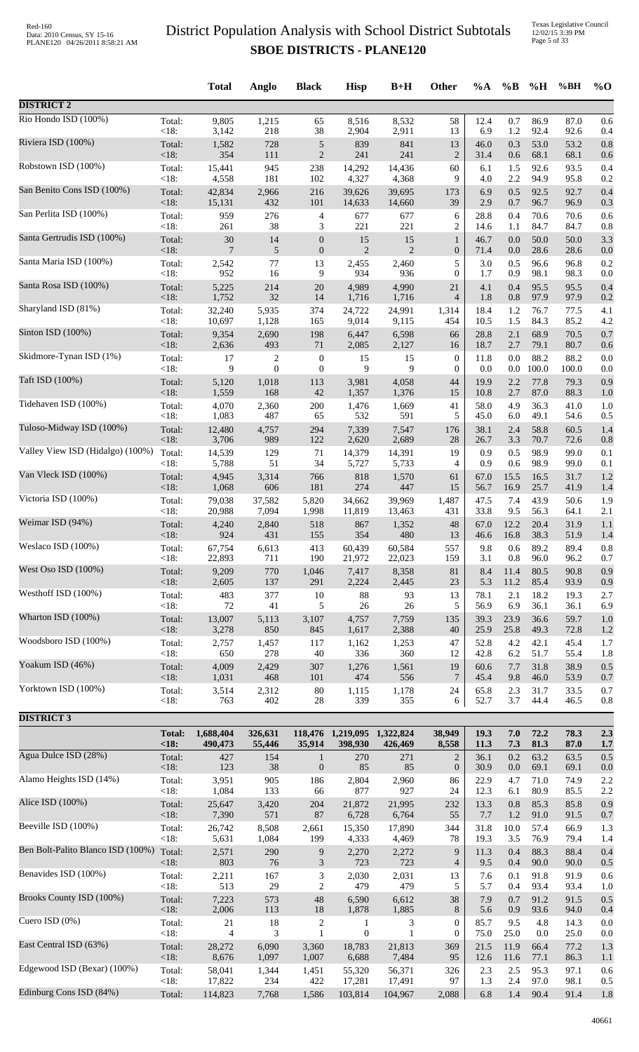Texas Legislative Council 12/02/15 3:39 PM Page 5 of 33

|                                   |                        | <b>Total</b>         | Anglo                 | <b>Black</b>                     | <b>Hisp</b>                            | $B+H$                | Other                                | $\%A$        | $\%B$        | %H            | %BH           | $%$ O      |
|-----------------------------------|------------------------|----------------------|-----------------------|----------------------------------|----------------------------------------|----------------------|--------------------------------------|--------------|--------------|---------------|---------------|------------|
| <b>DISTRICT 2</b>                 |                        |                      |                       |                                  |                                        |                      |                                      |              |              |               |               |            |
| Rio Hondo ISD (100%)              | Total:                 | 9,805                | 1,215                 | 65                               | 8,516                                  | 8,532                | 58                                   | 12.4         | 0.7          | 86.9          | 87.0          | 0.6        |
| Riviera ISD (100%)                | <18:<br>Total:         | 3,142<br>1,582       | 218<br>728            | 38<br>$\sqrt{5}$                 | 2,904<br>839                           | 2,911<br>841         | 13<br>13                             | 6.9<br>46.0  | 1.2<br>0.3   | 92.4<br>53.0  | 92.6<br>53.2  | 0.4<br>0.8 |
|                                   | <18:                   | 354                  | 111                   | $\overline{2}$                   | 241                                    | 241                  | $\boldsymbol{2}$                     | 31.4         | 0.6          | 68.1          | 68.1          | 0.6        |
| Robstown ISD (100%)               | Total:<br><18:         | 15,441<br>4,558      | 945<br>181            | 238<br>102                       | 14,292<br>4,327                        | 14,436<br>4,368      | 60<br>9                              | 6.1<br>4.0   | 1.5<br>2.2   | 92.6<br>94.9  | 93.5<br>95.8  | 0.4<br>0.2 |
| San Benito Cons ISD (100%)        | Total:                 | 42,834               | 2,966                 | 216                              | 39,626                                 | 39,695               | 173                                  | 6.9          | 0.5          | 92.5          | 92.7          | 0.4        |
| San Perlita ISD (100%)            | <18:<br>Total:         | 15,131<br>959        | 432<br>276            | 101<br>$\overline{4}$            | 14,633<br>677                          | 14,660<br>677        | 39<br>6                              | 2.9<br>28.8  | 0.7<br>0.4   | 96.7<br>70.6  | 96.9<br>70.6  | 0.3<br>0.6 |
|                                   | <18:                   | 261                  | 38                    | 3                                | 221                                    | 221                  | $\overline{c}$                       | 14.6         | 1.1          | 84.7          | 84.7          | 0.8        |
| Santa Gertrudis ISD (100%)        | Total:<br>$<18$ :      | $30\,$<br>7          | 14<br>$\sqrt{5}$      | $\mathbf{0}$<br>$\mathbf{0}$     | 15<br>2                                | 15<br>$\overline{2}$ | $\mathbf{1}$<br>$\boldsymbol{0}$     | 46.7<br>71.4 | 0.0<br>0.0   | 50.0<br>28.6  | 50.0<br>28.6  | 3.3<br>0.0 |
| Santa Maria ISD (100%)            | Total:                 | 2,542                | 77                    | 13                               | 2,455                                  | 2,460                | 5                                    | 3.0          | 0.5          | 96.6          | 96.8          | 0.2        |
| Santa Rosa ISD (100%)             | <18:<br>Total:         | 952<br>5,225         | 16<br>214             | 9<br>20                          | 934<br>4,989                           | 936<br>4,990         | $\overline{0}$<br>21                 | 1.7<br>4.1   | 0.9<br>0.4   | 98.1<br>95.5  | 98.3<br>95.5  | 0.0<br>0.4 |
| Sharyland ISD (81%)               | $<18$ :<br>Total:      | 1,752<br>32,240      | 32                    | 14<br>374                        | 1,716                                  | 1,716                | $\overline{4}$                       | 1.8          | 0.8          | 97.9<br>76.7  | 97.9          | 0.2        |
|                                   | <18:                   | 10,697               | 5,935<br>1,128        | 165                              | 24,722<br>9,014                        | 24,991<br>9,115      | 1,314<br>454                         | 18.4<br>10.5 | 1.2<br>1.5   | 84.3          | 77.5<br>85.2  | 4.1<br>4.2 |
| Sinton ISD (100%)                 | Total:<br><18:         | 9,354<br>2,636       | 2,690<br>493          | 198<br>71                        | 6,447<br>2,085                         | 6,598<br>2,127       | 66<br>16                             | 28.8<br>18.7 | 2.1<br>2.7   | 68.9<br>79.1  | 70.5<br>80.7  | 0.7<br>0.6 |
| Skidmore-Tynan ISD (1%)           | Total:                 | 17                   | 2                     | $\boldsymbol{0}$                 | 15                                     | 15                   | $\boldsymbol{0}$                     | 11.8         | 0.0          | 88.2          | 88.2          | 0.0        |
| Taft ISD (100%)                   | $<18$ :<br>Total:      | 9<br>5,120           | $\mathbf{0}$<br>1,018 | $\mathbf{0}$<br>113              | 9<br>3,981                             | 9<br>4,058           | $\overline{0}$<br>44                 | 0.0<br>19.9  | 0.0<br>2.2   | 100.0<br>77.8 | 100.0<br>79.3 | 0.0<br>0.9 |
|                                   | <18:                   | 1,559                | 168                   | 42                               | 1,357                                  | 1,376                | 15                                   | 10.8         | 2.7          | 87.0          | 88.3          | 1.0        |
| Tidehaven ISD (100%)              | Total:<br><18:         | 4,070<br>1,083       | 2,360<br>487          | $200\,$<br>65                    | 1,476<br>532                           | 1,669<br>591         | 41<br>5                              | 58.0<br>45.0 | 4.9<br>6.0   | 36.3<br>49.1  | 41.0<br>54.6  | 1.0<br>0.5 |
| Tuloso-Midway ISD (100%)          | Total:                 | 12,480               | 4,757                 | 294                              | 7,339                                  | 7,547                | 176                                  | 38.1         | 2.4          | 58.8          | 60.5          | 1.4        |
| Valley View ISD (Hidalgo) (100%)  | <18:<br>Total:         | 3,706<br>14,539      | 989<br>129            | 122<br>71                        | 2,620<br>14,379                        | 2,689<br>14,391      | 28<br>19                             | 26.7<br>0.9  | 3.3<br>0.5   | 70.7<br>98.9  | 72.6<br>99.0  | 0.8<br>0.1 |
| Van Vleck ISD (100%)              | <18:                   | 5,788                | 51                    | 34                               | 5,727                                  | 5,733                | 4                                    | 0.9          | 0.6          | 98.9          | 99.0          | 0.1        |
|                                   | Total:<br><18:         | 4,945<br>1,068       | 3,314<br>606          | 766<br>181                       | 818<br>274                             | 1,570<br>447         | 61<br>15                             | 67.0<br>56.7 | 15.5<br>16.9 | 16.5<br>25.7  | 31.7<br>41.9  | 1.2<br>1.4 |
| Victoria ISD (100%)               | Total:<br>$<18$ :      | 79,038<br>20,988     | 37,582<br>7,094       | 5,820<br>1,998                   | 34,662<br>11,819                       | 39,969<br>13,463     | 1,487<br>431                         | 47.5<br>33.8 | 7.4<br>9.5   | 43.9<br>56.3  | 50.6<br>64.1  | 1.9<br>2.1 |
| Weimar ISD (94%)                  | Total:                 | 4,240                | 2,840                 | 518                              | 867                                    | 1,352                | 48                                   | 67.0         | 12.2         | 20.4          | 31.9          | 1.1        |
| Weslaco ISD (100%)                | $<18$ :<br>Total:      | 924<br>67,754        | 431<br>6,613          | 155<br>413                       | 354<br>60,439                          | 480<br>60,584        | 13<br>557                            | 46.6<br>9.8  | 16.8<br>0.6  | 38.3<br>89.2  | 51.9<br>89.4  | 1.4<br>0.8 |
|                                   | $<18$ :                | 22,893               | 711                   | 190                              | 21,972                                 | 22,023               | 159                                  | 3.1          | 0.8          | 96.0          | 96.2          | 0.7        |
| West Oso ISD (100%)               | Total:<br><18:         | 9,209<br>2,605       | 770<br>137            | 1,046<br>291                     | 7,417<br>2,224                         | 8,358<br>2,445       | 81<br>23                             | 8.4<br>5.3   | 11.4<br>11.2 | 80.5<br>85.4  | 90.8<br>93.9  | 0.9<br>0.9 |
| Westhoff ISD (100%)               | Total:                 | 483                  | 377                   | 10                               | $88\,$                                 | 93                   | 13                                   | 78.1         | 2.1          | 18.2          | 19.3          | 2.7        |
| Wharton ISD (100%)                | <18:<br>Total:         | 72<br>13,007         | 41<br>5,113           | 5<br>3,107                       | $26\,$<br>4,757                        | 26<br>7,759          | 5<br>135                             | 56.9<br>39.3 | 6.9<br>23.9  | 36.1<br>36.6  | 36.1<br>59.7  | 6.9<br>1.0 |
|                                   | $<18$ :                | 3,278                | 850                   | 845                              | 1,617                                  | 2,388                | 40                                   | 25.9         | 25.8         | 49.3          | 72.8          | 1.2        |
| Woodsboro ISD (100%)              | Total:<br><18:         | 2,757<br>650         | 1,457<br>278          | 117<br>$40\,$                    | 1,162<br>336                           | 1,253<br>360         | 47<br>12                             | 52.8<br>42.8 | 4.2<br>6.2   | 42.1<br>51.7  | 45.4<br>55.4  | 1.7<br>1.8 |
| Yoakum ISD (46%)                  | Total:<br><18:         | 4,009<br>1,031       | 2,429<br>468          | 307<br>101                       | 1,276<br>474                           | 1,561<br>556         | 19<br>$\overline{7}$                 | 60.6<br>45.4 | 7.7<br>9.8   | 31.8<br>46.0  | 38.9<br>53.9  | 0.5<br>0.7 |
| Yorktown ISD (100%)               | Total:                 | 3,514                | 2,312                 | $80\,$                           | 1,115                                  | 1,178                | 24                                   | 65.8         | 2.3          | 31.7          | 33.5          | 0.7        |
|                                   | <18:                   | 763                  | 402                   | 28                               | 339                                    | 355                  | 6                                    | 52.7         | 3.7          | 44.4          | 46.5          | 0.8        |
| <b>DISTRICT 3</b>                 |                        |                      |                       |                                  |                                        |                      |                                      |              |              |               |               |            |
|                                   | <b>Total:</b><br>< 18: | 1,688,404<br>490,473 | 326,631<br>55,446     | 35,914                           | 118,476 1,219,095 1,322,824<br>398,930 | 426,469              | 38,949<br>8,558                      | 19.3<br>11.3 | 7.0<br>7.3   | 72.2<br>81.3  | 78.3<br>87.0  | 2.3<br>1.7 |
| Agua Dulce ISD (28%)              | Total:<br>$<18$ :      | 427<br>123           | 154<br>38             | $\mathbf{1}$<br>$\mathbf{0}$     | 270<br>85                              | 271<br>85            | $\overline{2}$<br>$\boldsymbol{0}$   | 36.1<br>30.9 | 0.2<br>0.0   | 63.2<br>69.1  | 63.5<br>69.1  | 0.5<br>0.0 |
| Alamo Heights ISD (14%)           | Total:                 | 3,951                | 905                   | 186                              | 2,804                                  | 2,960                | 86                                   | 22.9         | 4.7          | 71.0          | 74.9          | 2.2        |
| Alice ISD (100%)                  | <18:<br>Total:         | 1,084<br>25,647      | 133<br>3,420          | 66<br>204                        | 877<br>21,872                          | 927<br>21,995        | 24<br>232                            | 12.3<br>13.3 | 6.1<br>0.8   | 80.9<br>85.3  | 85.5<br>85.8  | 2.2<br>0.9 |
|                                   | <18:                   | 7,390                | 571                   | 87                               | 6,728                                  | 6,764                | 55                                   | 7.7          | 1.2          | 91.0          | 91.5          | 0.7        |
| Beeville ISD (100%)               | Total:<br>< 18:        | 26,742<br>5,631      | 8,508<br>1,084        | 2,661<br>199                     | 15,350<br>4,333                        | 17,890<br>4,469      | 344<br>78                            | 31.8<br>19.3 | 10.0<br>3.5  | 57.4<br>76.9  | 66.9<br>79.4  | 1.3<br>1.4 |
| Ben Bolt-Palito Blanco ISD (100%) | Total:                 | 2,571                | 290                   | $\boldsymbol{9}$                 | 2,270                                  | 2,272                | 9                                    | 11.3         | 0.4          | 88.3          | 88.4          | 0.4        |
| Benavides ISD (100%)              | <18:<br>Total:         | 803<br>2,211         | $76\,$<br>167         | $\mathfrak{Z}$<br>$\mathfrak{Z}$ | 723<br>2,030                           | 723<br>2,031         | $\overline{4}$<br>13                 | 9.5<br>7.6   | 0.4<br>0.1   | 90.0<br>91.8  | 90.0<br>91.9  | 0.5<br>0.6 |
| Brooks County ISD (100%)          | <18:                   | 513                  | 29                    | $\overline{2}$                   | 479                                    | 479                  | 5                                    | 5.7          | 0.4          | 93.4          | 93.4          | 1.0        |
|                                   | Total:<br><18:         | 7,223<br>2,006       | 573<br>113            | 48<br>$18\,$                     | 6,590<br>1,878                         | 6,612<br>1,885       | 38<br>8                              | 7.9<br>5.6   | 0.7<br>0.9   | 91.2<br>93.6  | 91.5<br>94.0  | 0.5<br>0.4 |
| Cuero ISD $(0\%)$                 | Total:<br><18:         | 21<br>4              | 18<br>3               | $\overline{c}$<br>$\mathbf{1}$   | 1<br>$\boldsymbol{0}$                  | 3<br>$\mathbf{1}$    | $\boldsymbol{0}$<br>$\boldsymbol{0}$ | 85.7<br>75.0 | 9.5<br>25.0  | 4.8<br>0.0    | 14.3<br>25.0  | 0.0<br>0.0 |
| East Central ISD (63%)            | Total:                 | 28,272               | 6,090                 | 3,360                            | 18,783                                 | 21,813               | 369                                  | 21.5         | 11.9         | 66.4          | 77.2          | 1.3        |
| Edgewood ISD (Bexar) (100%)       | <18:<br>Total:         | 8,676<br>58,041      | 1,097<br>1,344        | 1,007<br>1,451                   | 6,688<br>55,320                        | 7,484<br>56,371      | 95<br>326                            | 12.6<br>2.3  | 11.6<br>2.5  | 77.1<br>95.3  | 86.3<br>97.1  | 1.1<br>0.6 |
|                                   | <18:                   | 17,822               | 234                   | 422                              | 17,281                                 | 17,491               | 97                                   | 1.3          | 2.4          | 97.0          | 98.1          | 0.5        |
| Edinburg Cons ISD (84%)           | Total:                 | 114,823              | 7,768                 | 1,586                            | 103,814                                | 104,967              | 2,088                                | 6.8          | 1.4          | 90.4          | 91.4          | 1.8        |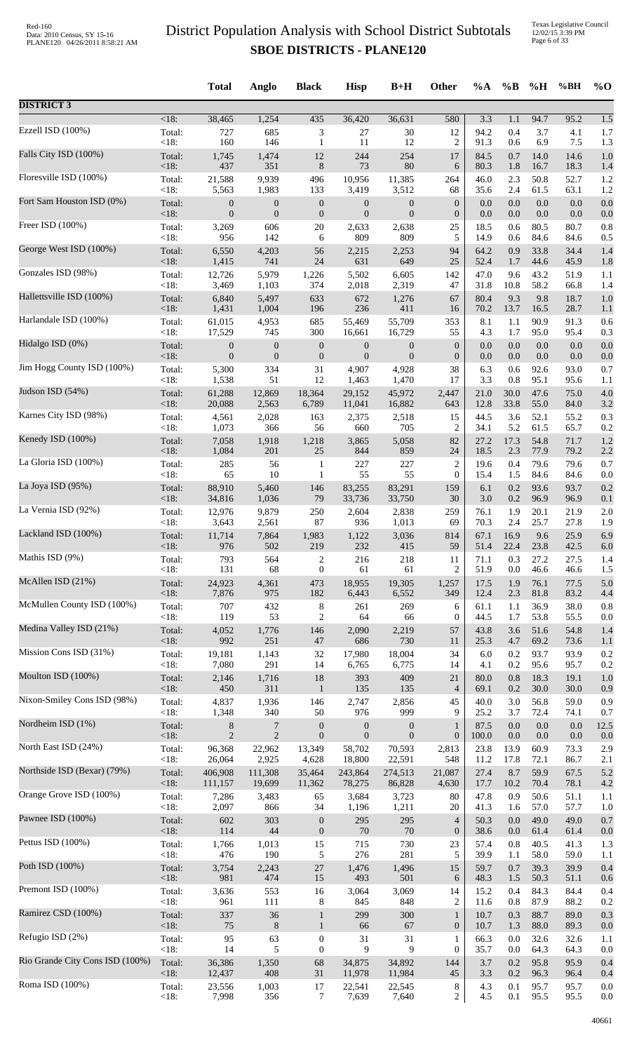| 1,254<br>435<br>94.7<br>$<18$ :<br>38,465<br>36,420<br>36,631<br>580<br>3.3<br>95.2<br>1.5<br>1.1<br>Ezzell ISD (100%)<br>727<br>685<br>3<br>27<br>12<br>94.2<br>0.4<br>3.7<br>Total:<br>30<br>4.1<br>1.7<br><18:<br>160<br>146<br>11<br>12<br>$\overline{2}$<br>91.3<br>0.6<br>6.9<br>7.5<br>$\mathbf{1}$<br>1.3<br>0.7<br>Total:<br>1,745<br>1,474<br>12<br>244<br>254<br>17<br>84.5<br>14.0<br>14.6<br>1.0<br><18:<br>437<br>351<br>$8\,$<br>73<br>80<br>6<br>80.3<br>1.8<br>16.7<br>18.3<br>1.4<br>Total:<br>9,939<br>10,956<br>11,385<br>2.3<br>50.8<br>21,588<br>496<br>264<br>46.0<br>52.7<br>1.2<br><18:<br>5,563<br>1,983<br>61.5<br>133<br>3,419<br>3,512<br>68<br>35.6<br>2.4<br>63.1<br>1.2<br>Total:<br>$\boldsymbol{0}$<br>$\boldsymbol{0}$<br>0.0<br>$0.0\,$<br>0.0<br>0.0<br>$\boldsymbol{0}$<br>$\boldsymbol{0}$<br>$\mathbf{0}$<br>$\boldsymbol{0}$<br>0.0<br>$\boldsymbol{0}$<br>$\mathbf{0}$<br>$<18$ :<br>$\overline{0}$<br>$\theta$<br>$\overline{0}$<br>$\boldsymbol{0}$<br>0.0<br>0.0<br>0.0<br>0.0<br>0.0<br>Total:<br>606<br>2,638<br>25<br>0.6<br>80.5<br>80.7<br>3,269<br>$20\,$<br>2,633<br>18.5<br>0.8<br>< 18:<br>142<br>809<br>5<br>84.6<br>956<br>6<br>809<br>14.9<br>0.6<br>84.6<br>0.5<br>George West ISD (100%)<br>Total:<br>4,203<br>2,253<br>64.2<br>0.9<br>33.8<br>34.4<br>6,550<br>56<br>2,215<br>94<br>1.4<br>$<18$ :<br>$24\,$<br>631<br>649<br>25<br>44.6<br>1,415<br>741<br>52.4<br>1.7<br>45.9<br>1.8<br>Gonzales ISD (98%)<br>Total:<br>5,979<br>1,226<br>5,502<br>6,605<br>142<br>47.0<br>9.6<br>43.2<br>51.9<br>12,726<br>1.1<br>< 18:<br>2,018<br>2,319<br>10.8<br>58.2<br>3,469<br>1,103<br>374<br>47<br>31.8<br>66.8<br>1.4<br>Total:<br>633<br>672<br>67<br>80.4<br>9.3<br>9.8<br>6,840<br>5,497<br>18.7<br>1,276<br>1.0<br><18:<br>1,004<br>236<br>411<br>1,431<br>196<br>70.2<br>13.7<br>16.5<br>28.7<br>16<br>1.1<br>Total:<br>61,015<br>4,953<br>685<br>55,709<br>353<br>8.1<br>1.1<br>90.9<br>91.3<br>55,469<br>0.6<br><18:<br>745<br>300<br>4.3<br>1.7<br>95.0<br>17,529<br>16,661<br>16,729<br>55<br>95.4<br>0.3<br>$0.0\,$<br>Total:<br>$\boldsymbol{0}$<br>$\boldsymbol{0}$<br>$\boldsymbol{0}$<br>$\boldsymbol{0}$<br>$\boldsymbol{0}$<br>0.0<br>0.0<br>0.0<br>0.0<br>$\mathbf{0}$<br><18:<br>$\boldsymbol{0}$<br>$\boldsymbol{0}$<br>$\boldsymbol{0}$<br>$\boldsymbol{0}$<br>$\boldsymbol{0}$<br>$\boldsymbol{0}$<br>0.0<br>$0.0\,$<br>$0.0\,$<br>0.0<br>0.0<br>334<br>38<br>92.6<br>Total:<br>5,300<br>31<br>4,907<br>4,928<br>6.3<br>0.6<br>93.0<br>0.7<br>< 18:<br>1,538<br>51<br>12<br>3.3<br>95.1<br>1,463<br>1,470<br>17<br>0.8<br>95.6<br>1.1<br>Judson ISD (54%)<br>12,869<br>30.0<br>47.6<br>Total:<br>61,288<br>18,364<br>29,152<br>45,972<br>2,447<br>21.0<br>75.0<br>4.0<br><18:<br>20,088<br>2,563<br>6,789<br>16,882<br>33.8<br>55.0<br>11,041<br>643<br>12.8<br>84.0<br>3.2<br>Karnes City ISD (98%)<br>Total:<br>2,028<br>15<br>44.5<br>3.6<br>52.1<br>55.2<br>0.3<br>4,561<br>163<br>2,375<br>2,518<br><18:<br>5.2<br>1,073<br>366<br>56<br>660<br>705<br>$\overline{2}$<br>34.1<br>61.5<br>65.7<br>0.2<br>Kenedy ISD (100%)<br>54.8<br>Total:<br>7,058<br>1,918<br>1,218<br>3,865<br>5,058<br>82<br>27.2<br>17.3<br>71.7<br>1.2<br><18:<br>201<br>$25\,$<br>2.3<br>77.9<br>1,084<br>844<br>859<br>24<br>18.5<br>79.2<br>2.2<br>285<br>227<br>227<br>$\overline{c}$<br>79.6<br>Total:<br>56<br>19.6<br>0.4<br>79.6<br>0.7<br>$\mathbf{1}$<br>55<br><18:<br>65<br>$10\,$<br>55<br>$\boldsymbol{0}$<br>1.5<br>84.6<br>$\mathbf{1}$<br>15.4<br>84.6<br>0.0<br>88,910<br>146<br>83,291<br>6.1<br>0.2<br>93.6<br>Total:<br>5,460<br>83,255<br>159<br>93.7<br>0.2<br><18:<br>79<br>0.2<br>34,816<br>1,036<br>33,736<br>33,750<br>30<br>3.0<br>96.9<br>96.9<br>0.1<br>Total:<br>9,879<br>250<br>2,604<br>1.9<br>20.1<br>21.9<br>12,976<br>2,838<br>259<br>76.1<br>2.0<br><18:<br>87<br>70.3<br>2.4<br>25.7<br>27.8<br>3,643<br>2,561<br>936<br>1,013<br>69<br>1.9<br>Total:<br>67.1<br>9.6<br>25.9<br>11,714<br>7,864<br>1,983<br>1,122<br>3,036<br>814<br>16.9<br>6.9<br>976<br>219<br>232<br>59<br>22.4<br>23.8<br>$<18$ :<br>502<br>415<br>51.4<br>42.5<br>6.0<br>Mathis ISD (9%)<br>Total:<br>793<br>564<br>2<br>216<br>218<br>71.1<br>0.3<br>27.2<br>27.5<br>11<br>1.4<br><18:<br>131<br>51.9<br>68<br>$\boldsymbol{0}$<br>61<br>61<br>2<br>0.0<br>46.6<br>46.6<br>1.5<br>McAllen ISD (21%)<br>Total:<br>4,361<br>19,305<br>76.1<br>24,923<br>473<br>18,955<br>1,257<br>17.5<br>1.9<br>77.5<br>5.0<br><18:<br>7,876<br>182<br>81.8<br>83.2<br>975<br>6,443<br>6,552<br>349<br>12.4<br>2.3<br>4.4<br>McMullen County ISD (100%)<br>707<br>432<br>$\,8$<br>261<br>36.9<br>38.0<br>Total:<br>269<br>6<br>61.1<br>1.1<br>0.8<br>< 18:<br>119<br>53<br>2<br>53.8<br>64<br>66<br>$\boldsymbol{0}$<br>44.5<br>1.7<br>55.5<br>0.0<br>Total:<br>4,052<br>1,776<br>2,090<br>2,219<br>57<br>3.6<br>51.6<br>146<br>43.8<br>54.8<br>1.4<br><18:<br>992<br>251<br>730<br>47<br>686<br>25.3<br>4.7<br>69.2<br>73.6<br>11<br>1.1<br>Total:<br>19,181<br>1,143<br>18,004<br>34<br>6.0<br>0.2<br>93.7<br>93.9<br>32<br>17,980<br>0.2<br><18:<br>291<br>0.2<br>95.6<br>7,080<br>14<br>6,775<br>4.1<br>95.7<br>0.2<br>6,765<br>14<br>409<br>18.3<br>Total:<br>2,146<br>1,716<br>18<br>393<br>21<br>80.0<br>0.8<br>19.1<br>1.0<br><18:<br>311<br>135<br>135<br>30.0<br>450<br>$\overline{4}$<br>69.1<br>0.2<br>30.0<br>0.9<br>$\mathbf{1}$<br>1,936<br>2,856<br>3.0<br>56.8<br>Total:<br>4,837<br>146<br>2,747<br>45<br>40.0<br>59.0<br>0.9<br><18:<br>1,348<br>976<br>9<br>3.7<br>340<br>50<br>999<br>25.2<br>72.4<br>74.1<br>0.7<br>Nordheim ISD (1%)<br>0.0<br>Total:<br>7<br>$\boldsymbol{0}$<br>$\boldsymbol{0}$<br>87.5<br>0.0<br>0.0<br>12.5<br>8<br>$\mathbf{0}$<br>1<br><18:<br>$\overline{2}$<br>$\overline{2}$<br>$\boldsymbol{0}$<br>$\boldsymbol{0}$<br>$\mathbf{0}$<br>$\boldsymbol{0}$<br>100.0<br>0.0<br>0.0<br>0.0<br>0.0<br>North East ISD (24%)<br>23.8<br>13.9<br>60.9<br>Total:<br>96,368<br>22,962<br>13,349<br>58,702<br>70,593<br>2,813<br>73.3<br>2.9<br><18:<br>26,064<br>2,925<br>4,628<br>18,800<br>22,591<br>548<br>11.2<br>17.8<br>72.1<br>86.7<br>2.1<br>8.7<br>Total:<br>406,908<br>111,308<br>35,464<br>243,864<br>274,513<br>21,087<br>27.4<br>59.9<br>67.5<br>5.2<br>70.4<br>$<18$ :<br>111,157<br>19,699<br>11,362<br>78,275<br>86,828<br>4,630<br>17.7<br>10.2<br>78.1<br>4.2<br>Total:<br>7,286<br>3,483<br>3,684<br>3,723<br>80<br>47.8<br>0.9<br>50.6<br>51.1<br>65<br>1.1<br><18:<br>57.0<br>2,097<br>866<br>34<br>1,196<br>1,211<br>20<br>41.3<br>1.6<br>57.7<br>1.0<br>602<br>303<br>295<br>295<br>$\overline{4}$<br>$0.0\,$<br>49.0<br>49.0<br>Total:<br>$\boldsymbol{0}$<br>50.3<br>0.7<br><18:<br>44<br>70<br>70<br>$\boldsymbol{0}$<br>114<br>$\boldsymbol{0}$<br>38.6<br>61.4<br>61.4<br>0.0<br>0.0<br>Total:<br>1,013<br>715<br>730<br>57.4<br>0.8<br>40.5<br>1,766<br>15<br>23<br>41.3<br>1.3<br>< 18:<br>476<br>190<br>5<br>276<br>281<br>5<br>39.9<br>1.1<br>58.0<br>59.0<br>1.1<br>27<br>Total:<br>3,754<br>2,243<br>1,476<br>1,496<br>15<br>59.7<br>0.7<br>39.3<br>39.9<br>0.4<br><18:<br>981<br>474<br>15<br>493<br>501<br>48.3<br>1.5<br>50.3<br>51.1<br>6<br>0.6<br>Premont ISD (100%)<br>553<br>0.4<br>84.3<br>Total:<br>3,636<br>16<br>3,064<br>3,069<br>14<br>15.2<br>84.4<br>0.4<br><18:<br>2<br>961<br>111<br>8<br>845<br>848<br>11.6<br>0.8<br>87.9<br>88.2<br>0.2<br>Ramirez CSD (100%)<br>36<br>300<br>88.7<br>Total:<br>337<br>299<br>$\mathbf{1}$<br>10.7<br>0.3<br>89.0<br>0.3<br>$\mathbf{1}$<br>$<18$ :<br>75<br>$\,8\,$<br>66<br>67<br>$\boldsymbol{0}$<br>1.3<br>88.0<br>89.3<br>$\mathbf{1}$<br>10.7<br>0.0<br>31<br>31<br>32.6<br>Total:<br>95<br>63<br>$\boldsymbol{0}$<br>66.3<br>0.0<br>32.6<br>1<br>1.1<br><18:<br>14<br>5<br>$\boldsymbol{0}$<br>9<br>9<br>$\boldsymbol{0}$<br>35.7<br>0.0<br>64.3<br>64.3<br>0.0<br>36,386<br>3.7<br>0.2<br>Total:<br>1,350<br>68<br>34,875<br>34,892<br>144<br>95.8<br>95.9<br>0.4<br><18:<br>408<br>3.3<br>$0.2\,$<br>12,437<br>31<br>11,978<br>11,984<br>45<br>96.3<br>96.4<br>0.4<br>Total:<br>1,003<br>22,545<br>8<br>4.3<br>0.1<br>95.7<br>23,556<br>17<br>22,541<br>95.7<br>0.0 |                                 |      | <b>Total</b> | Anglo | <b>Black</b> | <b>Hisp</b> | $B+H$ | Other | $\%A$ | $\%B$ | %H   | %BH  | $%$ <sup>O</sup> |
|-----------------------------------------------------------------------------------------------------------------------------------------------------------------------------------------------------------------------------------------------------------------------------------------------------------------------------------------------------------------------------------------------------------------------------------------------------------------------------------------------------------------------------------------------------------------------------------------------------------------------------------------------------------------------------------------------------------------------------------------------------------------------------------------------------------------------------------------------------------------------------------------------------------------------------------------------------------------------------------------------------------------------------------------------------------------------------------------------------------------------------------------------------------------------------------------------------------------------------------------------------------------------------------------------------------------------------------------------------------------------------------------------------------------------------------------------------------------------------------------------------------------------------------------------------------------------------------------------------------------------------------------------------------------------------------------------------------------------------------------------------------------------------------------------------------------------------------------------------------------------------------------------------------------------------------------------------------------------------------------------------------------------------------------------------------------------------------------------------------------------------------------------------------------------------------------------------------------------------------------------------------------------------------------------------------------------------------------------------------------------------------------------------------------------------------------------------------------------------------------------------------------------------------------------------------------------------------------------------------------------------------------------------------------------------------------------------------------------------------------------------------------------------------------------------------------------------------------------------------------------------------------------------------------------------------------------------------------------------------------------------------------------------------------------------------------------------------------------------------------------------------------------------------------------------------------------------------------------------------------------------------------------------------------------------------------------------------------------------------------------------------------------------------------------------------------------------------------------------------------------------------------------------------------------------------------------------------------------------------------------------------------------------------------------------------------------------------------------------------------------------------------------------------------------------------------------------------------------------------------------------------------------------------------------------------------------------------------------------------------------------------------------------------------------------------------------------------------------------------------------------------------------------------------------------------------------------------------------------------------------------------------------------------------------------------------------------------------------------------------------------------------------------------------------------------------------------------------------------------------------------------------------------------------------------------------------------------------------------------------------------------------------------------------------------------------------------------------------------------------------------------------------------------------------------------------------------------------------------------------------------------------------------------------------------------------------------------------------------------------------------------------------------------------------------------------------------------------------------------------------------------------------------------------------------------------------------------------------------------------------------------------------------------------------------------------------------------------------------------------------------------------------------------------------------------------------------------------------------------------------------------------------------------------------------------------------------------------------------------------------------------------------------------------------------------------------------------------------------------------------------------------------------------------------------------------------------------------------------------------------------------------------------------------------------------------------------------------------------------------------------------------------------------------------------------------------------------------------------------------------------------------------------------------------------------------------------------------------------------------------------------------------------------------------------------------------------------------------------------------------------------------------------------------------------------------------------------------------------------------------------------------------------------------------------------------------------------------------------------------------------------------------------------------------------------------------------------------------------------------------------------------------------------------------------------------------------------------------------------------------------------------------------------------------------------------------------------------------------------------------------------------------------------------------------------------------------------------------------------------------------------------------------------------------------------------------------------------------------------------------------------------------------------------------------------------------------------------------------------------------------------------------------------------------------------------------------------------------------------------------------------------------------------------------------------------------------------------------------------------------------------------------------------------------------------------------------------------------------------------------------------------------------------------------------------------------------------------------------------------------------------------------------------------------------------------------------------------------------------------------------------------------------------------------------------------------------------------------------------------------------------------------------------------|---------------------------------|------|--------------|-------|--------------|-------------|-------|-------|-------|-------|------|------|------------------|
|                                                                                                                                                                                                                                                                                                                                                                                                                                                                                                                                                                                                                                                                                                                                                                                                                                                                                                                                                                                                                                                                                                                                                                                                                                                                                                                                                                                                                                                                                                                                                                                                                                                                                                                                                                                                                                                                                                                                                                                                                                                                                                                                                                                                                                                                                                                                                                                                                                                                                                                                                                                                                                                                                                                                                                                                                                                                                                                                                                                                                                                                                                                                                                                                                                                                                                                                                                                                                                                                                                                                                                                                                                                                                                                                                                                                                                                                                                                                                                                                                                                                                                                                                                                                                                                                                                                                                                                                                                                                                                                                                                                                                                                                                                                                                                                                                                                                                                                                                                                                                                                                                                                                                                                                                                                                                                                                                                                                                                                                                                                                                                                                                                                                                                                                                                                                                                                                                                                                                                                                                                                                                                                                                                                                                                                                                                                                                                                                                                                                                                                                                                                                                                                                                                                                                                                                                                                                                                                                                                                                                                                                                                                                                                                                                                                                                                                                                                                                                                                                                                                                                                                                                                                                                                                                                                                                                                                                                                                                                                                                                                                                                                                                                                 | <b>DISTRICT 3</b>               |      |              |       |              |             |       |       |       |       |      |      |                  |
|                                                                                                                                                                                                                                                                                                                                                                                                                                                                                                                                                                                                                                                                                                                                                                                                                                                                                                                                                                                                                                                                                                                                                                                                                                                                                                                                                                                                                                                                                                                                                                                                                                                                                                                                                                                                                                                                                                                                                                                                                                                                                                                                                                                                                                                                                                                                                                                                                                                                                                                                                                                                                                                                                                                                                                                                                                                                                                                                                                                                                                                                                                                                                                                                                                                                                                                                                                                                                                                                                                                                                                                                                                                                                                                                                                                                                                                                                                                                                                                                                                                                                                                                                                                                                                                                                                                                                                                                                                                                                                                                                                                                                                                                                                                                                                                                                                                                                                                                                                                                                                                                                                                                                                                                                                                                                                                                                                                                                                                                                                                                                                                                                                                                                                                                                                                                                                                                                                                                                                                                                                                                                                                                                                                                                                                                                                                                                                                                                                                                                                                                                                                                                                                                                                                                                                                                                                                                                                                                                                                                                                                                                                                                                                                                                                                                                                                                                                                                                                                                                                                                                                                                                                                                                                                                                                                                                                                                                                                                                                                                                                                                                                                                                                 |                                 |      |              |       |              |             |       |       |       |       |      |      |                  |
|                                                                                                                                                                                                                                                                                                                                                                                                                                                                                                                                                                                                                                                                                                                                                                                                                                                                                                                                                                                                                                                                                                                                                                                                                                                                                                                                                                                                                                                                                                                                                                                                                                                                                                                                                                                                                                                                                                                                                                                                                                                                                                                                                                                                                                                                                                                                                                                                                                                                                                                                                                                                                                                                                                                                                                                                                                                                                                                                                                                                                                                                                                                                                                                                                                                                                                                                                                                                                                                                                                                                                                                                                                                                                                                                                                                                                                                                                                                                                                                                                                                                                                                                                                                                                                                                                                                                                                                                                                                                                                                                                                                                                                                                                                                                                                                                                                                                                                                                                                                                                                                                                                                                                                                                                                                                                                                                                                                                                                                                                                                                                                                                                                                                                                                                                                                                                                                                                                                                                                                                                                                                                                                                                                                                                                                                                                                                                                                                                                                                                                                                                                                                                                                                                                                                                                                                                                                                                                                                                                                                                                                                                                                                                                                                                                                                                                                                                                                                                                                                                                                                                                                                                                                                                                                                                                                                                                                                                                                                                                                                                                                                                                                                                                 |                                 |      |              |       |              |             |       |       |       |       |      |      |                  |
|                                                                                                                                                                                                                                                                                                                                                                                                                                                                                                                                                                                                                                                                                                                                                                                                                                                                                                                                                                                                                                                                                                                                                                                                                                                                                                                                                                                                                                                                                                                                                                                                                                                                                                                                                                                                                                                                                                                                                                                                                                                                                                                                                                                                                                                                                                                                                                                                                                                                                                                                                                                                                                                                                                                                                                                                                                                                                                                                                                                                                                                                                                                                                                                                                                                                                                                                                                                                                                                                                                                                                                                                                                                                                                                                                                                                                                                                                                                                                                                                                                                                                                                                                                                                                                                                                                                                                                                                                                                                                                                                                                                                                                                                                                                                                                                                                                                                                                                                                                                                                                                                                                                                                                                                                                                                                                                                                                                                                                                                                                                                                                                                                                                                                                                                                                                                                                                                                                                                                                                                                                                                                                                                                                                                                                                                                                                                                                                                                                                                                                                                                                                                                                                                                                                                                                                                                                                                                                                                                                                                                                                                                                                                                                                                                                                                                                                                                                                                                                                                                                                                                                                                                                                                                                                                                                                                                                                                                                                                                                                                                                                                                                                                                                 | Falls City ISD (100%)           |      |              |       |              |             |       |       |       |       |      |      |                  |
|                                                                                                                                                                                                                                                                                                                                                                                                                                                                                                                                                                                                                                                                                                                                                                                                                                                                                                                                                                                                                                                                                                                                                                                                                                                                                                                                                                                                                                                                                                                                                                                                                                                                                                                                                                                                                                                                                                                                                                                                                                                                                                                                                                                                                                                                                                                                                                                                                                                                                                                                                                                                                                                                                                                                                                                                                                                                                                                                                                                                                                                                                                                                                                                                                                                                                                                                                                                                                                                                                                                                                                                                                                                                                                                                                                                                                                                                                                                                                                                                                                                                                                                                                                                                                                                                                                                                                                                                                                                                                                                                                                                                                                                                                                                                                                                                                                                                                                                                                                                                                                                                                                                                                                                                                                                                                                                                                                                                                                                                                                                                                                                                                                                                                                                                                                                                                                                                                                                                                                                                                                                                                                                                                                                                                                                                                                                                                                                                                                                                                                                                                                                                                                                                                                                                                                                                                                                                                                                                                                                                                                                                                                                                                                                                                                                                                                                                                                                                                                                                                                                                                                                                                                                                                                                                                                                                                                                                                                                                                                                                                                                                                                                                                                 | Floresville ISD (100%)          |      |              |       |              |             |       |       |       |       |      |      |                  |
|                                                                                                                                                                                                                                                                                                                                                                                                                                                                                                                                                                                                                                                                                                                                                                                                                                                                                                                                                                                                                                                                                                                                                                                                                                                                                                                                                                                                                                                                                                                                                                                                                                                                                                                                                                                                                                                                                                                                                                                                                                                                                                                                                                                                                                                                                                                                                                                                                                                                                                                                                                                                                                                                                                                                                                                                                                                                                                                                                                                                                                                                                                                                                                                                                                                                                                                                                                                                                                                                                                                                                                                                                                                                                                                                                                                                                                                                                                                                                                                                                                                                                                                                                                                                                                                                                                                                                                                                                                                                                                                                                                                                                                                                                                                                                                                                                                                                                                                                                                                                                                                                                                                                                                                                                                                                                                                                                                                                                                                                                                                                                                                                                                                                                                                                                                                                                                                                                                                                                                                                                                                                                                                                                                                                                                                                                                                                                                                                                                                                                                                                                                                                                                                                                                                                                                                                                                                                                                                                                                                                                                                                                                                                                                                                                                                                                                                                                                                                                                                                                                                                                                                                                                                                                                                                                                                                                                                                                                                                                                                                                                                                                                                                                                 | Fort Sam Houston ISD (0%)       |      |              |       |              |             |       |       |       |       |      |      |                  |
|                                                                                                                                                                                                                                                                                                                                                                                                                                                                                                                                                                                                                                                                                                                                                                                                                                                                                                                                                                                                                                                                                                                                                                                                                                                                                                                                                                                                                                                                                                                                                                                                                                                                                                                                                                                                                                                                                                                                                                                                                                                                                                                                                                                                                                                                                                                                                                                                                                                                                                                                                                                                                                                                                                                                                                                                                                                                                                                                                                                                                                                                                                                                                                                                                                                                                                                                                                                                                                                                                                                                                                                                                                                                                                                                                                                                                                                                                                                                                                                                                                                                                                                                                                                                                                                                                                                                                                                                                                                                                                                                                                                                                                                                                                                                                                                                                                                                                                                                                                                                                                                                                                                                                                                                                                                                                                                                                                                                                                                                                                                                                                                                                                                                                                                                                                                                                                                                                                                                                                                                                                                                                                                                                                                                                                                                                                                                                                                                                                                                                                                                                                                                                                                                                                                                                                                                                                                                                                                                                                                                                                                                                                                                                                                                                                                                                                                                                                                                                                                                                                                                                                                                                                                                                                                                                                                                                                                                                                                                                                                                                                                                                                                                                                 | Freer ISD (100%)                |      |              |       |              |             |       |       |       |       |      |      |                  |
|                                                                                                                                                                                                                                                                                                                                                                                                                                                                                                                                                                                                                                                                                                                                                                                                                                                                                                                                                                                                                                                                                                                                                                                                                                                                                                                                                                                                                                                                                                                                                                                                                                                                                                                                                                                                                                                                                                                                                                                                                                                                                                                                                                                                                                                                                                                                                                                                                                                                                                                                                                                                                                                                                                                                                                                                                                                                                                                                                                                                                                                                                                                                                                                                                                                                                                                                                                                                                                                                                                                                                                                                                                                                                                                                                                                                                                                                                                                                                                                                                                                                                                                                                                                                                                                                                                                                                                                                                                                                                                                                                                                                                                                                                                                                                                                                                                                                                                                                                                                                                                                                                                                                                                                                                                                                                                                                                                                                                                                                                                                                                                                                                                                                                                                                                                                                                                                                                                                                                                                                                                                                                                                                                                                                                                                                                                                                                                                                                                                                                                                                                                                                                                                                                                                                                                                                                                                                                                                                                                                                                                                                                                                                                                                                                                                                                                                                                                                                                                                                                                                                                                                                                                                                                                                                                                                                                                                                                                                                                                                                                                                                                                                                                                 |                                 |      |              |       |              |             |       |       |       |       |      |      |                  |
|                                                                                                                                                                                                                                                                                                                                                                                                                                                                                                                                                                                                                                                                                                                                                                                                                                                                                                                                                                                                                                                                                                                                                                                                                                                                                                                                                                                                                                                                                                                                                                                                                                                                                                                                                                                                                                                                                                                                                                                                                                                                                                                                                                                                                                                                                                                                                                                                                                                                                                                                                                                                                                                                                                                                                                                                                                                                                                                                                                                                                                                                                                                                                                                                                                                                                                                                                                                                                                                                                                                                                                                                                                                                                                                                                                                                                                                                                                                                                                                                                                                                                                                                                                                                                                                                                                                                                                                                                                                                                                                                                                                                                                                                                                                                                                                                                                                                                                                                                                                                                                                                                                                                                                                                                                                                                                                                                                                                                                                                                                                                                                                                                                                                                                                                                                                                                                                                                                                                                                                                                                                                                                                                                                                                                                                                                                                                                                                                                                                                                                                                                                                                                                                                                                                                                                                                                                                                                                                                                                                                                                                                                                                                                                                                                                                                                                                                                                                                                                                                                                                                                                                                                                                                                                                                                                                                                                                                                                                                                                                                                                                                                                                                                                 |                                 |      |              |       |              |             |       |       |       |       |      |      |                  |
|                                                                                                                                                                                                                                                                                                                                                                                                                                                                                                                                                                                                                                                                                                                                                                                                                                                                                                                                                                                                                                                                                                                                                                                                                                                                                                                                                                                                                                                                                                                                                                                                                                                                                                                                                                                                                                                                                                                                                                                                                                                                                                                                                                                                                                                                                                                                                                                                                                                                                                                                                                                                                                                                                                                                                                                                                                                                                                                                                                                                                                                                                                                                                                                                                                                                                                                                                                                                                                                                                                                                                                                                                                                                                                                                                                                                                                                                                                                                                                                                                                                                                                                                                                                                                                                                                                                                                                                                                                                                                                                                                                                                                                                                                                                                                                                                                                                                                                                                                                                                                                                                                                                                                                                                                                                                                                                                                                                                                                                                                                                                                                                                                                                                                                                                                                                                                                                                                                                                                                                                                                                                                                                                                                                                                                                                                                                                                                                                                                                                                                                                                                                                                                                                                                                                                                                                                                                                                                                                                                                                                                                                                                                                                                                                                                                                                                                                                                                                                                                                                                                                                                                                                                                                                                                                                                                                                                                                                                                                                                                                                                                                                                                                                                 |                                 |      |              |       |              |             |       |       |       |       |      |      |                  |
|                                                                                                                                                                                                                                                                                                                                                                                                                                                                                                                                                                                                                                                                                                                                                                                                                                                                                                                                                                                                                                                                                                                                                                                                                                                                                                                                                                                                                                                                                                                                                                                                                                                                                                                                                                                                                                                                                                                                                                                                                                                                                                                                                                                                                                                                                                                                                                                                                                                                                                                                                                                                                                                                                                                                                                                                                                                                                                                                                                                                                                                                                                                                                                                                                                                                                                                                                                                                                                                                                                                                                                                                                                                                                                                                                                                                                                                                                                                                                                                                                                                                                                                                                                                                                                                                                                                                                                                                                                                                                                                                                                                                                                                                                                                                                                                                                                                                                                                                                                                                                                                                                                                                                                                                                                                                                                                                                                                                                                                                                                                                                                                                                                                                                                                                                                                                                                                                                                                                                                                                                                                                                                                                                                                                                                                                                                                                                                                                                                                                                                                                                                                                                                                                                                                                                                                                                                                                                                                                                                                                                                                                                                                                                                                                                                                                                                                                                                                                                                                                                                                                                                                                                                                                                                                                                                                                                                                                                                                                                                                                                                                                                                                                                                 | Hallettsville ISD (100%)        |      |              |       |              |             |       |       |       |       |      |      |                  |
|                                                                                                                                                                                                                                                                                                                                                                                                                                                                                                                                                                                                                                                                                                                                                                                                                                                                                                                                                                                                                                                                                                                                                                                                                                                                                                                                                                                                                                                                                                                                                                                                                                                                                                                                                                                                                                                                                                                                                                                                                                                                                                                                                                                                                                                                                                                                                                                                                                                                                                                                                                                                                                                                                                                                                                                                                                                                                                                                                                                                                                                                                                                                                                                                                                                                                                                                                                                                                                                                                                                                                                                                                                                                                                                                                                                                                                                                                                                                                                                                                                                                                                                                                                                                                                                                                                                                                                                                                                                                                                                                                                                                                                                                                                                                                                                                                                                                                                                                                                                                                                                                                                                                                                                                                                                                                                                                                                                                                                                                                                                                                                                                                                                                                                                                                                                                                                                                                                                                                                                                                                                                                                                                                                                                                                                                                                                                                                                                                                                                                                                                                                                                                                                                                                                                                                                                                                                                                                                                                                                                                                                                                                                                                                                                                                                                                                                                                                                                                                                                                                                                                                                                                                                                                                                                                                                                                                                                                                                                                                                                                                                                                                                                                                 | Harlandale ISD (100%)           |      |              |       |              |             |       |       |       |       |      |      |                  |
|                                                                                                                                                                                                                                                                                                                                                                                                                                                                                                                                                                                                                                                                                                                                                                                                                                                                                                                                                                                                                                                                                                                                                                                                                                                                                                                                                                                                                                                                                                                                                                                                                                                                                                                                                                                                                                                                                                                                                                                                                                                                                                                                                                                                                                                                                                                                                                                                                                                                                                                                                                                                                                                                                                                                                                                                                                                                                                                                                                                                                                                                                                                                                                                                                                                                                                                                                                                                                                                                                                                                                                                                                                                                                                                                                                                                                                                                                                                                                                                                                                                                                                                                                                                                                                                                                                                                                                                                                                                                                                                                                                                                                                                                                                                                                                                                                                                                                                                                                                                                                                                                                                                                                                                                                                                                                                                                                                                                                                                                                                                                                                                                                                                                                                                                                                                                                                                                                                                                                                                                                                                                                                                                                                                                                                                                                                                                                                                                                                                                                                                                                                                                                                                                                                                                                                                                                                                                                                                                                                                                                                                                                                                                                                                                                                                                                                                                                                                                                                                                                                                                                                                                                                                                                                                                                                                                                                                                                                                                                                                                                                                                                                                                                                 | Hidalgo ISD (0%)                |      |              |       |              |             |       |       |       |       |      |      |                  |
|                                                                                                                                                                                                                                                                                                                                                                                                                                                                                                                                                                                                                                                                                                                                                                                                                                                                                                                                                                                                                                                                                                                                                                                                                                                                                                                                                                                                                                                                                                                                                                                                                                                                                                                                                                                                                                                                                                                                                                                                                                                                                                                                                                                                                                                                                                                                                                                                                                                                                                                                                                                                                                                                                                                                                                                                                                                                                                                                                                                                                                                                                                                                                                                                                                                                                                                                                                                                                                                                                                                                                                                                                                                                                                                                                                                                                                                                                                                                                                                                                                                                                                                                                                                                                                                                                                                                                                                                                                                                                                                                                                                                                                                                                                                                                                                                                                                                                                                                                                                                                                                                                                                                                                                                                                                                                                                                                                                                                                                                                                                                                                                                                                                                                                                                                                                                                                                                                                                                                                                                                                                                                                                                                                                                                                                                                                                                                                                                                                                                                                                                                                                                                                                                                                                                                                                                                                                                                                                                                                                                                                                                                                                                                                                                                                                                                                                                                                                                                                                                                                                                                                                                                                                                                                                                                                                                                                                                                                                                                                                                                                                                                                                                                                 | Jim Hogg County ISD (100%)      |      |              |       |              |             |       |       |       |       |      |      |                  |
|                                                                                                                                                                                                                                                                                                                                                                                                                                                                                                                                                                                                                                                                                                                                                                                                                                                                                                                                                                                                                                                                                                                                                                                                                                                                                                                                                                                                                                                                                                                                                                                                                                                                                                                                                                                                                                                                                                                                                                                                                                                                                                                                                                                                                                                                                                                                                                                                                                                                                                                                                                                                                                                                                                                                                                                                                                                                                                                                                                                                                                                                                                                                                                                                                                                                                                                                                                                                                                                                                                                                                                                                                                                                                                                                                                                                                                                                                                                                                                                                                                                                                                                                                                                                                                                                                                                                                                                                                                                                                                                                                                                                                                                                                                                                                                                                                                                                                                                                                                                                                                                                                                                                                                                                                                                                                                                                                                                                                                                                                                                                                                                                                                                                                                                                                                                                                                                                                                                                                                                                                                                                                                                                                                                                                                                                                                                                                                                                                                                                                                                                                                                                                                                                                                                                                                                                                                                                                                                                                                                                                                                                                                                                                                                                                                                                                                                                                                                                                                                                                                                                                                                                                                                                                                                                                                                                                                                                                                                                                                                                                                                                                                                                                                 |                                 |      |              |       |              |             |       |       |       |       |      |      |                  |
|                                                                                                                                                                                                                                                                                                                                                                                                                                                                                                                                                                                                                                                                                                                                                                                                                                                                                                                                                                                                                                                                                                                                                                                                                                                                                                                                                                                                                                                                                                                                                                                                                                                                                                                                                                                                                                                                                                                                                                                                                                                                                                                                                                                                                                                                                                                                                                                                                                                                                                                                                                                                                                                                                                                                                                                                                                                                                                                                                                                                                                                                                                                                                                                                                                                                                                                                                                                                                                                                                                                                                                                                                                                                                                                                                                                                                                                                                                                                                                                                                                                                                                                                                                                                                                                                                                                                                                                                                                                                                                                                                                                                                                                                                                                                                                                                                                                                                                                                                                                                                                                                                                                                                                                                                                                                                                                                                                                                                                                                                                                                                                                                                                                                                                                                                                                                                                                                                                                                                                                                                                                                                                                                                                                                                                                                                                                                                                                                                                                                                                                                                                                                                                                                                                                                                                                                                                                                                                                                                                                                                                                                                                                                                                                                                                                                                                                                                                                                                                                                                                                                                                                                                                                                                                                                                                                                                                                                                                                                                                                                                                                                                                                                                                 |                                 |      |              |       |              |             |       |       |       |       |      |      |                  |
|                                                                                                                                                                                                                                                                                                                                                                                                                                                                                                                                                                                                                                                                                                                                                                                                                                                                                                                                                                                                                                                                                                                                                                                                                                                                                                                                                                                                                                                                                                                                                                                                                                                                                                                                                                                                                                                                                                                                                                                                                                                                                                                                                                                                                                                                                                                                                                                                                                                                                                                                                                                                                                                                                                                                                                                                                                                                                                                                                                                                                                                                                                                                                                                                                                                                                                                                                                                                                                                                                                                                                                                                                                                                                                                                                                                                                                                                                                                                                                                                                                                                                                                                                                                                                                                                                                                                                                                                                                                                                                                                                                                                                                                                                                                                                                                                                                                                                                                                                                                                                                                                                                                                                                                                                                                                                                                                                                                                                                                                                                                                                                                                                                                                                                                                                                                                                                                                                                                                                                                                                                                                                                                                                                                                                                                                                                                                                                                                                                                                                                                                                                                                                                                                                                                                                                                                                                                                                                                                                                                                                                                                                                                                                                                                                                                                                                                                                                                                                                                                                                                                                                                                                                                                                                                                                                                                                                                                                                                                                                                                                                                                                                                                                                 |                                 |      |              |       |              |             |       |       |       |       |      |      |                  |
|                                                                                                                                                                                                                                                                                                                                                                                                                                                                                                                                                                                                                                                                                                                                                                                                                                                                                                                                                                                                                                                                                                                                                                                                                                                                                                                                                                                                                                                                                                                                                                                                                                                                                                                                                                                                                                                                                                                                                                                                                                                                                                                                                                                                                                                                                                                                                                                                                                                                                                                                                                                                                                                                                                                                                                                                                                                                                                                                                                                                                                                                                                                                                                                                                                                                                                                                                                                                                                                                                                                                                                                                                                                                                                                                                                                                                                                                                                                                                                                                                                                                                                                                                                                                                                                                                                                                                                                                                                                                                                                                                                                                                                                                                                                                                                                                                                                                                                                                                                                                                                                                                                                                                                                                                                                                                                                                                                                                                                                                                                                                                                                                                                                                                                                                                                                                                                                                                                                                                                                                                                                                                                                                                                                                                                                                                                                                                                                                                                                                                                                                                                                                                                                                                                                                                                                                                                                                                                                                                                                                                                                                                                                                                                                                                                                                                                                                                                                                                                                                                                                                                                                                                                                                                                                                                                                                                                                                                                                                                                                                                                                                                                                                                                 |                                 |      |              |       |              |             |       |       |       |       |      |      |                  |
|                                                                                                                                                                                                                                                                                                                                                                                                                                                                                                                                                                                                                                                                                                                                                                                                                                                                                                                                                                                                                                                                                                                                                                                                                                                                                                                                                                                                                                                                                                                                                                                                                                                                                                                                                                                                                                                                                                                                                                                                                                                                                                                                                                                                                                                                                                                                                                                                                                                                                                                                                                                                                                                                                                                                                                                                                                                                                                                                                                                                                                                                                                                                                                                                                                                                                                                                                                                                                                                                                                                                                                                                                                                                                                                                                                                                                                                                                                                                                                                                                                                                                                                                                                                                                                                                                                                                                                                                                                                                                                                                                                                                                                                                                                                                                                                                                                                                                                                                                                                                                                                                                                                                                                                                                                                                                                                                                                                                                                                                                                                                                                                                                                                                                                                                                                                                                                                                                                                                                                                                                                                                                                                                                                                                                                                                                                                                                                                                                                                                                                                                                                                                                                                                                                                                                                                                                                                                                                                                                                                                                                                                                                                                                                                                                                                                                                                                                                                                                                                                                                                                                                                                                                                                                                                                                                                                                                                                                                                                                                                                                                                                                                                                                                 | La Gloria ISD (100%)            |      |              |       |              |             |       |       |       |       |      |      |                  |
|                                                                                                                                                                                                                                                                                                                                                                                                                                                                                                                                                                                                                                                                                                                                                                                                                                                                                                                                                                                                                                                                                                                                                                                                                                                                                                                                                                                                                                                                                                                                                                                                                                                                                                                                                                                                                                                                                                                                                                                                                                                                                                                                                                                                                                                                                                                                                                                                                                                                                                                                                                                                                                                                                                                                                                                                                                                                                                                                                                                                                                                                                                                                                                                                                                                                                                                                                                                                                                                                                                                                                                                                                                                                                                                                                                                                                                                                                                                                                                                                                                                                                                                                                                                                                                                                                                                                                                                                                                                                                                                                                                                                                                                                                                                                                                                                                                                                                                                                                                                                                                                                                                                                                                                                                                                                                                                                                                                                                                                                                                                                                                                                                                                                                                                                                                                                                                                                                                                                                                                                                                                                                                                                                                                                                                                                                                                                                                                                                                                                                                                                                                                                                                                                                                                                                                                                                                                                                                                                                                                                                                                                                                                                                                                                                                                                                                                                                                                                                                                                                                                                                                                                                                                                                                                                                                                                                                                                                                                                                                                                                                                                                                                                                                 | La Joya ISD (95%)               |      |              |       |              |             |       |       |       |       |      |      |                  |
|                                                                                                                                                                                                                                                                                                                                                                                                                                                                                                                                                                                                                                                                                                                                                                                                                                                                                                                                                                                                                                                                                                                                                                                                                                                                                                                                                                                                                                                                                                                                                                                                                                                                                                                                                                                                                                                                                                                                                                                                                                                                                                                                                                                                                                                                                                                                                                                                                                                                                                                                                                                                                                                                                                                                                                                                                                                                                                                                                                                                                                                                                                                                                                                                                                                                                                                                                                                                                                                                                                                                                                                                                                                                                                                                                                                                                                                                                                                                                                                                                                                                                                                                                                                                                                                                                                                                                                                                                                                                                                                                                                                                                                                                                                                                                                                                                                                                                                                                                                                                                                                                                                                                                                                                                                                                                                                                                                                                                                                                                                                                                                                                                                                                                                                                                                                                                                                                                                                                                                                                                                                                                                                                                                                                                                                                                                                                                                                                                                                                                                                                                                                                                                                                                                                                                                                                                                                                                                                                                                                                                                                                                                                                                                                                                                                                                                                                                                                                                                                                                                                                                                                                                                                                                                                                                                                                                                                                                                                                                                                                                                                                                                                                                                 | La Vernia ISD (92%)             |      |              |       |              |             |       |       |       |       |      |      |                  |
|                                                                                                                                                                                                                                                                                                                                                                                                                                                                                                                                                                                                                                                                                                                                                                                                                                                                                                                                                                                                                                                                                                                                                                                                                                                                                                                                                                                                                                                                                                                                                                                                                                                                                                                                                                                                                                                                                                                                                                                                                                                                                                                                                                                                                                                                                                                                                                                                                                                                                                                                                                                                                                                                                                                                                                                                                                                                                                                                                                                                                                                                                                                                                                                                                                                                                                                                                                                                                                                                                                                                                                                                                                                                                                                                                                                                                                                                                                                                                                                                                                                                                                                                                                                                                                                                                                                                                                                                                                                                                                                                                                                                                                                                                                                                                                                                                                                                                                                                                                                                                                                                                                                                                                                                                                                                                                                                                                                                                                                                                                                                                                                                                                                                                                                                                                                                                                                                                                                                                                                                                                                                                                                                                                                                                                                                                                                                                                                                                                                                                                                                                                                                                                                                                                                                                                                                                                                                                                                                                                                                                                                                                                                                                                                                                                                                                                                                                                                                                                                                                                                                                                                                                                                                                                                                                                                                                                                                                                                                                                                                                                                                                                                                                                 | Lackland ISD (100%)             |      |              |       |              |             |       |       |       |       |      |      |                  |
|                                                                                                                                                                                                                                                                                                                                                                                                                                                                                                                                                                                                                                                                                                                                                                                                                                                                                                                                                                                                                                                                                                                                                                                                                                                                                                                                                                                                                                                                                                                                                                                                                                                                                                                                                                                                                                                                                                                                                                                                                                                                                                                                                                                                                                                                                                                                                                                                                                                                                                                                                                                                                                                                                                                                                                                                                                                                                                                                                                                                                                                                                                                                                                                                                                                                                                                                                                                                                                                                                                                                                                                                                                                                                                                                                                                                                                                                                                                                                                                                                                                                                                                                                                                                                                                                                                                                                                                                                                                                                                                                                                                                                                                                                                                                                                                                                                                                                                                                                                                                                                                                                                                                                                                                                                                                                                                                                                                                                                                                                                                                                                                                                                                                                                                                                                                                                                                                                                                                                                                                                                                                                                                                                                                                                                                                                                                                                                                                                                                                                                                                                                                                                                                                                                                                                                                                                                                                                                                                                                                                                                                                                                                                                                                                                                                                                                                                                                                                                                                                                                                                                                                                                                                                                                                                                                                                                                                                                                                                                                                                                                                                                                                                                                 |                                 |      |              |       |              |             |       |       |       |       |      |      |                  |
|                                                                                                                                                                                                                                                                                                                                                                                                                                                                                                                                                                                                                                                                                                                                                                                                                                                                                                                                                                                                                                                                                                                                                                                                                                                                                                                                                                                                                                                                                                                                                                                                                                                                                                                                                                                                                                                                                                                                                                                                                                                                                                                                                                                                                                                                                                                                                                                                                                                                                                                                                                                                                                                                                                                                                                                                                                                                                                                                                                                                                                                                                                                                                                                                                                                                                                                                                                                                                                                                                                                                                                                                                                                                                                                                                                                                                                                                                                                                                                                                                                                                                                                                                                                                                                                                                                                                                                                                                                                                                                                                                                                                                                                                                                                                                                                                                                                                                                                                                                                                                                                                                                                                                                                                                                                                                                                                                                                                                                                                                                                                                                                                                                                                                                                                                                                                                                                                                                                                                                                                                                                                                                                                                                                                                                                                                                                                                                                                                                                                                                                                                                                                                                                                                                                                                                                                                                                                                                                                                                                                                                                                                                                                                                                                                                                                                                                                                                                                                                                                                                                                                                                                                                                                                                                                                                                                                                                                                                                                                                                                                                                                                                                                                                 |                                 |      |              |       |              |             |       |       |       |       |      |      |                  |
|                                                                                                                                                                                                                                                                                                                                                                                                                                                                                                                                                                                                                                                                                                                                                                                                                                                                                                                                                                                                                                                                                                                                                                                                                                                                                                                                                                                                                                                                                                                                                                                                                                                                                                                                                                                                                                                                                                                                                                                                                                                                                                                                                                                                                                                                                                                                                                                                                                                                                                                                                                                                                                                                                                                                                                                                                                                                                                                                                                                                                                                                                                                                                                                                                                                                                                                                                                                                                                                                                                                                                                                                                                                                                                                                                                                                                                                                                                                                                                                                                                                                                                                                                                                                                                                                                                                                                                                                                                                                                                                                                                                                                                                                                                                                                                                                                                                                                                                                                                                                                                                                                                                                                                                                                                                                                                                                                                                                                                                                                                                                                                                                                                                                                                                                                                                                                                                                                                                                                                                                                                                                                                                                                                                                                                                                                                                                                                                                                                                                                                                                                                                                                                                                                                                                                                                                                                                                                                                                                                                                                                                                                                                                                                                                                                                                                                                                                                                                                                                                                                                                                                                                                                                                                                                                                                                                                                                                                                                                                                                                                                                                                                                                                                 |                                 |      |              |       |              |             |       |       |       |       |      |      |                  |
|                                                                                                                                                                                                                                                                                                                                                                                                                                                                                                                                                                                                                                                                                                                                                                                                                                                                                                                                                                                                                                                                                                                                                                                                                                                                                                                                                                                                                                                                                                                                                                                                                                                                                                                                                                                                                                                                                                                                                                                                                                                                                                                                                                                                                                                                                                                                                                                                                                                                                                                                                                                                                                                                                                                                                                                                                                                                                                                                                                                                                                                                                                                                                                                                                                                                                                                                                                                                                                                                                                                                                                                                                                                                                                                                                                                                                                                                                                                                                                                                                                                                                                                                                                                                                                                                                                                                                                                                                                                                                                                                                                                                                                                                                                                                                                                                                                                                                                                                                                                                                                                                                                                                                                                                                                                                                                                                                                                                                                                                                                                                                                                                                                                                                                                                                                                                                                                                                                                                                                                                                                                                                                                                                                                                                                                                                                                                                                                                                                                                                                                                                                                                                                                                                                                                                                                                                                                                                                                                                                                                                                                                                                                                                                                                                                                                                                                                                                                                                                                                                                                                                                                                                                                                                                                                                                                                                                                                                                                                                                                                                                                                                                                                                                 |                                 |      |              |       |              |             |       |       |       |       |      |      |                  |
|                                                                                                                                                                                                                                                                                                                                                                                                                                                                                                                                                                                                                                                                                                                                                                                                                                                                                                                                                                                                                                                                                                                                                                                                                                                                                                                                                                                                                                                                                                                                                                                                                                                                                                                                                                                                                                                                                                                                                                                                                                                                                                                                                                                                                                                                                                                                                                                                                                                                                                                                                                                                                                                                                                                                                                                                                                                                                                                                                                                                                                                                                                                                                                                                                                                                                                                                                                                                                                                                                                                                                                                                                                                                                                                                                                                                                                                                                                                                                                                                                                                                                                                                                                                                                                                                                                                                                                                                                                                                                                                                                                                                                                                                                                                                                                                                                                                                                                                                                                                                                                                                                                                                                                                                                                                                                                                                                                                                                                                                                                                                                                                                                                                                                                                                                                                                                                                                                                                                                                                                                                                                                                                                                                                                                                                                                                                                                                                                                                                                                                                                                                                                                                                                                                                                                                                                                                                                                                                                                                                                                                                                                                                                                                                                                                                                                                                                                                                                                                                                                                                                                                                                                                                                                                                                                                                                                                                                                                                                                                                                                                                                                                                                                                 | Medina Valley ISD (21%)         |      |              |       |              |             |       |       |       |       |      |      |                  |
|                                                                                                                                                                                                                                                                                                                                                                                                                                                                                                                                                                                                                                                                                                                                                                                                                                                                                                                                                                                                                                                                                                                                                                                                                                                                                                                                                                                                                                                                                                                                                                                                                                                                                                                                                                                                                                                                                                                                                                                                                                                                                                                                                                                                                                                                                                                                                                                                                                                                                                                                                                                                                                                                                                                                                                                                                                                                                                                                                                                                                                                                                                                                                                                                                                                                                                                                                                                                                                                                                                                                                                                                                                                                                                                                                                                                                                                                                                                                                                                                                                                                                                                                                                                                                                                                                                                                                                                                                                                                                                                                                                                                                                                                                                                                                                                                                                                                                                                                                                                                                                                                                                                                                                                                                                                                                                                                                                                                                                                                                                                                                                                                                                                                                                                                                                                                                                                                                                                                                                                                                                                                                                                                                                                                                                                                                                                                                                                                                                                                                                                                                                                                                                                                                                                                                                                                                                                                                                                                                                                                                                                                                                                                                                                                                                                                                                                                                                                                                                                                                                                                                                                                                                                                                                                                                                                                                                                                                                                                                                                                                                                                                                                                                                 | Mission Cons ISD (31%)          |      |              |       |              |             |       |       |       |       |      |      |                  |
|                                                                                                                                                                                                                                                                                                                                                                                                                                                                                                                                                                                                                                                                                                                                                                                                                                                                                                                                                                                                                                                                                                                                                                                                                                                                                                                                                                                                                                                                                                                                                                                                                                                                                                                                                                                                                                                                                                                                                                                                                                                                                                                                                                                                                                                                                                                                                                                                                                                                                                                                                                                                                                                                                                                                                                                                                                                                                                                                                                                                                                                                                                                                                                                                                                                                                                                                                                                                                                                                                                                                                                                                                                                                                                                                                                                                                                                                                                                                                                                                                                                                                                                                                                                                                                                                                                                                                                                                                                                                                                                                                                                                                                                                                                                                                                                                                                                                                                                                                                                                                                                                                                                                                                                                                                                                                                                                                                                                                                                                                                                                                                                                                                                                                                                                                                                                                                                                                                                                                                                                                                                                                                                                                                                                                                                                                                                                                                                                                                                                                                                                                                                                                                                                                                                                                                                                                                                                                                                                                                                                                                                                                                                                                                                                                                                                                                                                                                                                                                                                                                                                                                                                                                                                                                                                                                                                                                                                                                                                                                                                                                                                                                                                                                 | Moulton ISD (100%)              |      |              |       |              |             |       |       |       |       |      |      |                  |
|                                                                                                                                                                                                                                                                                                                                                                                                                                                                                                                                                                                                                                                                                                                                                                                                                                                                                                                                                                                                                                                                                                                                                                                                                                                                                                                                                                                                                                                                                                                                                                                                                                                                                                                                                                                                                                                                                                                                                                                                                                                                                                                                                                                                                                                                                                                                                                                                                                                                                                                                                                                                                                                                                                                                                                                                                                                                                                                                                                                                                                                                                                                                                                                                                                                                                                                                                                                                                                                                                                                                                                                                                                                                                                                                                                                                                                                                                                                                                                                                                                                                                                                                                                                                                                                                                                                                                                                                                                                                                                                                                                                                                                                                                                                                                                                                                                                                                                                                                                                                                                                                                                                                                                                                                                                                                                                                                                                                                                                                                                                                                                                                                                                                                                                                                                                                                                                                                                                                                                                                                                                                                                                                                                                                                                                                                                                                                                                                                                                                                                                                                                                                                                                                                                                                                                                                                                                                                                                                                                                                                                                                                                                                                                                                                                                                                                                                                                                                                                                                                                                                                                                                                                                                                                                                                                                                                                                                                                                                                                                                                                                                                                                                                                 | Nixon-Smiley Cons ISD (98%)     |      |              |       |              |             |       |       |       |       |      |      |                  |
|                                                                                                                                                                                                                                                                                                                                                                                                                                                                                                                                                                                                                                                                                                                                                                                                                                                                                                                                                                                                                                                                                                                                                                                                                                                                                                                                                                                                                                                                                                                                                                                                                                                                                                                                                                                                                                                                                                                                                                                                                                                                                                                                                                                                                                                                                                                                                                                                                                                                                                                                                                                                                                                                                                                                                                                                                                                                                                                                                                                                                                                                                                                                                                                                                                                                                                                                                                                                                                                                                                                                                                                                                                                                                                                                                                                                                                                                                                                                                                                                                                                                                                                                                                                                                                                                                                                                                                                                                                                                                                                                                                                                                                                                                                                                                                                                                                                                                                                                                                                                                                                                                                                                                                                                                                                                                                                                                                                                                                                                                                                                                                                                                                                                                                                                                                                                                                                                                                                                                                                                                                                                                                                                                                                                                                                                                                                                                                                                                                                                                                                                                                                                                                                                                                                                                                                                                                                                                                                                                                                                                                                                                                                                                                                                                                                                                                                                                                                                                                                                                                                                                                                                                                                                                                                                                                                                                                                                                                                                                                                                                                                                                                                                                                 |                                 |      |              |       |              |             |       |       |       |       |      |      |                  |
|                                                                                                                                                                                                                                                                                                                                                                                                                                                                                                                                                                                                                                                                                                                                                                                                                                                                                                                                                                                                                                                                                                                                                                                                                                                                                                                                                                                                                                                                                                                                                                                                                                                                                                                                                                                                                                                                                                                                                                                                                                                                                                                                                                                                                                                                                                                                                                                                                                                                                                                                                                                                                                                                                                                                                                                                                                                                                                                                                                                                                                                                                                                                                                                                                                                                                                                                                                                                                                                                                                                                                                                                                                                                                                                                                                                                                                                                                                                                                                                                                                                                                                                                                                                                                                                                                                                                                                                                                                                                                                                                                                                                                                                                                                                                                                                                                                                                                                                                                                                                                                                                                                                                                                                                                                                                                                                                                                                                                                                                                                                                                                                                                                                                                                                                                                                                                                                                                                                                                                                                                                                                                                                                                                                                                                                                                                                                                                                                                                                                                                                                                                                                                                                                                                                                                                                                                                                                                                                                                                                                                                                                                                                                                                                                                                                                                                                                                                                                                                                                                                                                                                                                                                                                                                                                                                                                                                                                                                                                                                                                                                                                                                                                                                 |                                 |      |              |       |              |             |       |       |       |       |      |      |                  |
|                                                                                                                                                                                                                                                                                                                                                                                                                                                                                                                                                                                                                                                                                                                                                                                                                                                                                                                                                                                                                                                                                                                                                                                                                                                                                                                                                                                                                                                                                                                                                                                                                                                                                                                                                                                                                                                                                                                                                                                                                                                                                                                                                                                                                                                                                                                                                                                                                                                                                                                                                                                                                                                                                                                                                                                                                                                                                                                                                                                                                                                                                                                                                                                                                                                                                                                                                                                                                                                                                                                                                                                                                                                                                                                                                                                                                                                                                                                                                                                                                                                                                                                                                                                                                                                                                                                                                                                                                                                                                                                                                                                                                                                                                                                                                                                                                                                                                                                                                                                                                                                                                                                                                                                                                                                                                                                                                                                                                                                                                                                                                                                                                                                                                                                                                                                                                                                                                                                                                                                                                                                                                                                                                                                                                                                                                                                                                                                                                                                                                                                                                                                                                                                                                                                                                                                                                                                                                                                                                                                                                                                                                                                                                                                                                                                                                                                                                                                                                                                                                                                                                                                                                                                                                                                                                                                                                                                                                                                                                                                                                                                                                                                                                                 |                                 |      |              |       |              |             |       |       |       |       |      |      |                  |
|                                                                                                                                                                                                                                                                                                                                                                                                                                                                                                                                                                                                                                                                                                                                                                                                                                                                                                                                                                                                                                                                                                                                                                                                                                                                                                                                                                                                                                                                                                                                                                                                                                                                                                                                                                                                                                                                                                                                                                                                                                                                                                                                                                                                                                                                                                                                                                                                                                                                                                                                                                                                                                                                                                                                                                                                                                                                                                                                                                                                                                                                                                                                                                                                                                                                                                                                                                                                                                                                                                                                                                                                                                                                                                                                                                                                                                                                                                                                                                                                                                                                                                                                                                                                                                                                                                                                                                                                                                                                                                                                                                                                                                                                                                                                                                                                                                                                                                                                                                                                                                                                                                                                                                                                                                                                                                                                                                                                                                                                                                                                                                                                                                                                                                                                                                                                                                                                                                                                                                                                                                                                                                                                                                                                                                                                                                                                                                                                                                                                                                                                                                                                                                                                                                                                                                                                                                                                                                                                                                                                                                                                                                                                                                                                                                                                                                                                                                                                                                                                                                                                                                                                                                                                                                                                                                                                                                                                                                                                                                                                                                                                                                                                                                 | Northside ISD (Bexar) (79%)     |      |              |       |              |             |       |       |       |       |      |      |                  |
|                                                                                                                                                                                                                                                                                                                                                                                                                                                                                                                                                                                                                                                                                                                                                                                                                                                                                                                                                                                                                                                                                                                                                                                                                                                                                                                                                                                                                                                                                                                                                                                                                                                                                                                                                                                                                                                                                                                                                                                                                                                                                                                                                                                                                                                                                                                                                                                                                                                                                                                                                                                                                                                                                                                                                                                                                                                                                                                                                                                                                                                                                                                                                                                                                                                                                                                                                                                                                                                                                                                                                                                                                                                                                                                                                                                                                                                                                                                                                                                                                                                                                                                                                                                                                                                                                                                                                                                                                                                                                                                                                                                                                                                                                                                                                                                                                                                                                                                                                                                                                                                                                                                                                                                                                                                                                                                                                                                                                                                                                                                                                                                                                                                                                                                                                                                                                                                                                                                                                                                                                                                                                                                                                                                                                                                                                                                                                                                                                                                                                                                                                                                                                                                                                                                                                                                                                                                                                                                                                                                                                                                                                                                                                                                                                                                                                                                                                                                                                                                                                                                                                                                                                                                                                                                                                                                                                                                                                                                                                                                                                                                                                                                                                                 | Orange Grove ISD (100%)         |      |              |       |              |             |       |       |       |       |      |      |                  |
|                                                                                                                                                                                                                                                                                                                                                                                                                                                                                                                                                                                                                                                                                                                                                                                                                                                                                                                                                                                                                                                                                                                                                                                                                                                                                                                                                                                                                                                                                                                                                                                                                                                                                                                                                                                                                                                                                                                                                                                                                                                                                                                                                                                                                                                                                                                                                                                                                                                                                                                                                                                                                                                                                                                                                                                                                                                                                                                                                                                                                                                                                                                                                                                                                                                                                                                                                                                                                                                                                                                                                                                                                                                                                                                                                                                                                                                                                                                                                                                                                                                                                                                                                                                                                                                                                                                                                                                                                                                                                                                                                                                                                                                                                                                                                                                                                                                                                                                                                                                                                                                                                                                                                                                                                                                                                                                                                                                                                                                                                                                                                                                                                                                                                                                                                                                                                                                                                                                                                                                                                                                                                                                                                                                                                                                                                                                                                                                                                                                                                                                                                                                                                                                                                                                                                                                                                                                                                                                                                                                                                                                                                                                                                                                                                                                                                                                                                                                                                                                                                                                                                                                                                                                                                                                                                                                                                                                                                                                                                                                                                                                                                                                                                                 | Pawnee ISD (100%)               |      |              |       |              |             |       |       |       |       |      |      |                  |
|                                                                                                                                                                                                                                                                                                                                                                                                                                                                                                                                                                                                                                                                                                                                                                                                                                                                                                                                                                                                                                                                                                                                                                                                                                                                                                                                                                                                                                                                                                                                                                                                                                                                                                                                                                                                                                                                                                                                                                                                                                                                                                                                                                                                                                                                                                                                                                                                                                                                                                                                                                                                                                                                                                                                                                                                                                                                                                                                                                                                                                                                                                                                                                                                                                                                                                                                                                                                                                                                                                                                                                                                                                                                                                                                                                                                                                                                                                                                                                                                                                                                                                                                                                                                                                                                                                                                                                                                                                                                                                                                                                                                                                                                                                                                                                                                                                                                                                                                                                                                                                                                                                                                                                                                                                                                                                                                                                                                                                                                                                                                                                                                                                                                                                                                                                                                                                                                                                                                                                                                                                                                                                                                                                                                                                                                                                                                                                                                                                                                                                                                                                                                                                                                                                                                                                                                                                                                                                                                                                                                                                                                                                                                                                                                                                                                                                                                                                                                                                                                                                                                                                                                                                                                                                                                                                                                                                                                                                                                                                                                                                                                                                                                                                 | Pettus ISD (100%)               |      |              |       |              |             |       |       |       |       |      |      |                  |
|                                                                                                                                                                                                                                                                                                                                                                                                                                                                                                                                                                                                                                                                                                                                                                                                                                                                                                                                                                                                                                                                                                                                                                                                                                                                                                                                                                                                                                                                                                                                                                                                                                                                                                                                                                                                                                                                                                                                                                                                                                                                                                                                                                                                                                                                                                                                                                                                                                                                                                                                                                                                                                                                                                                                                                                                                                                                                                                                                                                                                                                                                                                                                                                                                                                                                                                                                                                                                                                                                                                                                                                                                                                                                                                                                                                                                                                                                                                                                                                                                                                                                                                                                                                                                                                                                                                                                                                                                                                                                                                                                                                                                                                                                                                                                                                                                                                                                                                                                                                                                                                                                                                                                                                                                                                                                                                                                                                                                                                                                                                                                                                                                                                                                                                                                                                                                                                                                                                                                                                                                                                                                                                                                                                                                                                                                                                                                                                                                                                                                                                                                                                                                                                                                                                                                                                                                                                                                                                                                                                                                                                                                                                                                                                                                                                                                                                                                                                                                                                                                                                                                                                                                                                                                                                                                                                                                                                                                                                                                                                                                                                                                                                                                                 | Poth ISD (100%)                 |      |              |       |              |             |       |       |       |       |      |      |                  |
|                                                                                                                                                                                                                                                                                                                                                                                                                                                                                                                                                                                                                                                                                                                                                                                                                                                                                                                                                                                                                                                                                                                                                                                                                                                                                                                                                                                                                                                                                                                                                                                                                                                                                                                                                                                                                                                                                                                                                                                                                                                                                                                                                                                                                                                                                                                                                                                                                                                                                                                                                                                                                                                                                                                                                                                                                                                                                                                                                                                                                                                                                                                                                                                                                                                                                                                                                                                                                                                                                                                                                                                                                                                                                                                                                                                                                                                                                                                                                                                                                                                                                                                                                                                                                                                                                                                                                                                                                                                                                                                                                                                                                                                                                                                                                                                                                                                                                                                                                                                                                                                                                                                                                                                                                                                                                                                                                                                                                                                                                                                                                                                                                                                                                                                                                                                                                                                                                                                                                                                                                                                                                                                                                                                                                                                                                                                                                                                                                                                                                                                                                                                                                                                                                                                                                                                                                                                                                                                                                                                                                                                                                                                                                                                                                                                                                                                                                                                                                                                                                                                                                                                                                                                                                                                                                                                                                                                                                                                                                                                                                                                                                                                                                                 |                                 |      |              |       |              |             |       |       |       |       |      |      |                  |
|                                                                                                                                                                                                                                                                                                                                                                                                                                                                                                                                                                                                                                                                                                                                                                                                                                                                                                                                                                                                                                                                                                                                                                                                                                                                                                                                                                                                                                                                                                                                                                                                                                                                                                                                                                                                                                                                                                                                                                                                                                                                                                                                                                                                                                                                                                                                                                                                                                                                                                                                                                                                                                                                                                                                                                                                                                                                                                                                                                                                                                                                                                                                                                                                                                                                                                                                                                                                                                                                                                                                                                                                                                                                                                                                                                                                                                                                                                                                                                                                                                                                                                                                                                                                                                                                                                                                                                                                                                                                                                                                                                                                                                                                                                                                                                                                                                                                                                                                                                                                                                                                                                                                                                                                                                                                                                                                                                                                                                                                                                                                                                                                                                                                                                                                                                                                                                                                                                                                                                                                                                                                                                                                                                                                                                                                                                                                                                                                                                                                                                                                                                                                                                                                                                                                                                                                                                                                                                                                                                                                                                                                                                                                                                                                                                                                                                                                                                                                                                                                                                                                                                                                                                                                                                                                                                                                                                                                                                                                                                                                                                                                                                                                                                 |                                 |      |              |       |              |             |       |       |       |       |      |      |                  |
|                                                                                                                                                                                                                                                                                                                                                                                                                                                                                                                                                                                                                                                                                                                                                                                                                                                                                                                                                                                                                                                                                                                                                                                                                                                                                                                                                                                                                                                                                                                                                                                                                                                                                                                                                                                                                                                                                                                                                                                                                                                                                                                                                                                                                                                                                                                                                                                                                                                                                                                                                                                                                                                                                                                                                                                                                                                                                                                                                                                                                                                                                                                                                                                                                                                                                                                                                                                                                                                                                                                                                                                                                                                                                                                                                                                                                                                                                                                                                                                                                                                                                                                                                                                                                                                                                                                                                                                                                                                                                                                                                                                                                                                                                                                                                                                                                                                                                                                                                                                                                                                                                                                                                                                                                                                                                                                                                                                                                                                                                                                                                                                                                                                                                                                                                                                                                                                                                                                                                                                                                                                                                                                                                                                                                                                                                                                                                                                                                                                                                                                                                                                                                                                                                                                                                                                                                                                                                                                                                                                                                                                                                                                                                                                                                                                                                                                                                                                                                                                                                                                                                                                                                                                                                                                                                                                                                                                                                                                                                                                                                                                                                                                                                                 |                                 |      |              |       |              |             |       |       |       |       |      |      |                  |
|                                                                                                                                                                                                                                                                                                                                                                                                                                                                                                                                                                                                                                                                                                                                                                                                                                                                                                                                                                                                                                                                                                                                                                                                                                                                                                                                                                                                                                                                                                                                                                                                                                                                                                                                                                                                                                                                                                                                                                                                                                                                                                                                                                                                                                                                                                                                                                                                                                                                                                                                                                                                                                                                                                                                                                                                                                                                                                                                                                                                                                                                                                                                                                                                                                                                                                                                                                                                                                                                                                                                                                                                                                                                                                                                                                                                                                                                                                                                                                                                                                                                                                                                                                                                                                                                                                                                                                                                                                                                                                                                                                                                                                                                                                                                                                                                                                                                                                                                                                                                                                                                                                                                                                                                                                                                                                                                                                                                                                                                                                                                                                                                                                                                                                                                                                                                                                                                                                                                                                                                                                                                                                                                                                                                                                                                                                                                                                                                                                                                                                                                                                                                                                                                                                                                                                                                                                                                                                                                                                                                                                                                                                                                                                                                                                                                                                                                                                                                                                                                                                                                                                                                                                                                                                                                                                                                                                                                                                                                                                                                                                                                                                                                                                 | Refugio ISD (2%)                |      |              |       |              |             |       |       |       |       |      |      |                  |
|                                                                                                                                                                                                                                                                                                                                                                                                                                                                                                                                                                                                                                                                                                                                                                                                                                                                                                                                                                                                                                                                                                                                                                                                                                                                                                                                                                                                                                                                                                                                                                                                                                                                                                                                                                                                                                                                                                                                                                                                                                                                                                                                                                                                                                                                                                                                                                                                                                                                                                                                                                                                                                                                                                                                                                                                                                                                                                                                                                                                                                                                                                                                                                                                                                                                                                                                                                                                                                                                                                                                                                                                                                                                                                                                                                                                                                                                                                                                                                                                                                                                                                                                                                                                                                                                                                                                                                                                                                                                                                                                                                                                                                                                                                                                                                                                                                                                                                                                                                                                                                                                                                                                                                                                                                                                                                                                                                                                                                                                                                                                                                                                                                                                                                                                                                                                                                                                                                                                                                                                                                                                                                                                                                                                                                                                                                                                                                                                                                                                                                                                                                                                                                                                                                                                                                                                                                                                                                                                                                                                                                                                                                                                                                                                                                                                                                                                                                                                                                                                                                                                                                                                                                                                                                                                                                                                                                                                                                                                                                                                                                                                                                                                                                 | Rio Grande City Cons ISD (100%) |      |              |       |              |             |       |       |       |       |      |      |                  |
|                                                                                                                                                                                                                                                                                                                                                                                                                                                                                                                                                                                                                                                                                                                                                                                                                                                                                                                                                                                                                                                                                                                                                                                                                                                                                                                                                                                                                                                                                                                                                                                                                                                                                                                                                                                                                                                                                                                                                                                                                                                                                                                                                                                                                                                                                                                                                                                                                                                                                                                                                                                                                                                                                                                                                                                                                                                                                                                                                                                                                                                                                                                                                                                                                                                                                                                                                                                                                                                                                                                                                                                                                                                                                                                                                                                                                                                                                                                                                                                                                                                                                                                                                                                                                                                                                                                                                                                                                                                                                                                                                                                                                                                                                                                                                                                                                                                                                                                                                                                                                                                                                                                                                                                                                                                                                                                                                                                                                                                                                                                                                                                                                                                                                                                                                                                                                                                                                                                                                                                                                                                                                                                                                                                                                                                                                                                                                                                                                                                                                                                                                                                                                                                                                                                                                                                                                                                                                                                                                                                                                                                                                                                                                                                                                                                                                                                                                                                                                                                                                                                                                                                                                                                                                                                                                                                                                                                                                                                                                                                                                                                                                                                                                                 | Roma ISD (100%)                 | <18: | 7,998        | 356   | 7            | 7,639       | 7,640 | 2     | 4.5   | 0.1   | 95.5 | 95.5 | 0.0              |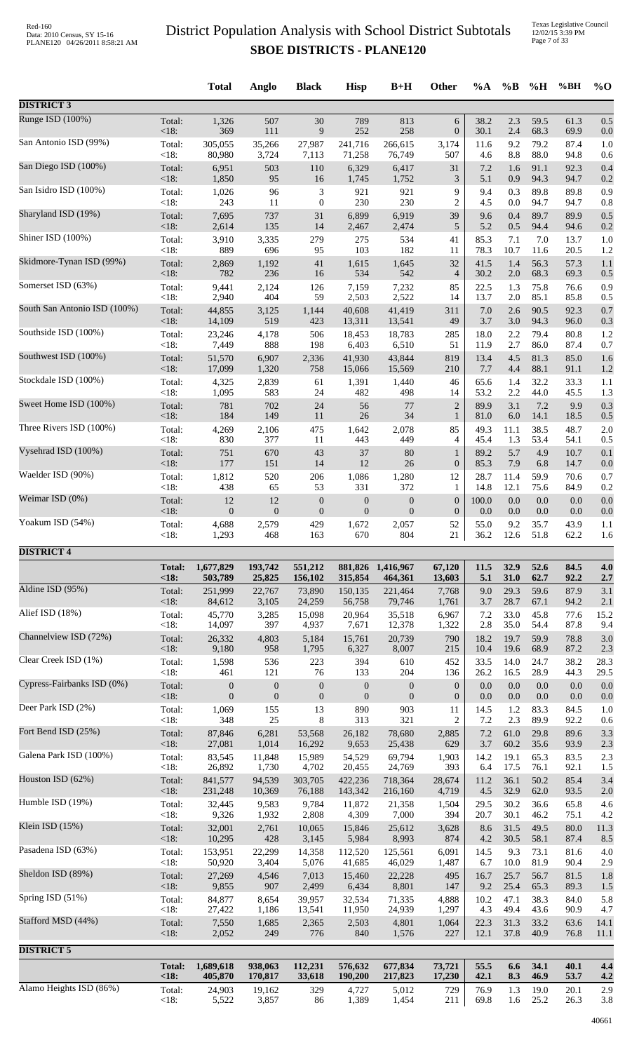|                              |                 | <b>Total</b>     | Anglo            | <b>Black</b>                | <b>Hisp</b>      | $B+H$            | Other            | $\%A$       | $\%B$        | %H           | %BH          | $\%$ O     |
|------------------------------|-----------------|------------------|------------------|-----------------------------|------------------|------------------|------------------|-------------|--------------|--------------|--------------|------------|
| <b>DISTRICT 3</b>            |                 |                  |                  |                             |                  |                  |                  |             |              |              |              |            |
| Runge ISD (100%)             | Total:          | 1,326            | 507              | 30                          | 789              | 813              | 6                | 38.2        | 2.3          | 59.5         | 61.3         | 0.5        |
| San Antonio ISD (99%)        | $<18$ :         | 369              | 111              | 9                           | 252              | 258              | $\boldsymbol{0}$ | 30.1        | 2.4          | 68.3         | 69.9         | 0.0        |
|                              | Total:          | 305,055          | 35,266           | 27,987                      | 241,716          | 266,615          | 3,174            | 11.6        | 9.2          | 79.2         | 87.4         | 1.0        |
| San Diego ISD (100%)         | <18:            | 80,980           | 3,724            | 7,113                       | 71,258           | 76,749           | 507              | 4.6         | 8.8          | 88.0         | 94.8         | 0.6        |
|                              | Total:          | 6,951            | 503              | 110                         | 6,329            | 6,417            | 31               | 7.2         | 1.6          | 91.1         | 92.3         | 0.4        |
|                              | < 18:           | 1,850            | 95               | 16                          | 1,745            | 1,752            | 3                | 5.1         | 0.9          | 94.3         | 94.7         | 0.2        |
| San Isidro ISD (100%)        | Total:          | 1,026            | 96               | $\ensuremath{\mathfrak{Z}}$ | 921              | 921              | 9                | 9.4         | 0.3          | 89.8         | 89.8         | 0.9        |
|                              | < 18:           | 243              | 11               | $\boldsymbol{0}$            | 230              | 230              | $\overline{c}$   | 4.5         | 0.0          | 94.7         | 94.7         | 0.8        |
| Sharyland ISD (19%)          | Total:          | 7,695            | 737              | 31                          | 6,899            | 6,919            | 39               | 9.6         | 0.4          | 89.7         | 89.9         | 0.5        |
|                              | < 18:           | 2,614            | 135              | 14                          | 2,467            | 2,474            | 5                | 5.2         | 0.5          | 94.4         | 94.6         | 0.2        |
| Shiner ISD (100%)            | Total:          | 3,910            | 3,335            | 279                         | 275              | 534              | 41               | 85.3        | 7.1          | 7.0          | 13.7         | 1.0        |
| Skidmore-Tynan ISD (99%)     | <18:            | 889              | 696              | 95                          | 103              | 182              | 11               | 78.3        | 10.7         | 11.6         | 20.5         | 1.2        |
|                              | Total:          | 2,869            | 1,192            | 41                          | 1,615            | 1,645            | 32               | 41.5        | 1.4          | 56.3         | 57.3         | 1.1        |
| Somerset ISD (63%)           | < 18:           | 782              | 236              | 16                          | 534              | 542              | $\overline{4}$   | 30.2        | 2.0          | 68.3         | 69.3         | 0.5        |
|                              | Total:          | 9,441            | 2,124            | 126                         | 7,159            | 7,232            | 85               | 22.5        | 1.3          | 75.8         | 76.6         | 0.9        |
| South San Antonio ISD (100%) | < 18:           | 2,940            | 404              | 59                          | 2,503            | 2,522            | 14               | 13.7        | 2.0          | 85.1         | 85.8         | 0.5        |
|                              | Total:          | 44,855           | 3,125            | 1,144                       | 40,608           | 41,419           | 311              | 7.0         | 2.6          | 90.5         | 92.3         | 0.7        |
| Southside ISD (100%)         | < 18:           | 14,109           | 519              | 423                         | 13,311           | 13,541           | 49               | 3.7         | 3.0          | 94.3         | 96.0         | 0.3        |
|                              | Total:          | 23,246           | 4,178            | 506                         | 18,453           | 18,783           | 285              | 18.0        | 2.2          | 79.4         | 80.8         | 1.2        |
|                              | < 18:           | 7,449            | 888              | 198                         | 6,403            | 6,510            | 51               | 11.9        | 2.7          | 86.0         | 87.4         | 0.7        |
| Southwest ISD (100%)         | Total:          | 51,570           | 6,907            | 2,336                       | 41,930           | 43,844           | 819              | 13.4        | 4.5          | 81.3         | 85.0         | 1.6        |
|                              | $<18$ :         | 17,099           | 1,320            | 758                         | 15,066           | 15,569           | 210              | 7.7         | 4.4          | 88.1         | 91.1         | 1.2        |
| Stockdale ISD (100%)         | Total:          | 4,325            | 2,839            | 61                          | 1,391            | 1,440            | 46               | 65.6        | 1.4          | 32.2         | 33.3         | 1.1        |
|                              | < 18:           | 1,095            | 583              | 24                          | 482              | 498              | 14               | 53.2        | 2.2          | 44.0         | 45.5         | 1.3        |
| Sweet Home ISD (100%)        | Total:          | 781              | 702              | 24                          | 56               | 77               | $\overline{2}$   | 89.9        | 3.1          | 7.2          | 9.9          | 0.3        |
| Three Rivers ISD (100%)      | < 18:           | 184              | 149              | 11                          | 26               | 34               | $\mathbf{1}$     | 81.0        | 6.0          | 14.1         | 18.5         | 0.5        |
|                              | Total:          | 4,269            | 2,106            | 475                         | 1,642            | 2,078            | 85               | 49.3        | 11.1         | 38.5         | 48.7         | 2.0        |
| Vysehrad ISD (100%)          | < 18:           | 830              | 377              | 11                          | 443              | 449              | 4                | 45.4        | 1.3          | 53.4         | 54.1         | 0.5        |
|                              | Total:          | 751              | 670              | 43                          | 37               | 80               | $\mathbf{1}$     | 89.2        | 5.7          | 4.9          | 10.7         | 0.1        |
| Waelder ISD (90%)            | < 18:           | 177              | 151              | 14                          | 12               | 26               | $\boldsymbol{0}$ | 85.3        | 7.9          | 6.8          | 14.7         | 0.0        |
|                              | Total:          | 1,812            | 520              | 206                         | 1,086            | 1,280            | 12               | 28.7        | 11.4         | 59.9         | 70.6         | 0.7        |
|                              | < 18:           | 438              | 65               | 53                          | 331              | 372              | 1                | 14.8        | 12.1         | 75.6         | 84.9         | 0.2        |
| Weimar ISD (0%)              | Total:          | 12               | 12               | $\boldsymbol{0}$            | $\boldsymbol{0}$ | $\boldsymbol{0}$ | $\boldsymbol{0}$ | 100.0       | 0.0          | 0.0          | 0.0          | 0.0        |
|                              | < 18:           | $\boldsymbol{0}$ | $\boldsymbol{0}$ | $\boldsymbol{0}$            | $\mathbf{0}$     | $\mathbf{0}$     | $\boldsymbol{0}$ | 0.0         | 0.0          | $0.0\,$      | 0.0          | 0.0        |
| Yoakum ISD (54%)             | Total:          | 4,688            | 2,579            | 429                         | 1,672            | 2,057            | 52               | 55.0        | 9.2          | 35.7         | 43.9         | 1.1        |
|                              | $<18$ :         | 1,293            | 468              | 163                         | 670              | 804              | 21               | 36.2        | 12.6         | 51.8         | 62.2         | 1.6        |
| <b>DISTRICT 4</b>            |                 |                  |                  |                             |                  |                  |                  |             |              |              |              |            |
|                              | <b>Total:</b>   | 1,677,829        | 193,742          | 551,212                     | 881,826          | 1,416,967        | 67,120           | 11.5        | 32.9         | 52.6         | 84.5         | 4.0        |
|                              | < 18:           | 503,789          | 25,825           | 156,102                     | 315,854          | 464,361          | 13,603           | 5.1         | 31.0         | 62.7         | 92.2         | 2.7        |
| Aldine ISD (95%)             | Total:          | 251,999          | 22,767           | 73,890                      | 150,135          | 221,464          | 7,768            | 9.0         | 29.3         | 59.6         | 87.9         | 3.1        |
| Alief ISD (18%)              | < 18:           | 84,612           | 3,105            | 24,259                      | 56,758           | 79,746           | 1,761            | 3.7         | 28.7         | 67.1         | 94.2         | 2.1        |
|                              | Total:          | 45,770           | 3,285            | 15,098                      | 20,964           | 35,518           | 6,967            | 7.2         | 33.0         | 45.8         | 77.6         | 15.2       |
| Channelview ISD (72%)        | <18:            | 14,097           | 397              | 4,937                       | 7,671            | 12,378           | 1,322            | 2.8         | 35.0         | 54.4         | 87.8         | 9.4        |
|                              | Total:          | 26,332           | 4,803            | 5,184                       | 15,761           | 20,739           | 790              | 18.2        | 19.7         | 59.9         | 78.8         | 3.0        |
|                              | < 18:           | 9,180            | 958              | 1,795                       | 6,327            | 8,007            | 215              | 10.4        | 19.6         | 68.9         | 87.2         | 2.3        |
| Clear Creek ISD (1%)         | Total:          | 1,598            | 536              | 223                         | 394              | 610              | 452              | 33.5        | 14.0         | 24.7         | 38.2         | 28.3       |
|                              | < 18:           | 461              | 121              | 76                          | 133              | 204              | 136              | 26.2        | 16.5         | 28.9         | 44.3         | 29.5       |
| Cypress-Fairbanks ISD (0%)   | Total:          | $\boldsymbol{0}$ | $\boldsymbol{0}$ | $\boldsymbol{0}$            | $\mathbf{0}$     | $\boldsymbol{0}$ | $\boldsymbol{0}$ | 0.0         | 0.0          | 0.0          | 0.0          | 0.0        |
|                              | < 18:           | $\boldsymbol{0}$ | $\boldsymbol{0}$ | $\boldsymbol{0}$            | $\mathbf{0}$     | $\mathbf{0}$     | $\boldsymbol{0}$ | 0.0         | $0.0\,$      | 0.0          | 0.0          | 0.0        |
| Deer Park ISD (2%)           | Total:          | 1,069            | 155              | 13                          | 890              | 903              | 11               | 14.5        | 1.2          | 83.3         | 84.5         | 1.0        |
|                              | < 18:           | 348              | 25               | 8                           | 313              | 321              | $\overline{c}$   | 7.2         | 2.3          | 89.9         | 92.2         | 0.6        |
| Fort Bend ISD (25%)          | Total:          | 87,846           | 6,281            | 53,568                      | 26,182           | 78,680           | 2,885            | 7.2         | 61.0         | 29.8         | 89.6         | 3.3        |
| Galena Park ISD (100%)       | < 18:           | 27,081           | 1,014            | 16,292                      | 9,653            | 25,438           | 629              | 3.7         | 60.2         | 35.6         | 93.9         | 2.3        |
|                              | Total:          | 83,545           | 11,848           | 15,989                      | 54,529           | 69,794           | 1,903            | 14.2        | 19.1         | 65.3         | 83.5         | 2.3        |
| Houston ISD (62%)            | < 18:           | 26,892           | 1,730            | 4,702                       | 20,455           | 24,769           | 393              | 6.4         | 17.5         | 76.1         | 92.1         | 1.5        |
|                              | Total:          | 841,577          | 94,539           | 303,705                     | 422,236          | 718,364          | 28,674           | 11.2        | 36.1         | 50.2         | 85.4         | 3.4        |
| Humble ISD (19%)             | < 18:           | 231,248          | 10,369           | 76,188                      | 143,342          | 216,160          | 4,719            | 4.5         | 32.9         | 62.0         | 93.5         | 2.0        |
|                              | Total:          | 32,445           | 9,583            | 9,784                       | 11,872           | 21,358           | 1,504            | 29.5        | 30.2         | 36.6         | 65.8         | 4.6        |
|                              | < 18:           | 9,326            | 1,932            | 2,808                       | 4,309            | 7,000            | 394              | 20.7        | 30.1         | 46.2         | 75.1         | 4.2        |
| Klein ISD (15%)              | Total:          | 32,001           | 2,761            | 10,065                      | 15,846           | 25,612           | 3,628            | 8.6         | 31.5         | 49.5         | 80.0         | 11.3       |
|                              | < 18:           | 10,295           | 428              | 3,145                       | 5,984            | 8,993            | 874              | 4.2         | 30.5         | 58.1         | 87.4         | 8.5        |
| Pasadena ISD (63%)           | Total:          | 153,951          | 22,299           | 14,358                      | 112,520          | 125,561          | 6,091            | 14.5        | 9.3          | 73.1         | 81.6         | 4.0        |
|                              | < 18:           | 50,920           | 3,404            | 5,076                       | 41,685           | 46,029           | 1,487            | 6.7         | 10.0         | 81.9         | 90.4         | 2.9        |
| Sheldon ISD (89%)            | Total:          | 27,269           | 4,546            | 7,013                       | 15,460           | 22,228           | 495              | 16.7        | 25.7         | 56.7         | 81.5<br>89.3 | 1.8        |
| Spring ISD (51%)             | < 18:<br>Total: | 9,855<br>84,877  | 907<br>8,654     | 2,499<br>39,957             | 6,434<br>32,534  | 8,801<br>71,335  | 147<br>4,888     | 9.2<br>10.2 | 25.4<br>47.1 | 65.3<br>38.3 | 84.0         | 1.5<br>5.8 |
| Stafford MSD (44%)           | < 18:           | 27,422           | 1,186            | 13,541                      | 11,950           | 24,939           | 1,297            | 4.3         | 49.4         | 43.6         | 90.9         | 4.7        |
|                              | Total:          | 7,550            | 1,685            | 2,365                       | 2,503            | 4,801            | 1,064            | 22.3        | 31.3         | 33.2         | 63.6         | 14.1       |
|                              | <18:            | 2,052            | 249              | 776                         | 840              | 1,576            | 227              | 12.1        | 37.8         | 40.9         | 76.8         | 11.1       |
| <b>DISTRICT 5</b>            | <b>Total:</b>   | 1,689,618        | 938,063          | 112,231                     | 576,632          | 677,834          | 73,721           | 55.5        | 6.6          | 34.1         | 40.1         | 4.4        |
| Alamo Heights ISD (86%)      | $18:$           | 405,870          | 170,817          | 33,618                      | 190,200          | 217,823          | 17,230           | 42.1        | 8.3          | 46.9         | 53.7         | 4.2        |
|                              | Total:          | 24,903           | 19,162           | 329                         | 4,727            | 5,012            | 729              | 76.9        | 1.3          | 19.0         | 20.1         | 2.9        |
|                              | $<18$ :         | 5,522            | 3,857            | 86                          | 1,389            | 1,454            | 211              | 69.8        | 1.6          | 25.2         | 26.3         | 3.8        |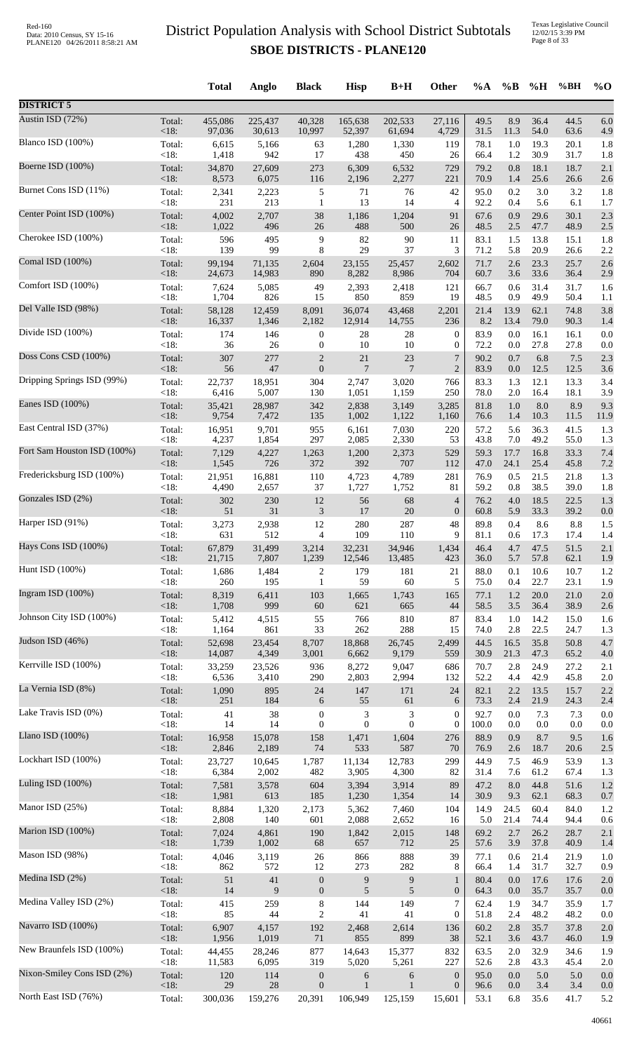|                             |                | <b>Total</b>   | Anglo        | <b>Black</b>     | <b>Hisp</b>    | $B+H$                       | Other            | $\%A$        | $\%$ B     | %H           | %BH          | $\%$ O     |
|-----------------------------|----------------|----------------|--------------|------------------|----------------|-----------------------------|------------------|--------------|------------|--------------|--------------|------------|
| <b>DISTRICT 5</b>           |                |                |              |                  |                |                             |                  |              |            |              |              |            |
| Austin ISD (72%)            | Total:         | 455,086        | 225,437      | 40,328           | 165,638        | 202,533                     | 27,116           | 49.5         | 8.9        | 36.4         | 44.5         | 6.0        |
|                             | $<18$ :        | 97,036         | 30,613       | 10,997           | 52,397         | 61,694                      | 4,729            | 31.5         | 11.3       | 54.0         | 63.6         | 4.9        |
| Blanco ISD (100%)           | Total:         | 6,615          | 5,166        | 63               | 1,280          | 1,330                       | 119              | 78.1         | 1.0        | 19.3         | 20.1         | 1.8        |
| Boerne ISD (100%)           | <18:           | 1,418          | 942          | 17               | 438            | 450                         | 26               | 66.4         | 1.2        | 30.9         | 31.7         | 1.8        |
|                             | Total:         | 34,870         | 27,609       | 273              | 6,309          | 6,532                       | 729              | 79.2         | 0.8        | 18.1         | 18.7         | 2.1        |
| Burnet Cons ISD (11%)       | <18:           | 8,573          | 6,075        | 116              | 2,196          | 2,277                       | 221              | 70.9         | 1.4        | 25.6         | 26.6         | 2.6        |
|                             | Total:         | 2,341          | 2,223        | 5                | 71             | 76                          | 42               | 95.0         | 0.2        | 3.0          | 3.2          | 1.8        |
|                             | $<18$ :        | 231            | 213          | $\mathbf{1}$     | 13             | 14                          | $\overline{4}$   | 92.2         | 0.4        | 5.6          | 6.1          | 1.7        |
| Center Point ISD (100%)     | Total:         | 4,002          | 2,707        | 38               | 1,186          | 1,204                       | 91               | 67.6         | 0.9        | 29.6         | 30.1         | 2.3        |
|                             | $<18$ :        | 1,022          | 496          | 26               | 488            | 500                         | 26               | 48.5         | 2.5        | 47.7         | 48.9         | 2.5        |
| Cherokee ISD (100%)         | Total:         | 596            | 495          | 9                | 82             | 90                          | 11               | 83.1         | 1.5        | 13.8         | 15.1         | 1.8        |
|                             | <18:           | 139            | 99           | 8                | 29             | 37                          | 3                | 71.2         | 5.8        | 20.9         | 26.6         | 2.2        |
| Comal ISD (100%)            | Total:         | 99,194         | 71,135       | 2,604            | 23,155         | 25,457                      | 2,602            | 71.7         | 2.6        | 23.3         | 25.7         | 2.6        |
| Comfort ISD (100%)          | $<18$ :        | 24,673         | 14,983       | 890              | 8,282          | 8,986                       | 704              | 60.7         | 3.6        | 33.6         | 36.4         | 2.9        |
|                             | Total:         | 7,624          | 5,085        | 49               | 2,393          | 2,418                       | 121              | 66.7         | 0.6        | 31.4         | 31.7         | 1.6        |
| Del Valle ISD (98%)         | < 18:          | 1,704          | 826          | 15               | 850            | 859                         | 19               | 48.5         | 0.9        | 49.9         | 50.4         | 1.1        |
|                             | Total:         | 58,128         | 12,459       | 8,091            | 36,074         | 43,468                      | 2,201            | 21.4         | 13.9       | 62.1         | 74.8         | 3.8        |
| Divide ISD (100%)           | <18:           | 16,337         | 1,346        | 2,182            | 12,914         | 14,755                      | 236              | 8.2          | 13.4       | 79.0         | 90.3         | 1.4        |
|                             | Total:         | 174            | 146          | $\boldsymbol{0}$ | 28             | 28                          | $\boldsymbol{0}$ | 83.9         | 0.0        | 16.1         | 16.1         | 0.0        |
|                             | $<18$ :        | 36             | 26           | $\boldsymbol{0}$ | 10             | 10                          | $\boldsymbol{0}$ | 72.2         | 0.0        | 27.8         | 27.8         | 0.0        |
| Doss Cons CSD (100%)        | Total:         | 307            | 277          | $\overline{c}$   | 21             | $23\,$                      | 7                | 90.2         | 0.7        | 6.8          | 7.5          | 2.3        |
|                             | $<18$ :        | 56             | $47\,$       | $\boldsymbol{0}$ | $\overline{7}$ | 7                           | $\overline{2}$   | 83.9         | 0.0        | 12.5         | 12.5         | 3.6        |
| Dripping Springs ISD (99%)  | Total:         | 22,737         | 18,951       | 304              | 2,747          | 3,020                       | 766              | 83.3         | 1.3        | 12.1         | 13.3         | 3.4        |
|                             | < 18:          | 6,416          | 5,007        | 130              | 1,051          | 1,159                       | 250              | 78.0         | 2.0        | 16.4         | 18.1         | 3.9        |
| Eanes ISD (100%)            | Total:         | 35,421         | 28,987       | 342              | 2,838          | 3,149                       | 3,285            | 81.8         | 1.0        | 8.0          | 8.9          | 9.3        |
| East Central ISD (37%)      | <18:           | 9,754          | 7,472        | 135              | 1,002          | 1,122                       | 1,160            | 76.6         | 1.4        | 10.3         | 11.5         | 11.9       |
|                             | Total:         | 16,951         | 9,701        | 955              | 6,161          | 7,030                       | 220              | 57.2         | 5.6        | 36.3         | 41.5         | 1.3        |
| Fort Sam Houston ISD (100%) | <18:           | 4,237          | 1,854        | 297              | 2,085          | 2,330                       | 53               | 43.8         | 7.0        | 49.2         | 55.0         | 1.3        |
|                             | Total:         | 7,129          | 4,227        | 1,263            | 1,200          | 2,373                       | 529              | 59.3         | 17.7       | 16.8         | 33.3         | 7.4        |
|                             | $<18$ :        | 1,545          | 726          | 372              | 392            | 707                         | 112              | 47.0         | 24.1       | 25.4         | 45.8         | 7.2        |
| Fredericksburg ISD (100%)   | Total:         | 21,951         | 16,881       | 110              | 4,723          | 4,789                       | 281              | 76.9         | 0.5        | 21.5         | 21.8         | 1.3        |
|                             | <18:           | 4,490          | 2,657        | 37               | 1,727          | 1,752                       | 81               | 59.2         | 0.8        | 38.5         | 39.0         | 1.8        |
| Gonzales ISD (2%)           | Total:         | 302            | 230          | 12               | 56             | 68                          | 4                | 76.2         | 4.0        | 18.5         | 22.5         | 1.3        |
|                             | <18:           | 51             | 31           | 3                | 17             | $20\,$                      | $\mathbf{0}$     | 60.8         | 5.9        | 33.3         | 39.2         | 0.0        |
| Harper ISD (91%)            | Total:         | 3,273          | 2,938        | 12               | 280            | 287                         | 48               | 89.8         | 0.4        | 8.6          | 8.8          | 1.5        |
|                             | <18:           | 631            | 512          | 4                | 109            | 110                         | 9                | 81.1         | 0.6        | 17.3         | 17.4         | 1.4        |
| Hays Cons ISD (100%)        | Total:         | 67,879         | 31,499       | 3,214            | 32,231         | 34,946                      | 1,434            | 46.4         | 4.7        | 47.5         | 51.5         | 2.1        |
| Hunt ISD (100%)             | $<18$ :        | 21,715         | 7,807        | 1,239            | 12,546         | 13,485                      | 423              | 36.0         | 5.7        | 57.8         | 62.1         | 1.9        |
|                             | Total:         | 1,686          | 1,484        | $\overline{c}$   | 179            | 181                         | 21               | 88.0         | 0.1        | 10.6         | 10.7         | 1.2        |
| Ingram ISD (100%)           | $<18$ :        | 260            | 195          | $\mathbf{1}$     | 59             | 60                          | 5                | 75.0         | 0.4        | 22.7         | 23.1         | 1.9        |
|                             | Total:         | 8,319          | 6,411        | 103              | 1,665          | 1,743                       | 165              | 77.1         | 1.2        | 20.0         | 21.0         | 2.0        |
| Johnson City ISD (100%)     | $<18$ :        | 1,708          | 999          | $60\,$           | 621            | 665<br>810                  | 44<br>87         | 58.5<br>83.4 | 3.5        | 36.4<br>14.2 | 38.9         | 2.6        |
|                             | Total:<br><18: | 5,412<br>1,164 | 4,515<br>861 | 55<br>33         | 766<br>262     | 288                         | 15               | 74.0         | 1.0<br>2.8 | 22.5         | 15.0<br>24.7 | 1.6<br>1.3 |
| Judson ISD (46%)            | Total:         | 52,698         | 23,454       | 8,707            | 18,868         | 26,745                      | 2,499            | 44.5         | 16.5       | 35.8         | 50.8         | 4.7        |
|                             | $<18$ :        | 14,087         | 4,349        | 3,001            | 6,662          | 9,179                       | 559              | 30.9         | 21.3       | 47.3         | 65.2         | 4.0        |
| Kerrville ISD (100%)        | Total:         | 33,259         | 23,526       | 936              | 8,272          | 9,047                       | 686              | 70.7         | 2.8        | 24.9         | 27.2         | 2.1        |
|                             | $<18$ :        | 6,536          | 3,410        | 290              | 2,803          | 2,994                       | 132              | 52.2         | 4.4        | 42.9         | 45.8         | 2.0        |
| La Vernia ISD (8%)          | Total:         | 1,090          | 895          | 24               | 147            | 171                         | 24               | 82.1         | 2.2        | 13.5         | 15.7         | 2.2        |
| Lake Travis ISD (0%)        | $<18$ :        | 251            | 184          | 6                | 55             | 61                          | 6                | 73.3         | 2.4        | 21.9         | 24.3         | 2.4        |
|                             | Total:         | 41             | 38           | $\boldsymbol{0}$ | $\sqrt{3}$     | $\ensuremath{\mathfrak{Z}}$ | $\boldsymbol{0}$ | 92.7         | 0.0        | 7.3          | 7.3          | 0.0        |
| Llano ISD $(100\%)$         | $<18$ :        | 14             | 14           | $\boldsymbol{0}$ | $\mathbf{0}$   | $\boldsymbol{0}$            | $\mathbf{0}$     | 100.0        | 0.0        | 0.0          | 0.0          | 0.0        |
|                             | Total:         | 16,958         | 15,078       | 158              | 1,471          | 1,604                       | 276              | 88.9         | 0.9        | 8.7          | 9.5          | 1.6        |
|                             | $<18$ :        | 2,846          | 2,189        | 74               | 533            | 587                         | 70               | 76.9         | 2.6        | 18.7         | 20.6         | 2.5        |
| Lockhart ISD (100%)         | Total:         | 23,727         | 10,645       | 1,787            | 11,134         | 12,783                      | 299              | 44.9         | 7.5        | 46.9         | 53.9         | 1.3        |
|                             | <18:           | 6,384          | 2,002        | 482              | 3,905          | 4,300                       | 82               | 31.4         | 7.6        | 61.2         | 67.4         | 1.3        |
| Luling ISD (100%)           | Total:         | 7,581          | 3,578        | 604              | 3,394          | 3,914                       | 89               | 47.2         | 8.0        | 44.8         | 51.6         | 1.2        |
|                             | $<18$ :        | 1,981          | 613          | 185              | 1,230          | 1,354                       | 14               | 30.9         | 9.3        | 62.1         | 68.3         | 0.7        |
| Manor ISD (25%)             | Total:         | 8,884          | 1,320        | 2,173            | 5,362          | 7,460                       | 104              | 14.9         | 24.5       | 60.4         | 84.0         | 1.2        |
|                             | $<18$ :        | 2,808          | 140          | 601              | 2,088          | 2,652                       | 16               | 5.0          | 21.4       | 74.4         | 94.4         | 0.6        |
| Marion ISD (100%)           | Total:         | 7,024          | 4,861        | 190              | 1,842          | 2,015                       | 148              | 69.2         | 2.7        | 26.2         | 28.7         | 2.1        |
| Mason ISD (98%)             | <18:           | 1,739          | 1,002        | 68               | 657            | 712                         | 25               | 57.6         | 3.9        | 37.8         | 40.9         | 1.4        |
|                             | Total:         | 4,046          | 3,119        | 26               | 866            | 888                         | 39               | 77.1         | 0.6        | 21.4         | 21.9         | 1.0        |
| Medina ISD (2%)             | <18:           | 862            | 572          | 12               | 273            | 282                         | 8                | 66.4         | 1.4        | 31.7         | 32.7         | 0.9        |
|                             | Total:         | 51             | $41\,$       | $\boldsymbol{0}$ | $\overline{9}$ | 9                           | 1                | 80.4         | 0.0        | 17.6         | 17.6         | 2.0        |
| Medina Valley ISD (2%)      | $<18$ :        | 14             | 9            | $\boldsymbol{0}$ | 5              | 5                           | $\boldsymbol{0}$ | 64.3         | 0.0        | 35.7         | 35.7         | 0.0        |
|                             | Total:         | 415            | 259          | $\,8\,$          | 144            | 149                         | $\overline{7}$   | 62.4         | 1.9        | 34.7         | 35.9         | 1.7        |
|                             | <18:           | 85             | 44           | $\boldsymbol{2}$ | 41             | 41                          | $\boldsymbol{0}$ | 51.8         | 2.4        | 48.2         | 48.2         | 0.0        |
| Navarro ISD (100%)          | Total:         | 6,907          | 4,157        | 192              | 2,468          | 2,614                       | 136              | 60.2         | 2.8        | 35.7         | 37.8         | 2.0        |
|                             | $<18$ :        | 1,956          | 1,019        | $71\,$           | 855            | 899                         | 38               | 52.1         | 3.6        | 43.7         | 46.0         | 1.9        |
| New Braunfels ISD (100%)    | Total:         | 44,455         | 28,246       | 877              | 14,643         | 15,377                      | 832              | 63.5         | 2.0        | 32.9         | 34.6         | 1.9        |
|                             | $<18$ :        | 11,583         | 6,095        | 319              | 5,020          | 5,261                       | 227              | 52.6         | 2.8        | 43.3         | 45.4         | 2.0        |
| Nixon-Smiley Cons ISD (2%)  | Total:         | 120            | 114          | $\boldsymbol{0}$ | 6              | 6                           | $\mathbf{0}$     | 95.0         | 0.0        | 5.0          | 5.0          | 0.0        |
| North East ISD (76%)        | <18:           | 29             | $28\,$       | $\boldsymbol{0}$ | $\mathbf{1}$   | $\mathbf{1}$                | $\boldsymbol{0}$ | 96.6         | 0.0        | 3.4          | 3.4          | 0.0        |
|                             | Total:         | 300,036        | 159,276      | 20,391           | 106,949        | 125,159                     | 15,601           | 53.1         | 6.8        | 35.6         | 41.7         | 5.2        |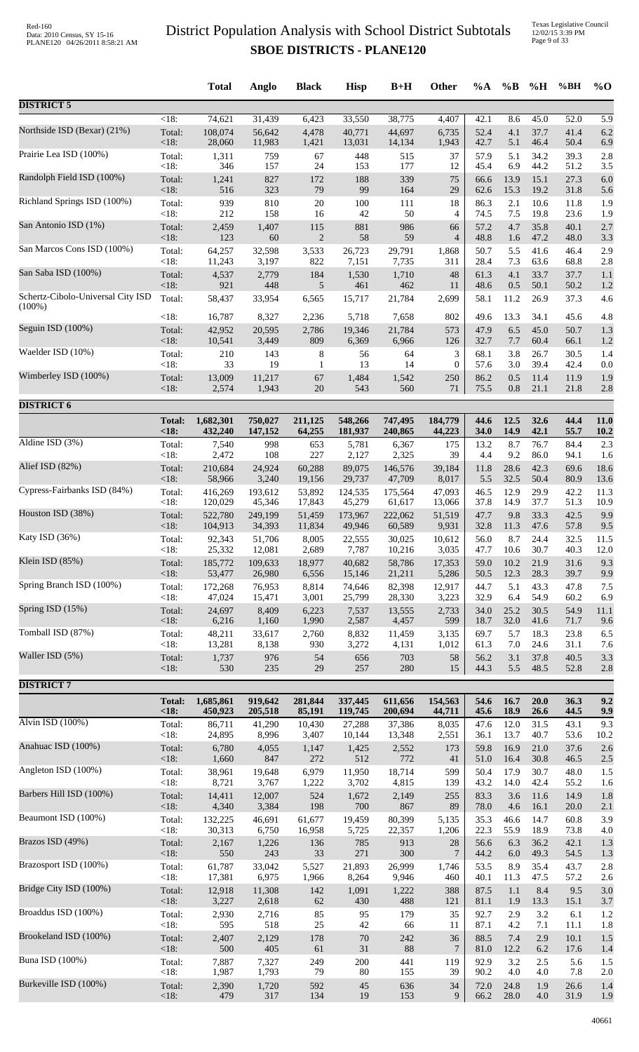Texas Legislative Council 12/02/15 3:39 PM Page 9 of 33

|                                   |               | <b>Total</b> | Anglo   | <b>Black</b> | <b>Hisp</b> | $B+H$   | Other            | %A   | $\%B$ | %H   | %BH  | $%$ <sup>O</sup> |
|-----------------------------------|---------------|--------------|---------|--------------|-------------|---------|------------------|------|-------|------|------|------------------|
| <b>DISTRICT 5</b>                 |               |              |         |              |             |         |                  |      |       |      |      |                  |
|                                   | $<18$ :       | 74,621       | 31,439  | 6,423        | 33,550      | 38,775  | 4,407            | 42.1 | 8.6   | 45.0 | 52.0 | 5.9              |
| Northside ISD (Bexar) (21%)       | Total:        | 108,074      | 56,642  | 4,478        | 40,771      | 44,697  | 6,735            | 52.4 | 4.1   | 37.7 | 41.4 | 6.2              |
|                                   | <18:          | 28,060       | 11,983  | 1,421        | 13,031      | 14,134  | 1,943            | 42.7 | 5.1   | 46.4 | 50.4 | 6.9              |
| Prairie Lea ISD (100%)            | Total:        | 1,311        | 759     | 67           | 448         | 515     | 37               | 57.9 | 5.1   | 34.2 | 39.3 | 2.8              |
|                                   | <18:          | 346          | 157     | 24           | 153         | 177     | 12               | 45.4 | 6.9   | 44.2 | 51.2 | 3.5              |
| Randolph Field ISD (100%)         | Total:        | 1,241        | 827     | 172          | 188         | 339     | 75               | 66.6 | 13.9  | 15.1 | 27.3 | 6.0              |
| Richland Springs ISD (100%)       | $<18$ :       | 516          | 323     | 79           | 99          | 164     | 29               | 62.6 | 15.3  | 19.2 | 31.8 | 5.6              |
|                                   | Total:        | 939          | 810     | $20\,$       | 100         | 111     | 18               | 86.3 | 2.1   | 10.6 | 11.8 | 1.9              |
|                                   | <18:          | 212          | 158     | 16           | 42          | 50      | 4                | 74.5 | 7.5   | 19.8 | 23.6 | 1.9              |
| San Antonio ISD (1%)              | Total:        | 2,459        | 1,407   | 115          | 881         | 986     | 66               | 57.2 | 4.7   | 35.8 | 40.1 | 2.7              |
|                                   | $<18$ :       | 123          | 60      | $\sqrt{2}$   | 58          | 59      | $\overline{4}$   | 48.8 | 1.6   | 47.2 | 48.0 | 3.3              |
| San Marcos Cons ISD (100%)        | Total:        | 64,257       | 32,598  | 3,533        | 26,723      | 29,791  | 1,868            | 50.7 | 5.5   | 41.6 | 46.4 | 2.9              |
| San Saba ISD (100%)               | < 18:         | 11,243       | 3,197   | 822          | 7,151       | 7,735   | 311              | 28.4 | 7.3   | 63.6 | 68.8 | 2.8              |
|                                   | Total:        | 4,537        | 2,779   | 184          | 1,530       | 1,710   | 48               | 61.3 | 4.1   | 33.7 | 37.7 | 1.1              |
| Schertz-Cibolo-Universal City ISD | $<18$ :       | 921          | 448     | 5            | 461         | 462     | 11               | 48.6 | 0.5   | 50.1 | 50.2 | 1.2              |
| $(100\%)$                         | Total:        | 58,437       | 33,954  | 6,565        | 15,717      | 21,784  | 2,699            | 58.1 | 11.2  | 26.9 | 37.3 | 4.6              |
| Seguin ISD (100%)                 | <18:          | 16,787       | 8,327   | 2,236        | 5,718       | 7,658   | 802              | 49.6 | 13.3  | 34.1 | 45.6 | 4.8              |
|                                   | Total:        | 42,952       | 20,595  | 2,786        | 19,346      | 21,784  | 573              | 47.9 | 6.5   | 45.0 | 50.7 | 1.3              |
|                                   | $<18$ :       | 10,541       | 3,449   | 809          | 6,369       | 6,966   | 126              | 32.7 | 7.7   | 60.4 | 66.1 | 1.2              |
| Waelder ISD (10%)                 | Total:        | 210          | 143     | 8            | 56          | 64      | 3                | 68.1 | 3.8   | 26.7 | 30.5 | 1.4              |
|                                   | < 18:         | 33           | 19      | 1            | 13          | 14      | $\boldsymbol{0}$ | 57.6 | 3.0   | 39.4 | 42.4 | 0.0              |
| Wimberley ISD (100%)              | Total:        | 13,009       | 11,217  | 67           | 1,484       | 1,542   | 250              | 86.2 | 0.5   | 11.4 | 11.9 | 1.9              |
|                                   | $<18$ :       | 2,574        | 1,943   | 20           | 543         | 560     | 71               | 75.5 | 0.8   | 21.1 | 21.8 | 2.8              |
| <b>DISTRICT 6</b>                 |               |              |         |              |             |         |                  |      |       |      |      |                  |
|                                   | <b>Total:</b> | 1,682,301    | 750,027 | 211,125      | 548,266     | 747,495 | 184,779          | 44.6 | 12.5  | 32.6 | 44.4 | 11.0             |
| Aldine ISD $(3%)$                 | <18           | 432,240      | 147,152 | 64,255       | 181,937     | 240,865 | 44,223           | 34.0 | 14.9  | 42.1 | 55.7 | <b>10.2</b>      |
|                                   | Total:        | 7,540        | 998     | 653          | 5,781       | 6,367   | 175              | 13.2 | 8.7   | 76.7 | 84.4 | 2.3              |
|                                   | <18:          | 2,472        | 108     | 227          | 2,127       | 2,325   | 39               | 4.4  | 9.2   | 86.0 | 94.1 | 1.6              |
| Alief ISD (82%)                   | Total:        | 210,684      | 24,924  | 60,288       | 89,075      | 146,576 | 39,184           | 11.8 | 28.6  | 42.3 | 69.6 | 18.6             |
|                                   | $<18$ :       | 58,966       | 3,240   | 19,156       | 29,737      | 47,709  | 8,017            | 5.5  | 32.5  | 50.4 | 80.9 | 13.6             |
| Cypress-Fairbanks ISD (84%)       | Total:        | 416,269      | 193,612 | 53,892       | 124,535     | 175,564 | 47,093           | 46.5 | 12.9  | 29.9 | 42.2 | 11.3             |
| Houston ISD (38%)                 | < 18:         | 120,029      | 45,346  | 17,843       | 45,279      | 61,617  | 13,066           | 37.8 | 14.9  | 37.7 | 51.3 | 10.9             |
|                                   | Total:        | 522,780      | 249,199 | 51,459       | 173,967     | 222,062 | 51,519           | 47.7 | 9.8   | 33.3 | 42.5 | 9.9              |
| Katy ISD (36%)                    | <18:          | 104,913      | 34,393  | 11,834       | 49,946      | 60,589  | 9,931            | 32.8 | 11.3  | 47.6 | 57.8 | 9.5              |
|                                   | Total:        | 92,343       | 51,706  | 8,005        | 22,555      | 30,025  | 10,612           | 56.0 | 8.7   | 24.4 | 32.5 | 11.5             |
|                                   | <18:          | 25,332       | 12,081  | 2,689        | 7,787       | 10,216  | 3,035            | 47.7 | 10.6  | 30.7 | 40.3 | 12.0             |
| Klein ISD (85%)                   | Total:        | 185,772      | 109,633 | 18,977       | 40,682      | 58,786  | 17,353           | 59.0 | 10.2  | 21.9 | 31.6 | 9.3              |
|                                   | $<18$ :       | 53,477       | 26,980  | 6,556        | 15,146      | 21,211  | 5,286            | 50.5 | 12.3  | 28.3 | 39.7 | 9.9              |
| Spring Branch ISD (100%)          | Total:        | 172,268      | 76,953  | 8,814        | 74,646      | 82,398  | 12,917           | 44.7 | 5.1   | 43.3 | 47.8 | 7.5              |
| Spring ISD (15%)                  | <18:          | 47,024       | 15,471  | 3,001        | 25,799      | 28,330  | 3,223            | 32.9 | 6.4   | 54.9 | 60.2 | 6.9              |
|                                   | Total:        | 24,697       | 8,409   | 6,223        | 7,537       | 13,555  | 2,733            | 34.0 | 25.2  | 30.5 | 54.9 | 11.1             |
| Tomball ISD (87%)                 | $<18$ :       | 6,216        | 1,160   | 1,990        | 2,587       | 4,457   | 599              | 18.7 | 32.0  | 41.6 | 71.7 | 9.6              |
|                                   | Total:        | 48,211       | 33,617  | 2,760        | 8,832       | 11,459  | 3,135            | 69.7 | 5.7   | 18.3 | 23.8 | 6.5              |
|                                   | $<18$ :       | 13,281       | 8,138   | 930          | 3,272       | 4,131   | 1,012            | 61.3 | 7.0   | 24.6 | 31.1 | 7.6              |
| Waller ISD (5%)                   | Total:        | 1,737        | 976     | 54           | 656         | 703     | 58               | 56.2 | 3.1   | 37.8 | 40.5 | 3.3              |
|                                   | <18:          | 530          | 235     | 29           | 257         | 280     | 15               | 44.3 | 5.5   | 48.5 | 52.8 | 2.8              |
| <b>DISTRICT 7</b>                 |               |              |         |              |             |         |                  |      |       |      |      |                  |
|                                   | <b>Total:</b> | 1,685,861    | 919,642 | 281,844      | 337,445     | 611,656 | 154,563          | 54.6 | 16.7  | 20.0 | 36.3 | 9.2              |
| Alvin ISD (100%)                  | < 18:         | 450,923      | 205,518 | 85,191       | 119,745     | 200,694 | 44,711           | 45.6 | 18.9  | 26.6 | 44.5 | 9.9              |
|                                   | Total:        | 86,711       | 41,290  | 10,430       | 27,288      | 37,386  | 8,035            | 47.6 | 12.0  | 31.5 | 43.1 | 9.3              |
| Anahuac ISD (100%)                | $<18$ :       | 24,895       | 8,996   | 3,407        | 10,144      | 13,348  | 2,551            | 36.1 | 13.7  | 40.7 | 53.6 | 10.2             |
|                                   | Total:        | 6,780        | 4,055   | 1,147        | 1,425       | 2,552   | 173              | 59.8 | 16.9  | 21.0 | 37.6 | 2.6              |
|                                   | $<18$ :       | 1,660        | 847     | 272          | 512         | 772     | 41               | 51.0 | 16.4  | 30.8 | 46.5 | 2.5              |
| Angleton ISD (100%)               | Total:        | 38,961       | 19,648  | 6,979        | 11,950      | 18,714  | 599              | 50.4 | 17.9  | 30.7 | 48.0 | 1.5              |
|                                   | $<18$ :       | 8,721        | 3,767   | 1,222        | 3,702       | 4,815   | 139              | 43.2 | 14.0  | 42.4 | 55.2 | 1.6              |
| Barbers Hill ISD (100%)           | Total:        | 14,411       | 12,007  | 524          | 1,672       | 2,149   | 255              | 83.3 | 3.6   | 11.6 | 14.9 | 1.8              |
| Beaumont ISD (100%)               | <18:          | 4,340        | 3,384   | 198          | 700         | 867     | 89               | 78.0 | 4.6   | 16.1 | 20.0 | 2.1              |
|                                   | Total:        | 132,225      | 46,691  | 61,677       | 19,459      | 80,399  | 5,135            | 35.3 | 46.6  | 14.7 | 60.8 | 3.9              |
|                                   | <18:          | 30,313       | 6,750   | 16,958       | 5,725       | 22,357  | 1,206            | 22.3 | 55.9  | 18.9 | 73.8 | 4.0              |
| Brazos ISD (49%)                  | Total:        | 2,167        | 1,226   | 136          | 785         | 913     | 28               | 56.6 | 6.3   | 36.2 | 42.1 | 1.3              |
|                                   | $<18$ :       | 550          | 243     | 33           | 271         | 300     | 7                | 44.2 | 6.0   | 49.3 | 54.5 | 1.3              |
| Brazosport ISD (100%)             | Total:        | 61,787       | 33,042  | 5,527        | 21,893      | 26,999  | 1,746            | 53.5 | 8.9   | 35.4 | 43.7 | 2.8              |
| Bridge City ISD (100%)            | <18:          | 17,381       | 6,975   | 1,966        | 8,264       | 9,946   | 460              | 40.1 | 11.3  | 47.5 | 57.2 | 2.6              |
|                                   | Total:        | 12,918       | 11,308  | 142          | 1,091       | 1,222   | 388              | 87.5 | 1.1   | 8.4  | 9.5  | 3.0              |
| Broaddus ISD (100%)               | $<18$ :       | 3,227        | 2,618   | 62           | 430         | 488     | 121              | 81.1 | 1.9   | 13.3 | 15.1 | 3.7              |
|                                   | Total:        | 2,930        | 2,716   | 85           | 95          | 179     | 35               | 92.7 | 2.9   | 3.2  | 6.1  | 1.2              |
|                                   | <18:          | 595          | 518     | 25           | 42          | 66      | 11               | 87.1 | 4.2   | 7.1  | 11.1 | 1.8              |
| Brookeland ISD (100%)             | Total:        | 2,407        | 2,129   | 178          | $70\,$      | 242     | 36               | 88.5 | 7.4   | 2.9  | 10.1 | 1.5              |
|                                   | $<18$ :       | 500          | 405     | 61           | 31          | 88      | 7                | 81.0 | 12.2  | 6.2  | 17.6 | 1.4              |
| Buna ISD (100%)                   | Total:        | 7,887        | 7,327   | 249          | $200\,$     | 441     | 119              | 92.9 | 3.2   | 2.5  | 5.6  | 1.5              |
| Burkeville ISD (100%)             | <18:          | 1,987        | 1,793   | 79           | $80\,$      | 155     | 39               | 90.2 | 4.0   | 4.0  | 7.8  | 2.0              |
|                                   | Total:        | 2,390        | 1,720   | 592          | 45          | 636     | 34               | 72.0 | 24.8  | 1.9  | 26.6 | 1.4              |
|                                   | <18:          | 479          | 317     | 134          | 19          | 153     | 9                | 66.2 | 28.0  | 4.0  | 31.9 | 1.9              |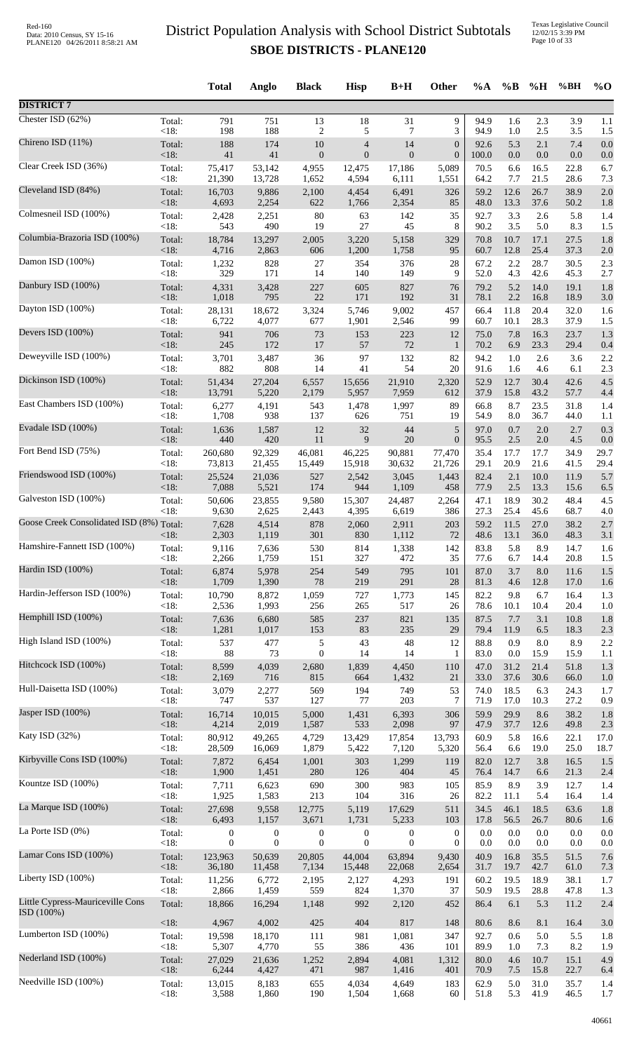|                                                |                   | <b>Total</b>              | Anglo                     | <b>Black</b>              | <b>Hisp</b>               | $B+H$                     | Other            | $\%A$           | $\%$ B       | %H           | %BH          | $\%$ O     |
|------------------------------------------------|-------------------|---------------------------|---------------------------|---------------------------|---------------------------|---------------------------|------------------|-----------------|--------------|--------------|--------------|------------|
| <b>DISTRICT 7</b>                              |                   |                           |                           |                           |                           |                           |                  |                 |              |              |              |            |
| Chester ISD $(62%)$                            | Total:            | 791                       | 751                       | 13                        | 18                        | 31                        | 9                | 94.9            | 1.6          | 2.3          | 3.9          | 1.1        |
|                                                | $<18$ :           | 198                       | 188                       | 2                         | 5                         | 7                         | 3                | 94.9            | 1.0          | 2.5          | 3.5          | 1.5        |
| Chireno ISD (11%)                              | Total:            | 188                       | 174                       | 10                        | $\overline{4}$            | 14                        | $\boldsymbol{0}$ | 92.6            | 5.3          | 2.1          | 7.4          | 0.0        |
| Clear Creek ISD (36%)                          | <18:              | 41                        | 41                        | $\boldsymbol{0}$          | $\overline{0}$            | $\mathbf{0}$              | $\boldsymbol{0}$ | 100.0           | 0.0          | $0.0\,$      | 0.0          | 0.0        |
|                                                | Total:            | 75,417                    | 53,142                    | 4,955                     | 12,475                    | 17,186                    | 5,089            | 70.5            | 6.6          | 16.5         | 22.8         | 6.7        |
| Cleveland ISD (84%)                            | $<18$ :           | 21,390                    | 13,728                    | 1,652                     | 4,594                     | 6,111                     | 1,551            | 64.2            | 7.7          | 21.5         | 28.6         | 7.3        |
|                                                | Total:            | 16,703                    | 9,886                     | 2,100                     | 4,454                     | 6,491                     | 326              | 59.2            | 12.6         | 26.7         | 38.9         | 2.0        |
| Colmesneil ISD (100%)                          | <18:              | 4,693                     | 2,254                     | 622                       | 1,766                     | 2,354                     | 85               | 48.0            | 13.3         | 37.6         | 50.2         | 1.8        |
|                                                | Total:            | 2,428                     | 2,251                     | 80                        | 63                        | 142                       | 35               | 92.7            | 3.3          | 2.6          | 5.8          | 1.4        |
|                                                | $<18$ :           | 543                       | 490                       | 19                        | 27                        | 45                        | 8                | 90.2            | 3.5          | 5.0          | 8.3          | 1.5        |
| Columbia-Brazoria ISD (100%)                   | Total:            | 18,784                    | 13,297                    | 2,005                     | 3,220                     | 5,158                     | 329              | 70.8            | 10.7         | 17.1         | 27.5         | 1.8        |
|                                                | $<18$ :           | 4,716                     | 2,863                     | 606                       | 1,200                     | 1,758                     | 95               | 60.7            | 12.8         | 25.4         | 37.3         | 2.0        |
| Damon ISD (100%)                               | Total:            | 1,232                     | 828                       | 27                        | 354                       | 376                       | 28               | 67.2            | 2.2          | 28.7         | 30.5         | 2.3        |
|                                                | <18:              | 329                       | 171                       | 14                        | 140                       | 149                       | 9                | 52.0            | 4.3          | 42.6         | 45.3         | 2.7        |
| Danbury ISD (100%)                             | Total:            | 4,331                     | 3,428<br>795              | 227<br>22                 | 605<br>171                | 827<br>192                | 76<br>31         | 79.2            | 5.2<br>2.2   | 14.0         | 19.1         | 1.8        |
| Dayton ISD (100%)                              | $<18$ :<br>Total: | 1,018<br>28,131           | 18,672                    | 3,324                     | 5,746                     | 9,002                     | 457              | 78.1<br>66.4    | 11.8         | 16.8<br>20.4 | 18.9<br>32.0 | 3.0<br>1.6 |
| Devers ISD (100%)                              | <18:              | 6,722                     | 4,077                     | 677                       | 1,901                     | 2,546                     | 99               | 60.7            | 10.1         | 28.3         | 37.9         | 1.5        |
|                                                | Total:            | 941                       | 706                       | 73                        | 153                       | 223                       | 12               | 75.0            | 7.8          | 16.3         | 23.7         | 1.3        |
| Deweyville ISD (100%)                          | $<18$ :           | 245                       | 172                       | 17                        | 57                        | 72                        | $\mathbf{1}$     | 70.2            | 6.9          | 23.3         | 29.4         | 0.4        |
|                                                | Total:            | 3,701                     | 3,487                     | 36                        | 97                        | 132                       | 82               | 94.2            | 1.0          | 2.6          | 3.6          | 2.2        |
| Dickinson ISD (100%)                           | <18:              | 882                       | 808                       | 14                        | 41                        | 54                        | 20               | 91.6            | 1.6          | 4.6          | 6.1          | 2.3        |
|                                                | Total:            | 51,434                    | 27,204                    | 6,557                     | 15,656                    | 21,910                    | 2,320            | 52.9            | 12.7         | 30.4         | 42.6         | 4.5        |
|                                                | <18:              | 13,791                    | 5,220                     | 2,179                     | 5,957                     | 7,959                     | 612              | 37.9            | 15.8         | 43.2         | 57.7         | 4.4        |
| East Chambers ISD (100%)                       | Total:            | 6,277                     | 4,191                     | 543                       | 1,478                     | 1,997                     | 89               | 66.8            | 8.7          | 23.5         | 31.8         | 1.4        |
|                                                | <18:              | 1,708                     | 938                       | 137                       | 626                       | 751                       | 19               | 54.9            | 8.0          | 36.7         | 44.0         | 1.1        |
| Evadale ISD (100%)                             | Total:            | 1,636                     | 1,587                     | 12                        | 32                        | 44                        | 5                | 97.0            | 0.7          | 2.0          | 2.7          | 0.3        |
|                                                | <18:              | 440                       | 420                       | 11                        | 9                         | 20                        | $\boldsymbol{0}$ | 95.5            | $2.5\,$      | 2.0          | 4.5          | 0.0        |
| Fort Bend ISD (75%)                            | Total:            | 260,680                   | 92,329                    | 46,081                    | 46,225                    | 90,881                    | 77,470           | 35.4            | 17.7         | 17.7         | 34.9         | 29.7       |
|                                                | $<18$ :           | 73,813                    | 21,455                    | 15,449                    | 15,918                    | 30,632                    | 21,726           | 29.1            | 20.9         | 21.6         | 41.5         | 29.4       |
| Friendswood ISD (100%)                         | Total:            | 25,524                    | 21,036                    | 527                       | 2,542                     | 3,045                     | 1,443            | 82.4            | 2.1          | 10.0         | 11.9         | 5.7        |
|                                                | <18:              | 7,088                     | 5,521                     | 174                       | 944                       | 1,109                     | 458              | 77.9            | 2.5          | 13.3         | 15.6         | 6.5        |
| Galveston ISD (100%)                           | Total:            | 50,606                    | 23,855                    | 9,580                     | 15,307                    | 24,487                    | 2,264            | 47.1            | 18.9         | 30.2         | 48.4         | 4.5        |
| Goose Creek Consolidated ISD (8%) Total:       | < 18:             | 9,630<br>7,628            | 2,625<br>4,514            | 2,443<br>878              | 4,395<br>2,060            | 6,619<br>2,911            | 386<br>203       | 27.3<br>59.2    | 25.4<br>11.5 | 45.6<br>27.0 | 68.7<br>38.2 | 4.0<br>2.7 |
| Hamshire-Fannett ISD (100%)                    | $<18$ :           | 2,303                     | 1,119                     | 301                       | 830                       | 1,112                     | 72               | 48.6            | 13.1         | 36.0         | 48.3         | 3.1        |
|                                                | Total:            | 9,116                     | 7,636                     | 530                       | 814                       | 1,338                     | 142              | 83.8            | 5.8          | 8.9          | 14.7         | 1.6        |
|                                                | < 18:             | 2,266                     | 1,759                     | 151                       | 327                       | 472                       | 35               | 77.6            | 6.7          | 14.4         | 20.8         | 1.5        |
| Hardin ISD (100%)                              | Total:            | 6,874                     | 5,978                     | 254                       | 549                       | 795                       | 101              | 87.0            | 3.7          | 8.0          | 11.6         | 1.5        |
|                                                | <18:              | 1,709                     | 1,390                     | $78\,$                    | 219                       | 291                       | 28               | 81.3            | 4.6          | 12.8         | 17.0         | 1.6        |
| Hardin-Jefferson ISD (100%)                    | Total:            | 10,790                    | 8,872                     | 1,059                     | 727                       | 1,773                     | 145              | 82.2            | 9.8          | 6.7          | 16.4         | 1.3        |
|                                                | < 18:             | 2,536                     | 1,993                     | 256                       | 265                       | 517                       | 26               | 78.6            | 10.1         | 10.4         | 20.4         | 1.0        |
| Hemphill ISD (100%)                            | Total:            | 7,636                     | 6,680                     | 585                       | 237                       | 821                       | 135              | 87.5            | 7.7          | 3.1          | 10.8         | 1.8        |
|                                                | <18:              | 1,281                     | 1,017                     | 153                       | 83                        | 235                       | 29               | 79.4            | 11.9         | 6.5          | 18.3         | 2.3        |
| High Island ISD (100%)                         | Total:<br>< 18:   | 537<br>88                 | 477<br>73                 | 5<br>$\boldsymbol{0}$     | 43<br>14                  | 48<br>14                  | 12               | 88.8            | 0.9<br>0.0   | 8.0<br>15.9  | 8.9          | 2.2        |
| Hitchcock ISD (100%)                           | Total:            | 8,599                     | 4,039                     | 2,680                     | 1,839                     | 4,450                     | 1<br>110         | 83.0<br>47.0    | 31.2         | 21.4         | 15.9<br>51.8 | 1.1<br>1.3 |
| Hull-Daisetta ISD (100%)                       | $<18$ :           | 2,169                     | 716                       | 815                       | 664                       | 1,432                     | 21               | 33.0            | 37.6         | 30.6         | 66.0         | 1.0        |
|                                                | Total:            | 3,079                     | 2,277                     | 569                       | 194                       | 749                       | 53               | 74.0            | 18.5         | 6.3          | 24.3         | 1.7        |
| Jasper ISD (100%)                              | < 18:             | 747                       | 537                       | 127                       | 77                        | 203                       | 7                | 71.9            | 17.0         | 10.3         | 27.2         | 0.9        |
|                                                | Total:            | 16,714                    | 10,015                    | 5,000                     | 1,431                     | 6,393                     | 306              | 59.9            | 29.9         | 8.6          | 38.2         | 1.8        |
| Katy ISD (32%)                                 | <18:              | 4,214                     | 2,019                     | 1,587                     | 533                       | 2,098                     | 97               | 47.9            | 37.7         | 12.6         | 49.8         | 2.3        |
|                                                | Total:            | 80,912                    | 49,265                    | 4,729                     | 13,429                    | 17,854                    | 13,793           | 60.9            | 5.8          | 16.6         | 22.1         | 17.0       |
|                                                | <18:              | 28,509                    | 16,069                    | 1,879                     | 5,422                     | 7,120                     | 5,320            | 56.4            | 6.6          | 19.0         | 25.0         | 18.7       |
| Kirbyville Cons ISD (100%)                     | Total:            | 7,872                     | 6,454                     | 1,001                     | 303                       | 1,299                     | 119              | 82.0            | 12.7         | 3.8          | 16.5         | 1.5        |
|                                                | <18:              | 1,900                     | 1,451                     | 280                       | 126                       | 404                       | 45               | 76.4            | 14.7         | 6.6          | 21.3         | 2.4        |
| Kountze ISD (100%)                             | Total:            | 7,711                     | 6,623                     | 690                       | 300                       | 983                       | 105              | 85.9            | 8.9          | 3.9          | 12.7         | 1.4        |
|                                                | < 18:             | 1,925                     | 1,583                     | 213                       | 104                       | 316                       | 26               | 82.2            | 11.1         | 5.4          | 16.4         | 1.4        |
| La Marque ISD (100%)                           | Total:<br><18:    | 27,698                    | 9,558                     | 12,775                    | 5,119                     | 17,629                    | 511              | 34.5            | 46.1         | 18.5         | 63.6         | 1.8        |
| La Porte ISD (0%)                              | Total:            | 6,493<br>$\boldsymbol{0}$ | 1,157<br>$\boldsymbol{0}$ | 3,671<br>$\boldsymbol{0}$ | 1,731<br>$\boldsymbol{0}$ | 5,233<br>$\boldsymbol{0}$ | 103<br>0         | 17.8<br>$0.0\,$ | 56.5<br>0.0  | 26.7<br>0.0  | 80.6<br>0.0  | 1.6<br>0.0 |
| Lamar Cons ISD (100%)                          | < 18:             | $\mathbf{0}$              | $\mathbf{0}$              | $\boldsymbol{0}$          | $\mathbf{0}$              | $\boldsymbol{0}$          | $\overline{0}$   | 0.0             | $0.0\,$      | 0.0          | 0.0          | 0.0        |
|                                                | Total:            | 123,963                   | 50,639                    | 20,805                    | 44,004                    | 63,894                    | 9,430            | 40.9            | 16.8         | 35.5         | 51.5         | 7.6        |
| Liberty ISD (100%)                             | <18:              | 36,180                    | 11,458                    | 7,134                     | 15,448                    | 22,068                    | 2,654            | 31.7            | 19.7         | 42.7         | 61.0         | 7.3        |
|                                                | Total:            | 11,256                    | 6,772                     | 2,195                     | 2,127                     | 4,293                     | 191              | 60.2            | 19.5         | 18.9         | 38.1         | 1.7        |
|                                                | < 18:             | 2,866                     | 1,459                     | 559                       | 824                       | 1,370                     | 37               | 50.9            | 19.5         | 28.8         | 47.8         | 1.3        |
| Little Cypress-Mauriceville Cons<br>ISD (100%) | Total:            | 18,866                    | 16,294                    | 1,148                     | 992                       | 2,120                     | 452              | 86.4            | 6.1          | 5.3          | 11.2         | 2.4        |
| Lumberton ISD (100%)                           | <18:              | 4,967                     | 4,002                     | 425                       | 404                       | 817                       | 148              | 80.6            | 8.6          | 8.1          | 16.4         | 3.0        |
|                                                | Total:            | 19,598                    | 18,170                    | 111                       | 981                       | 1,081                     | 347              | 92.7            | 0.6          | 5.0          | 5.5          | 1.8        |
| Nederland ISD (100%)                           | < 18:             | 5,307                     | 4,770                     | 55                        | 386                       | 436                       | 101              | 89.9            | 1.0          | 7.3          | 8.2          | 1.9        |
|                                                | Total:            | 27,029                    | 21,636                    | 1,252                     | 2,894                     | 4,081                     | 1,312            | 80.0            | 4.6          | 10.7         | 15.1         | 4.9        |
|                                                | <18:              | 6,244                     | 4,427                     | 471                       | 987                       | 1,416                     | 401              | 70.9            | 7.5          | 15.8         | 22.7         | 6.4        |
| Needville ISD (100%)                           | Total:            | 13,015                    | 8,183                     | 655                       | 4,034                     | 4,649                     | 183              | 62.9            | 5.0          | 31.0         | 35.7         | 1.4        |
|                                                | <18:              | 3,588                     | 1,860                     | 190                       | 1,504                     | 1,668                     | 60               | 51.8            | 5.3          | 41.9         | 46.5         | 1.7        |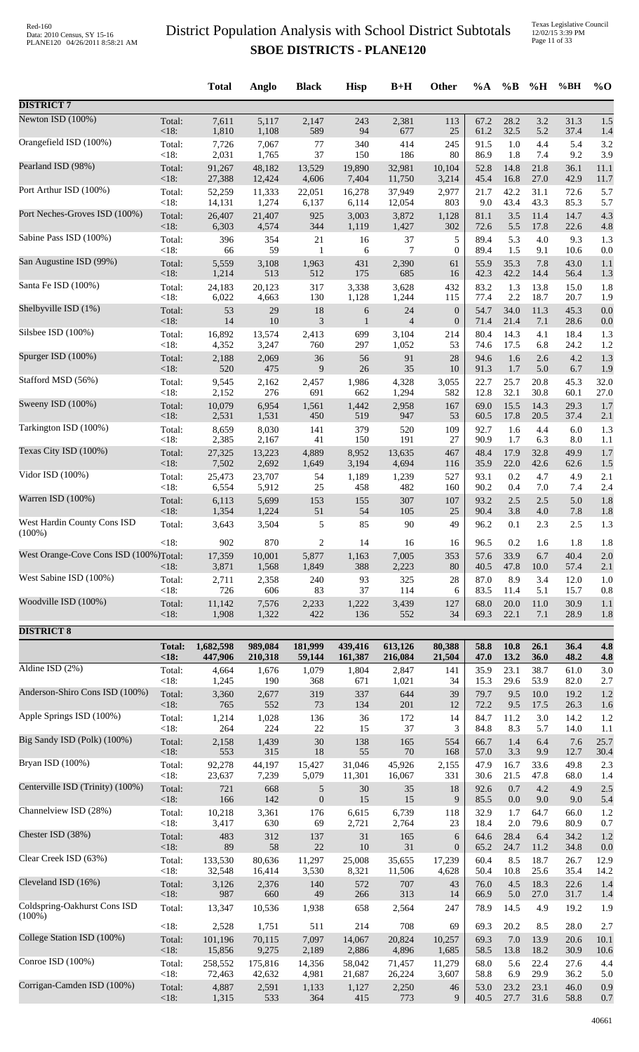|                                        |                      | <b>Total</b>         | Anglo              | <b>Black</b>            | <b>Hisp</b>        | $B+H$                | Other                            | $\%A$        | $\%$ B           | %H           | %BH             | $\%$ O       |
|----------------------------------------|----------------------|----------------------|--------------------|-------------------------|--------------------|----------------------|----------------------------------|--------------|------------------|--------------|-----------------|--------------|
| <b>DISTRICT 7</b>                      |                      |                      |                    |                         |                    |                      |                                  |              |                  |              |                 |              |
| Newton ISD (100%)                      | Total:               | 7,611                | 5,117              | 2,147                   | 243                | 2,381                | 113                              | 67.2         | 28.2             | 3.2          | 31.3            | 1.5          |
| Orangefield ISD (100%)                 | < 18:<br>Total:      | 1,810<br>7,726       | 1,108<br>7,067     | 589<br>77               | 94<br>340          | 677<br>414           | 25<br>245                        | 61.2<br>91.5 | 32.5<br>1.0      | 5.2<br>4.4   | 37.4<br>5.4     | 1.4<br>3.2   |
|                                        | <18:                 | 2,031                | 1,765              | 37                      | 150                | 186                  | 80                               | 86.9         | 1.8              | 7.4          | 9.2             | 3.9          |
| Pearland ISD (98%)                     | Total:<br>< 18:      | 91,267<br>27,388     | 48,182<br>12,424   | 13,529<br>4,606         | 19,890<br>7,404    | 32,981<br>11,750     | 10,104<br>3,214                  | 52.8<br>45.4 | 14.8<br>16.8     | 21.8<br>27.0 | 36.1<br>42.9    | 11.1<br>11.7 |
| Port Arthur ISD (100%)                 | Total:               | 52,259               | 11,333             | 22,051                  | 16,278             | 37,949               | 2,977                            | 21.7         | 42.2             | 31.1         | 72.6            | 5.7          |
| Port Neches-Groves ISD (100%)          | <18:<br>Total:       | 14,131<br>26,407     | 1,274<br>21,407    | 6,137<br>925            | 6,114<br>3,003     | 12,054<br>3,872      | 803<br>1,128                     | 9.0<br>81.1  | 43.4<br>3.5      | 43.3<br>11.4 | 85.3<br>14.7    | 5.7<br>4.3   |
| Sabine Pass ISD (100%)                 | <18:<br>Total:       | 6,303<br>396         | 4,574<br>354       | 344<br>21               | 1,119<br>16        | 1,427<br>37          | 302<br>5                         | 72.6<br>89.4 | 5.5<br>5.3       | 17.8<br>4.0  | 22.6<br>9.3     | 4.8<br>1.3   |
|                                        | $<18$ :              | 66                   | 59                 | $\mathbf{1}$            | 6                  | $\tau$               | $\boldsymbol{0}$                 | 89.4         | 1.5              | 9.1          | 10.6            | 0.0          |
| San Augustine ISD (99%)                | Total:<br>< 18:      | 5,559<br>1,214       | 3,108<br>513       | 1,963<br>512            | 431<br>175         | 2,390<br>685         | 61<br>16                         | 55.9<br>42.3 | 35.3<br>42.2     | 7.8<br>14.4  | 43.0<br>56.4    | 1.1<br>1.3   |
| Santa Fe ISD (100%)                    | Total:<br>$<18$ :    | 24,183<br>6,022      | 20,123<br>4,663    | 317<br>130              | 3,338<br>1,128     | 3,628<br>1,244       | 432<br>115                       | 83.2<br>77.4 | 1.3<br>2.2       | 13.8<br>18.7 | 15.0<br>20.7    | 1.8<br>1.9   |
| Shelbyville ISD (1%)                   | Total:<br>$<18$ :    | 53<br>14             | 29<br>10           | 18<br>$\mathfrak{Z}$    | 6<br>$\mathbf{1}$  | 24<br>$\overline{4}$ | $\mathbf{0}$<br>$\boldsymbol{0}$ | 54.7<br>71.4 | 34.0<br>21.4     | 11.3<br>7.1  | 45.3<br>28.6    | 0.0<br>0.0   |
| Silsbee ISD (100%)                     | Total:               | 16,892               | 13,574             | 2,413                   | 699                | 3,104                | 214                              | 80.4         | 14.3             | 4.1          | 18.4            | 1.3          |
| Spurger ISD (100%)                     | $<18$ :<br>Total:    | 4,352<br>2,188       | 3,247<br>2,069     | 760<br>36               | 297<br>56          | 1,052<br>91          | 53<br>28                         | 74.6<br>94.6 | 17.5<br>1.6      | 6.8<br>2.6   | 24.2<br>4.2     | 1.2<br>1.3   |
| Stafford MSD (56%)                     | < 18:<br>Total:      | 520                  | 475<br>2,162       | 9                       | $26\,$             | 35                   | 10                               | 91.3<br>22.7 | 1.7<br>25.7      | 5.0<br>20.8  | 6.7<br>45.3     | 1.9<br>32.0  |
|                                        | <18:                 | 9,545<br>2,152       | 276                | 2,457<br>691            | 1,986<br>662       | 4,328<br>1,294       | 3,055<br>582                     | 12.8         | 32.1             | 30.8         | 60.1            | 27.0         |
| Sweeny ISD (100%)                      | Total:<br><18:       | 10,079<br>2,531      | 6,954<br>1,531     | 1,561<br>450            | 1,442<br>519       | 2,958<br>947         | 167<br>53                        | 69.0<br>60.5 | 15.5<br>17.8     | 14.3<br>20.5 | 29.3<br>37.4    | 1.7<br>2.1   |
| Tarkington ISD (100%)                  | Total:               | 8,659                | 8,030              | 141                     | 379                | 520                  | 109                              | 92.7         | 1.6              | 4.4          | 6.0             | 1.3          |
| Texas City ISD (100%)                  | < 18:<br>Total:      | 2,385<br>27,325      | 2,167<br>13,223    | 41<br>4,889             | 150<br>8,952       | 191<br>13,635        | 27<br>467                        | 90.9<br>48.4 | 1.7<br>17.9      | 6.3<br>32.8  | $8.0\,$<br>49.9 | 1.1<br>1.7   |
|                                        | <18:                 | 7,502                | 2,692              | 1,649                   | 3,194              | 4,694                | 116                              | 35.9         | 22.0             | 42.6         | 62.6            | 1.5          |
| Vidor ISD (100%)                       | Total:<br><18:       | 25,473<br>6,554      | 23,707<br>5,912    | 54<br>$25\,$            | 1,189<br>458       | 1,239<br>482         | 527<br>160                       | 93.1<br>90.2 | 0.2<br>0.4       | 4.7<br>7.0   | 4.9<br>7.4      | 2.1<br>2.4   |
| Warren ISD (100%)                      | Total:               | 6,113                | 5,699              | 153                     | 155                | 307                  | 107                              | 93.2         | 2.5              | 2.5          | 5.0             | 1.8          |
| West Hardin County Cons ISD            | $<18$ :<br>Total:    | 1,354<br>3,643       | 1,224<br>3,504     | 51<br>$\mathfrak s$     | 54<br>85           | 105<br>90            | 25<br>49                         | 90.4<br>96.2 | 3.8<br>0.1       | 4.0<br>2.3   | 7.8<br>2.5      | 1.8<br>1.3   |
| $(100\%)$                              | $<18$ :              | 902                  | 870                | 2                       | 14                 | 16                   | 16                               | 96.5         | 0.2              | 1.6          | 1.8             | 1.8          |
| West Orange-Cove Cons ISD (100%)Total: |                      | 17,359               | 10,001             | 5,877                   | 1,163              | 7,005                | 353                              | 57.6         | 33.9             | 6.7          | 40.4            | 2.0          |
| West Sabine ISD (100%)                 | < 18:<br>Total:      | 3,871<br>2,711       | 1,568<br>2,358     | 1,849<br>240            | 388<br>93          | 2,223<br>325         | 80<br>28                         | 40.5<br>87.0 | 47.8<br>8.9      | 10.0<br>3.4  | 57.4<br>12.0    | 2.1<br>1.0   |
| Woodville ISD (100%)                   | $<18$ :              | 726                  | 606                | 83                      | 37                 | 114                  | 6                                | 83.5         | 11.4             | 5.1          | 15.7            | 0.8          |
|                                        | Total:<br>$<18$ :    | 11,142<br>1,908      | 7,576<br>1,322     | 2,233<br>422            | 1,222<br>136       | 3,439<br>552         | 127<br>34                        | 68.0<br>69.3 | $20.0\,$<br>22.1 | 11.0<br>7.1  | 30.9<br>28.9    | 1.1<br>1.8   |
| <b>DISTRICT 8</b>                      |                      |                      |                    |                         |                    |                      |                                  |              |                  |              |                 |              |
|                                        | <b>Total:</b><br><18 | 1,682,598<br>447,906 | 989,084<br>210,318 | 181,999<br>59,144       | 439,416<br>161,387 | 613,126<br>216,084   | 80,388<br>21,504                 | 58.8<br>47.0 | 10.8<br>13.2     | 26.1<br>36.0 | 36.4<br>48.2    | 4.8<br>4.8   |
| Aldine ISD $(2\%)$                     | Total:               | 4,664                | 1,676              | 1,079                   | 1,804              | 2,847                | 141                              | 35.9         | 23.1             | 38.7         | 61.0            | 3.0          |
| Anderson-Shiro Cons ISD (100%)         | <18:<br>Total:       | 1,245<br>3,360       | 190<br>2,677       | 368<br>319              | 671<br>337         | 1,021<br>644         | 34<br>39                         | 15.3<br>79.7 | 29.6<br>9.5      | 53.9<br>10.0 | 82.0<br>19.2    | 2.7<br>1.2   |
|                                        | $<18$ :              | 765                  | 552                | 73                      | 134                | 201                  | 12                               | 72.2         | 9.5              | 17.5         | 26.3            | 1.6          |
| Apple Springs ISD (100%)               | Total:<br>$<18$ :    | 1,214<br>264         | 1,028<br>224       | 136<br>22               | $36\,$<br>15       | 172<br>37            | 14<br>3                          | 84.7<br>84.8 | 11.2<br>8.3      | 3.0<br>5.7   | 14.2<br>14.0    | 1.2<br>1.1   |
| Big Sandy ISD (Polk) (100%)            | Total:<br>< 18:      | 2,158<br>553         | 1,439<br>315       | $30\,$<br>$18\,$        | 138<br>55          | 165<br>70            | 554<br>168                       | 66.7<br>57.0 | 1.4<br>3.3       | 6.4<br>9.9   | 7.6<br>12.7     | 25.7<br>30.4 |
| Bryan ISD (100%)                       | Total:<br>$<18$ :    | 92,278<br>23,637     | 44,197<br>7,239    | 15,427<br>5,079         | 31,046<br>11,301   | 45,926<br>16,067     | 2,155<br>331                     | 47.9<br>30.6 | 16.7<br>21.5     | 33.6<br>47.8 | 49.8<br>68.0    | 2.3<br>1.4   |
| Centerville ISD (Trinity) (100%)       | Total:               | 721                  | 668                | 5                       | $30\,$             | 35                   | 18                               | 92.6         | 0.7              | 4.2          | 4.9             | 2.5          |
| Channelview ISD (28%)                  | < 18:<br>Total:      | 166<br>10,218        | 142<br>3,361       | $\boldsymbol{0}$<br>176 | 15<br>6,615        | 15<br>6,739          | 9<br>118                         | 85.5<br>32.9 | $0.0\,$<br>1.7   | 9.0<br>64.7  | 9.0<br>66.0     | 5.4<br>1.2   |
| Chester ISD (38%)                      | $<18$ :              | 3,417<br>483         | 630<br>312         | 69<br>137               | 2,721              | 2,764                | 23                               | 18.4<br>64.6 | $2.0\,$<br>28.4  | 79.6<br>6.4  | 80.9<br>34.2    | 0.7          |
|                                        | Total:<br><18:       | 89                   | 58                 | $22\,$                  | $31\,$<br>$10\,$   | 165<br>31            | 6<br>$\boldsymbol{0}$            | 65.2         | 24.7             | 11.2         | 34.8            | 1.2<br>0.0   |
| Clear Creek ISD (63%)                  | Total:<br>$<18$ :    | 133,530<br>32,548    | 80,636<br>16,414   | 11,297<br>3,530         | 25,008<br>8,321    | 35,655<br>11,506     | 17,239<br>4,628                  | 60.4<br>50.4 | 8.5<br>10.8      | 18.7<br>25.6 | 26.7<br>35.4    | 12.9<br>14.2 |
| Cleveland ISD (16%)                    | Total:               | 3,126                | 2,376              | 140                     | 572                | 707                  | 43                               | 76.0         | 4.5              | 18.3         | 22.6            | 1.4          |
| Coldspring-Oakhurst Cons ISD           | $<18$ :<br>Total:    | 987<br>13,347        | 660<br>10,536      | 49<br>1,938             | 266<br>658         | 313<br>2,564         | 14<br>247                        | 66.9<br>78.9 | 5.0<br>14.5      | 27.0<br>4.9  | 31.7<br>19.2    | 1.4<br>1.9   |
| $(100\%)$                              | $<18$ :              | 2,528                | 1,751              | 511                     | 214                | 708                  | 69                               | 69.3         | 20.2             | 8.5          | 28.0            | 2.7          |
| College Station ISD (100%)             | Total:               | 101,196              | 70,115             | 7,097                   | 14,067             | 20,824               | 10,257                           | 69.3         | 7.0              | 13.9         | 20.6            | 10.1         |
| Conroe ISD (100%)                      | <18:<br>Total:       | 15,856<br>258,552    | 9,275<br>175,816   | 2,189<br>14,356         | 2,886<br>58,042    | 4,896<br>71,457      | 1,685<br>11,279                  | 58.5<br>68.0 | 13.8<br>5.6      | 18.2<br>22.4 | 30.9<br>27.6    | 10.6<br>4.4  |
| Corrigan-Camden ISD (100%)             | $<18$ :              | 72,463               | 42,632             | 4,981                   | 21,687             | 26,224               | 3,607                            | 58.8         | 6.9              | 29.9         | 36.2            | 5.0          |
|                                        | Total:<br>$<18$ :    | 4,887<br>1,315       | 2,591<br>533       | 1,133<br>364            | 1,127<br>415       | 2,250<br>773         | 46<br>9                          | 53.0<br>40.5 | 23.2<br>27.7     | 23.1<br>31.6 | 46.0<br>58.8    | 0.9<br>0.7   |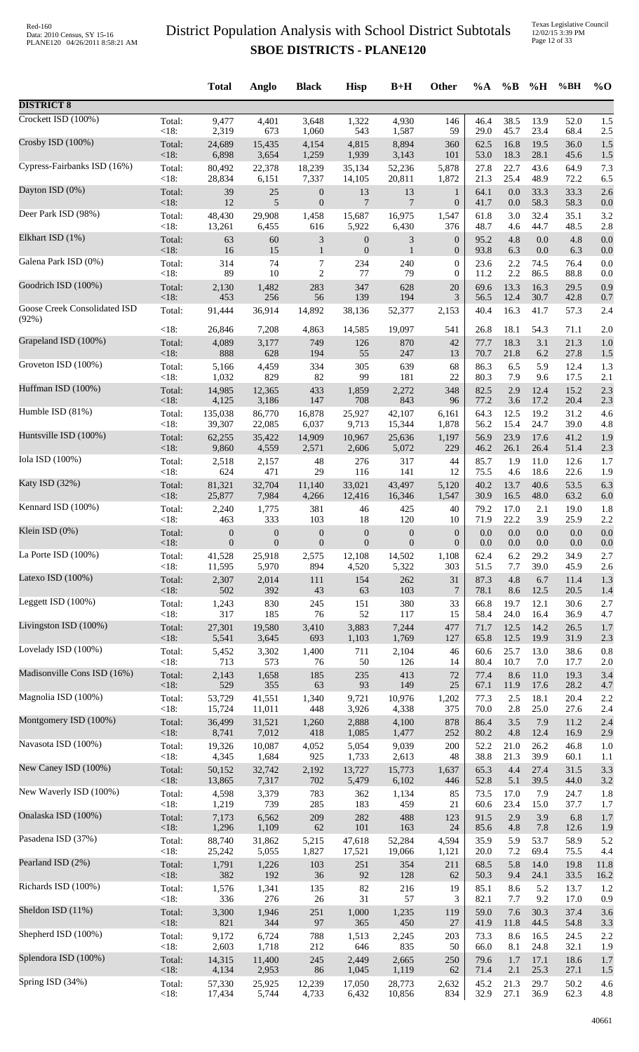Texas Legislative Council 12/02/15 3:39 PM Page 12 of 33

|                                       |                | <b>Total</b>     | Anglo            | <b>Black</b>                | <b>Hisp</b>      | $B+H$            | Other            | $\%A$        | $\%$ B         | %H           | %BH          | $\%$ O      |
|---------------------------------------|----------------|------------------|------------------|-----------------------------|------------------|------------------|------------------|--------------|----------------|--------------|--------------|-------------|
| <b>DISTRICT 8</b>                     |                |                  |                  |                             |                  |                  |                  |              |                |              |              |             |
| Crockett ISD (100%)                   | Total:         | 9,477            | 4,401            | 3,648                       | 1,322            | 4,930            | 146              | 46.4         | 38.5           | 13.9         | 52.0         | 1.5         |
| Crosby ISD (100%)                     | < 18:          | 2,319            | 673              | 1,060                       | 543              | 1,587            | 59               | 29.0         | 45.7           | 23.4         | 68.4         | 2.5         |
|                                       | Total:         | 24,689           | 15,435           | 4,154                       | 4,815            | 8,894            | 360              | 62.5         | 16.8           | 19.5         | 36.0         | 1.5         |
| Cypress-Fairbanks ISD (16%)           | <18:           | 6,898            | 3,654            | 1,259                       | 1,939            | 3,143            | 101              | 53.0         | 18.3           | 28.1         | 45.6         | 1.5         |
|                                       | Total:         | 80,492           | 22,378           | 18,239                      | 35,134           | 52,236           | 5,878            | 27.8         | 22.7           | 43.6         | 64.9         | 7.3         |
|                                       | < 18:          | 28,834           | 6,151            | 7,337                       | 14,105           | 20,811           | 1,872            | 21.3         | 25.4           | 48.9         | 72.2         | 6.5         |
| Dayton ISD (0%)                       | Total:         | 39               | 25               | $\boldsymbol{0}$            | 13               | 13               | $\mathbf{1}$     | 64.1         | 0.0            | 33.3         | 33.3         | 2.6         |
|                                       | <18:           | $12\,$           | 5                | $\boldsymbol{0}$            | $\tau$           | $\overline{7}$   | $\boldsymbol{0}$ | 41.7         | 0.0            | 58.3         | 58.3         | 0.0         |
| Deer Park ISD (98%)                   | Total:         | 48,430           | 29,908           | 1,458                       | 15,687           | 16,975           | 1,547            | 61.8         | 3.0            | 32.4         | 35.1         | 3.2         |
| Elkhart ISD (1%)                      | <18:           | 13,261           | 6,455            | 616                         | 5,922            | 6,430            | 376              | 48.7         | 4.6            | 44.7         | 48.5         | 2.8         |
|                                       | Total:         | 63               | 60               | $\ensuremath{\mathfrak{Z}}$ | $\mathbf{0}$     | 3                | $\mathbf{0}$     | 95.2         | 4.8            | 0.0          | 4.8          | 0.0         |
| Galena Park ISD (0%)                  | <18:           | 16               | 15               | $\mathbf{1}$                | $\mathbf{0}$     | $\mathbf{1}$     | $\mathbf{0}$     | 93.8         | 6.3            | 0.0          | 6.3          | 0.0         |
|                                       | Total:         | 314              | 74               | 7                           | 234              | 240              | $\boldsymbol{0}$ | 23.6         | 2.2            | 74.5         | 76.4         | 0.0         |
|                                       | < 18:          | 89               | 10               | $\overline{2}$              | 77               | 79               | $\theta$         | 11.2         | 2.2            | 86.5         | 88.8         | 0.0         |
| Goodrich ISD (100%)                   | Total:         | 2,130            | 1,482            | 283                         | 347              | 628              | 20               | 69.6         | 13.3           | 16.3         | 29.5         | 0.9         |
|                                       | $<18$ :        | 453              | 256              | 56                          | 139              | 194              | 3                | 56.5         | 12.4           | 30.7         | 42.8         | 0.7         |
| Goose Creek Consolidated ISD<br>(92%) | Total:         | 91,444           | 36,914           | 14,892                      | 38,136           | 52,377           | 2,153            | 40.4         | 16.3           | 41.7         | 57.3         | 2.4         |
| Grapeland ISD (100%)                  | < 18:          | 26,846           | 7,208            | 4,863                       | 14,585           | 19,097           | 541              | 26.8         | 18.1           | 54.3         | 71.1         | 2.0         |
|                                       | Total:         | 4,089            | 3,177            | 749                         | 126              | 870              | 42               | 77.7         | 18.3           | 3.1          | 21.3         | 1.0         |
|                                       | $<18$ :        | 888              | 628              | 194                         | 55               | 247              | 13               | 70.7         | 21.8           | 6.2          | 27.8         | 1.5         |
| Groveton ISD (100%)                   | Total:         | 5,166            | 4,459            | 334                         | 305              | 639              | 68               | 86.3         | 6.5            | 5.9          | 12.4         | 1.3         |
|                                       | < 18:          | 1,032            | 829              | 82                          | 99               | 181              | 22               | 80.3         | 7.9            | 9.6          | 17.5         | 2.1         |
| Huffman ISD (100%)                    | Total:         | 14,985           | 12,365           | 433                         | 1,859            | 2,272            | 348              | 82.5         | 2.9            | 12.4         | 15.2         | 2.3         |
| Humble ISD (81%)                      | <18:           | 4,125            | 3,186            | 147                         | 708              | 843              | 96               | 77.2         | 3.6            | 17.2         | 20.4         | 2.3         |
|                                       | Total:         | 135,038          | 86,770           | 16,878                      | 25,927           | 42,107           | 6,161            | 64.3         | 12.5           | 19.2         | 31.2         | 4.6         |
| Huntsville ISD (100%)                 | <18:           | 39,307           | 22,085           | 6,037                       | 9,713            | 15,344           | 1,878            | 56.2         | 15.4           | 24.7         | 39.0         | 4.8         |
|                                       | Total:         | 62,255           | 35,422           | 14,909                      | 10,967           | 25,636           | 1,197            | 56.9         | 23.9           | 17.6         | 41.2         | 1.9         |
|                                       | <18:           | 9,860            | 4,559            | 2,571                       | 2,606            | 5,072            | 229              | 46.2         | 26.1           | 26.4         | 51.4         | 2.3         |
| Iola ISD (100%)                       | Total:         | 2,518            | 2,157            | 48                          | 276              | 317              | 44               | 85.7         | 1.9            | 11.0         | 12.6         | 1.7         |
|                                       | $<18$ :        | 624              | 471              | 29                          | 116              | 141              | 12               | 75.5         | 4.6            | 18.6         | 22.6         | 1.9         |
| Katy ISD (32%)                        | Total:         | 81,321           | 32,704           | 11,140                      | 33,021           | 43,497           | 5,120            | 40.2         | 13.7           | 40.6         | 53.5         | 6.3         |
|                                       | <18:           | 25,877           | 7,984            | 4,266                       | 12,416           | 16,346           | 1,547            | 30.9         | 16.5           | 48.0         | 63.2         | 6.0         |
| Kennard ISD (100%)                    | Total:         | 2,240            | 1,775            | 381                         | 46               | 425              | 40               | 79.2         | 17.0           | 2.1          | 19.0         | 1.8         |
| Klein ISD (0%)                        | < 18:          | 463              | 333              | 103                         | 18               | 120              | 10               | 71.9         | 22.2           | 3.9          | 25.9         | 2.2         |
|                                       | Total:         | $\boldsymbol{0}$ | $\boldsymbol{0}$ | $\boldsymbol{0}$            | $\boldsymbol{0}$ | $\boldsymbol{0}$ | $\mathbf{0}$     | 0.0          | 0.0            | 0.0          | 0.0          | 0.0         |
| La Porte ISD (100%)                   | $<18$ :        | $\mathbf{0}$     | $\overline{0}$   | $\overline{0}$              | $\mathbf{0}$     | $\boldsymbol{0}$ | $\overline{0}$   | $0.0\,$      | $0.0\,$        | $0.0\,$      | 0.0          | 0.0         |
|                                       | Total:         | 41,528           | 25,918           | 2,575                       | 12,108           | 14,502           | 1,108            | 62.4         | 6.2            | 29.2         | 34.9         | 2.7         |
| Latexo ISD (100%)                     | < 18:          | 11,595           | 5,970            | 894                         | 4,520            | 5,322            | 303              | 51.5         | 7.7            | 39.0         | 45.9         | 2.6         |
|                                       | Total:         | 2,307            | 2,014            | 111                         | 154              | 262              | 31               | 87.3         | 4.8            | 6.7          | 11.4         | 1.3         |
| Leggett ISD (100%)                    | <18:           | 502              | 392              | 43                          | 63               | 103              | 7                | 78.1         | 8.6            | 12.5         | 20.5         | 1.4         |
|                                       | Total:         | 1,243            | 830              | 245                         | 151              | 380              | 33               | 66.8         | 19.7           | 12.1         | 30.6         | 2.7         |
|                                       | < 18:          | 317              | 185              | 76                          | 52               | 117              | 15               | 58.4         | 24.0           | 16.4         | 36.9         | 4.7         |
| Livingston ISD (100%)                 | Total:         | 27,301           | 19,580           | 3,410                       | 3,883            | 7,244            | 477              | 71.7         | 12.5           | 14.2         | 26.5         | 1.7         |
|                                       | <18:           | 5,541            | 3,645            | 693                         | 1,103            | 1,769            | 127              | 65.8         | 12.5           | 19.9         | 31.9         | 2.3         |
| Lovelady ISD (100%)                   | Total:         | 5,452            | 3,302            | 1,400                       | 711              | 2,104            | 46               | 60.6         | 25.7           | 13.0         | 38.6         | 0.8         |
|                                       | < 18:          | 713              | 573              | 76                          | 50               | 126              | 14               | 80.4         | 10.7           | 7.0          | 17.7         | 2.0         |
| Madisonville Cons ISD (16%)           | Total:<br><18: | 2,143<br>529     | 1,658<br>355     | 185<br>63                   | 235<br>93        | 413<br>149       | 72<br>25         | 77.4         | 8.6            | 11.0         | 19.3<br>28.2 | 3.4         |
| Magnolia ISD (100%)                   | Total:         | 53,729           | 41,551           | 1,340                       | 9,721            | 10,976           | 1,202            | 67.1<br>77.3 | 11.9<br>2.5    | 17.6<br>18.1 | 20.4         | 4.7<br>2.2  |
| Montgomery ISD (100%)                 | <18:           | 15,724           | 11,011           | 448                         | 3,926            | 4,338            | 375              | 70.0         | 2.8            | 25.0         | 27.6         | 2.4         |
|                                       | Total:         | 36,499           | 31,521           | 1,260                       | 2,888            | 4,100            | 878              | 86.4         | 3.5            | 7.9          | 11.2         | 2.4         |
|                                       | <18:           | 8,741            | 7,012            | 418                         | 1,085            | 1,477            | 252              | 80.2         | 4.8            | 12.4         | 16.9         | 2.9         |
| Navasota ISD (100%)                   | Total:         | 19,326           | 10,087           | 4,052                       | 5,054            | 9,039            | 200              | 52.2         | 21.0           | 26.2         | 46.8         | 1.0         |
|                                       | < 18:          | 4,345            | 1,684            | 925                         | 1,733            | 2,613            | 48               | 38.8         | 21.3           | 39.9         | 60.1         | 1.1         |
| New Caney ISD (100%)                  | Total:         | 50,152           | 32,742           | 2,192                       | 13,727           | 15,773           | 1,637            | 65.3         | 4.4            | 27.4         | 31.5         | 3.3         |
|                                       | <18:           | 13,865           | 7,317            | 702                         | 5,479            | 6,102            | 446              | 52.8         | 5.1            | 39.5         | 44.0         | 3.2         |
| New Waverly ISD (100%)                | Total:         | 4,598            | 3,379            | 783                         | 362              | 1,134            | 85               | 73.5         | 17.0           | 7.9          | 24.7         | 1.8         |
| Onalaska ISD (100%)                   | < 18:          | 1,219            | 739              | 285                         | 183              | 459              | 21               | 60.6         | 23.4           | 15.0         | 37.7         | 1.7         |
|                                       | Total:         | 7,173            | 6,562            | 209                         | 282              | 488              | 123              | 91.5         | 2.9            | 3.9          | 6.8          | 1.7         |
| Pasadena ISD (37%)                    | <18:           | 1,296            | 1,109            | 62                          | 101              | 163              | 24               | 85.6         | 4.8            | 7.8          | 12.6         | 1.9         |
|                                       | Total:         | 88,740           | 31,862           | 5,215                       | 47,618           | 52,284           | 4,594            | 35.9         | 5.9            | 53.7         | 58.9         | 5.2         |
| Pearland ISD (2%)                     | < 18:          | 25,242           | 5,055<br>1,226   | 1,827<br>103                | 17,521<br>251    | 19,066<br>354    | 1,121<br>211     | 20.0<br>68.5 | $7.2\,$<br>5.8 | 69.4<br>14.0 | 75.5<br>19.8 | 4.4<br>11.8 |
|                                       | Total:<br><18: | 1,791<br>382     | 192              | 36                          | $\mathbf{92}$    | 128              | 62               | 50.3         | 9.4            | 24.1         | 33.5         | 16.2        |
| Richards ISD (100%)                   | Total:         | 1,576            | 1,341            | 135                         | 82               | 216              | 19               | 85.1         | 8.6            | 5.2          | 13.7         | 1.2         |
|                                       | < 18:          | 336              | 276              | 26                          | 31               | 57               | 3                | 82.1         | 7.7            | 9.2          | 17.0         | 0.9         |
| Sheldon ISD (11%)                     | Total:         | 3,300            | 1,946            | $251\,$                     | 1,000            | 1,235            | 119              | 59.0         | 7.6            | 30.3         | 37.4         | 3.6         |
|                                       | <18:           | 821              | 344              | 97                          | 365              | 450              | 27               | 41.9         | 11.8           | 44.5         | 54.8         | 3.3         |
| Shepherd ISD (100%)                   | Total:         | 9,172            | 6,724            | 788                         | 1,513            | 2,245            | 203              | 73.3         | 8.6            | 16.5         | 24.5         | 2.2         |
|                                       | < 18:          | 2,603            | 1,718            | 212                         | 646              | 835              | 50               | 66.0         | 8.1            | 24.8         | 32.1         | 1.9         |
| Splendora ISD (100%)                  | Total:         | 14,315           | 11,400           | 245                         | 2,449            | 2,665            | 250              | 79.6         | 1.7            | 17.1         | 18.6         | 1.7         |
| Spring ISD (34%)                      | <18:           | 4,134            | 2,953            | 86                          | 1,045            | 1,119            | 62               | 71.4         | 2.1            | 25.3         | 27.1         | 1.5         |
|                                       | Total:         | 57,330           | 25,925           | 12,239                      | 17,050           | 28,773           | 2,632            | 45.2         | 21.3           | 29.7         | 50.2         | 4.6         |
|                                       | <18:           | 17,434           | 5,744            | 4,733                       | 6,432            | 10,856           | 834              | 32.9         | 27.1           | 36.9         | 62.3         | 4.8         |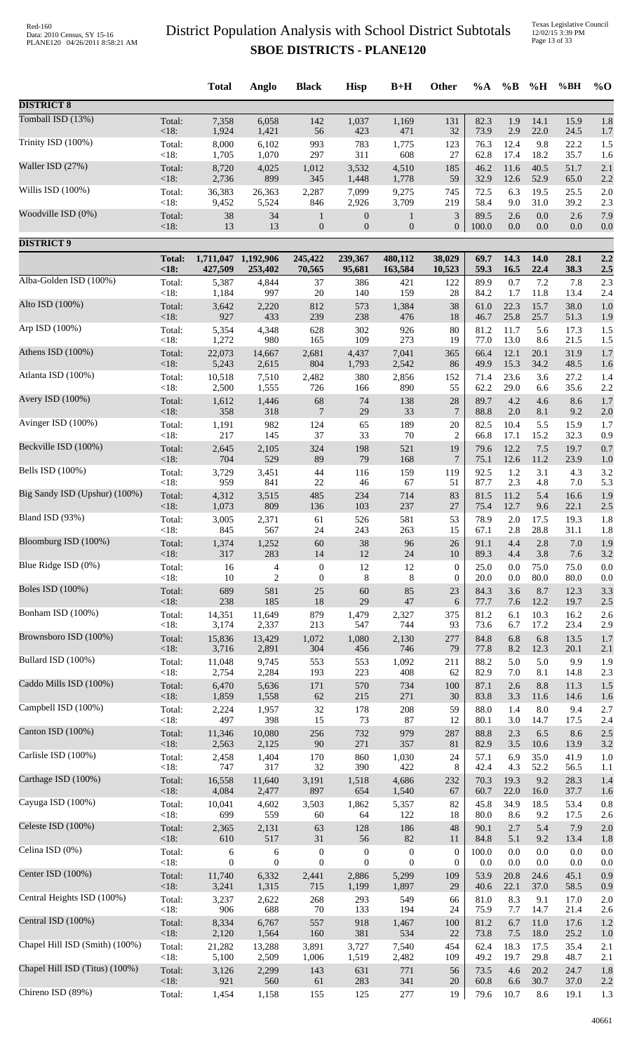Texas Legislative Council 12/02/15 3:39 PM Page 13 of 33

|                                |                 | <b>Total</b>    | Anglo           | <b>Black</b>     | <b>Hisp</b>      | $B+H$            | Other                | %A           | $\%B$        | %H           | %BH          | $%$ <sup>O</sup> |
|--------------------------------|-----------------|-----------------|-----------------|------------------|------------------|------------------|----------------------|--------------|--------------|--------------|--------------|------------------|
| <b>DISTRICT 8</b>              |                 |                 |                 |                  |                  |                  |                      |              |              |              |              |                  |
| Tomball ISD (13%)              | Total:          | 7,358           | 6,058           | 142              | 1,037            | 1,169            | 131                  | 82.3         | 1.9          | 14.1         | 15.9         | 1.8              |
|                                | < 18:           | 1,924           | 1,421           | 56               | 423              | 471              | 32                   | 73.9         | 2.9          | 22.0         | 24.5         | 1.7              |
| Trinity ISD (100%)             | Total:          | 8,000           | 6,102           | 993              | 783              | 1,775            | 123                  | 76.3         | 12.4         | 9.8          | 22.2         | 1.5              |
|                                | < 18:           | 1,705           | 1,070           | 297              | 311              | 608              | 27                   | 62.8         | 17.4         | 18.2         | 35.7         | 1.6              |
| Waller ISD (27%)               | Total:          | 8,720           | 4,025           | 1,012            | 3,532            | 4,510            | 185                  | 46.2         | 11.6         | 40.5         | 51.7         | 2.1              |
|                                | < 18:           | 2,736           | 899             | 345              | 1,448            | 1,778            | 59                   | 32.9         | 12.6         | 52.9         | 65.0         | 2.2              |
| Willis ISD (100%)              | Total:          | 36,383          | 26,363          | 2,287            | 7,099            | 9,275            | 745                  | 72.5         | 6.3          | 19.5         | 25.5         | 2.0              |
|                                | < 18:           | 9,452           | 5,524           | 846              | 2,926            | 3,709            | 219                  | 58.4         | 9.0          | 31.0         | 39.2         | 2.3              |
| Woodville ISD (0%)             | Total:          | 38              | 34              | $\mathbf{1}$     | $\boldsymbol{0}$ | $\mathbf{1}$     | 3                    | 89.5         | 2.6          | 0.0          | 2.6          | 7.9              |
|                                | <18:            | 13              | 13              | $\boldsymbol{0}$ | $\mathbf{0}$     | $\boldsymbol{0}$ | $\boldsymbol{0}$     | 100.0        | 0.0          | 0.0          | 0.0          | 0.0              |
| <b>DISTRICT 9</b>              |                 |                 |                 |                  |                  |                  |                      |              |              |              |              |                  |
|                                | <b>Total:</b>   | 1,711,047       | 1,192,906       | 245,422          | 239,367          | 480,112          | 38,029               | 69.7         | 14.3         | 14.0         | 28.1         | 2.2              |
| Alba-Golden ISD (100%)         | <18:            | 427,509         | 253,402         | 70,565           | 95,681           | 163,584          | 10,523               | 59.3         | 16.5         | 22.4         | 38.3         | 2.5              |
|                                | Total:          | 5,387           | 4,844           | 37               | 386              | 421              | 122                  | 89.9         | 0.7          | 7.2          | 7.8          | 2.3              |
| Alto ISD (100%)                | < 18:           | 1,184           | 997             | $20\,$           | 140              | 159              | 28                   | 84.2         | 1.7          | 11.8         | 13.4         | 2.4              |
|                                | Total:          | 3,642           | 2,220           | 812              | 573              | 1,384            | 38                   | 61.0         | 22.3         | 15.7         | 38.0         | 1.0              |
| Arp ISD (100%)                 | < 18:           | 927             | 433             | 239              | 238              | 476              | 18                   | 46.7         | 25.8         | 25.7         | 51.3         | 1.9              |
|                                | Total:          | 5,354           | 4,348           | 628              | 302              | 926              | 80                   | 81.2         | 11.7         | 5.6          | 17.3         | 1.5              |
|                                | < 18:           | 1,272           | 980             | 165              | 109              | 273              | 19                   | 77.0         | 13.0         | 8.6          | 21.5         | 1.5              |
| Athens ISD (100%)              | Total:          | 22,073          | 14,667          | 2,681            | 4,437            | 7,041            | 365                  | 66.4         | 12.1         | 20.1         | 31.9         | $1.7$            |
|                                | < 18:           | 5,243           | 2,615           | 804              | 1,793            | 2,542            | 86                   | 49.9         | 15.3         | 34.2         | 48.5         | 1.6              |
| Atlanta ISD (100%)             | Total:          | 10,518          | 7,510           | 2,482            | 380              | 2,856            | 152                  | 71.4         | 23.6         | 3.6          | 27.2         | 1.4              |
|                                | < 18:           | 2,500           | 1,555           | 726              | 166              | 890              | 55                   | 62.2         | 29.0         | 6.6          | 35.6         | 2.2              |
| Avery ISD (100%)               | Total:          | 1,612           | 1,446           | 68               | 74               | 138              | 28                   | 89.7         | 4.2          | 4.6          | 8.6          | $1.7$            |
|                                | < 18:           | 358             | 318             | $\overline{7}$   | 29               | 33               | 7                    | 88.8         | $2.0\,$      | 8.1          | 9.2          | $2.0\,$          |
| Avinger ISD (100%)             | Total:<br>< 18: | 1,191<br>217    | 982             | 124<br>37        | 65<br>33         | 189<br>$70\,$    | 20                   | 82.5<br>66.8 | 10.4<br>17.1 | 5.5<br>15.2  | 15.9<br>32.3 | 1.7              |
| Beckville ISD (100%)           | Total:          | 2,645           | 145<br>2,105    | 324              | 198              | 521              | $\overline{c}$<br>19 | 79.6         | 12.2         | 7.5          | 19.7         | 0.9<br>0.7       |
| Bells ISD (100%)               | < 18:           | 704             | 529             | 89               | 79               | 168              | $\overline{7}$       | 75.1         | 12.6         | 11.2         | 23.9         | 1.0              |
|                                | Total:          | 3,729           | 3,451           | 44               | 116              | 159              | 119                  | 92.5         | $1.2\,$      | 3.1          | 4.3          | 3.2              |
| Big Sandy ISD (Upshur) (100%)  | < 18:           | 959             | 841             | $22\,$           | 46               | 67               | 51                   | 87.7         | 2.3          | 4.8          | 7.0          | 5.3              |
|                                | Total:          | 4,312           | 3,515           | 485              | 234              | 714              | 83                   | 81.5         | 11.2         | 5.4          | 16.6         | 1.9              |
| Bland ISD (93%)                | < 18:           | 1,073           | 809             | 136              | 103              | 237              | 27                   | 75.4         | 12.7         | 9.6          | 22.1         | 2.5              |
|                                | Total:          | 3,005           | 2,371           | 61               | 526              | 581              | 53                   | 78.9         | 2.0          | 17.5         | 19.3         | 1.8              |
| Bloomburg ISD (100%)           | $<18$ :         | 845             | 567             | 24               | 243              | 263              | 15                   | 67.1         | 2.8          | 28.8         | 31.1         | 1.8              |
|                                | Total:          | 1,374           | 1.252           | 60               | 38               | 96               | 26                   | 91.1         | 4.4          | 2.8          | $7.0\,$      | 1.9              |
| Blue Ridge ISD (0%)            | < 18:           | 317             | 283             | 14               | 12               | 24               | 10                   | 89.3         | 4.4          | 3.8          | 7.6          | 3.2              |
|                                | Total:          | 16              | $\overline{4}$  | $\boldsymbol{0}$ | 12               | 12               | $\boldsymbol{0}$     | 25.0         | 0.0          | 75.0         | 75.0         | 0.0              |
| <b>Boles ISD</b> (100%)        | < 18:           | 10              | $\overline{2}$  | $\boldsymbol{0}$ | $8\phantom{1}$   | 8                | $\boldsymbol{0}$     | 20.0         | 0.0          | 80.0         | 80.0         | 0.0              |
|                                | Total:          | 689             | 581             | 25               | 60               | 85               | 23                   | 84.3         | 3.6          | 8.7          | 12.3         | 3.3              |
| Bonham ISD (100%)              | < 18:           | 238             | 185             | $18\,$           | 29               | 47               | 6                    | 77.7         | 7.6          | 12.2         | 19.7         | 2.5              |
|                                | Total:          | 14,351          | 11,649          | 879              | 1,479            | 2,327            | 375                  | 81.2         | 6.1          | 10.3         | 16.2         | 2.6              |
| Brownsboro ISD (100%)          | < 18:           | 3,174           | 2,337           | 213              | 547              | 744              | 93                   | 73.6         | 6.7          | 17.2         | 23.4         | 2.9              |
|                                | Total:          | 15,836          | 13,429          | 1,072            | 1,080            | 2,130            | 277                  | 84.8         | 6.8          | 6.8          | 13.5         | 1.7              |
|                                | <18:            | 3,716           | 2,891           | 304              | 456              | 746              | 79                   | 77.8         | 8.2          | 12.3         | 20.1         | 2.1              |
| Bullard ISD (100%)             | Total:          | 11,048          | 9,745           | 553              | 553              | 1,092            | 211                  | 88.2         | 5.0          | 5.0          | 9.9          | 1.9              |
|                                | < 18:           | 2,754           | 2,284           | 193              | 223              | 408              | 62                   | 82.9         | 7.0          | 8.1          | 14.8         | 2.3              |
| Caddo Mills ISD (100%)         | Total:          | 6,470           | 5,636           | 171              | 570              | 734              | 100                  | 87.1         | 2.6          | 8.8          | 11.3         | 1.5              |
|                                | < 18:           | 1,859           | 1,558           | 62               | 215              | 271              | 30                   | 83.8         | 3.3          | 11.6         | 14.6         | 1.6              |
| Campbell ISD (100%)            | Total:          | 2,224           | 1,957           | 32               | 178              | $208\,$          | 59                   | 88.0         | 1.4          | 8.0          | 9.4          | 2.7              |
|                                | < 18:           | 497             | 398             | 15               | 73               | 87               | 12                   | 80.1         | 3.0          | 14.7         | 17.5         | 2.4              |
| Canton ISD (100%)              | Total:          | 11,346          | 10,080          | 256              | 732              | 979              | 287                  | 88.8         | 2.3          | 6.5          | 8.6          | 2.5              |
|                                | < 18:           | 2,563           | 2,125           | 90               | 271              | 357              | 81                   | 82.9         | 3.5          | 10.6         | 13.9         | $3.2\,$          |
| Carlisle ISD (100%)            | Total:          | 2,458           | 1,404           | 170              | 860              | 1,030            | 24                   | 57.1         | 6.9          | 35.0         | 41.9         | 1.0              |
|                                | < 18:           | 747             | 317             | 32               | 390              | 422              | 8                    | 42.4         | 4.3          | 52.2         | 56.5         | 1.1              |
| Carthage ISD (100%)            | Total:          | 16,558          | 11,640          | 3,191            | 1,518            | 4,686            | 232                  | 70.3         | 19.3         | 9.2          | 28.3         | 1.4              |
|                                | < 18:           | 4,084           | 2,477           | 897              | 654              | 1,540            | 67                   | 60.7         | 22.0         | 16.0         | 37.7         | 1.6              |
| Cayuga ISD (100%)              | Total:          | 10,041          | 4,602           | 3,503            | 1,862            | 5,357            | 82                   | 45.8         | 34.9         | 18.5         | 53.4         | 0.8              |
| Celeste ISD (100%)             | < 18:           | 699             | 559             | 60               | 64               | 122              | 18                   | 80.0         | 8.6          | 9.2          | 17.5         | 2.6              |
|                                | Total:          | 2,365           | 2,131           | 63               | 128              | 186              | 48                   | 90.1         | 2.7          | 5.4          | 7.9          | 2.0              |
| Celina ISD (0%)                | < 18:           | 610             | 517             | 31               | 56               | 82               | 11                   | 84.8         | 5.1          | 9.2          | 13.4         | 1.8              |
|                                | Total:          | 6               | 6               | $\boldsymbol{0}$ | $\boldsymbol{0}$ | $\boldsymbol{0}$ | $\boldsymbol{0}$     | 100.0        | 0.0          | 0.0          | 0.0          | $0.0\,$          |
| Center ISD (100%)              | < 18:           | $\overline{0}$  | $\mathbf{0}$    | $\boldsymbol{0}$ | $\mathbf{0}$     | $\mathbf{0}$     | $\overline{0}$       | 0.0          | 0.0          | 0.0          | 0.0          | 0.0              |
|                                | Total:          | 11,740          | 6,332           | 2,441            | 2,886            | 5,299            | 109                  | 53.9         | 20.8         | 24.6         | 45.1         | 0.9              |
| Central Heights ISD (100%)     | <18:            | 3,241           | 1,315           | 715              | 1,199            | 1,897            | 29                   | 40.6         | 22.1         | 37.0         | 58.5         | 0.9              |
|                                | Total:          | 3,237           | 2,622           | 268              | 293              | 549              | 66                   | 81.0         | 8.3          | 9.1          | 17.0         | $2.0\,$          |
| Central ISD (100%)             | < 18:           | 906             | 688             | $70\,$           | 133              | 194              | 24                   | 75.9         | 7.7          | 14.7         | 21.4         | 2.6              |
|                                | Total:          | 8,334           | 6,767           | 557              | 918              | 1,467            | 100                  | 81.2         | 6.7          | 11.0         | 17.6         | 1.2              |
| Chapel Hill ISD (Smith) (100%) | <18:            | 2,120<br>21,282 | 1,564           | 160              | 381              | 534              | 22<br>454            | 73.8<br>62.4 | 7.5<br>18.3  | 18.0<br>17.5 | 25.2<br>35.4 | 1.0              |
|                                | Total:<br>< 18: | 5,100           | 13,288<br>2,509 | 3,891<br>1,006   | 3,727<br>1,519   | 7,540<br>2,482   | 109                  | 49.2         | 19.7         | 29.8         | 48.7         | 2.1<br>2.1       |
| Chapel Hill ISD (Titus) (100%) | Total:          | 3,126           | 2,299           | 143              | 631              | 771              | 56                   | 73.5         | 4.6          | 20.2         | 24.7         | 1.8              |
|                                | < 18:           | 921             | 560             | 61               | 283              | 341              | 20                   | 60.8         | 6.6          | 30.7         | 37.0         | 2.2              |
| Chireno ISD (89%)              | Total:          | 1,454           | 1,158           | 155              | 125              | $277\,$          | 19                   | 79.6         | 10.7         | 8.6          | 19.1         | 1.3              |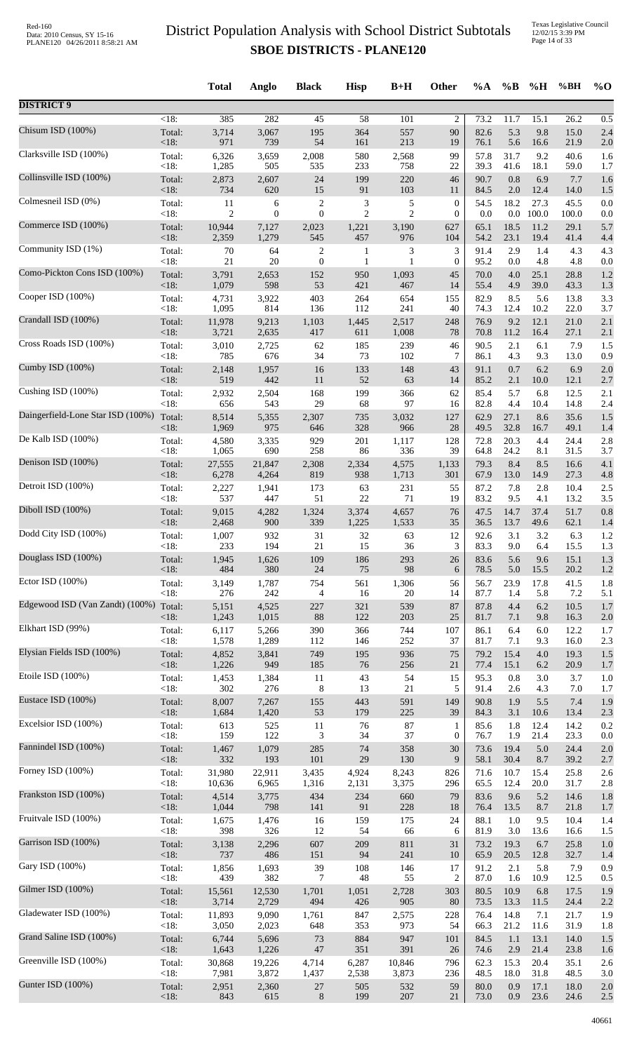|                                   |         | <b>Total</b> | Anglo          | <b>Black</b>     | <b>Hisp</b>     | $B+H$          | Other            | $\%A$ | $\%B$   | %H      | %BH   | $\%$ O |
|-----------------------------------|---------|--------------|----------------|------------------|-----------------|----------------|------------------|-------|---------|---------|-------|--------|
| <b>DISTRICT 9</b>                 |         |              |                |                  |                 |                |                  |       |         |         |       |        |
| Chisum ISD (100%)                 | $<18$ : | 385          | 282            | 45               | $\overline{58}$ | 101            | $\overline{c}$   | 73.2  | 11.7    | 15.1    | 26.2  | 0.5    |
|                                   | Total:  | 3,714        | 3,067          | 195              | 364             | 557            | 90               | 82.6  | 5.3     | 9.8     | 15.0  | 2.4    |
| Clarksville ISD (100%)            | < 18:   | 971          | 739            | 54               | 161             | 213            | 19               | 76.1  | 5.6     | 16.6    | 21.9  | 2.0    |
|                                   | Total:  | 6,326        | 3,659          | 2,008            | 580             | 2,568          | 99               | 57.8  | 31.7    | 9.2     | 40.6  | 1.6    |
|                                   | < 18:   | 1,285        | 505            | 535              | 233             | 758            | 22               | 39.3  | 41.6    | 18.1    | 59.0  | 1.7    |
| Collinsville ISD (100%)           | Total:  | 2,873        | 2,607          | 24               | 199             | 220            | 46               | 90.7  | 0.8     | 6.9     | 7.7   | 1.6    |
|                                   | <18:    | 734          | 620            | 15               | 91              | 103            | 11               | 84.5  | $2.0\,$ | 12.4    | 14.0  | 1.5    |
| Colmesneil ISD (0%)               | Total:  | 11           | 6              | $\overline{c}$   | 3               | $\mathfrak s$  | $\boldsymbol{0}$ | 54.5  | 18.2    | 27.3    | 45.5  | 0.0    |
|                                   | < 18:   | 2            | $\overline{0}$ | $\boldsymbol{0}$ | $\overline{c}$  | $\overline{2}$ | $\boldsymbol{0}$ | 0.0   | $0.0\,$ | 100.0   | 100.0 | 0.0    |
| Commerce ISD (100%)               | Total:  | 10,944       | 7,127          | 2,023            | 1,221           | 3,190          | 627              | 65.1  | 18.5    | 11.2    | 29.1  | 5.7    |
| Community ISD (1%)                | < 18:   | 2,359        | 1,279          | 545              | 457             | 976            | 104              | 54.2  | 23.1    | 19.4    | 41.4  | 4.4    |
|                                   | Total:  | $70\,$       | 64             | 2                | 1               | 3              | 3                | 91.4  | 2.9     | 1.4     | 4.3   | 4.3    |
| Como-Pickton Cons ISD (100%)      | <18:    | 21           | 20             | $\boldsymbol{0}$ | 1               | 1              | $\boldsymbol{0}$ | 95.2  | 0.0     | 4.8     | 4.8   | 0.0    |
|                                   | Total:  | 3,791        | 2,653          | 152              | 950             | 1,093          | 45               | 70.0  | 4.0     | 25.1    | 28.8  | 1.2    |
| Cooper ISD (100%)                 | <18:    | 1,079        | 598            | 53               | 421             | 467            | 14               | 55.4  | 4.9     | 39.0    | 43.3  | 1.3    |
|                                   | Total:  | 4,731        | 3,922          | 403              | 264             | 654            | 155              | 82.9  | 8.5     | 5.6     | 13.8  | 3.3    |
| Crandall ISD (100%)               | < 18:   | 1,095        | 814            | 136              | 112             | 241            | 40               | 74.3  | 12.4    | 10.2    | 22.0  | 3.7    |
|                                   | Total:  | 11,978       | 9,213          | 1,103            | 1,445           | 2,517          | 248              | 76.9  | 9.2     | 12.1    | 21.0  | 2.1    |
|                                   | $<18$ : | 3,721        | 2,635          | 417              | 611             | 1,008          | 78               | 70.8  | 11.2    | 16.4    | 27.1  | 2.1    |
| Cross Roads ISD (100%)            | Total:  | 3,010        | 2,725          | 62               | 185             | 239            | 46               | 90.5  | 2.1     | 6.1     | 7.9   | 1.5    |
|                                   | < 18:   | 785          | 676            | 34               | 73              | 102            | 7                | 86.1  | 4.3     | 9.3     | 13.0  | 0.9    |
| Cumby ISD $(100\%)$               | Total:  | 2,148        | 1,957          | 16               | 133             | 148            | 43               | 91.1  | 0.7     | 6.2     | 6.9   | 2.0    |
|                                   | < 18:   | 519          | 442            | 11               | 52              | 63             | 14               | 85.2  | 2.1     | 10.0    | 12.1  | 2.7    |
| Cushing ISD (100%)                | Total:  | 2,932        | 2,504          | 168              | 199             | 366            | 62               | 85.4  | 5.7     | 6.8     | 12.5  | 2.1    |
|                                   | < 18:   | 656          | 543            | 29               | 68              | 97             | 16               | 82.8  | 4.4     | 10.4    | 14.8  | 2.4    |
| Daingerfield-Lone Star ISD (100%) | Total:  | 8,514        | 5,355          | 2,307            | 735             | 3,032          | 127              | 62.9  | 27.1    | 8.6     | 35.6  | 1.5    |
| De Kalb ISD (100%)                | < 18:   | 1,969        | 975            | 646              | 328             | 966            | 28               | 49.5  | 32.8    | 16.7    | 49.1  | 1.4    |
|                                   | Total:  | 4,580        | 3,335          | 929              | 201             | 1,117          | 128              | 72.8  | 20.3    | 4.4     | 24.4  | 2.8    |
| Denison ISD (100%)                | <18:    | 1,065        | 690            | 258              | 86              | 336            | 39               | 64.8  | 24.2    | 8.1     | 31.5  | 3.7    |
|                                   | Total:  | 27,555       | 21,847         | 2,308            | 2,334           | 4,575          | 1,133            | 79.3  | 8.4     | 8.5     | 16.6  | 4.1    |
| Detroit ISD (100%)                | <18:    | 6,278        | 4,264          | 819              | 938             | 1,713          | 301              | 67.9  | 13.0    | 14.9    | 27.3  | 4.8    |
|                                   | Total:  | 2,227        | 1,941          | 173              | 63              | 231            | 55               | 87.2  | 7.8     | 2.8     | 10.4  | 2.5    |
|                                   | < 18:   | 537          | 447            | 51               | $22\,$          | 71             | 19               | 83.2  | 9.5     | 4.1     | 13.2  | 3.5    |
| Diboll ISD (100%)                 | Total:  | 9,015        | 4,282          | 1,324            | 3,374           | 4,657          | 76               | 47.5  | 14.7    | 37.4    | 51.7  | 0.8    |
|                                   | < 18:   | 2,468        | 900            | 339              | 1,225           | 1,533          | 35               | 36.5  | 13.7    | 49.6    | 62.1  | 1.4    |
| Dodd City ISD (100%)              | Total:  | 1,007        | 932            | 31               | 32              | 63             | 12               | 92.6  | 3.1     | 3.2     | 6.3   | 1.2    |
|                                   | $<18$ : | 233          | 194            | 21               | 15              | 36             | 3                | 83.3  | 9.0     | 6.4     | 15.5  | 1.3    |
| Douglass ISD (100%)               | Total:  | 1,945        | 1,626          | 109              | 186             | 293            | 26               | 83.6  | 5.6     | 9.6     | 15.1  | 1.3    |
| Ector ISD (100%)                  | < 18:   | 484          | 380            | 24               | 75              | 98             | 6                | 78.5  | 5.0     | 15.5    | 20.2  | 1.2    |
|                                   | Total:  | 3,149        | 1,787          | 754              | 561             | 1,306          | 56               | 56.7  | 23.9    | 17.8    | 41.5  | 1.8    |
| Edgewood ISD (Van Zandt) (100%)   | < 18:   | 276          | 242            | $\overline{4}$   | 16              | 20             | 14               | 87.7  | 1.4     | 5.8     | 7.2   | 5.1    |
|                                   | Total:  | 5,151        | 4,525          | 227              | 321             | 539            | 87               | 87.8  | 4.4     | 6.2     | 10.5  | 1.7    |
| Elkhart ISD (99%)                 | < 18:   | 1,243        | 1,015          | 88               | 122             | 203            | 25               | 81.7  | 7.1     | 9.8     | 16.3  | 2.0    |
|                                   | Total:  | 6,117        | 5,266          | 390              | 366             | 744            | 107              | 86.1  | 6.4     | 6.0     | 12.2  | 1.7    |
| Elysian Fields ISD (100%)         | < 18:   | 1,578        | 1,289          | 112              | 146             | 252            | 37               | 81.7  | 7.1     | 9.3     | 16.0  | 2.3    |
|                                   | Total:  | 4,852        | 3,841          | 749              | 195             | 936            | 75               | 79.2  | 15.4    | $4.0\,$ | 19.3  | 1.5    |
|                                   | < 18:   | 1,226        | 949            | 185              | 76              | 256            | 21               | 77.4  | 15.1    | 6.2     | 20.9  | 1.7    |
| Etoile ISD (100%)                 | Total:  | 1,453        | 1,384          | 11               | 43              | 54             | 15               | 95.3  | 0.8     | 3.0     | 3.7   | 1.0    |
|                                   | < 18:   | 302          | 276            | $\,8\,$          | 13              | 21             | 5                | 91.4  | 2.6     | 4.3     | 7.0   | 1.7    |
| Eustace ISD (100%)                | Total:  | 8,007        | 7,267          | 155              | 443             | 591            | 149              | 90.8  | 1.9     | 5.5     | 7.4   | 1.9    |
|                                   | < 18:   | 1,684        | 1,420          | 53               | 179             | 225            | 39               | 84.3  | 3.1     | 10.6    | 13.4  | 2.3    |
| Excelsior ISD (100%)              | Total:  | 613          | 525            | 11               | $76\,$          | 87             | 1                | 85.6  | 1.8     | 12.4    | 14.2  | 0.2    |
| Fannindel ISD (100%)              | < 18:   | 159          | 122            | 3                | 34              | 37             | $\boldsymbol{0}$ | 76.7  | 1.9     | 21.4    | 23.3  | 0.0    |
|                                   | Total:  | 1,467        | 1,079          | 285              | 74              | 358            | 30               | 73.6  | 19.4    | 5.0     | 24.4  | 2.0    |
| Forney ISD (100%)                 | <18:    | 332          | 193            | 101              | $29\,$          | 130            | 9                | 58.1  | 30.4    | 8.7     | 39.2  | 2.7    |
|                                   | Total:  | 31,980       | 22,911         | 3,435            | 4,924           | 8,243          | 826              | 71.6  | 10.7    | 15.4    | 25.8  | 2.6    |
| Frankston ISD (100%)              | < 18:   | 10,636       | 6,965          | 1,316            | 2,131           | 3,375          | 296              | 65.5  | 12.4    | 20.0    | 31.7  | 2.8    |
|                                   | Total:  | 4,514        | 3,775          | 434              | 234             | 660            | 79               | 83.6  | 9.6     | 5.2     | 14.6  | 1.8    |
| Fruitvale ISD (100%)              | < 18:   | 1,044        | 798            | 141              | 91              | 228            | 18               | 76.4  | 13.5    | 8.7     | 21.8  | 1.7    |
|                                   | Total:  | 1,675        | 1,476          | 16               | 159             | 175            | 24               | 88.1  | 1.0     | 9.5     | 10.4  | 1.4    |
|                                   | < 18:   | 398          | 326            | 12               | 54              | 66             | 6                | 81.9  | 3.0     | 13.6    | 16.6  | 1.5    |
| Garrison ISD (100%)               | Total:  | 3,138        | 2,296          | 607              | 209             | 811            | 31               | 73.2  | 19.3    | 6.7     | 25.8  | 1.0    |
|                                   | < 18:   | 737          | 486            | 151              | 94              | 241            | 10               | 65.9  | 20.5    | 12.8    | 32.7  | 1.4    |
| Gary ISD (100%)                   | Total:  | 1,856        | 1,693          | 39               | 108             | 146            | 17               | 91.2  | 2.1     | 5.8     | 7.9   | 0.9    |
|                                   | < 18:   | 439          | 382            | 7                | 48              | 55             | $\overline{c}$   | 87.0  | 1.6     | 10.9    | 12.5  | 0.5    |
| Gilmer ISD (100%)                 | Total:  | 15,561       | 12,530         | 1,701            | 1,051           | 2,728          | 303              | 80.5  | 10.9    | 6.8     | 17.5  | 1.9    |
|                                   | <18:    | 3,714        | 2,729          | 494              | 426             | 905            | 80               | 73.5  | 13.3    | 11.5    | 24.4  | 2.2    |
| Gladewater ISD (100%)             | Total:  | 11,893       | 9,090          | 1,761            | 847             | 2,575          | 228              | 76.4  | 14.8    | 7.1     | 21.7  | 1.9    |
| Grand Saline ISD (100%)           | < 18:   | 3,050        | 2,023          | 648              | 353             | 973            | 54               | 66.3  | 21.2    | 11.6    | 31.9  | 1.8    |
|                                   | Total:  | 6,744        | 5,696          | 73               | 884             | 947            | 101              | 84.5  | 1.1     | 13.1    | 14.0  | 1.5    |
| Greenville ISD (100%)             | <18:    | 1,643        | 1,226          | $47\,$           | 351             | 391            | 26               | 74.6  | 2.9     | 21.4    | 23.8  | 1.6    |
|                                   | Total:  | 30,868       | 19,226         | 4,714            | 6,287           | 10,846         | 796              | 62.3  | 15.3    | 20.4    | 35.1  | 2.6    |
|                                   | < 18:   | 7,981        | 3,872          | 1,437            | 2,538           | 3,873          | 236              | 48.5  | 18.0    | 31.8    | 48.5  | 3.0    |
| Gunter ISD (100%)                 | Total:  | 2,951        | 2,360          | $27\,$           | 505             | 532            | 59               | 80.0  | 0.9     | 17.1    | 18.0  | 2.0    |
|                                   | $<18$ : | 843          | 615            | $\,8\,$          | 199             | 207            | 21               | 73.0  | 0.9     | 23.6    | 24.6  | 2.5    |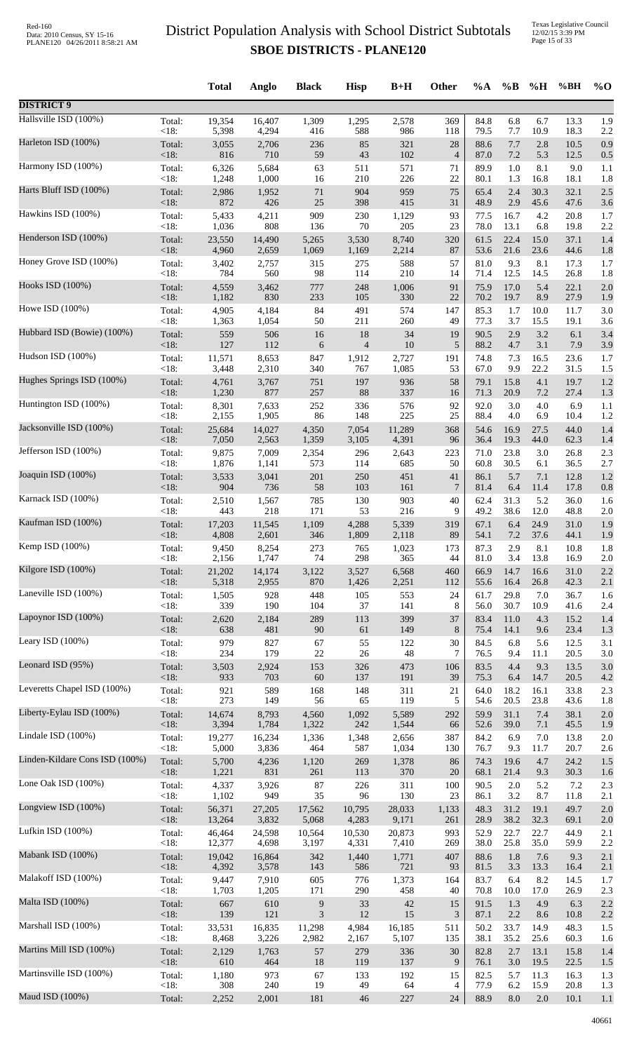|                                |         | <b>Total</b> | Anglo  | <b>Black</b> | <b>Hisp</b>    | $B+H$  | <b>Other</b>   | $\%A$ | $\%$ B  | %H   | %BH  | $\%$ O  |
|--------------------------------|---------|--------------|--------|--------------|----------------|--------|----------------|-------|---------|------|------|---------|
| <b>DISTRICT 9</b>              |         |              |        |              |                |        |                |       |         |      |      |         |
| Hallsville ISD (100%)          | Total:  | 19,354       | 16,407 | 1,309        | 1,295          | 2,578  | 369            | 84.8  | 6.8     | 6.7  | 13.3 | 1.9     |
|                                | < 18:   | 5,398        | 4,294  | 416          | 588            | 986    | 118            | 79.5  | 7.7     | 10.9 | 18.3 | 2.2     |
| Harleton ISD (100%)            | Total:  | 3,055        | 2,706  | 236          | 85             | 321    | 28             | 88.6  | 7.7     | 2.8  | 10.5 | 0.9     |
| Harmony ISD (100%)             | $<18$ : | 816          | 710    | 59           | 43             | 102    | $\overline{4}$ | 87.0  | 7.2     | 5.3  | 12.5 | 0.5     |
|                                | Total:  | 6,326        | 5,684  | 63           | 511            | 571    | 71             | 89.9  | 1.0     | 8.1  | 9.0  | 1.1     |
| Harts Bluff ISD (100%)         | $<18$ : | 1,248        | 1,000  | 16           | 210            | 226    | 22             | 80.1  | 1.3     | 16.8 | 18.1 | 1.8     |
|                                | Total:  | 2,986        | 1,952  | 71           | 904            | 959    | 75             | 65.4  | 2.4     | 30.3 | 32.1 | $2.5\,$ |
|                                | <18:    | 872          | 426    | 25           | 398            | 415    | 31             | 48.9  | 2.9     | 45.6 | 47.6 | 3.6     |
| Hawkins ISD (100%)             | Total:  | 5,433        | 4,211  | 909          | 230            | 1,129  | 93             | 77.5  | 16.7    | 4.2  | 20.8 | 1.7     |
|                                | < 18:   | 1,036        | 808    | 136          | 70             | 205    | 23             | 78.0  | 13.1    | 6.8  | 19.8 | 2.2     |
| Henderson ISD (100%)           | Total:  | 23,550       | 14,490 | 5,265        | 3,530          | 8,740  | 320            | 61.5  | 22.4    | 15.0 | 37.1 | 1.4     |
|                                | $<18$ : | 4,960        | 2,659  | 1,069        | 1,169          | 2,214  | 87             | 53.6  | 21.6    | 23.6 | 44.6 | 1.8     |
| Honey Grove ISD (100%)         | Total:  | 3,402        | 2,757  | 315          | 275            | 588    | 57             | 81.0  | 9.3     | 8.1  | 17.3 | 1.7     |
|                                | < 18:   | 784          | 560    | 98           | 114            | 210    | 14             | 71.4  | 12.5    | 14.5 | 26.8 | 1.8     |
| Hooks ISD (100%)               | Total:  | 4,559        | 3,462  | 777          | 248            | 1,006  | 91             | 75.9  | 17.0    | 5.4  | 22.1 | 2.0     |
|                                | $<18$ : | 1,182        | 830    | 233          | 105            | 330    | 22             | 70.2  | 19.7    | 8.9  | 27.9 | 1.9     |
| Howe ISD (100%)                | Total:  | 4,905        | 4,184  | 84           | 491            | 574    | 147            | 85.3  | 1.7     | 10.0 | 11.7 | 3.0     |
| Hubbard ISD (Bowie) (100%)     | $<18$ : | 1,363        | 1,054  | 50           | 211            | 260    | 49             | 77.3  | 3.7     | 15.5 | 19.1 | 3.6     |
|                                | Total:  | 559          | 506    | 16           | 18             | 34     | 19             | 90.5  | 2.9     | 3.2  | 6.1  | 3.4     |
| Hudson ISD (100%)              | $<18$ : | 127          | 112    | 6            | $\overline{4}$ | 10     | 5              | 88.2  | 4.7     | 3.1  | 7.9  | 3.9     |
|                                | Total:  | 11,571       | 8,653  | 847          | 1,912          | 2,727  | 191            | 74.8  | 7.3     | 16.5 | 23.6 | 1.7     |
| Hughes Springs ISD (100%)      | $<18$ : | 3,448        | 2,310  | 340          | 767            | 1,085  | 53             | 67.0  | 9.9     | 22.2 | 31.5 | 1.5     |
|                                | Total:  | 4,761        | 3,767  | 751          | 197            | 936    | 58             | 79.1  | 15.8    | 4.1  | 19.7 | 1.2     |
|                                | <18:    | 1,230        | 877    | 257          | 88             | 337    | 16             | 71.3  | 20.9    | 7.2  | 27.4 | 1.3     |
| Huntington ISD (100%)          | Total:  | 8,301        | 7,633  | 252          | 336            | 576    | 92             | 92.0  | 3.0     | 4.0  | 6.9  | 1.1     |
|                                | < 18:   | 2,155        | 1,905  | 86           | 148            | 225    | 25             | 88.4  | 4.0     | 6.9  | 10.4 | 1.2     |
| Jacksonville ISD (100%)        | Total:  | 25,684       | 14,027 | 4,350        | 7,054          | 11,289 | 368            | 54.6  | 16.9    | 27.5 | 44.0 | 1.4     |
|                                | $<18$ : | 7,050        | 2,563  | 1,359        | 3,105          | 4,391  | 96             | 36.4  | 19.3    | 44.0 | 62.3 | 1.4     |
| Jefferson ISD (100%)           | Total:  | 9,875        | 7,009  | 2,354        | 296            | 2,643  | 223            | 71.0  | 23.8    | 3.0  | 26.8 | 2.3     |
| Joaquin ISD (100%)             | < 18:   | 1,876        | 1,141  | 573          | 114            | 685    | 50             | 60.8  | 30.5    | 6.1  | 36.5 | 2.7     |
|                                | Total:  | 3,533        | 3,041  | 201          | 250            | 451    | 41             | 86.1  | 5.7     | 7.1  | 12.8 | 1.2     |
| Karnack ISD (100%)             | $<18$ : | 904          | 736    | 58           | 103            | 161    | $\overline{7}$ | 81.4  | 6.4     | 11.4 | 17.8 | 0.8     |
|                                | Total:  | 2,510        | 1,567  | 785          | 130            | 903    | 40             | 62.4  | 31.3    | 5.2  | 36.0 | 1.6     |
| Kaufman ISD (100%)             | <18:    | 443          | 218    | 171          | 53             | 216    | 9              | 49.2  | 38.6    | 12.0 | 48.8 | $2.0$   |
|                                | Total:  | 17,203       | 11,545 | 1,109        | 4,288          | 5,339  | 319            | 67.1  | 6.4     | 24.9 | 31.0 | 1.9     |
| Kemp ISD $(100\%)$             | $<18$ : | 4,808        | 2,601  | 346          | 1,809          | 2,118  | 89             | 54.1  | $7.2\,$ | 37.6 | 44.1 | 1.9     |
|                                | Total:  | 9,450        | 8,254  | 273          | 765            | 1,023  | 173            | 87.3  | 2.9     | 8.1  | 10.8 | 1.8     |
|                                | $<18$ : | 2,156        | 1,747  | 74           | 298            | 365    | 44             | 81.0  | 3.4     | 13.8 | 16.9 | $2.0\,$ |
| Kilgore ISD (100%)             | Total:  | 21,202       | 14,174 | 3,122        | 3,527          | 6,568  | 460            | 66.9  | 14.7    | 16.6 | 31.0 | 2.2     |
|                                | <18:    | 5,318        | 2,955  | 870          | 1,426          | 2,251  | 112            | 55.6  | 16.4    | 26.8 | 42.3 | 2.1     |
| Laneville ISD (100%)           | Total:  | 1,505        | 928    | 448          | 105            | 553    | 24             | 61.7  | 29.8    | 7.0  | 36.7 | 1.6     |
|                                | <18:    | 339          | 190    | 104          | 37             | 141    | 8              | 56.0  | 30.7    | 10.9 | 41.6 | 2.4     |
| Lapoynor ISD (100%)            | Total:  | 2,620        | 2,184  | 289          | 113            | 399    | 37             | 83.4  | 11.0    | 4.3  | 15.2 | 1.4     |
|                                | <18:    | 638          | 481    | 90           | 61             | 149    | 8              | 75.4  | 14.1    | 9.6  | 23.4 | 1.3     |
| Leary ISD $(100\%)$            | Total:  | 979          | 827    | 67           | 55             | 122    | 30             | 84.5  | 6.8     | 5.6  | 12.5 | 3.1     |
| Leonard ISD (95%)              | $<18$ : | 234          | 179    | $22\,$       | $26\,$         | 48     | 7              | 76.5  | 9.4     | 11.1 | 20.5 | 3.0     |
|                                | Total:  | 3,503        | 2,924  | 153          | 326            | 473    | 106            | 83.5  | 4.4     | 9.3  | 13.5 | 3.0     |
| Leveretts Chapel ISD (100%)    | $<18$ : | 933          | 703    | 60           | 137            | 191    | 39             | 75.3  | 6.4     | 14.7 | 20.5 | $4.2\,$ |
|                                | Total:  | 921          | 589    | 168          | 148            | 311    | 21             | 64.0  | 18.2    | 16.1 | 33.8 | $2.3\,$ |
| Liberty-Eylau ISD (100%)       | $<18$ : | 273          | 149    | 56           | 65             | 119    | 5              | 54.6  | 20.5    | 23.8 | 43.6 | 1.8     |
|                                | Total:  | 14,674       | 8,793  | 4,560        | 1,092          | 5,589  | 292            | 59.9  | 31.1    | 7.4  | 38.1 | $2.0\,$ |
|                                | $<18$ : | 3,394        | 1,784  | 1,322        | 242            | 1,544  | 66             | 52.6  | 39.0    | 7.1  | 45.5 | 1.9     |
| Lindale ISD (100%)             | Total:  | 19,277       | 16,234 | 1,336        | 1,348          | 2,656  | 387            | 84.2  | 6.9     | 7.0  | 13.8 | $2.0\,$ |
|                                | <18:    | 5,000        | 3,836  | 464          | 587            | 1,034  | 130            | 76.7  | 9.3     | 11.7 | 20.7 | 2.6     |
| Linden-Kildare Cons ISD (100%) | Total:  | 5,700        | 4,236  | 1,120        | 269            | 1,378  | 86             | 74.3  | 19.6    | 4.7  | 24.2 | $1.5$   |
|                                | $<18$ : | 1,221        | 831    | 261          | 113            | 370    | 20             | 68.1  | 21.4    | 9.3  | 30.3 | 1.6     |
| Lone Oak ISD (100%)            | Total:  | 4,337        | 3,926  | 87           | 226            | 311    | 100            | 90.5  | 2.0     | 5.2  | 7.2  | $2.3\,$ |
|                                | <18:    | 1,102        | 949    | 35           | 96             | 130    | 23             | 86.1  | 3.2     | 8.7  | 11.8 | 2.1     |
| Longview ISD (100%)            | Total:  | 56,371       | 27,205 | 17,562       | 10,795         | 28,033 | 1,133          | 48.3  | 31.2    | 19.1 | 49.7 | $2.0\,$ |
|                                | <18:    | 13,264       | 3,832  | 5,068        | 4,283          | 9,171  | 261            | 28.9  | 38.2    | 32.3 | 69.1 | 2.0     |
| Lufkin ISD (100%)              | Total:  | 46,464       | 24,598 | 10,564       | 10,530         | 20,873 | 993            | 52.9  | 22.7    | 22.7 | 44.9 | 2.1     |
| Mabank ISD (100%)              | $<18$ : | 12,377       | 4,698  | 3,197        | 4,331          | 7,410  | 269            | 38.0  | 25.8    | 35.0 | 59.9 | 2.2     |
|                                | Total:  | 19,042       | 16,864 | 342          | 1,440          | 1,771  | 407            | 88.6  | 1.8     | 7.6  | 9.3  | 2.1     |
| Malakoff ISD (100%)            | <18:    | 4,392        | 3,578  | 143          | 586            | 721    | 93             | 81.5  | 3.3     | 13.3 | 16.4 | 2.1     |
|                                | Total:  | 9,447        | 7,910  | 605          | 776            | 1,373  | 164            | 83.7  | 6.4     | 8.2  | 14.5 | 1.7     |
| Malta ISD (100%)               | $<18$ : | 1,703        | 1,205  | 171          | 290            | 458    | 40             | 70.8  | 10.0    | 17.0 | 26.9 | $2.3\,$ |
|                                | Total:  | 667          | 610    | 9            | 33             | $42\,$ | 15             | 91.5  | 1.3     | 4.9  | 6.3  | 2.2     |
|                                | <18:    | 139          | 121    | 3            | $12\,$         | 15     | 3              | 87.1  | 2.2     | 8.6  | 10.8 | 2.2     |
| Marshall ISD (100%)            | Total:  | 33,531       | 16,835 | 11,298       | 4,984          | 16,185 | 511            | 50.2  | 33.7    | 14.9 | 48.3 | 1.5     |
|                                | <18:    | 8,468        | 3,226  | 2,982        | 2,167          | 5,107  | 135            | 38.1  | 35.2    | 25.6 | 60.3 | 1.6     |
| Martins Mill ISD (100%)        | Total:  | 2,129        | 1,763  | 57           | 279            | 336    | 30             | 82.8  | 2.7     | 13.1 | 15.8 | 1.4     |
|                                | <18:    | 610          | 464    | $18\,$       | 119            | 137    | 9              | 76.1  | 3.0     | 19.5 | 22.5 | 1.5     |
| Martinsville ISD (100%)        | Total:  | 1,180        | 973    | 67           | 133            | 192    | 15             | 82.5  | 5.7     | 11.3 | 16.3 | 1.3     |
|                                | <18:    | 308          | 240    | 19           | 49             | 64     | 4              | 77.9  | 6.2     | 15.9 | 20.8 | 1.3     |
| Maud ISD (100%)                | Total:  | 2,252        | 2,001  | 181          | 46             | 227    | 24             | 88.9  | $8.0\,$ | 2.0  | 10.1 | $1.1\,$ |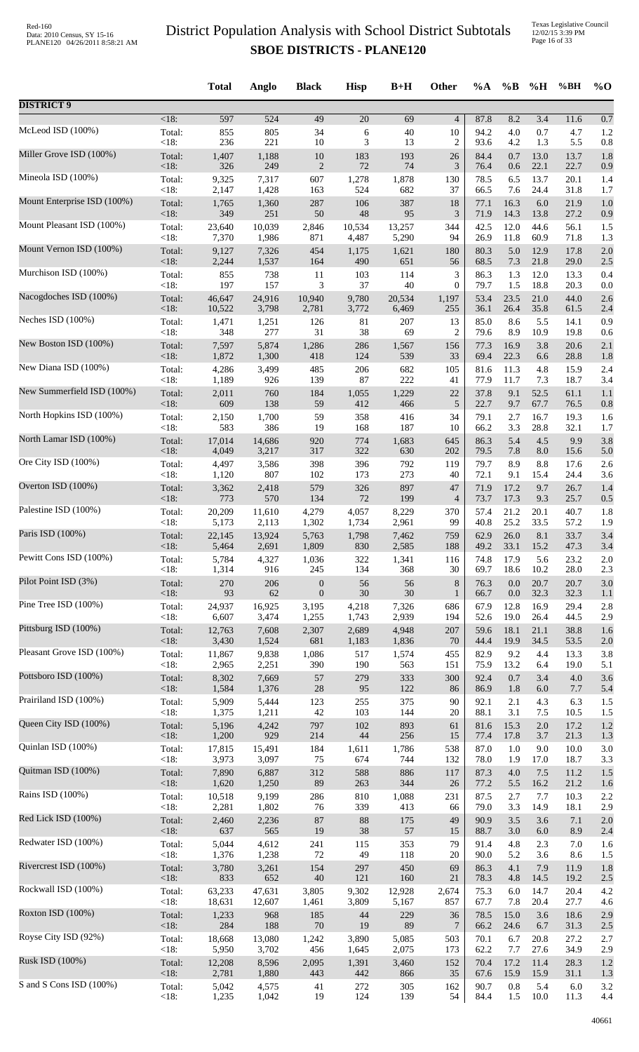Texas Legislative Council 12/02/15 3:39 PM Page 16 of 33

|                             |                 | <b>Total</b>    | Anglo          | <b>Black</b>     | <b>Hisp</b>     | $B+H$        | Other            | %A           | $\%$ B      | %H               | %BH          | $\%$ O     |
|-----------------------------|-----------------|-----------------|----------------|------------------|-----------------|--------------|------------------|--------------|-------------|------------------|--------------|------------|
| <b>DISTRICT 9</b>           |                 |                 |                |                  |                 |              |                  |              |             |                  |              |            |
| McLeod ISD (100%)           | $<18$ :         | 597             | 524            | 49               | $\overline{20}$ | 69           | $\overline{4}$   | 87.8         | 8.2         | $\overline{3.4}$ | 11.6         | 0.7        |
|                             | Total:          | 855             | 805            | 34               | 6               | 40           | 10               | 94.2         | 4.0         | 0.7              | 4.7          | 1.2        |
|                             | < 18:           | 236             | 221            | 10               | 3               | 13           | 2                | 93.6         | 4.2         | 1.3              | 5.5          | 0.8        |
| Miller Grove ISD (100%)     | Total:          | 1,407           | 1,188          | $10\,$           | 183             | 193          | 26               | 84.4         | 0.7         | 13.0             | 13.7         | 1.8        |
|                             | < 18:           | 326             | 249            | $\sqrt{2}$       | 72              | 74           | 3                | 76.4         | 0.6         | 22.1             | 22.7         | 0.9        |
| Mineola ISD (100%)          | Total:          | 9,325           | 7,317          | 607              | 1,278           | 1,878        | 130              | 78.5         | 6.5         | 13.7             | 20.1         | 1.4        |
| Mount Enterprise ISD (100%) | < 18:           | 2,147           | 1,428          | 163              | 524             | 682          | 37               | 66.5         | 7.6         | 24.4             | 31.8         | 1.7        |
|                             | Total:          | 1,765           | 1,360          | 287              | 106             | 387          | 18               | 77.1         | 16.3        | $6.0\,$          | 21.9         | 1.0        |
| Mount Pleasant ISD (100%)   | <18:            | 349             | 251            | $50\,$           | 48              | 95           | 3                | 71.9         | 14.3        | 13.8             | 27.2         | 0.9        |
|                             | Total:          | 23,640          | 10,039         | 2,846            | 10,534          | 13,257       | 344              | 42.5         | 12.0        | 44.6             | 56.1         | 1.5        |
|                             | < 18:           | 7,370           | 1,986          | 871              | 4,487           | 5,290        | 94               | 26.9         | 11.8        | 60.9             | 71.8         | 1.3        |
| Mount Vernon ISD (100%)     | Total:          | 9,127           | 7,326          | 454              | 1,175           | 1,621        | 180              | 80.3         | 5.0         | 12.9             | 17.8         | 2.0        |
|                             | < 18:           | 2,244           | 1,537          | 164              | 490             | 651          | 56               | 68.5         | 7.3         | 21.8             | 29.0         | 2.5        |
| Murchison ISD (100%)        | Total:          | 855             | 738            | 11               | 103             | 114          | 3                | 86.3         | 1.3         | 12.0             | 13.3         | 0.4        |
| Nacogdoches ISD (100%)      | $<18$ :         | 197             | 157            | 3                | 37              | 40           | $\boldsymbol{0}$ | 79.7         | 1.5         | 18.8             | 20.3         | 0.0        |
|                             | Total:          | 46,647          | 24,916         | 10,940           | 9,780           | 20,534       | 1,197            | 53.4         | 23.5        | 21.0             | 44.0         | 2.6        |
| Neches ISD (100%)           | <18:            | 10,522          | 3,798          | 2,781            | 3,772           | 6,469        | 255              | 36.1         | 26.4        | 35.8             | 61.5         | 2.4        |
|                             | Total:          | 1,471           | 1,251          | 126              | 81              | 207          | 13               | 85.0         | 8.6         | 5.5              | 14.1         | 0.9        |
| New Boston ISD (100%)       | <18:            | 348             | 277<br>5,874   | 31               | $38\,$          | 69           | $\overline{c}$   | 79.6<br>77.3 | 8.9<br>16.9 | 10.9<br>3.8      | 19.8<br>20.6 | 0.6        |
|                             | Total:<br>< 18: | 7,597<br>1,872  | 1,300          | 1,286<br>418     | 286<br>124      | 1,567<br>539 | 156<br>33        | 69.4         | 22.3        | 6.6              | 28.8         | 2.1<br>1.8 |
| New Diana ISD (100%)        | Total:          | 4,286           | 3,499          | 485              | 206             | 682          | 105              | 81.6         | 11.3        | 4.8              | 15.9         | 2.4        |
|                             | < 18:           | 1,189           | 926            | 139              | 87              | 222          | 41               | 77.9         | 11.7        | 7.3              | 18.7         | 3.4        |
| New Summerfield ISD (100%)  | Total:          | 2,011           | 760            | 184              | 1,055           | 1,229        | 22               | 37.8         | 9.1         | 52.5             | 61.1         | 1.1        |
|                             | <18:            | 609             | 138            | 59               | 412             | 466          | $\sqrt{5}$       | 22.7         | 9.7         | 67.7             | 76.5         | 0.8        |
| North Hopkins ISD (100%)    | Total:          | 2,150           | 1,700          | 59               | 358             | 416          | 34               | 79.1         | 2.7         | 16.7             | 19.3         | 1.6        |
| North Lamar ISD (100%)      | < 18:           | 583             | 386            | 19               | 168             | 187          | 10               | 66.2         | 3.3         | 28.8             | 32.1         | 1.7        |
|                             | Total:          | 17,014          | 14,686         | 920              | 774             | 1,683        | 645              | 86.3         | 5.4         | 4.5              | 9.9          | 3.8        |
| Ore City ISD (100%)         | < 18:           | 4,049           | 3,217          | 317              | 322             | 630          | 202              | 79.5         | 7.8         | 8.0              | 15.6         | 5.0        |
|                             | Total:          | 4,497           | 3,586          | 398              | 396             | 792          | 119              | 79.7         | 8.9         | 8.8              | 17.6         | 2.6        |
|                             | < 18:           | 1,120           | 807            | 102              | 173             | 273          | 40               | 72.1         | 9.1         | 15.4             | 24.4         | 3.6        |
| Overton ISD (100%)          | Total:          | 3,362           | 2,418          | 579              | 326             | 897          | 47               | 71.9         | 17.2        | 9.7              | 26.7         | 1.4        |
|                             | <18:            | 773             | 570            | 134              | 72              | 199          | $\overline{4}$   | 73.7         | 17.3        | 9.3              | 25.7         | 0.5        |
| Palestine ISD (100%)        | Total:          | 20,209          | 11,610         | 4,279            | 4,057           | 8,229        | 370              | 57.4         | 21.2        | 20.1             | 40.7         | 1.8        |
|                             | <18:            | 5,173           | 2,113          | 1,302            | 1,734           | 2,961        | 99               | 40.8         | 25.2        | 33.5             | 57.2         | 1.9        |
| Paris ISD (100%)            | Total:          | 22,145          | 13,924         | 5,763            | 1,798           | 7,462        | 759              | 62.9         | 26.0        | 8.1              | 33.7         | 3.4        |
| Pewitt Cons ISD (100%)      | <18:            | 5,464           | 2,691          | 1,809            | 830             | 2,585        | 188              | 49.2         | 33.1        | 15.2             | 47.3         | 3.4        |
|                             | Total:          | 5,784           | 4,327          | 1,036            | 322             | 1,341        | 116              | 74.8         | 17.9        | 5.6              | 23.2         | 2.0        |
| Pilot Point ISD (3%)        | < 18:           | 1,314           | 916            | 245              | 134             | 368          | 30               | 69.7         | 18.6        | 10.2             | 28.0         | 2.3        |
|                             | Total:          | 270             | 206            | $\boldsymbol{0}$ | 56              | 56           | 8                | 76.3         | 0.0         | 20.7             | 20.7         | 3.0        |
|                             | <18:            | 93              | 62             | $\boldsymbol{0}$ | $30\,$          | 30           | $\mathbf{1}$     | 66.7         | $0.0\,$     | 32.3             | 32.3         | 1.1        |
| Pine Tree ISD (100%)        | Total:          | 24,937          | 16,925         | 3,195            | 4,218           | 7,326        | 686              | 67.9         | 12.8        | 16.9             | 29.4         | 2.8        |
|                             | < 18:           | 6,607           | 3,474          | 1,255            | 1,743           | 2,939        | 194              | 52.6         | 19.0        | 26.4             | 44.5         | 2.9        |
| Pittsburg ISD (100%)        | Total:          | 12,763          | 7,608          | 2,307            | 2,689           | 4,948        | 207              | 59.6         | 18.1        | 21.1             | 38.8         | 1.6        |
|                             | <18:            | 3,430           | 1,524          | 681              | 1,183           | 1,836        | 70               | 44.4         | 19.9        | 34.5             | 53.5         | 2.0        |
| Pleasant Grove ISD (100%)   | Total:<br>< 18: | 11,867          | 9,838          | 1,086<br>390     | 517<br>190      | 1,574<br>563 | 455              | 82.9<br>75.9 | 9.2<br>13.2 | 4.4<br>6.4       | 13.3<br>19.0 | 3.8        |
| Pottsboro ISD (100%)        | Total:          | 2,965<br>8,302  | 2,251<br>7,669 | 57               | 279             | 333          | 151<br>300       | 92.4         | 0.7         | 3.4              | 4.0          | 5.1<br>3.6 |
| Prairiland ISD (100%)       | <18:            | 1,584           | 1,376          | 28               | 95              | 122          | 86               | 86.9         | 1.8         | $6.0\,$          | 7.7          | 5.4        |
|                             | Total:          | 5,909           | 5,444          | 123              | 255             | 375          | 90               | 92.1         | 2.1         | 4.3              | 6.3          | 1.5        |
| Queen City ISD (100%)       | < 18:           | 1,375           | 1,211          | 42               | 103             | 144          | 20               | 88.1         | 3.1         | 7.5              | 10.5         | 1.5        |
|                             | Total:          | 5,196           | 4,242          | 797              | 102             | 893          | 61               | 81.6         | 15.3        | $2.0\,$          | 17.2         | 1.2        |
|                             | < 18:           | 1,200           | 929            | 214              | 44              | 256          | 15               | 77.4         | 17.8        | 3.7              | 21.3         | 1.3        |
| Quinlan ISD (100%)          | Total:          | 17,815          | 15,491         | 184              | 1,611           | 1,786        | 538              | 87.0         | 1.0         | 9.0              | 10.0         | 3.0        |
|                             | < 18:           | 3,973           | 3,097          | 75               | 674             | 744          | 132              | 78.0         | 1.9         | 17.0             | 18.7         | 3.3        |
| Quitman ISD (100%)          | Total:<br><18:  | 7,890           | 6,887          | 312<br>89        | 588<br>263      | 886<br>344   | 117              | 87.3         | 4.0         | 7.5<br>16.2      | 11.2<br>21.2 | 1.5        |
| Rains ISD (100%)            | Total:          | 1,620<br>10,518 | 1,250<br>9,199 | 286              | 810             | 1,088        | 26<br>231        | 77.2<br>87.5 | 5.5<br>2.7  | 7.7              | 10.3         | 1.6<br>2.2 |
| Red Lick ISD (100%)         | < 18:           | 2,281           | 1,802          | 76               | 339             | 413          | 66               | 79.0         | 3.3         | 14.9             | 18.1         | 2.9        |
|                             | Total:          | 2,460           | 2,236          | $87\,$           | 88              | 175          | 49               | 90.9         | 3.5         | 3.6              | 7.1          | 2.0        |
| Redwater ISD (100%)         | <18:            | 637             | 565            | 19               | 38              | 57           | 15               | 88.7         | $3.0\,$     | 6.0              | 8.9          | 2.4        |
|                             | Total:          | 5,044           | 4,612          | 241              | 115             | 353          | 79               | 91.4         | 4.8         | 2.3              | 7.0          | 1.6        |
|                             | < 18:           | 1,376           | 1,238          | 72               | 49              | 118          | 20               | 90.0         | 5.2         | 3.6              | 8.6          | 1.5        |
| Rivercrest ISD (100%)       | Total:          | 3,780           | 3,261          | 154              | 297             | 450          | 69               | 86.3         | 4.1         | 7.9              | 11.9         | 1.8        |
|                             | <18:            | 833             | 652            | $40\,$           | 121             | 160          | 21               | 78.3         | 4.8         | 14.5             | 19.2         | 2.5        |
| Rockwall ISD (100%)         | Total:          | 63,233          | 47,631         | 3,805            | 9,302           | 12,928       | 2,674            | 75.3         | 6.0         | 14.7             | 20.4         | 4.2        |
|                             | <18:            | 18,631          | 12,607         | 1,461            | 3,809           | 5,167        | 857              | 67.7         | 7.8         | 20.4             | 27.7         | 4.6        |
| Roxton ISD (100%)           | Total:          | 1,233           | 968            | 185              | 44              | 229          | 36               | 78.5         | 15.0        | 3.6              | 18.6         | 2.9        |
| Royse City ISD (92%)        | < 18:           | 284             | 188            | $70\,$           | 19              | 89           | $\overline{7}$   | 66.2         | 24.6        | 6.7              | 31.3         | 2.5        |
|                             | Total:          | 18,668          | 13,080         | 1,242            | 3,890           | 5,085        | 503              | 70.1         | 6.7         | 20.8             | 27.2         | 2.7        |
| Rusk ISD (100%)             | < 18:           | 5,950           | 3,702          | 456              | 1,645           | 2,075        | 173              | 62.2         | 7.7         | 27.6             | 34.9         | 2.9        |
|                             | Total:          | 12,208          | 8,596          | 2,095            | 1,391           | 3,460        | 152              | 70.4         | 17.2        | 11.4             | 28.3         | 1.2        |
|                             | <18:            | 2,781           | 1,880          | 443              | 442             | 866          | 35               | 67.6         | 15.9        | 15.9             | 31.1         | 1.3        |
| S and S Cons ISD (100%)     | Total:          | 5,042           | 4,575          | 41               | 272             | 305          | 162              | 90.7         | 0.8         | 5.4              | 6.0          | 3.2        |
|                             | < 18:           | 1,235           | 1,042          | 19               | 124             | 139          | 54               | 84.4         | 1.5         | 10.0             | 11.3         | 4.4        |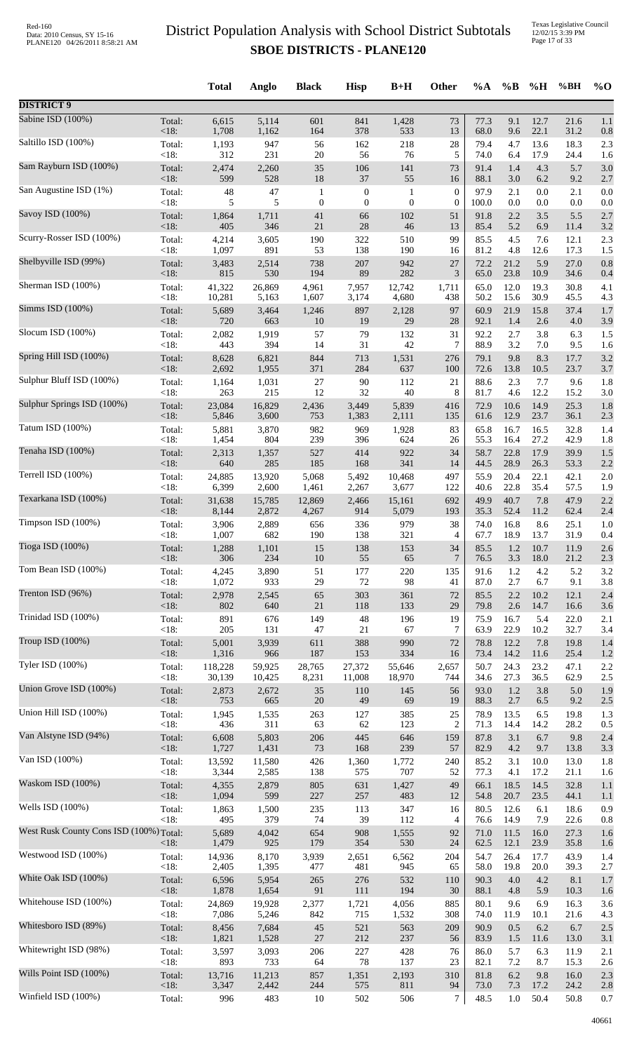|                                         |                   | <b>Total</b>   | Anglo        | <b>Black</b>     | <b>Hisp</b>      | $B+H$            | <b>Other</b>     | $\%A$        | $\%$ B       | %H           | %BH          | $\%$ O     |
|-----------------------------------------|-------------------|----------------|--------------|------------------|------------------|------------------|------------------|--------------|--------------|--------------|--------------|------------|
| <b>DISTRICT 9</b>                       |                   |                |              |                  |                  |                  |                  |              |              |              |              |            |
| Sabine ISD (100%)                       | Total:            | 6,615          | 5,114        | 601              | 841              | 1,428            | 73               | 77.3         | 9.1          | 12.7         | 21.6         | 1.1        |
| Saltillo ISD (100%)                     | <18:              | 1,708          | 1,162<br>947 | 164              | 378              | 533<br>218       | 13<br>$28\,$     | 68.0<br>79.4 | 9.6<br>4.7   | 22.1<br>13.6 | 31.2<br>18.3 | 0.8<br>2.3 |
|                                         | Total:<br><18:    | 1,193<br>312   | 231          | 56<br>20         | 162<br>56        | 76               | 5                | 74.0         | 6.4          | 17.9         | 24.4         | 1.6        |
| Sam Rayburn ISD (100%)                  | Total:            | 2,474          | 2,260        | 35               | 106              | 141              | 73               | 91.4         | 1.4          | 4.3          | 5.7          | 3.0        |
|                                         | <18:              | 599            | 528          | 18               | 37               | 55               | 16               | 88.1         | 3.0          | 6.2          | 9.2          | 2.7        |
| San Augustine ISD (1%)                  | Total:            | 48             | 47           | $\mathbf{1}$     | $\boldsymbol{0}$ | $\mathbf{1}$     | $\boldsymbol{0}$ | 97.9         | 2.1          | $0.0\,$      | 2.1          | 0.0        |
|                                         | <18:              | 5              | 5            | $\boldsymbol{0}$ | $\boldsymbol{0}$ | $\boldsymbol{0}$ | $\boldsymbol{0}$ | 100.0        | 0.0          | $0.0\,$      | 0.0          | 0.0        |
| Savoy ISD (100%)                        | Total:            | 1,864          | 1,711        | 41               | 66               | 102              | 51               | 91.8         | 2.2          | 3.5          | 5.5          | 2.7        |
|                                         | $<18$ :           | 405            | 346          | $21\,$           | $28\,$           | 46               | 13               | 85.4         | 5.2          | 6.9          | 11.4         | 3.2        |
| Scurry-Rosser ISD (100%)                | Total:<br>$<18$ : | 4,214<br>1,097 | 3,605<br>891 | 190<br>53        | 322<br>138       | 510<br>190       | 99<br>16         | 85.5         | 4.5          | 7.6          | 12.1         | 2.3        |
| Shelbyville ISD (99%)                   | Total:            | 3,483          | 2,514        | 738              | 207              | 942              | 27               | 81.2<br>72.2 | 4.8<br>21.2  | 12.6<br>5.9  | 17.3<br>27.0 | 1.5<br>0.8 |
| Sherman ISD (100%)                      | <18:              | 815            | 530          | 194              | 89               | 282              | 3                | 65.0         | 23.8         | 10.9         | 34.6         | 0.4        |
|                                         | Total:            | 41,322         | 26,869       | 4,961            | 7,957            | 12,742           | 1,711            | 65.0         | 12.0         | 19.3         | 30.8         | 4.1        |
| Simms ISD (100%)                        | <18:              | 10,281         | 5,163        | 1,607            | 3,174            | 4,680            | 438              | 50.2         | 15.6         | 30.9         | 45.5         | 4.3        |
|                                         | Total:            | 5,689          | 3,464        | 1,246            | 897              | 2,128            | 97               | 60.9         | 21.9         | 15.8         | 37.4         | 1.7        |
| Slocum ISD (100%)                       | $<18$ :           | 720            | 663          | 10               | 19               | 29               | 28               | 92.1         | 1.4          | 2.6          | 4.0          | 3.9        |
|                                         | Total:            | 2,082          | 1,919        | 57               | 79               | 132              | 31               | 92.2         | 2.7          | 3.8          | 6.3          | 1.5        |
| Spring Hill ISD (100%)                  | <18:              | 443            | 394          | 14               | 31               | 42               | 7                | 88.9         | 3.2          | 7.0          | 9.5          | 1.6        |
|                                         | Total:            | 8,628          | 6,821        | 844              | 713              | 1,531            | 276              | 79.1         | 9.8          | 8.3          | 17.7         | 3.2        |
|                                         | $<18$ :           | 2,692          | 1,955        | 371              | 284              | 637              | 100              | 72.6         | 13.8         | 10.5         | 23.7         | 3.7        |
| Sulphur Bluff ISD (100%)                | Total:            | 1,164          | 1,031        | $27\,$           | 90               | 112              | 21               | 88.6         | 2.3          | 7.7          | 9.6          | 1.8        |
|                                         | < 18:             | 263            | 215          | 12               | 32               | 40               | 8                | 81.7         | 4.6          | 12.2         | 15.2         | 3.0        |
| Sulphur Springs ISD (100%)              | Total:            | 23,084         | 16,829       | 2,436            | 3,449            | 5,839            | 416              | 72.9         | 10.6         | 14.9         | 25.3         | 1.8        |
|                                         | <18:              | 5,846          | 3,600        | 753              | 1,383            | 2,111            | 135              | 61.6         | 12.9         | 23.7         | 36.1         | 2.3        |
| Tatum ISD (100%)                        | Total:            | 5,881          | 3,870        | 982              | 969              | 1,928            | 83               | 65.8         | 16.7         | 16.5         | 32.8         | 1.4        |
| Tenaha ISD (100%)                       | <18:              | 1,454          | 804          | 239              | 396              | 624              | 26               | 55.3         | 16.4         | 27.2         | 42.9         | 1.8        |
|                                         | Total:            | 2,313          | 1,357        | 527              | 414              | 922              | 34               | 58.7         | 22.8         | 17.9         | 39.9         | 1.5        |
| Terrell ISD (100%)                      | $<18$ :           | 640            | 285          | 185              | 168              | 341              | 14               | 44.5         | 28.9         | 26.3         | 53.3         | 2.2        |
|                                         | Total:            | 24,885         | 13,920       | 5,068            | 5,492            | 10,468           | 497              | 55.9         | 20.4         | 22.1         | 42.1         | 2.0        |
| Texarkana ISD (100%)                    | <18:              | 6,399          | 2,600        | 1,461            | 2,267            | 3,677            | 122              | 40.6         | 22.8         | 35.4         | 57.5         | 1.9        |
|                                         | Total:            | 31,638         | 15,785       | 12,869           | 2,466            | 15,161           | 692              | 49.9         | 40.7         | 7.8          | 47.9         | 2.2        |
| Timpson ISD (100%)                      | $<18$ :           | 8,144          | 2,872        | 4,267            | 914              | 5,079            | 193              | 35.3         | 52.4         | 11.2         | 62.4         | 2.4        |
|                                         | Total:            | 3,906          | 2,889        | 656              | 336              | 979              | 38               | 74.0         | 16.8         | 8.6          | 25.1         | 1.0        |
|                                         | $<18$ :           | 1,007          | 682          | 190              | 138              | 321              | 4                | 67.7         | 18.9         | 13.7         | 31.9         | 0.4        |
| Tioga ISD (100%)                        | Total:            | 1,288          | 1,101        | 15               | 138              | 153              | 34               | 85.5         | 1.2          | 10.7         | 11.9         | 2.6        |
|                                         | < 18:             | 306            | 234          | 10               | 55               | 65               | 7                | 76.5         | 3.3          | 18.0         | 21.2         | 2.3        |
| Tom Bean ISD (100%)                     | Total:            | 4,245          | 3,890        | 51               | 177              | 220              | 135              | 91.6         | 1.2          | 4.2          | 5.2          | 3.2        |
|                                         | $<18$ :           | 1,072          | 933          | 29               | 72               | 98               | 41               | 87.0         | 2.7          | 6.7          | 9.1          | 3.8        |
| Trenton ISD (96%)                       | Total:            | 2,978          | 2,545        | 65               | 303              | 361              | 72               | 85.5         | 2.2          | 10.2         | 12.1         | 2.4        |
|                                         | $<18$ :           | 802            | 640          | $21\,$           | 118              | 133              | 29               | 79.8         | 2.6          | 14.7         | 16.6         | 3.6        |
| Trinidad ISD (100%)                     | Total:            | 891            | 676          | 149              | 48               | 196              | 19               | 75.9         | 16.7         | 5.4          | 22.0         | 2.1        |
| Troup ISD (100%)                        | <18:              | 205            | 131          | 47               | 21               | 67               | $\tau$           | 63.9         | 22.9         | 10.2         | 32.7         | 3.4        |
|                                         | Total:            | 5,001          | 3,939        | 611              | 388              | 990              | 72               | 78.8         | 12.2         | 7.8          | 19.8         | 1.4        |
| Tyler ISD (100%)                        | $<18$ :           | 1,316          | 966          | 187              | 153              | 334              | 16               | 73.4         | 14.2         | 11.6         | 25.4         | 1.2        |
|                                         | Total:            | 118,228        | 59,925       | 28,765           | 27,372           | 55,646           | 2,657            | 50.7         | 24.3         | 23.2         | 47.1         | 2.2        |
| Union Grove ISD (100%)                  | $<18$ :           | 30,139         | 10,425       | 8,231            | 11,008           | 18,970           | 744              | 34.6         | 27.3         | 36.5         | 62.9         | 2.5        |
|                                         | Total:            | 2,873          | 2,672        | 35               | 110              | 145              | 56               | 93.0         | 1.2          | 3.8          | 5.0          | 1.9        |
| Union Hill ISD (100%)                   | $<18$ :           | 753            | 665          | 20               | 49               | 69               | 19               | 88.3         | 2.7          | 6.5          | 9.2          | 2.5        |
|                                         | Total:            | 1,945          | 1,535        | 263              | 127              | 385              | 25               | 78.9         | 13.5         | 6.5          | 19.8         | 1.3        |
|                                         | < 18:             | 436            | 311          | 63               | 62               | 123              | $\overline{2}$   | 71.3         | 14.4         | 14.2         | 28.2         | 0.5        |
| Van Alstyne ISD (94%)                   | Total:            | 6,608          | 5,803        | 206              | 445              | 646              | 159              | 87.8         | 3.1          | 6.7          | 9.8          | 2.4        |
|                                         | $<18$ :           | 1,727          | 1,431        | 73               | 168              | 239              | 57               | 82.9         | 4.2          | 9.7          | 13.8         | 3.3        |
| Van ISD (100%)                          | Total:            | 13,592         | 11,580       | 426              | 1,360            | 1,772            | 240              | 85.2         | 3.1          | 10.0         | 13.0         | 1.8        |
|                                         | <18:              | 3,344          | 2,585        | 138              | 575              | 707              | 52               | 77.3         | 4.1          | 17.2         | 21.1         | 1.6        |
| Waskom ISD (100%)                       | Total:            | 4,355          | 2,879        | 805              | 631              | 1,427            | 49               | 66.1         | 18.5         | 14.5         | 32.8         | 1.1        |
|                                         | $<18$ :           | 1,094          | 599          | 227              | 257              | 483              | 12               | 54.8         | 20.7         | 23.5         | 44.1         | 1.1        |
| Wells ISD (100%)                        | Total:<br>$<18$ : | 1,863<br>495   | 1,500<br>379 | 235<br>74        | 113<br>39        | 347<br>112       | 16               | 80.5         | 12.6         | 6.1          | 18.6         | 0.9        |
| West Rusk County Cons ISD (100%) Total: |                   | 5,689          | 4,042        | 654              | 908              | 1,555            | 4<br>92          | 76.6<br>71.0 | 14.9<br>11.5 | 7.9<br>16.0  | 22.6<br>27.3 | 0.8<br>1.6 |
| Westwood ISD (100%)                     | <18:              | 1,479          | 925          | 179              | 354              | 530              | 24               | 62.5         | 12.1         | 23.9         | 35.8         | 1.6        |
|                                         | Total:            | 14,936         | 8,170        | 3,939            | 2,651            | 6,562            | 204              | 54.7         | 26.4         | 17.7         | 43.9         | 1.4        |
| White Oak ISD (100%)                    | <18:              | 2,405          | 1,395        | 477              | 481              | 945              | 65               | 58.0         | 19.8         | 20.0         | 39.3         | 2.7        |
|                                         | Total:            | 6,596          | 5,954        | 265              | 276              | 532              | 110              | 90.3         | $4.0\,$      | 4.2          | 8.1          | 1.7        |
| Whitehouse ISD (100%)                   | $<18$ :           | 1,878          | 1,654        | 91               | 111              | 194              | 30               | 88.1         | 4.8          | 5.9          | 10.3         | 1.6        |
|                                         | Total:            | 24,869         | 19,928       | 2,377            | 1,721            | 4,056            | 885              | 80.1         | 9.6          | 6.9          | 16.3         | 3.6        |
| Whitesboro ISD (89%)                    | $<18$ :           | 7,086          | 5,246        | 842              | 715              | 1,532            | 308              | 74.0         | 11.9         | 10.1         | 21.6         | 4.3        |
|                                         | Total:            | 8,456          | 7,684        | $45\,$           | 521              | 563              | 209              | 90.9         | 0.5          | 6.2          | 6.7          | 2.5        |
|                                         | $<18$ :           | 1,821          | 1,528        | $27\,$           | 212              | 237              | 56               | 83.9         | 1.5          | 11.6         | 13.0         | 3.1        |
| Whitewright ISD (98%)                   | Total:            | 3,597          | 3,093        | 206              | 227              | 428              | 76               | 86.0         | 5.7          | 6.3          | 11.9         | 2.1        |
|                                         | <18:              | 893            | 733          | 64               | 78               | 137              | 23               | 82.1         | 7.2          | 8.7          | 15.3         | 2.6        |
| Wills Point ISD (100%)                  | Total:            | 13,716         | 11,213       | 857              | 1,351            | 2,193            | 310              | 81.8         | 6.2          | 9.8          | 16.0         | 2.3        |
|                                         | $<18$ :           | 3,347          | 2,442        | 244              | 575              | 811              | 94               | 73.0         | 7.3          | 17.2         | 24.2         | 2.8        |
| Winfield ISD (100%)                     | Total:            | 996            | 483          | 10               | 502              | 506              | 7                | 48.5         | $1.0\,$      | 50.4         | 50.8         | 0.7        |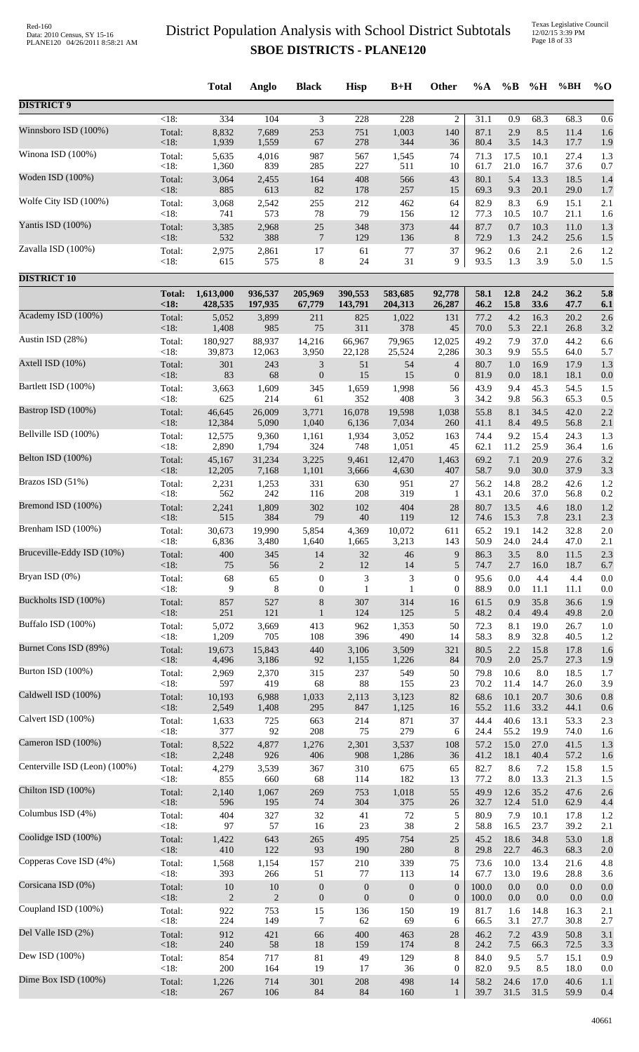Texas Legislative Council 12/02/15 3:39 PM Page 18 of 33

|                               |                    | <b>Total</b>   | Anglo          | <b>Black</b>     | <b>Hisp</b>      | $B+H$            | Other                 | %A           | $\%B$       | %H           | %BH          | $%$ <sup>O</sup> |
|-------------------------------|--------------------|----------------|----------------|------------------|------------------|------------------|-----------------------|--------------|-------------|--------------|--------------|------------------|
| <b>DISTRICT 9</b>             |                    |                |                |                  |                  |                  |                       |              |             |              |              |                  |
| Winnsboro ISD (100%)          | $\overline{<}18$ : | 334            | 104            | 3                | 228<br>751       | 228<br>1,003     | $\overline{c}$<br>140 | 31.1<br>87.1 | 0.9<br>2.9  | 68.3         | 68.3         | 0.6              |
|                               | Total:<br><18:     | 8,832<br>1,939 | 7,689<br>1,559 | 253<br>67        | 278              | 344              | 36                    | 80.4         | 3.5         | 8.5<br>14.3  | 11.4<br>17.7 | 1.6<br>1.9       |
| Winona ISD (100%)             | Total:             | 5,635          | 4,016          | 987              | 567              | 1,545            | 74                    | 71.3         | 17.5        | 10.1         | 27.4         | 1.3              |
|                               | <18:               | 1,360          | 839            | 285              | 227              | 511              | 10                    | 61.7         | 21.0        | 16.7         | 37.6         | 0.7              |
| Woden ISD (100%)              | Total:             | 3,064          | 2,455          | 164              | 408              | 566              | 43                    | 80.1         | 5.4         | 13.3         | 18.5         | 1.4              |
|                               | <18:               | 885            | 613            | 82               | 178              | 257              | 15                    | 69.3         | 9.3         | 20.1         | 29.0         | 1.7              |
| Wolfe City ISD (100%)         | Total:             | 3,068          | 2,542          | 255              | 212              | 462              | 64                    | 82.9         | 8.3         | 6.9          | 15.1         | 2.1              |
| Yantis ISD (100%)             | < 18:              | 741            | 573            | 78               | 79               | 156              | 12                    | 77.3         | 10.5        | 10.7         | 21.1         | 1.6              |
|                               | Total:             | 3,385          | 2,968          | $25\,$           | 348              | 373              | 44                    | 87.7         | 0.7         | 10.3         | 11.0         | 1.3              |
| Zavalla ISD (100%)            | $<18$ :            | 532            | 388            | $\overline{7}$   | 129              | 136              | 8                     | 72.9         | 1.3         | 24.2         | 25.6         | 1.5              |
|                               | Total:             | 2,975          | 2,861          | 17               | 61               | $77 \,$          | 37                    | 96.2         | 0.6         | 2.1          | 2.6          | 1.2              |
|                               | < 18:              | 615            | 575            | 8                | 24               | 31               | 9                     | 93.5         | 1.3         | 3.9          | 5.0          | 1.5              |
| <b>DISTRICT 10</b>            |                    |                |                |                  |                  |                  |                       |              |             |              |              |                  |
|                               | <b>Total:</b>      | 1,613,000      | 936,537        | 205,969          | 390,553          | 583,685          | 92,778                | 58.1         | 12.8        | 24.2         | 36.2         | 5.8              |
|                               | <18                | 428,535        | 197,935        | 67,779           | 143,791          | 204,313          | 26,287                | 46.2         | 15.8        | 33.6         | 47.7         | 6.1              |
| Academy ISD (100%)            | Total:             | 5,052          | 3,899          | 211              | 825              | 1,022            | 131                   | 77.2         | 4.2         | 16.3         | 20.2         | 2.6              |
|                               | <18:               | 1,408          | 985            | 75               | 311              | 378              | 45                    | 70.0         | 5.3         | 22.1         | 26.8         | 3.2              |
| Austin ISD (28%)              | Total:             | 180,927        | 88,937         | 14,216           | 66,967           | 79,965           | 12,025                | 49.2         | 7.9         | 37.0         | 44.2         | 6.6              |
|                               | < 18:              | 39,873         | 12,063         | 3,950            | 22,128           | 25,524           | 2,286                 | 30.3         | 9.9         | 55.5         | 64.0         | 5.7              |
| Axtell ISD (10%)              | Total:             | 301            | 243            | $\mathfrak{Z}$   | 51               | 54               | $\overline{4}$        | 80.7         | 1.0         | 16.9         | 17.9         | 1.3              |
|                               | $<18$ :            | 83             | 68             | $\boldsymbol{0}$ | 15               | 15               | $\boldsymbol{0}$      | 81.9         | 0.0         | 18.1         | 18.1         | 0.0              |
| Bartlett ISD (100%)           | Total:             | 3,663          | 1,609          | 345              | 1,659<br>352     | 1,998            | 56                    | 43.9         | 9.4         | 45.3         | 54.5         | 1.5              |
| Bastrop ISD (100%)            | < 18:<br>Total:    | 625<br>46,645  | 214<br>26,009  | 61<br>3,771      | 16,078           | 408<br>19,598    | 3<br>1,038            | 34.2<br>55.8 | 9.8<br>8.1  | 56.3<br>34.5 | 65.3<br>42.0 | 0.5<br>2.2       |
| Bellville ISD (100%)          | <18:               | 12,384         | 5,090          | 1,040            | 6,136            | 7,034            | 260                   | 41.1         | 8.4         | 49.5         | 56.8         | 2.1              |
|                               | Total:             | 12,575         | 9,360          | 1,161            | 1,934            | 3,052            | 163                   | 74.4         | 9.2         | 15.4         | 24.3         | 1.3              |
| Belton ISD (100%)             | < 18:              | 2,890          | 1,794          | 324              | 748              | 1,051            | 45                    | 62.1         | 11.2        | 25.9         | 36.4         | 1.6              |
|                               | Total:             | 45,167         | 31,234         | 3,225            | 9,461            | 12,470           | 1,463                 | 69.2         | 7.1         | 20.9         | 27.6         | 3.2              |
| Brazos ISD (51%)              | <18:               | 12,205         | 7,168          | 1,101            | 3,666            | 4,630            | 407                   | 58.7         | 9.0         | 30.0         | 37.9         | 3.3              |
|                               | Total:             | 2,231          | 1,253          | 331              | 630              | 951              | 27                    | 56.2         | 14.8        | 28.2         | 42.6         | 1.2              |
|                               | < 18:              | 562            | 242            | 116              | 208              | 319              | 1                     | 43.1         | 20.6        | 37.0         | 56.8         | 0.2              |
| Bremond ISD (100%)            | Total:             | 2,241          | 1,809          | 302              | 102              | 404              | 28                    | 80.7         | 13.5        | 4.6          | 18.0         | 1.2              |
|                               | <18:               | 515            | 384            | 79               | 40               | 119              | 12                    | 74.6         | 15.3        | 7.8          | 23.1         | 2.3              |
| Brenham ISD (100%)            | Total:             | 30,673         | 19,990         | 5,854            | 4,369            | 10,072           | 611                   | 65.2         | 19.1        | 14.2         | 32.8         | 2.0              |
|                               | $<18$ :            | 6,836          | 3,480          | 1,640            | 1,665            | 3,213            | 143                   | 50.9         | 24.0        | 24.4         | 47.0         | 2.1              |
| Bruceville-Eddy ISD (10%)     | Total:             | 400            | 345            | 14               | 32               | 46               | 9                     | 86.3         | 3.5         | 8.0          | 11.5         | 2.3              |
| Bryan ISD (0%)                | <18:               | 75             | 56             | $\mathbf{2}$     | $12\,$           | 14               | 5                     | 74.7         | 2.7         | 16.0         | 18.7         | 6.7              |
|                               | Total:             | 68             | 65             | $\boldsymbol{0}$ | 3                | 3                | $\boldsymbol{0}$      | 95.6         | 0.0         | 4.4          | 4.4          | 0.0              |
| Buckholts ISD (100%)          | < 18:              | 9              | 8              | $\boldsymbol{0}$ | 1                | 1                | $\boldsymbol{0}$      | 88.9         | 0.0         | 11.1         | 11.1         | 0.0              |
|                               | Total:             | 857            | 527            | $\,8\,$          | 307              | 314              | 16                    | 61.5         | 0.9         | 35.8         | 36.6         | 1.9              |
| Buffalo ISD (100%)            | <18:               | 251            | 121            | $\mathbf{1}$     | 124              | 125              | $\sqrt{5}$            | 48.2         | 0.4         | 49.4         | 49.8         | 2.0              |
|                               | Total:             | 5,072          | 3,669          | 413              | 962              | 1,353            | 50                    | 72.3         | 8.1         | 19.0         | 26.7         | 1.0              |
| Burnet Cons ISD (89%)         | <18:               | 1,209          | 705            | 108              | 396              | 490              | 14                    | 58.3         | 8.9         | 32.8         | 40.5         | 1.2              |
|                               | Total:             | 19,673         | 15,843         | 440              | 3,106            | 3,509            | 321                   | 80.5         | 2.2         | 15.8         | 17.8         | 1.6              |
|                               | <18:               | 4,496          | 3,186          | 92               | 1,155            | 1,226            | 84                    | 70.9         | $2.0\,$     | 25.7         | 27.3         | 1.9              |
| Burton ISD (100%)             | Total:             | 2,969          | 2,370          | 315              | 237              | 549              | 50                    | 79.8         | 10.6        | 8.0          | 18.5         | 1.7              |
|                               | < 18:              | 597            | 419            | 68               | 88               | 155              | 23                    | 70.2         | 11.4        | 14.7         | 26.0         | 3.9              |
| Caldwell ISD (100%)           | Total:             | 10,193         | 6,988          | 1,033            | 2,113            | 3,123            | 82                    | 68.6         | 10.1        | 20.7         | 30.6         | 0.8              |
|                               | $<18$ :            | 2,549          | 1,408          | 295              | 847              | 1,125            | 16                    | 55.2         | 11.6        | 33.2         | 44.1         | 0.6              |
| Calvert ISD (100%)            | Total:             | 1,633          | 725            | 663              | 214              | 871              | 37                    | 44.4         | 40.6        | 13.1         | 53.3         | 2.3              |
|                               | < 18:              | 377            | 92             | 208              | 75               | 279              | 6                     | 24.4         | 55.2        | 19.9         | 74.0         | 1.6              |
| Cameron ISD (100%)            | Total:<br><18:     | 8,522          | 4,877<br>926   | 1,276            | 2,301            | 3,537            | 108<br>36             | 57.2         | 15.0        | 27.0         | 41.5         | 1.3              |
| Centerville ISD (Leon) (100%) | Total:             | 2,248<br>4,279 | 3,539          | 406<br>367       | 908<br>310       | 1,286<br>675     | 65                    | 41.2<br>82.7 | 18.1<br>8.6 | 40.4<br>7.2  | 57.2<br>15.8 | 1.6<br>1.5       |
| Chilton ISD (100%)            | < 18:              | 855            | 660            | 68               | 114              | 182              | 13                    | 77.2         | 8.0         | 13.3         | 21.3         | 1.5              |
|                               | Total:             | 2,140          | 1,067          | 269              | 753              | 1,018            | 55                    | 49.9         | 12.6        | 35.2         | 47.6         | 2.6              |
| Columbus ISD (4%)             | <18:               | 596            | 195            | 74               | 304              | 375              | 26                    | 32.7         | 12.4        | 51.0         | 62.9         | 4.4              |
|                               | Total:             | 404            | 327            | 32               | 41               | 72               | 5                     | 80.9         | 7.9         | 10.1         | 17.8         | 1.2              |
| Coolidge ISD (100%)           | < 18:              | 97             | 57             | 16               | $23\,$           | 38               | $\overline{c}$        | 58.8         | 16.5        | 23.7         | 39.2         | 2.1              |
|                               | Total:             | 1,422          | 643            | 265              | 495              | 754              | 25                    | 45.2         | 18.6        | 34.8         | 53.0         | 1.8              |
| Copperas Cove ISD (4%)        | <18:               | 410            | 122            | 93               | 190              | 280              | $8\,$                 | 29.8         | 22.7        | 46.3         | 68.3         | 2.0              |
|                               | Total:             | 1,568          | 1,154          | 157              | 210              | 339              | 75                    | 73.6         | 10.0        | 13.4         | 21.6         | 4.8              |
|                               | <18:               | 393            | 266            | 51               | 77               | 113              | 14                    | 67.7         | 13.0        | 19.6         | 28.8         | 3.6              |
| Corsicana ISD (0%)            | Total:             | $10\,$         | 10             | $\boldsymbol{0}$ | $\boldsymbol{0}$ | $\boldsymbol{0}$ | $\boldsymbol{0}$      | 100.0        | 0.0         | 0.0          | 0.0          | 0.0              |
|                               | <18:               | $\overline{2}$ | $\overline{2}$ | $\boldsymbol{0}$ | $\mathbf{0}$     | $\boldsymbol{0}$ | $\boldsymbol{0}$      | 100.0        | 0.0         | 0.0          | 0.0          | 0.0              |
| Coupland ISD (100%)           | Total:             | 922            | 753            | 15               | 136              | 150              | 19                    | 81.7         | 1.6         | 14.8         | 16.3         | 2.1              |
|                               | < 18:              | 224            | 149            | 7                | 62               | 69               | 6                     | 66.5         | 3.1         | 27.7         | 30.8         | 2.7              |
| Del Valle ISD (2%)            | Total:             | 912            | 421            | 66               | 400              | 463              | 28                    | 46.2         | 7.2         | 43.9         | 50.8         | 3.1              |
|                               | $<18$ :            | 240            | 58             | 18               | 159              | 174              | $8\,$                 | 24.2         | 7.5         | 66.3         | 72.5         | 3.3              |
| Dew ISD (100%)                | Total:             | 854            | 717            | 81               | 49               | 129              | 8                     | 84.0         | 9.5         | 5.7          | 15.1         | 0.9              |
| Dime Box ISD (100%)           | <18:               | $200\,$        | 164            | 19               | 17               | 36               | $\mathbf{0}$          | 82.0         | 9.5         | 8.5          | 18.0         | 0.0              |
|                               | Total:             | 1,226          | 714            | 301              | 208              | 498              | 14                    | 58.2         | 24.6        | 17.0         | 40.6         | 1.1              |
|                               | $<18$ :            | 267            | 106            | 84               | 84               | 160              | 1                     | 39.7         | 31.5        | 31.5         | 59.9         | 0.4              |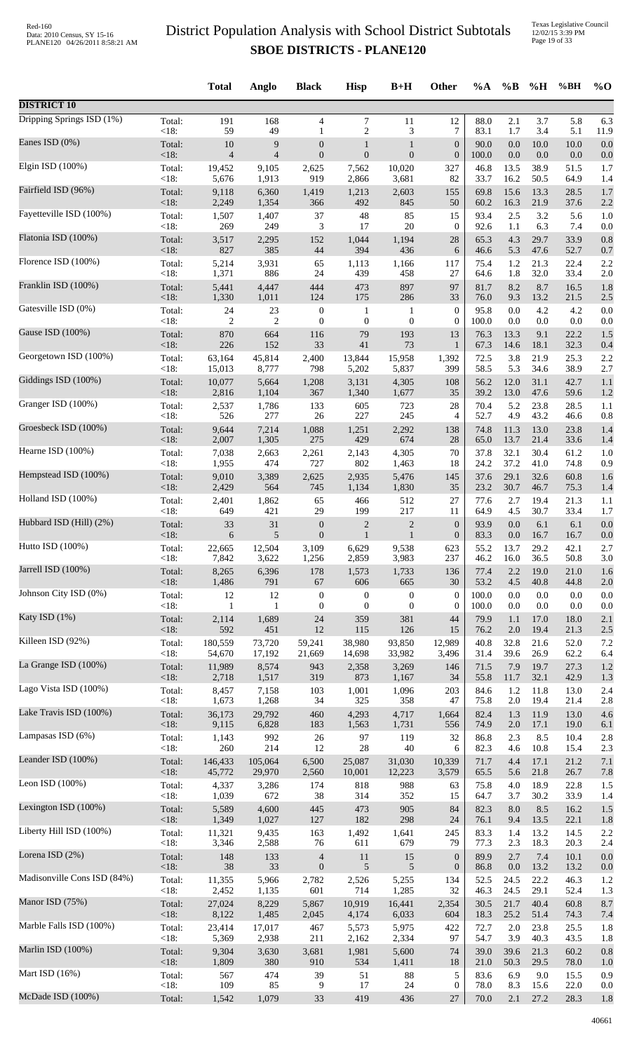Texas Legislative Council 12/02/15 3:39 PM Page 19 of 33

|                             |                | <b>Total</b>   | Anglo          | <b>Black</b>             | <b>Hisp</b>      | $B+H$            | Other            | %A           | $\%B$      | %H           | %BH         | $%$ <sup>O</sup> |
|-----------------------------|----------------|----------------|----------------|--------------------------|------------------|------------------|------------------|--------------|------------|--------------|-------------|------------------|
| <b>DISTRICT 10</b>          |                |                |                |                          |                  |                  |                  |              |            |              |             |                  |
| Dripping Springs ISD (1%)   | Total:         | 191            | 168            | $\overline{4}$           | 7                | 11               | 12               | 88.0         | 2.1        | 3.7          | 5.8         | 6.3              |
| Eanes ISD (0%)              | $<18$ :        | 59             | 49             | $\mathbf{1}$             | $\overline{c}$   | 3                | $\overline{7}$   | 83.1         | 1.7        | 3.4          | 5.1         | 11.9             |
|                             | Total:         | 10             | 9              | $\boldsymbol{0}$         | $\mathbf{1}$     | 1                | $\boldsymbol{0}$ | 90.0         | 0.0        | 10.0         | 10.0        | 0.0              |
| Elgin ISD (100%)            | < 18:          | $\overline{4}$ | $\overline{4}$ | $\boldsymbol{0}$         | $\boldsymbol{0}$ | $\mathbf{0}$     | $\boldsymbol{0}$ | 100.0        | $0.0\,$    | $0.0\,$      | 0.0         | 0.0              |
|                             | Total:         | 19,452         | 9,105          | 2,625                    | 7,562            | 10,020           | 327              | 46.8         | 13.5       | 38.9         | 51.5        | 1.7              |
|                             | < 18:          | 5,676          | 1,913          | 919                      | 2,866            | 3,681            | 82               | 33.7         | 16.2       | 50.5         | 64.9        | 1.4              |
| Fairfield ISD (96%)         | Total:         | 9,118          | 6,360          | 1,419                    | 1,213            | 2,603            | 155              | 69.8         | 15.6       | 13.3         | 28.5        | 1.7              |
|                             | < 18:          | 2,249          | 1,354          | 366                      | 492              | 845              | 50               | 60.2         | 16.3       | 21.9         | 37.6        | 2.2              |
| Fayetteville ISD (100%)     | Total:         | 1,507          | 1,407          | 37                       | 48               | 85               | 15               | 93.4         | 2.5        | 3.2          | 5.6         | 1.0              |
| Flatonia ISD (100%)         | < 18:          | 269            | 249            | 3                        | 17               | 20               | $\boldsymbol{0}$ | 92.6         | 1.1        | 6.3          | 7.4         | 0.0              |
|                             | Total:         | 3,517          | 2,295          | 152                      | 1,044            | 1,194            | 28               | 65.3         | 4.3        | 29.7         | 33.9        | 0.8              |
| Florence ISD (100%)         | $<18$ :        | 827            | 385            | 44                       | 394              | 436              | 6                | 46.6         | 5.3        | 47.6         | 52.7        | 0.7              |
|                             | Total:         | 5,214          | 3,931          | 65                       | 1,113            | 1,166            | 117              | 75.4         | 1.2        | 21.3         | 22.4        | 2.2              |
| Franklin ISD (100%)         | < 18:          | 1,371          | 886            | 24                       | 439              | 458              | 27               | 64.6         | 1.8        | 32.0         | 33.4        | 2.0              |
|                             | Total:         | 5,441          | 4,447          | 444                      | 473              | 897              | 97               | 81.7         | 8.2        | 8.7          | 16.5        | 1.8              |
|                             | <18:           | 1,330          | 1,011          | 124                      | 175              | 286              | 33               | 76.0         | 9.3        | 13.2         | 21.5        | 2.5              |
| Gatesville ISD (0%)         | Total:         | 24             | 23             | $\boldsymbol{0}$         | 1                | $\mathbf{1}$     | $\boldsymbol{0}$ | 95.8         | 0.0        | 4.2          | 4.2         | 0.0              |
|                             | < 18:          | 2              | $\overline{2}$ | $\boldsymbol{0}$         | $\boldsymbol{0}$ | $\mathbf{0}$     | $\boldsymbol{0}$ | 100.0        | 0.0        | 0.0          | 0.0         | 0.0              |
| Gause ISD (100%)            | Total:         | 870            | 664            | 116                      | 79               | 193              | 13               | 76.3         | 13.3       | 9.1          | 22.2        | 1.5              |
|                             | <18:           | 226            | 152            | 33                       | 41               | 73               | 1                | 67.3         | 14.6       | 18.1         | 32.3        | 0.4              |
| Georgetown ISD (100%)       | Total:         | 63,164         | 45,814         | 2,400                    | 13,844           | 15,958           | 1,392            | 72.5         | 3.8        | 21.9         | 25.3        | 2.2              |
|                             | < 18:          | 15,013         | 8,777          | 798                      | 5,202            | 5,837            | 399              | 58.5         | 5.3        | 34.6         | 38.9        | 2.7              |
| Giddings ISD (100%)         | Total:         | 10,077         | 5,664          | 1,208                    | 3,131            | 4,305            | 108              | 56.2         | 12.0       | 31.1         | 42.7        | 1.1              |
| Granger ISD (100%)          | < 18:          | 2,816          | 1,104          | 367                      | 1,340            | 1,677            | 35               | 39.2         | 13.0       | 47.6         | 59.6        | 1.2              |
|                             | Total:         | 2,537          | 1,786          | 133                      | 605              | 723              | 28               | 70.4         | 5.2        | 23.8         | 28.5        | 1.1              |
| Groesbeck ISD (100%)        | < 18:          | 526            | 277            | 26                       | 227              | 245              | 4                | 52.7         | 4.9        | 43.2         | 46.6        | 0.8              |
|                             | Total:         | 9,644          | 7,214          | 1,088                    | 1,251            | 2,292            | 138              | 74.8         | 11.3       | 13.0         | 23.8        | 1.4              |
|                             | < 18:          | 2,007          | 1,305          | 275                      | 429              | 674              | 28               | 65.0         | 13.7       | 21.4         | 33.6        | 1.4              |
| Hearne ISD (100%)           | Total:         | 7,038          | 2,663          | 2,261                    | 2,143            | 4,305            | 70               | 37.8         | 32.1       | 30.4         | 61.2        | 1.0              |
|                             | < 18:          | 1,955          | 474            | 727                      | 802              | 1,463            | 18               | 24.2         | 37.2       | 41.0         | 74.8        | 0.9              |
| Hempstead ISD (100%)        | Total:         | 9,010          | 3,389          | 2,625                    | 2,935            | 5,476            | 145              | 37.6         | 29.1       | 32.6         | 60.8        | 1.6              |
|                             | < 18:          | 2,429          | 564            | 745                      | 1,134            | 1,830            | 35               | 23.2         | 30.7       | 46.7         | 75.3        | 1.4              |
| Holland ISD (100%)          | Total:<br><18: | 2,401          | 1,862          | 65<br>29                 | 466<br>199       | 512<br>217       | 27<br>11         | 77.6         | 2.7        | 19.4<br>30.7 | 21.3        | 1.1              |
| Hubbard ISD (Hill) (2%)     | Total:         | 649<br>33      | 421<br>31      | $\boldsymbol{0}$         | $\boldsymbol{2}$ | $\overline{c}$   | $\boldsymbol{0}$ | 64.9<br>93.9 | 4.5<br>0.0 | 6.1          | 33.4<br>6.1 | 1.7<br>0.0       |
| Hutto ISD (100%)            | <18:           | 6              | 5              | $\boldsymbol{0}$         | $\mathbf{1}$     | $\mathbf{1}$     | $\boldsymbol{0}$ | 83.3         | $0.0\,$    | 16.7         | 16.7        | 0.0              |
|                             | Total:         | 22,665         | 12,504         | 3,109                    | 6,629            | 9,538            | 623              | 55.2         | 13.7       | 29.2         | 42.1        | 2.7              |
| Jarrell ISD (100%)          | $<18$ :        | 7,842          | 3,622          | 1,256                    | 2,859            | 3,983            | 237              | 46.2         | 16.0       | 36.5         | 50.8        | 3.0              |
|                             | Total:         | 8,265          | 6,396          | 178                      | 1,573            | 1,733            | 136              | 77.4         | 2.2        | 19.0         | 21.0        | 1.6              |
|                             | $<18$ :        | 1,486          | 791            | 67                       | 606              | 665              | 30               | 53.2         | 4.5        | 40.8         | 44.8        | 2.0              |
| Johnson City ISD (0%)       | Total:         | 12             | 12             | $\boldsymbol{0}$         | $\boldsymbol{0}$ | $\boldsymbol{0}$ | $\boldsymbol{0}$ | 100.0        | 0.0        | $0.0\,$      | 0.0         | 0.0              |
|                             | < 18:          | 1              | -1             | $\boldsymbol{0}$         | $\boldsymbol{0}$ | $\boldsymbol{0}$ | $\boldsymbol{0}$ | 100.0        | 0.0        | 0.0          | $0.0\,$     | 0.0              |
| Katy ISD (1%)               | Total:         | 2,114          | 1,689          | $24\,$                   | 359              | 381              | 44               | 79.9         | 1.1        | 17.0         | 18.0        | 2.1              |
|                             | < 18:          | 592            | 451            | 12                       | 115              | 126              | 15               | 76.2         | 2.0        | 19.4         | 21.3        | 2.5              |
| Killeen ISD (92%)           | Total:         | 180,559        | 73,720         | 59,241                   | 38,980           | 93,850           | 12,989           | 40.8         | 32.8       | 21.6         | 52.0        | 7.2              |
|                             | < 18:          | 54,670         | 17,192         | 21,669                   | 14,698           | 33,982           | 3,496            | 31.4         | 39.6       | 26.9         | 62.2        | 6.4              |
| La Grange ISD (100%)        | Total:         | 11,989         | 8,574          | 943                      | 2,358            | 3,269            | 146              | 71.5         | 7.9        | 19.7         | 27.3        | 1.2              |
| Lago Vista ISD (100%)       | < 18:          | 2,718          | 1,517          | 319                      | 873              | 1,167            | 34               | 55.8         | 11.7       | 32.1         | 42.9        | 1.3              |
|                             | Total:         | 8,457          | 7,158          | 103                      | 1,001            | 1,096            | 203              | 84.6         | 1.2        | 11.8         | 13.0        | 2.4              |
| Lake Travis ISD (100%)      | < 18:          | 1,673          | 1,268          | 34                       | 325              | 358              | 47               | 75.8         | 2.0        | 19.4         | 21.4        | 2.8              |
|                             | Total:         | 36,173         | 29,792         | 460                      | 4,293            | 4,717            | 1,664            | 82.4         | 1.3        | 11.9         | 13.0        | 4.6              |
|                             | <18:           | 9,115          | 6,828          | 183                      | 1,563            | 1,731            | 556              | 74.9         | $2.0\,$    | 17.1         | 19.0        | 6.1              |
| Lampasas ISD (6%)           | Total:         | 1,143          | 992            | 26                       | 97               | 119              | 32               | 86.8         | $2.3\,$    | 8.5          | 10.4        | 2.8              |
|                             | <18:           | 260            | 214            | 12                       | $28\,$           | 40               | 6                | 82.3         | 4.6        | 10.8         | 15.4        | 2.3              |
| Leander ISD (100%)          | Total:         | 146,433        | 105,064        | 6,500                    | 25,087           | 31,030           | 10,339           | 71.7         | 4.4        | 17.1         | 21.2        | 7.1              |
|                             | <18:           | 45,772         | 29,970         | 2,560                    | 10,001           | 12,223           | 3,579            | 65.5         | 5.6        | 21.8         | 26.7        | 7.8              |
| Leon ISD $(100\%)$          | Total:         | 4,337          | 3,286          | 174                      | 818              | 988              | 63               | 75.8         | 4.0        | 18.9         | 22.8        | 1.5              |
| Lexington ISD (100%)        | <18:           | 1,039          | 672            | $38\,$                   | 314              | 352              | 15               | 64.7         | 3.7        | 30.2         | 33.9        | 1.4              |
|                             | Total:         | 5,589          | 4,600          | 445                      | 473              | 905              | 84               | 82.3         | $8.0\,$    | 8.5          | 16.2        | 1.5              |
| Liberty Hill ISD (100%)     | <18:           | 1,349          | 1,027          | 127                      | 182              | 298              | 24               | 76.1         | 9.4        | 13.5         | 22.1        | 1.8              |
|                             | Total:         | 11,321         | 9,435          | 163                      | 1,492            | 1,641            | 245              | 83.3         | 1.4        | 13.2         | 14.5        | 2.2              |
|                             | <18:           | 3,346          | 2,588          | 76                       | 611              | 679              | 79               | 77.3         | 2.3        | 18.3         | 20.3        | 2.4              |
| Lorena ISD (2%)             | Total:         | 148            | 133            | $\overline{\mathcal{A}}$ | 11               | 15               | $\boldsymbol{0}$ | 89.9         | 2.7        | 7.4          | 10.1        | 0.0              |
|                             | <18:           | 38             | 33             | $\boldsymbol{0}$         | 5                | 5                | $\boldsymbol{0}$ | 86.8         | 0.0        | 13.2         | 13.2        | 0.0              |
| Madisonville Cons ISD (84%) | Total:         | 11,355         | 5,966          | 2,782                    | 2,526            | 5,255            | 134              | 52.5         | 24.5       | 22.2         | 46.3        | 1.2              |
|                             | < 18:          | 2,452          | 1,135          | 601                      | 714              | 1,285            | 32               | 46.3         | 24.5       | 29.1         | 52.4        | 1.3              |
| Manor ISD (75%)             | Total:         | 27,024         | 8,229          | 5,867                    | 10,919           | 16,441           | 2,354            | 30.5         | 21.7       | 40.4         | 60.8        | 8.7              |
|                             | < 18:          | 8,122          | 1,485          | 2,045                    | 4,174            | 6,033            | 604              | 18.3         | 25.2       | 51.4         | 74.3        | 7.4              |
| Marble Falls ISD (100%)     | Total:         | 23,414         | 17,017         | 467                      | 5,573            | 5,975            | 422              | 72.7         | 2.0        | 23.8         | 25.5        | 1.8              |
| Marlin ISD (100%)           | <18:           | 5,369          | 2,938          | 211                      | 2,162            | 2,334            | 97               | 54.7         | 3.9        | 40.3         | 43.5        | 1.8              |
|                             | Total:         | 9,304          | 3,630          | 3,681                    | 1,981            | 5,600            | 74               | 39.0         | 39.6       | 21.3         | 60.2        | 0.8              |
| Mart ISD $(16\%)$           | <18:           | 1,809          | 380            | 910                      | 534              | 1,411            | 18               | 21.0         | 50.3       | 29.5         | 78.0        | 1.0              |
|                             | Total:         | 567            | 474            | 39                       | 51               | 88               | 5                | 83.6         | 6.9        | 9.0          | 15.5        | 0.9              |
| McDade ISD (100%)           | < 18:          | 109            | 85             | 9                        | 17               | 24               | $\boldsymbol{0}$ | 78.0         | 8.3        | 15.6         | 22.0        | 0.0              |
|                             | Total:         | 1,542          | 1,079          | 33                       | 419              | 436              | 27               | 70.0         | 2.1        | 27.2         | 28.3        | 1.8              |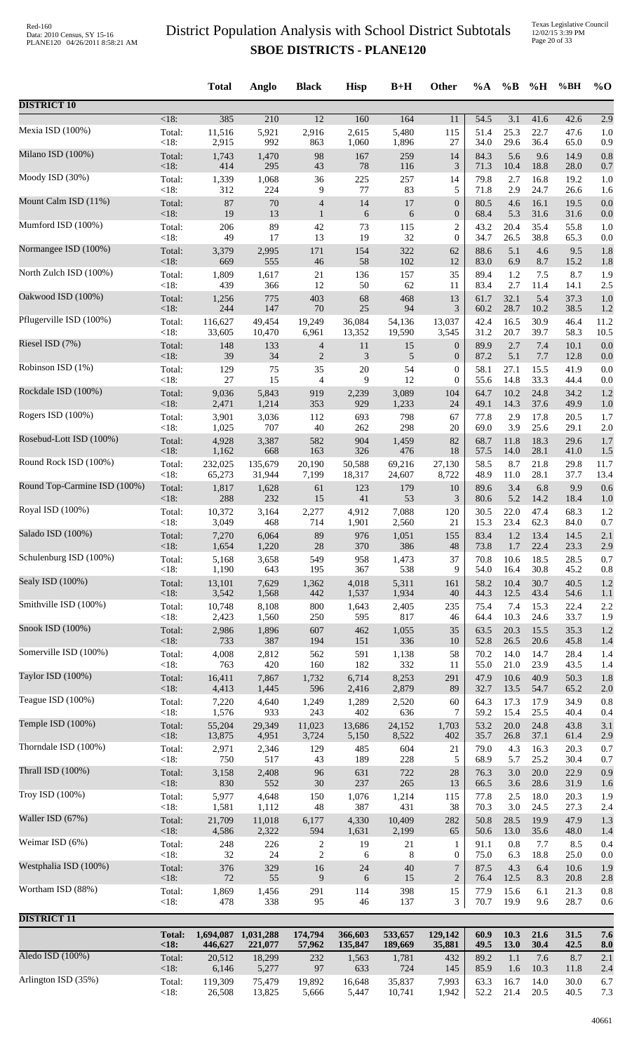| <18:<br>385<br>210<br>$\overline{12}$<br>160<br>164<br>54.5<br>3.1<br>41.6<br>42.6<br>2.9<br>11<br>Mexia ISD (100%)<br>5,480<br>Total:<br>11,516<br>5,921<br>2,916<br>2,615<br>115<br>51.4<br>25.3<br>22.7<br>47.6<br>1.0<br><18:<br>992<br>29.6<br>2,915<br>863<br>1,060<br>1,896<br>27<br>34.0<br>36.4<br>65.0<br>0.9<br>98<br>5.6<br>0.8<br>Total:<br>1,743<br>1,470<br>167<br>259<br>14<br>84.3<br>9.6<br>14.9<br><18:<br>414<br>295<br>43<br>$78\,$<br>116<br>3<br>71.3<br>10.4<br>18.8<br>28.0<br>0.7<br>225<br>16.8<br>Total:<br>1,339<br>1,068<br>36<br>257<br>79.8<br>2.7<br>19.2<br>14<br>1.0<br><18:<br>312<br>224<br>77<br>83<br>9<br>5<br>71.8<br>2.9<br>24.7<br>26.6<br>1.6<br>14<br>Total:<br>87<br>70<br>17<br>$\boldsymbol{0}$<br>80.5<br>4.6<br>16.1<br>19.5<br>0.0<br>4<br><18:<br>19<br>13<br>6<br>31.6<br>$\mathbf{1}$<br>6<br>$\boldsymbol{0}$<br>68.4<br>5.3<br>31.6<br>0.0<br>Mumford ISD (100%)<br>89<br>115<br>$\overline{c}$<br>20.4<br>35.4<br>Total:<br>206<br>42<br>73<br>43.2<br>55.8<br>1.0<br><18:<br>17<br>13<br>19<br>32<br>$\boldsymbol{0}$<br>26.5<br>38.8<br>49<br>34.7<br>65.3<br>0.0<br>Total:<br>154<br>322<br>88.6<br>5.1<br>9.5<br>3,379<br>2,995<br>171<br>62<br>4.6<br>1.8<br>58<br>102<br>$<18$ :<br>669<br>555<br>46<br>12<br>83.0<br>6.9<br>8.7<br>15.2<br>1.8<br>1,809<br>35<br>1.2<br>8.7<br>Total:<br>1,617<br>21<br>136<br>157<br>89.4<br>7.5<br>1.9<br><18:<br>439<br>12<br>50<br>62<br>2.7<br>366<br>83.4<br>11.4<br>14.1<br>2.5<br>11<br>5.4<br>775<br>403<br>68<br>468<br>32.1<br>37.3<br>Total:<br>1,256<br>13<br>61.7<br>1.0<br><18:<br>25<br>94<br>3<br>244<br>147<br>70<br>60.2<br>28.7<br>10.2<br>38.5<br>1.2<br>Total:<br>19,249<br>36,084<br>54,136<br>13,037<br>42.4<br>16.5<br>30.9<br>46.4<br>11.2<br>116,627<br>49,454<br><18:<br>31.2<br>20.7<br>39.7<br>33,605<br>10,470<br>6,961<br>13,352<br>19,590<br>3,545<br>58.3<br>10.5<br>Riesel ISD (7%)<br>2.7<br>7.4<br>Total:<br>148<br>11<br>89.9<br>10.1<br>133<br>$\overline{4}$<br>15<br>$\boldsymbol{0}$<br>0.0<br>$<18$ :<br>39<br>34<br>$\mathbf{2}$<br>3<br>5.1<br>5<br>$\boldsymbol{0}$<br>87.2<br>7.7<br>12.8<br>0.0<br>Total:<br>129<br>35<br>20<br>54<br>58.1<br>27.1<br>15.5<br>41.9<br>0.0<br>75<br>$\boldsymbol{0}$<br><18:<br>27<br>15<br>9<br>12<br>33.3<br>4<br>$\boldsymbol{0}$<br>55.6<br>14.8<br>44.4<br>0.0<br>10.2<br>24.8<br>34.2<br>Total:<br>9,036<br>5,843<br>919<br>2,239<br>3,089<br>104<br>64.7<br>1.2<br><18:<br>1,214<br>353<br>929<br>14.3<br>37.6<br>2,471<br>1,233<br>24<br>49.1<br>49.9<br>1.0<br>3,036<br>2.9<br>17.8<br>Total:<br>3,901<br>112<br>693<br>798<br>67<br>77.8<br>20.5<br>1.7<br>$<18$ :<br>40<br>262<br>298<br>3.9<br>1,025<br>707<br>20<br>69.0<br>25.6<br>29.1<br>2.0<br>Rosebud-Lott ISD (100%)<br>582<br>904<br>82<br>11.8<br>18.3<br>Total:<br>4,928<br>3,387<br>1,459<br>68.7<br>29.6<br>1.7<br><18:<br>326<br>1,162<br>668<br>163<br>476<br>18<br>57.5<br>14.0<br>28.1<br>41.0<br>1.5<br>Round Rock ISD (100%)<br>Total:<br>135,679<br>20,190<br>69,216<br>58.5<br>8.7<br>21.8<br>232,025<br>50,588<br>27,130<br>29.8<br>11.7<br><18:<br>28.1<br>65,273<br>31,944<br>7,199<br>18,317<br>24,607<br>8,722<br>48.9<br>11.0<br>37.7<br>13.4<br>Total:<br>6.8<br>9.9<br>1,817<br>1,628<br>123<br>179<br>10<br>89.6<br>3.4<br>0.6<br>61<br><18:<br>288<br>41<br>53<br>5.2<br>232<br>15<br>3<br>80.6<br>14.2<br>18.4<br>1.0<br>47.4<br>Total:<br>10,372<br>3,164<br>2,277<br>4,912<br>7,088<br>30.5<br>22.0<br>68.3<br>120<br>1.2<br><18:<br>714<br>15.3<br>23.4<br>62.3<br>3,049<br>468<br>1,901<br>2,560<br>21<br>84.0<br>0.7<br>976<br>155<br>83.4<br>1.2<br>13.4<br>14.5<br>Total:<br>7,270<br>6,064<br>89<br>1,051<br>2.1<br><18:<br>28<br>370<br>386<br>$\sqrt{48}$<br>73.8<br>1.7<br>22.4<br>23.3<br>1,654<br>1,220<br>2.9<br>Schulenburg ISD (100%)<br>Total:<br>5,168<br>3,658<br>549<br>958<br>1,473<br>37<br>70.8<br>18.5<br>28.5<br>0.7<br>10.6<br>$<18$ :<br>1,190<br>367<br>538<br>9<br>30.8<br>45.2<br>643<br>195<br>54.0<br>16.4<br>0.8<br>Sealy ISD (100%)<br>Total:<br>13,101<br>7,629<br>1,362<br>4,018<br>5,311<br>58.2<br>10.4<br>30.7<br>40.5<br>161<br>1.2<br>$<18$ :<br>3,542<br>1,537<br>1,568<br>442<br>1,934<br>40<br>44.3<br>12.5<br>43.4<br>54.6<br>1.1<br>Total:<br>10,748<br>8,108<br>$800\,$<br>235<br>7.4<br>15.3<br>2.2<br>1,643<br>2,405<br>75.4<br>22.4<br><18:<br>64.4<br>10.3<br>2,423<br>1,560<br>250<br>595<br>817<br>24.6<br>33.7<br>1.9<br>46<br>Total:<br>2,986<br>1,896<br>607<br>462<br>1,055<br>35<br>63.5<br>20.3<br>15.5<br>35.3<br>1.2<br><18:<br>733<br>387<br>194<br>151<br>336<br>52.8<br>26.5<br>20.6<br>45.8<br>10<br>1.4<br>14.7<br>Total:<br>2,812<br>562<br>591<br>1,138<br>58<br>70.2<br>14.0<br>28.4<br>4,008<br>1.4<br><18:<br>182<br>332<br>23.9<br>763<br>420<br>160<br>55.0<br>21.0<br>43.5<br>11<br>1.4<br>Taylor ISD (100%)<br>8,253<br>10.6<br>40.9<br>Total:<br>16,411<br>7,867<br>1,732<br>6,714<br>291<br>47.9<br>50.3<br>1.8<br>$<18$ :<br>596<br>2,416<br>2,879<br>32.7<br>4,413<br>1,445<br>89<br>13.5<br>54.7<br>65.2<br>2.0<br>Teague ISD (100%)<br>Total:<br>7,220<br>4,640<br>1,249<br>2,520<br>60<br>64.3<br>17.3<br>17.9<br>34.9<br>0.8<br>1,289<br><18:<br>1,576<br>933<br>243<br>402<br>636<br>59.2<br>25.5<br>7<br>15.4<br>40.4<br>0.4<br>29,349<br>11,023<br>53.2<br>20.0<br>24.8<br>Total:<br>55,204<br>13,686<br>24,152<br>1,703<br>43.8<br>3.1<br>$<18$ :<br>13,875<br>8,522<br>37.1<br>4,951<br>3,724<br>5,150<br>402<br>35.7<br>26.8<br>61.4<br>2.9<br>2,971<br>2,346<br>129<br>485<br>604<br>79.0<br>4.3<br>16.3<br>20.3<br>Total:<br>21<br>0.7<br><18:<br>750<br>189<br>228<br>517<br>43<br>5<br>68.9<br>5.7<br>25.2<br>30.4<br>0.7<br>2,408<br>96<br>631<br>722<br>$28\,$<br>20.0<br>0.9<br>Total:<br>3,158<br>76.3<br>3.0<br>22.9<br><18:<br>830<br>552<br>$30\,$<br>237<br>265<br>13<br>66.5<br>3.6<br>28.6<br>31.9<br>1.6<br>4,648<br>Total:<br>5,977<br>1,076<br>1,214<br>77.8<br>2.5<br>18.0<br>20.3<br>150<br>115<br>1.9<br>$<18$ :<br>1,581<br>48<br>387<br>431<br>3.0<br>24.5<br>1,112<br>38<br>70.3<br>27.3<br>2.4<br>Waller ISD (67%)<br>Total:<br>21,709<br>11,018<br>4,330<br>10,409<br>282<br>50.8<br>19.9<br>47.9<br>1.3<br>6,177<br>28.5<br>$<18$ :<br>2,322<br>35.6<br>4,586<br>594<br>1,631<br>2,199<br>65<br>50.6<br>13.0<br>48.0<br>1.4<br>Weimar ISD (6%)<br>0.8<br>8.5<br>Total:<br>248<br>226<br>19<br>21<br>91.1<br>7.7<br>0.4<br>2<br>1<br>< 18:<br>$\sqrt{2}$<br>$32\,$<br>24<br>$8\phantom{1}$<br>75.0<br>6.3<br>18.8<br>25.0<br>6<br>0<br>0.0<br>$\boldsymbol{7}$<br>Total:<br>376<br>329<br>16<br>$24\,$<br>40<br>87.5<br>4.3<br>6.4<br>10.6<br>1.9<br>$<18$ :<br>$72\,$<br>55<br>9<br>6<br>$\overline{2}$<br>15<br>76.4<br>12.5<br>8.3<br>20.8<br>2.8<br>Total:<br>1,869<br>1,456<br>291<br>114<br>398<br>15<br>77.9<br>15.6<br>6.1<br>21.3<br>0.8<br>< 18:<br>338<br>70.7<br>19.9<br>28.7<br>478<br>95<br>46<br>137<br>3<br>9.6<br>0.6<br><b>DISTRICT 11</b><br><b>Total:</b><br>1,031,288<br>174,794<br>533,657<br>129,142<br>60.9<br>10.3<br>21.6<br>31.5<br>1,694,087<br>366,603<br>7.6<br>30.4<br>42.5<br>< 18:<br>446,627<br>221,077<br>57,962<br>135,847<br>189,669<br>35,881<br>49.5<br><b>13.0</b><br>8.0<br>Aledo ISD (100%)<br>Total:<br>20,512<br>18,299<br>1,781<br>89.2<br>1.1<br>8.7<br>232<br>1,563<br>432<br>7.6<br>2.1<br>5,277<br>97<br>633<br>724<br><18:<br>6,146<br>145<br>85.9<br>1.6<br>10.3<br>11.8<br>2.4<br>Arlington ISD (35%)<br>119,309<br>16.7<br>14.0<br>Total:<br>75,479<br>19,892<br>16,648<br>35,837<br>7,993<br>63.3<br>30.0<br>6.7<br>52.2<br>21.4<br>20.5<br>40.5 |                              |      | <b>Total</b> | Anglo  | <b>Black</b> | <b>Hisp</b> | $B+H$  | Other | %A | $\%B$ | %H | %BH | $\%$ O |
|----------------------------------------------------------------------------------------------------------------------------------------------------------------------------------------------------------------------------------------------------------------------------------------------------------------------------------------------------------------------------------------------------------------------------------------------------------------------------------------------------------------------------------------------------------------------------------------------------------------------------------------------------------------------------------------------------------------------------------------------------------------------------------------------------------------------------------------------------------------------------------------------------------------------------------------------------------------------------------------------------------------------------------------------------------------------------------------------------------------------------------------------------------------------------------------------------------------------------------------------------------------------------------------------------------------------------------------------------------------------------------------------------------------------------------------------------------------------------------------------------------------------------------------------------------------------------------------------------------------------------------------------------------------------------------------------------------------------------------------------------------------------------------------------------------------------------------------------------------------------------------------------------------------------------------------------------------------------------------------------------------------------------------------------------------------------------------------------------------------------------------------------------------------------------------------------------------------------------------------------------------------------------------------------------------------------------------------------------------------------------------------------------------------------------------------------------------------------------------------------------------------------------------------------------------------------------------------------------------------------------------------------------------------------------------------------------------------------------------------------------------------------------------------------------------------------------------------------------------------------------------------------------------------------------------------------------------------------------------------------------------------------------------------------------------------------------------------------------------------------------------------------------------------------------------------------------------------------------------------------------------------------------------------------------------------------------------------------------------------------------------------------------------------------------------------------------------------------------------------------------------------------------------------------------------------------------------------------------------------------------------------------------------------------------------------------------------------------------------------------------------------------------------------------------------------------------------------------------------------------------------------------------------------------------------------------------------------------------------------------------------------------------------------------------------------------------------------------------------------------------------------------------------------------------------------------------------------------------------------------------------------------------------------------------------------------------------------------------------------------------------------------------------------------------------------------------------------------------------------------------------------------------------------------------------------------------------------------------------------------------------------------------------------------------------------------------------------------------------------------------------------------------------------------------------------------------------------------------------------------------------------------------------------------------------------------------------------------------------------------------------------------------------------------------------------------------------------------------------------------------------------------------------------------------------------------------------------------------------------------------------------------------------------------------------------------------------------------------------------------------------------------------------------------------------------------------------------------------------------------------------------------------------------------------------------------------------------------------------------------------------------------------------------------------------------------------------------------------------------------------------------------------------------------------------------------------------------------------------------------------------------------------------------------------------------------------------------------------------------------------------------------------------------------------------------------------------------------------------------------------------------------------------------------------------------------------------------------------------------------------------------------------------------------------------------------------------------------------------------------------------------------------------------------------------------------------------------------------------------------------------------------------------------------------------------------------------------------------------------------------------------------------------------------------------------------------------------------------------------------------------------------------------------------------------------------------------------------------------------------------------------------------------------------------------------------------------------------------------------------------------------------------------------------------------------------------------------------------------------------------------------------------------------------------------------------------------------------------------------------------------------------------------------------------------------------------------------------------------------------------------------------------------------------------------------------------------------------------------------------------------------------------------------------------------------------------------------------------|------------------------------|------|--------------|--------|--------------|-------------|--------|-------|----|-------|----|-----|--------|
|                                                                                                                                                                                                                                                                                                                                                                                                                                                                                                                                                                                                                                                                                                                                                                                                                                                                                                                                                                                                                                                                                                                                                                                                                                                                                                                                                                                                                                                                                                                                                                                                                                                                                                                                                                                                                                                                                                                                                                                                                                                                                                                                                                                                                                                                                                                                                                                                                                                                                                                                                                                                                                                                                                                                                                                                                                                                                                                                                                                                                                                                                                                                                                                                                                                                                                                                                                                                                                                                                                                                                                                                                                                                                                                                                                                                                                                                                                                                                                                                                                                                                                                                                                                                                                                                                                                                                                                                                                                                                                                                                                                                                                                                                                                                                                                                                                                                                                                                                                                                                                                                                                                                                                                                                                                                                                                                                                                                                                                                                                                                                                                                                                                                                                                                                                                                                                                                                                                                                                                                                                                                                                                                                                                                                                                                                                                                                                                                                                                                                                                                                                                                                                                                                                                                                                                                                                                                                                                                                                                                                                                                                                                                                                                                                                                                                                                                                                                                                                                                                                                                                                                                    | <b>DISTRICT 10</b>           |      |              |        |              |             |        |       |    |       |    |     |        |
|                                                                                                                                                                                                                                                                                                                                                                                                                                                                                                                                                                                                                                                                                                                                                                                                                                                                                                                                                                                                                                                                                                                                                                                                                                                                                                                                                                                                                                                                                                                                                                                                                                                                                                                                                                                                                                                                                                                                                                                                                                                                                                                                                                                                                                                                                                                                                                                                                                                                                                                                                                                                                                                                                                                                                                                                                                                                                                                                                                                                                                                                                                                                                                                                                                                                                                                                                                                                                                                                                                                                                                                                                                                                                                                                                                                                                                                                                                                                                                                                                                                                                                                                                                                                                                                                                                                                                                                                                                                                                                                                                                                                                                                                                                                                                                                                                                                                                                                                                                                                                                                                                                                                                                                                                                                                                                                                                                                                                                                                                                                                                                                                                                                                                                                                                                                                                                                                                                                                                                                                                                                                                                                                                                                                                                                                                                                                                                                                                                                                                                                                                                                                                                                                                                                                                                                                                                                                                                                                                                                                                                                                                                                                                                                                                                                                                                                                                                                                                                                                                                                                                                                                    |                              |      |              |        |              |             |        |       |    |       |    |     |        |
|                                                                                                                                                                                                                                                                                                                                                                                                                                                                                                                                                                                                                                                                                                                                                                                                                                                                                                                                                                                                                                                                                                                                                                                                                                                                                                                                                                                                                                                                                                                                                                                                                                                                                                                                                                                                                                                                                                                                                                                                                                                                                                                                                                                                                                                                                                                                                                                                                                                                                                                                                                                                                                                                                                                                                                                                                                                                                                                                                                                                                                                                                                                                                                                                                                                                                                                                                                                                                                                                                                                                                                                                                                                                                                                                                                                                                                                                                                                                                                                                                                                                                                                                                                                                                                                                                                                                                                                                                                                                                                                                                                                                                                                                                                                                                                                                                                                                                                                                                                                                                                                                                                                                                                                                                                                                                                                                                                                                                                                                                                                                                                                                                                                                                                                                                                                                                                                                                                                                                                                                                                                                                                                                                                                                                                                                                                                                                                                                                                                                                                                                                                                                                                                                                                                                                                                                                                                                                                                                                                                                                                                                                                                                                                                                                                                                                                                                                                                                                                                                                                                                                                                                    |                              |      |              |        |              |             |        |       |    |       |    |     |        |
|                                                                                                                                                                                                                                                                                                                                                                                                                                                                                                                                                                                                                                                                                                                                                                                                                                                                                                                                                                                                                                                                                                                                                                                                                                                                                                                                                                                                                                                                                                                                                                                                                                                                                                                                                                                                                                                                                                                                                                                                                                                                                                                                                                                                                                                                                                                                                                                                                                                                                                                                                                                                                                                                                                                                                                                                                                                                                                                                                                                                                                                                                                                                                                                                                                                                                                                                                                                                                                                                                                                                                                                                                                                                                                                                                                                                                                                                                                                                                                                                                                                                                                                                                                                                                                                                                                                                                                                                                                                                                                                                                                                                                                                                                                                                                                                                                                                                                                                                                                                                                                                                                                                                                                                                                                                                                                                                                                                                                                                                                                                                                                                                                                                                                                                                                                                                                                                                                                                                                                                                                                                                                                                                                                                                                                                                                                                                                                                                                                                                                                                                                                                                                                                                                                                                                                                                                                                                                                                                                                                                                                                                                                                                                                                                                                                                                                                                                                                                                                                                                                                                                                                                    | Milano ISD (100%)            |      |              |        |              |             |        |       |    |       |    |     |        |
|                                                                                                                                                                                                                                                                                                                                                                                                                                                                                                                                                                                                                                                                                                                                                                                                                                                                                                                                                                                                                                                                                                                                                                                                                                                                                                                                                                                                                                                                                                                                                                                                                                                                                                                                                                                                                                                                                                                                                                                                                                                                                                                                                                                                                                                                                                                                                                                                                                                                                                                                                                                                                                                                                                                                                                                                                                                                                                                                                                                                                                                                                                                                                                                                                                                                                                                                                                                                                                                                                                                                                                                                                                                                                                                                                                                                                                                                                                                                                                                                                                                                                                                                                                                                                                                                                                                                                                                                                                                                                                                                                                                                                                                                                                                                                                                                                                                                                                                                                                                                                                                                                                                                                                                                                                                                                                                                                                                                                                                                                                                                                                                                                                                                                                                                                                                                                                                                                                                                                                                                                                                                                                                                                                                                                                                                                                                                                                                                                                                                                                                                                                                                                                                                                                                                                                                                                                                                                                                                                                                                                                                                                                                                                                                                                                                                                                                                                                                                                                                                                                                                                                                                    | Moody ISD (30%)              |      |              |        |              |             |        |       |    |       |    |     |        |
|                                                                                                                                                                                                                                                                                                                                                                                                                                                                                                                                                                                                                                                                                                                                                                                                                                                                                                                                                                                                                                                                                                                                                                                                                                                                                                                                                                                                                                                                                                                                                                                                                                                                                                                                                                                                                                                                                                                                                                                                                                                                                                                                                                                                                                                                                                                                                                                                                                                                                                                                                                                                                                                                                                                                                                                                                                                                                                                                                                                                                                                                                                                                                                                                                                                                                                                                                                                                                                                                                                                                                                                                                                                                                                                                                                                                                                                                                                                                                                                                                                                                                                                                                                                                                                                                                                                                                                                                                                                                                                                                                                                                                                                                                                                                                                                                                                                                                                                                                                                                                                                                                                                                                                                                                                                                                                                                                                                                                                                                                                                                                                                                                                                                                                                                                                                                                                                                                                                                                                                                                                                                                                                                                                                                                                                                                                                                                                                                                                                                                                                                                                                                                                                                                                                                                                                                                                                                                                                                                                                                                                                                                                                                                                                                                                                                                                                                                                                                                                                                                                                                                                                                    | Mount Calm ISD (11%)         |      |              |        |              |             |        |       |    |       |    |     |        |
|                                                                                                                                                                                                                                                                                                                                                                                                                                                                                                                                                                                                                                                                                                                                                                                                                                                                                                                                                                                                                                                                                                                                                                                                                                                                                                                                                                                                                                                                                                                                                                                                                                                                                                                                                                                                                                                                                                                                                                                                                                                                                                                                                                                                                                                                                                                                                                                                                                                                                                                                                                                                                                                                                                                                                                                                                                                                                                                                                                                                                                                                                                                                                                                                                                                                                                                                                                                                                                                                                                                                                                                                                                                                                                                                                                                                                                                                                                                                                                                                                                                                                                                                                                                                                                                                                                                                                                                                                                                                                                                                                                                                                                                                                                                                                                                                                                                                                                                                                                                                                                                                                                                                                                                                                                                                                                                                                                                                                                                                                                                                                                                                                                                                                                                                                                                                                                                                                                                                                                                                                                                                                                                                                                                                                                                                                                                                                                                                                                                                                                                                                                                                                                                                                                                                                                                                                                                                                                                                                                                                                                                                                                                                                                                                                                                                                                                                                                                                                                                                                                                                                                                                    |                              |      |              |        |              |             |        |       |    |       |    |     |        |
|                                                                                                                                                                                                                                                                                                                                                                                                                                                                                                                                                                                                                                                                                                                                                                                                                                                                                                                                                                                                                                                                                                                                                                                                                                                                                                                                                                                                                                                                                                                                                                                                                                                                                                                                                                                                                                                                                                                                                                                                                                                                                                                                                                                                                                                                                                                                                                                                                                                                                                                                                                                                                                                                                                                                                                                                                                                                                                                                                                                                                                                                                                                                                                                                                                                                                                                                                                                                                                                                                                                                                                                                                                                                                                                                                                                                                                                                                                                                                                                                                                                                                                                                                                                                                                                                                                                                                                                                                                                                                                                                                                                                                                                                                                                                                                                                                                                                                                                                                                                                                                                                                                                                                                                                                                                                                                                                                                                                                                                                                                                                                                                                                                                                                                                                                                                                                                                                                                                                                                                                                                                                                                                                                                                                                                                                                                                                                                                                                                                                                                                                                                                                                                                                                                                                                                                                                                                                                                                                                                                                                                                                                                                                                                                                                                                                                                                                                                                                                                                                                                                                                                                                    |                              |      |              |        |              |             |        |       |    |       |    |     |        |
|                                                                                                                                                                                                                                                                                                                                                                                                                                                                                                                                                                                                                                                                                                                                                                                                                                                                                                                                                                                                                                                                                                                                                                                                                                                                                                                                                                                                                                                                                                                                                                                                                                                                                                                                                                                                                                                                                                                                                                                                                                                                                                                                                                                                                                                                                                                                                                                                                                                                                                                                                                                                                                                                                                                                                                                                                                                                                                                                                                                                                                                                                                                                                                                                                                                                                                                                                                                                                                                                                                                                                                                                                                                                                                                                                                                                                                                                                                                                                                                                                                                                                                                                                                                                                                                                                                                                                                                                                                                                                                                                                                                                                                                                                                                                                                                                                                                                                                                                                                                                                                                                                                                                                                                                                                                                                                                                                                                                                                                                                                                                                                                                                                                                                                                                                                                                                                                                                                                                                                                                                                                                                                                                                                                                                                                                                                                                                                                                                                                                                                                                                                                                                                                                                                                                                                                                                                                                                                                                                                                                                                                                                                                                                                                                                                                                                                                                                                                                                                                                                                                                                                                                    | Normangee ISD (100%)         |      |              |        |              |             |        |       |    |       |    |     |        |
|                                                                                                                                                                                                                                                                                                                                                                                                                                                                                                                                                                                                                                                                                                                                                                                                                                                                                                                                                                                                                                                                                                                                                                                                                                                                                                                                                                                                                                                                                                                                                                                                                                                                                                                                                                                                                                                                                                                                                                                                                                                                                                                                                                                                                                                                                                                                                                                                                                                                                                                                                                                                                                                                                                                                                                                                                                                                                                                                                                                                                                                                                                                                                                                                                                                                                                                                                                                                                                                                                                                                                                                                                                                                                                                                                                                                                                                                                                                                                                                                                                                                                                                                                                                                                                                                                                                                                                                                                                                                                                                                                                                                                                                                                                                                                                                                                                                                                                                                                                                                                                                                                                                                                                                                                                                                                                                                                                                                                                                                                                                                                                                                                                                                                                                                                                                                                                                                                                                                                                                                                                                                                                                                                                                                                                                                                                                                                                                                                                                                                                                                                                                                                                                                                                                                                                                                                                                                                                                                                                                                                                                                                                                                                                                                                                                                                                                                                                                                                                                                                                                                                                                                    | North Zulch ISD (100%)       |      |              |        |              |             |        |       |    |       |    |     |        |
|                                                                                                                                                                                                                                                                                                                                                                                                                                                                                                                                                                                                                                                                                                                                                                                                                                                                                                                                                                                                                                                                                                                                                                                                                                                                                                                                                                                                                                                                                                                                                                                                                                                                                                                                                                                                                                                                                                                                                                                                                                                                                                                                                                                                                                                                                                                                                                                                                                                                                                                                                                                                                                                                                                                                                                                                                                                                                                                                                                                                                                                                                                                                                                                                                                                                                                                                                                                                                                                                                                                                                                                                                                                                                                                                                                                                                                                                                                                                                                                                                                                                                                                                                                                                                                                                                                                                                                                                                                                                                                                                                                                                                                                                                                                                                                                                                                                                                                                                                                                                                                                                                                                                                                                                                                                                                                                                                                                                                                                                                                                                                                                                                                                                                                                                                                                                                                                                                                                                                                                                                                                                                                                                                                                                                                                                                                                                                                                                                                                                                                                                                                                                                                                                                                                                                                                                                                                                                                                                                                                                                                                                                                                                                                                                                                                                                                                                                                                                                                                                                                                                                                                                    | Oakwood ISD (100%)           |      |              |        |              |             |        |       |    |       |    |     |        |
|                                                                                                                                                                                                                                                                                                                                                                                                                                                                                                                                                                                                                                                                                                                                                                                                                                                                                                                                                                                                                                                                                                                                                                                                                                                                                                                                                                                                                                                                                                                                                                                                                                                                                                                                                                                                                                                                                                                                                                                                                                                                                                                                                                                                                                                                                                                                                                                                                                                                                                                                                                                                                                                                                                                                                                                                                                                                                                                                                                                                                                                                                                                                                                                                                                                                                                                                                                                                                                                                                                                                                                                                                                                                                                                                                                                                                                                                                                                                                                                                                                                                                                                                                                                                                                                                                                                                                                                                                                                                                                                                                                                                                                                                                                                                                                                                                                                                                                                                                                                                                                                                                                                                                                                                                                                                                                                                                                                                                                                                                                                                                                                                                                                                                                                                                                                                                                                                                                                                                                                                                                                                                                                                                                                                                                                                                                                                                                                                                                                                                                                                                                                                                                                                                                                                                                                                                                                                                                                                                                                                                                                                                                                                                                                                                                                                                                                                                                                                                                                                                                                                                                                                    | Pflugerville ISD (100%)      |      |              |        |              |             |        |       |    |       |    |     |        |
|                                                                                                                                                                                                                                                                                                                                                                                                                                                                                                                                                                                                                                                                                                                                                                                                                                                                                                                                                                                                                                                                                                                                                                                                                                                                                                                                                                                                                                                                                                                                                                                                                                                                                                                                                                                                                                                                                                                                                                                                                                                                                                                                                                                                                                                                                                                                                                                                                                                                                                                                                                                                                                                                                                                                                                                                                                                                                                                                                                                                                                                                                                                                                                                                                                                                                                                                                                                                                                                                                                                                                                                                                                                                                                                                                                                                                                                                                                                                                                                                                                                                                                                                                                                                                                                                                                                                                                                                                                                                                                                                                                                                                                                                                                                                                                                                                                                                                                                                                                                                                                                                                                                                                                                                                                                                                                                                                                                                                                                                                                                                                                                                                                                                                                                                                                                                                                                                                                                                                                                                                                                                                                                                                                                                                                                                                                                                                                                                                                                                                                                                                                                                                                                                                                                                                                                                                                                                                                                                                                                                                                                                                                                                                                                                                                                                                                                                                                                                                                                                                                                                                                                                    |                              |      |              |        |              |             |        |       |    |       |    |     |        |
|                                                                                                                                                                                                                                                                                                                                                                                                                                                                                                                                                                                                                                                                                                                                                                                                                                                                                                                                                                                                                                                                                                                                                                                                                                                                                                                                                                                                                                                                                                                                                                                                                                                                                                                                                                                                                                                                                                                                                                                                                                                                                                                                                                                                                                                                                                                                                                                                                                                                                                                                                                                                                                                                                                                                                                                                                                                                                                                                                                                                                                                                                                                                                                                                                                                                                                                                                                                                                                                                                                                                                                                                                                                                                                                                                                                                                                                                                                                                                                                                                                                                                                                                                                                                                                                                                                                                                                                                                                                                                                                                                                                                                                                                                                                                                                                                                                                                                                                                                                                                                                                                                                                                                                                                                                                                                                                                                                                                                                                                                                                                                                                                                                                                                                                                                                                                                                                                                                                                                                                                                                                                                                                                                                                                                                                                                                                                                                                                                                                                                                                                                                                                                                                                                                                                                                                                                                                                                                                                                                                                                                                                                                                                                                                                                                                                                                                                                                                                                                                                                                                                                                                                    |                              |      |              |        |              |             |        |       |    |       |    |     |        |
|                                                                                                                                                                                                                                                                                                                                                                                                                                                                                                                                                                                                                                                                                                                                                                                                                                                                                                                                                                                                                                                                                                                                                                                                                                                                                                                                                                                                                                                                                                                                                                                                                                                                                                                                                                                                                                                                                                                                                                                                                                                                                                                                                                                                                                                                                                                                                                                                                                                                                                                                                                                                                                                                                                                                                                                                                                                                                                                                                                                                                                                                                                                                                                                                                                                                                                                                                                                                                                                                                                                                                                                                                                                                                                                                                                                                                                                                                                                                                                                                                                                                                                                                                                                                                                                                                                                                                                                                                                                                                                                                                                                                                                                                                                                                                                                                                                                                                                                                                                                                                                                                                                                                                                                                                                                                                                                                                                                                                                                                                                                                                                                                                                                                                                                                                                                                                                                                                                                                                                                                                                                                                                                                                                                                                                                                                                                                                                                                                                                                                                                                                                                                                                                                                                                                                                                                                                                                                                                                                                                                                                                                                                                                                                                                                                                                                                                                                                                                                                                                                                                                                                                                    | Robinson ISD (1%)            |      |              |        |              |             |        |       |    |       |    |     |        |
|                                                                                                                                                                                                                                                                                                                                                                                                                                                                                                                                                                                                                                                                                                                                                                                                                                                                                                                                                                                                                                                                                                                                                                                                                                                                                                                                                                                                                                                                                                                                                                                                                                                                                                                                                                                                                                                                                                                                                                                                                                                                                                                                                                                                                                                                                                                                                                                                                                                                                                                                                                                                                                                                                                                                                                                                                                                                                                                                                                                                                                                                                                                                                                                                                                                                                                                                                                                                                                                                                                                                                                                                                                                                                                                                                                                                                                                                                                                                                                                                                                                                                                                                                                                                                                                                                                                                                                                                                                                                                                                                                                                                                                                                                                                                                                                                                                                                                                                                                                                                                                                                                                                                                                                                                                                                                                                                                                                                                                                                                                                                                                                                                                                                                                                                                                                                                                                                                                                                                                                                                                                                                                                                                                                                                                                                                                                                                                                                                                                                                                                                                                                                                                                                                                                                                                                                                                                                                                                                                                                                                                                                                                                                                                                                                                                                                                                                                                                                                                                                                                                                                                                                    | Rockdale ISD (100%)          |      |              |        |              |             |        |       |    |       |    |     |        |
|                                                                                                                                                                                                                                                                                                                                                                                                                                                                                                                                                                                                                                                                                                                                                                                                                                                                                                                                                                                                                                                                                                                                                                                                                                                                                                                                                                                                                                                                                                                                                                                                                                                                                                                                                                                                                                                                                                                                                                                                                                                                                                                                                                                                                                                                                                                                                                                                                                                                                                                                                                                                                                                                                                                                                                                                                                                                                                                                                                                                                                                                                                                                                                                                                                                                                                                                                                                                                                                                                                                                                                                                                                                                                                                                                                                                                                                                                                                                                                                                                                                                                                                                                                                                                                                                                                                                                                                                                                                                                                                                                                                                                                                                                                                                                                                                                                                                                                                                                                                                                                                                                                                                                                                                                                                                                                                                                                                                                                                                                                                                                                                                                                                                                                                                                                                                                                                                                                                                                                                                                                                                                                                                                                                                                                                                                                                                                                                                                                                                                                                                                                                                                                                                                                                                                                                                                                                                                                                                                                                                                                                                                                                                                                                                                                                                                                                                                                                                                                                                                                                                                                                                    | Rogers ISD (100%)            |      |              |        |              |             |        |       |    |       |    |     |        |
|                                                                                                                                                                                                                                                                                                                                                                                                                                                                                                                                                                                                                                                                                                                                                                                                                                                                                                                                                                                                                                                                                                                                                                                                                                                                                                                                                                                                                                                                                                                                                                                                                                                                                                                                                                                                                                                                                                                                                                                                                                                                                                                                                                                                                                                                                                                                                                                                                                                                                                                                                                                                                                                                                                                                                                                                                                                                                                                                                                                                                                                                                                                                                                                                                                                                                                                                                                                                                                                                                                                                                                                                                                                                                                                                                                                                                                                                                                                                                                                                                                                                                                                                                                                                                                                                                                                                                                                                                                                                                                                                                                                                                                                                                                                                                                                                                                                                                                                                                                                                                                                                                                                                                                                                                                                                                                                                                                                                                                                                                                                                                                                                                                                                                                                                                                                                                                                                                                                                                                                                                                                                                                                                                                                                                                                                                                                                                                                                                                                                                                                                                                                                                                                                                                                                                                                                                                                                                                                                                                                                                                                                                                                                                                                                                                                                                                                                                                                                                                                                                                                                                                                                    |                              |      |              |        |              |             |        |       |    |       |    |     |        |
|                                                                                                                                                                                                                                                                                                                                                                                                                                                                                                                                                                                                                                                                                                                                                                                                                                                                                                                                                                                                                                                                                                                                                                                                                                                                                                                                                                                                                                                                                                                                                                                                                                                                                                                                                                                                                                                                                                                                                                                                                                                                                                                                                                                                                                                                                                                                                                                                                                                                                                                                                                                                                                                                                                                                                                                                                                                                                                                                                                                                                                                                                                                                                                                                                                                                                                                                                                                                                                                                                                                                                                                                                                                                                                                                                                                                                                                                                                                                                                                                                                                                                                                                                                                                                                                                                                                                                                                                                                                                                                                                                                                                                                                                                                                                                                                                                                                                                                                                                                                                                                                                                                                                                                                                                                                                                                                                                                                                                                                                                                                                                                                                                                                                                                                                                                                                                                                                                                                                                                                                                                                                                                                                                                                                                                                                                                                                                                                                                                                                                                                                                                                                                                                                                                                                                                                                                                                                                                                                                                                                                                                                                                                                                                                                                                                                                                                                                                                                                                                                                                                                                                                                    |                              |      |              |        |              |             |        |       |    |       |    |     |        |
|                                                                                                                                                                                                                                                                                                                                                                                                                                                                                                                                                                                                                                                                                                                                                                                                                                                                                                                                                                                                                                                                                                                                                                                                                                                                                                                                                                                                                                                                                                                                                                                                                                                                                                                                                                                                                                                                                                                                                                                                                                                                                                                                                                                                                                                                                                                                                                                                                                                                                                                                                                                                                                                                                                                                                                                                                                                                                                                                                                                                                                                                                                                                                                                                                                                                                                                                                                                                                                                                                                                                                                                                                                                                                                                                                                                                                                                                                                                                                                                                                                                                                                                                                                                                                                                                                                                                                                                                                                                                                                                                                                                                                                                                                                                                                                                                                                                                                                                                                                                                                                                                                                                                                                                                                                                                                                                                                                                                                                                                                                                                                                                                                                                                                                                                                                                                                                                                                                                                                                                                                                                                                                                                                                                                                                                                                                                                                                                                                                                                                                                                                                                                                                                                                                                                                                                                                                                                                                                                                                                                                                                                                                                                                                                                                                                                                                                                                                                                                                                                                                                                                                                                    |                              |      |              |        |              |             |        |       |    |       |    |     |        |
|                                                                                                                                                                                                                                                                                                                                                                                                                                                                                                                                                                                                                                                                                                                                                                                                                                                                                                                                                                                                                                                                                                                                                                                                                                                                                                                                                                                                                                                                                                                                                                                                                                                                                                                                                                                                                                                                                                                                                                                                                                                                                                                                                                                                                                                                                                                                                                                                                                                                                                                                                                                                                                                                                                                                                                                                                                                                                                                                                                                                                                                                                                                                                                                                                                                                                                                                                                                                                                                                                                                                                                                                                                                                                                                                                                                                                                                                                                                                                                                                                                                                                                                                                                                                                                                                                                                                                                                                                                                                                                                                                                                                                                                                                                                                                                                                                                                                                                                                                                                                                                                                                                                                                                                                                                                                                                                                                                                                                                                                                                                                                                                                                                                                                                                                                                                                                                                                                                                                                                                                                                                                                                                                                                                                                                                                                                                                                                                                                                                                                                                                                                                                                                                                                                                                                                                                                                                                                                                                                                                                                                                                                                                                                                                                                                                                                                                                                                                                                                                                                                                                                                                                    | Round Top-Carmine ISD (100%) |      |              |        |              |             |        |       |    |       |    |     |        |
|                                                                                                                                                                                                                                                                                                                                                                                                                                                                                                                                                                                                                                                                                                                                                                                                                                                                                                                                                                                                                                                                                                                                                                                                                                                                                                                                                                                                                                                                                                                                                                                                                                                                                                                                                                                                                                                                                                                                                                                                                                                                                                                                                                                                                                                                                                                                                                                                                                                                                                                                                                                                                                                                                                                                                                                                                                                                                                                                                                                                                                                                                                                                                                                                                                                                                                                                                                                                                                                                                                                                                                                                                                                                                                                                                                                                                                                                                                                                                                                                                                                                                                                                                                                                                                                                                                                                                                                                                                                                                                                                                                                                                                                                                                                                                                                                                                                                                                                                                                                                                                                                                                                                                                                                                                                                                                                                                                                                                                                                                                                                                                                                                                                                                                                                                                                                                                                                                                                                                                                                                                                                                                                                                                                                                                                                                                                                                                                                                                                                                                                                                                                                                                                                                                                                                                                                                                                                                                                                                                                                                                                                                                                                                                                                                                                                                                                                                                                                                                                                                                                                                                                                    | Royal ISD (100%)             |      |              |        |              |             |        |       |    |       |    |     |        |
|                                                                                                                                                                                                                                                                                                                                                                                                                                                                                                                                                                                                                                                                                                                                                                                                                                                                                                                                                                                                                                                                                                                                                                                                                                                                                                                                                                                                                                                                                                                                                                                                                                                                                                                                                                                                                                                                                                                                                                                                                                                                                                                                                                                                                                                                                                                                                                                                                                                                                                                                                                                                                                                                                                                                                                                                                                                                                                                                                                                                                                                                                                                                                                                                                                                                                                                                                                                                                                                                                                                                                                                                                                                                                                                                                                                                                                                                                                                                                                                                                                                                                                                                                                                                                                                                                                                                                                                                                                                                                                                                                                                                                                                                                                                                                                                                                                                                                                                                                                                                                                                                                                                                                                                                                                                                                                                                                                                                                                                                                                                                                                                                                                                                                                                                                                                                                                                                                                                                                                                                                                                                                                                                                                                                                                                                                                                                                                                                                                                                                                                                                                                                                                                                                                                                                                                                                                                                                                                                                                                                                                                                                                                                                                                                                                                                                                                                                                                                                                                                                                                                                                                                    | Salado ISD (100%)            |      |              |        |              |             |        |       |    |       |    |     |        |
|                                                                                                                                                                                                                                                                                                                                                                                                                                                                                                                                                                                                                                                                                                                                                                                                                                                                                                                                                                                                                                                                                                                                                                                                                                                                                                                                                                                                                                                                                                                                                                                                                                                                                                                                                                                                                                                                                                                                                                                                                                                                                                                                                                                                                                                                                                                                                                                                                                                                                                                                                                                                                                                                                                                                                                                                                                                                                                                                                                                                                                                                                                                                                                                                                                                                                                                                                                                                                                                                                                                                                                                                                                                                                                                                                                                                                                                                                                                                                                                                                                                                                                                                                                                                                                                                                                                                                                                                                                                                                                                                                                                                                                                                                                                                                                                                                                                                                                                                                                                                                                                                                                                                                                                                                                                                                                                                                                                                                                                                                                                                                                                                                                                                                                                                                                                                                                                                                                                                                                                                                                                                                                                                                                                                                                                                                                                                                                                                                                                                                                                                                                                                                                                                                                                                                                                                                                                                                                                                                                                                                                                                                                                                                                                                                                                                                                                                                                                                                                                                                                                                                                                                    |                              |      |              |        |              |             |        |       |    |       |    |     |        |
|                                                                                                                                                                                                                                                                                                                                                                                                                                                                                                                                                                                                                                                                                                                                                                                                                                                                                                                                                                                                                                                                                                                                                                                                                                                                                                                                                                                                                                                                                                                                                                                                                                                                                                                                                                                                                                                                                                                                                                                                                                                                                                                                                                                                                                                                                                                                                                                                                                                                                                                                                                                                                                                                                                                                                                                                                                                                                                                                                                                                                                                                                                                                                                                                                                                                                                                                                                                                                                                                                                                                                                                                                                                                                                                                                                                                                                                                                                                                                                                                                                                                                                                                                                                                                                                                                                                                                                                                                                                                                                                                                                                                                                                                                                                                                                                                                                                                                                                                                                                                                                                                                                                                                                                                                                                                                                                                                                                                                                                                                                                                                                                                                                                                                                                                                                                                                                                                                                                                                                                                                                                                                                                                                                                                                                                                                                                                                                                                                                                                                                                                                                                                                                                                                                                                                                                                                                                                                                                                                                                                                                                                                                                                                                                                                                                                                                                                                                                                                                                                                                                                                                                                    |                              |      |              |        |              |             |        |       |    |       |    |     |        |
|                                                                                                                                                                                                                                                                                                                                                                                                                                                                                                                                                                                                                                                                                                                                                                                                                                                                                                                                                                                                                                                                                                                                                                                                                                                                                                                                                                                                                                                                                                                                                                                                                                                                                                                                                                                                                                                                                                                                                                                                                                                                                                                                                                                                                                                                                                                                                                                                                                                                                                                                                                                                                                                                                                                                                                                                                                                                                                                                                                                                                                                                                                                                                                                                                                                                                                                                                                                                                                                                                                                                                                                                                                                                                                                                                                                                                                                                                                                                                                                                                                                                                                                                                                                                                                                                                                                                                                                                                                                                                                                                                                                                                                                                                                                                                                                                                                                                                                                                                                                                                                                                                                                                                                                                                                                                                                                                                                                                                                                                                                                                                                                                                                                                                                                                                                                                                                                                                                                                                                                                                                                                                                                                                                                                                                                                                                                                                                                                                                                                                                                                                                                                                                                                                                                                                                                                                                                                                                                                                                                                                                                                                                                                                                                                                                                                                                                                                                                                                                                                                                                                                                                                    |                              |      |              |        |              |             |        |       |    |       |    |     |        |
|                                                                                                                                                                                                                                                                                                                                                                                                                                                                                                                                                                                                                                                                                                                                                                                                                                                                                                                                                                                                                                                                                                                                                                                                                                                                                                                                                                                                                                                                                                                                                                                                                                                                                                                                                                                                                                                                                                                                                                                                                                                                                                                                                                                                                                                                                                                                                                                                                                                                                                                                                                                                                                                                                                                                                                                                                                                                                                                                                                                                                                                                                                                                                                                                                                                                                                                                                                                                                                                                                                                                                                                                                                                                                                                                                                                                                                                                                                                                                                                                                                                                                                                                                                                                                                                                                                                                                                                                                                                                                                                                                                                                                                                                                                                                                                                                                                                                                                                                                                                                                                                                                                                                                                                                                                                                                                                                                                                                                                                                                                                                                                                                                                                                                                                                                                                                                                                                                                                                                                                                                                                                                                                                                                                                                                                                                                                                                                                                                                                                                                                                                                                                                                                                                                                                                                                                                                                                                                                                                                                                                                                                                                                                                                                                                                                                                                                                                                                                                                                                                                                                                                                                    | Smithville ISD (100%)        |      |              |        |              |             |        |       |    |       |    |     |        |
|                                                                                                                                                                                                                                                                                                                                                                                                                                                                                                                                                                                                                                                                                                                                                                                                                                                                                                                                                                                                                                                                                                                                                                                                                                                                                                                                                                                                                                                                                                                                                                                                                                                                                                                                                                                                                                                                                                                                                                                                                                                                                                                                                                                                                                                                                                                                                                                                                                                                                                                                                                                                                                                                                                                                                                                                                                                                                                                                                                                                                                                                                                                                                                                                                                                                                                                                                                                                                                                                                                                                                                                                                                                                                                                                                                                                                                                                                                                                                                                                                                                                                                                                                                                                                                                                                                                                                                                                                                                                                                                                                                                                                                                                                                                                                                                                                                                                                                                                                                                                                                                                                                                                                                                                                                                                                                                                                                                                                                                                                                                                                                                                                                                                                                                                                                                                                                                                                                                                                                                                                                                                                                                                                                                                                                                                                                                                                                                                                                                                                                                                                                                                                                                                                                                                                                                                                                                                                                                                                                                                                                                                                                                                                                                                                                                                                                                                                                                                                                                                                                                                                                                                    | Snook ISD (100%)             |      |              |        |              |             |        |       |    |       |    |     |        |
|                                                                                                                                                                                                                                                                                                                                                                                                                                                                                                                                                                                                                                                                                                                                                                                                                                                                                                                                                                                                                                                                                                                                                                                                                                                                                                                                                                                                                                                                                                                                                                                                                                                                                                                                                                                                                                                                                                                                                                                                                                                                                                                                                                                                                                                                                                                                                                                                                                                                                                                                                                                                                                                                                                                                                                                                                                                                                                                                                                                                                                                                                                                                                                                                                                                                                                                                                                                                                                                                                                                                                                                                                                                                                                                                                                                                                                                                                                                                                                                                                                                                                                                                                                                                                                                                                                                                                                                                                                                                                                                                                                                                                                                                                                                                                                                                                                                                                                                                                                                                                                                                                                                                                                                                                                                                                                                                                                                                                                                                                                                                                                                                                                                                                                                                                                                                                                                                                                                                                                                                                                                                                                                                                                                                                                                                                                                                                                                                                                                                                                                                                                                                                                                                                                                                                                                                                                                                                                                                                                                                                                                                                                                                                                                                                                                                                                                                                                                                                                                                                                                                                                                                    | Somerville ISD (100%)        |      |              |        |              |             |        |       |    |       |    |     |        |
|                                                                                                                                                                                                                                                                                                                                                                                                                                                                                                                                                                                                                                                                                                                                                                                                                                                                                                                                                                                                                                                                                                                                                                                                                                                                                                                                                                                                                                                                                                                                                                                                                                                                                                                                                                                                                                                                                                                                                                                                                                                                                                                                                                                                                                                                                                                                                                                                                                                                                                                                                                                                                                                                                                                                                                                                                                                                                                                                                                                                                                                                                                                                                                                                                                                                                                                                                                                                                                                                                                                                                                                                                                                                                                                                                                                                                                                                                                                                                                                                                                                                                                                                                                                                                                                                                                                                                                                                                                                                                                                                                                                                                                                                                                                                                                                                                                                                                                                                                                                                                                                                                                                                                                                                                                                                                                                                                                                                                                                                                                                                                                                                                                                                                                                                                                                                                                                                                                                                                                                                                                                                                                                                                                                                                                                                                                                                                                                                                                                                                                                                                                                                                                                                                                                                                                                                                                                                                                                                                                                                                                                                                                                                                                                                                                                                                                                                                                                                                                                                                                                                                                                                    |                              |      |              |        |              |             |        |       |    |       |    |     |        |
|                                                                                                                                                                                                                                                                                                                                                                                                                                                                                                                                                                                                                                                                                                                                                                                                                                                                                                                                                                                                                                                                                                                                                                                                                                                                                                                                                                                                                                                                                                                                                                                                                                                                                                                                                                                                                                                                                                                                                                                                                                                                                                                                                                                                                                                                                                                                                                                                                                                                                                                                                                                                                                                                                                                                                                                                                                                                                                                                                                                                                                                                                                                                                                                                                                                                                                                                                                                                                                                                                                                                                                                                                                                                                                                                                                                                                                                                                                                                                                                                                                                                                                                                                                                                                                                                                                                                                                                                                                                                                                                                                                                                                                                                                                                                                                                                                                                                                                                                                                                                                                                                                                                                                                                                                                                                                                                                                                                                                                                                                                                                                                                                                                                                                                                                                                                                                                                                                                                                                                                                                                                                                                                                                                                                                                                                                                                                                                                                                                                                                                                                                                                                                                                                                                                                                                                                                                                                                                                                                                                                                                                                                                                                                                                                                                                                                                                                                                                                                                                                                                                                                                                                    |                              |      |              |        |              |             |        |       |    |       |    |     |        |
|                                                                                                                                                                                                                                                                                                                                                                                                                                                                                                                                                                                                                                                                                                                                                                                                                                                                                                                                                                                                                                                                                                                                                                                                                                                                                                                                                                                                                                                                                                                                                                                                                                                                                                                                                                                                                                                                                                                                                                                                                                                                                                                                                                                                                                                                                                                                                                                                                                                                                                                                                                                                                                                                                                                                                                                                                                                                                                                                                                                                                                                                                                                                                                                                                                                                                                                                                                                                                                                                                                                                                                                                                                                                                                                                                                                                                                                                                                                                                                                                                                                                                                                                                                                                                                                                                                                                                                                                                                                                                                                                                                                                                                                                                                                                                                                                                                                                                                                                                                                                                                                                                                                                                                                                                                                                                                                                                                                                                                                                                                                                                                                                                                                                                                                                                                                                                                                                                                                                                                                                                                                                                                                                                                                                                                                                                                                                                                                                                                                                                                                                                                                                                                                                                                                                                                                                                                                                                                                                                                                                                                                                                                                                                                                                                                                                                                                                                                                                                                                                                                                                                                                                    |                              |      |              |        |              |             |        |       |    |       |    |     |        |
|                                                                                                                                                                                                                                                                                                                                                                                                                                                                                                                                                                                                                                                                                                                                                                                                                                                                                                                                                                                                                                                                                                                                                                                                                                                                                                                                                                                                                                                                                                                                                                                                                                                                                                                                                                                                                                                                                                                                                                                                                                                                                                                                                                                                                                                                                                                                                                                                                                                                                                                                                                                                                                                                                                                                                                                                                                                                                                                                                                                                                                                                                                                                                                                                                                                                                                                                                                                                                                                                                                                                                                                                                                                                                                                                                                                                                                                                                                                                                                                                                                                                                                                                                                                                                                                                                                                                                                                                                                                                                                                                                                                                                                                                                                                                                                                                                                                                                                                                                                                                                                                                                                                                                                                                                                                                                                                                                                                                                                                                                                                                                                                                                                                                                                                                                                                                                                                                                                                                                                                                                                                                                                                                                                                                                                                                                                                                                                                                                                                                                                                                                                                                                                                                                                                                                                                                                                                                                                                                                                                                                                                                                                                                                                                                                                                                                                                                                                                                                                                                                                                                                                                                    | Temple ISD (100%)            |      |              |        |              |             |        |       |    |       |    |     |        |
|                                                                                                                                                                                                                                                                                                                                                                                                                                                                                                                                                                                                                                                                                                                                                                                                                                                                                                                                                                                                                                                                                                                                                                                                                                                                                                                                                                                                                                                                                                                                                                                                                                                                                                                                                                                                                                                                                                                                                                                                                                                                                                                                                                                                                                                                                                                                                                                                                                                                                                                                                                                                                                                                                                                                                                                                                                                                                                                                                                                                                                                                                                                                                                                                                                                                                                                                                                                                                                                                                                                                                                                                                                                                                                                                                                                                                                                                                                                                                                                                                                                                                                                                                                                                                                                                                                                                                                                                                                                                                                                                                                                                                                                                                                                                                                                                                                                                                                                                                                                                                                                                                                                                                                                                                                                                                                                                                                                                                                                                                                                                                                                                                                                                                                                                                                                                                                                                                                                                                                                                                                                                                                                                                                                                                                                                                                                                                                                                                                                                                                                                                                                                                                                                                                                                                                                                                                                                                                                                                                                                                                                                                                                                                                                                                                                                                                                                                                                                                                                                                                                                                                                                    | Thorndale ISD (100%)         |      |              |        |              |             |        |       |    |       |    |     |        |
|                                                                                                                                                                                                                                                                                                                                                                                                                                                                                                                                                                                                                                                                                                                                                                                                                                                                                                                                                                                                                                                                                                                                                                                                                                                                                                                                                                                                                                                                                                                                                                                                                                                                                                                                                                                                                                                                                                                                                                                                                                                                                                                                                                                                                                                                                                                                                                                                                                                                                                                                                                                                                                                                                                                                                                                                                                                                                                                                                                                                                                                                                                                                                                                                                                                                                                                                                                                                                                                                                                                                                                                                                                                                                                                                                                                                                                                                                                                                                                                                                                                                                                                                                                                                                                                                                                                                                                                                                                                                                                                                                                                                                                                                                                                                                                                                                                                                                                                                                                                                                                                                                                                                                                                                                                                                                                                                                                                                                                                                                                                                                                                                                                                                                                                                                                                                                                                                                                                                                                                                                                                                                                                                                                                                                                                                                                                                                                                                                                                                                                                                                                                                                                                                                                                                                                                                                                                                                                                                                                                                                                                                                                                                                                                                                                                                                                                                                                                                                                                                                                                                                                                                    | Thrall ISD (100%)            |      |              |        |              |             |        |       |    |       |    |     |        |
|                                                                                                                                                                                                                                                                                                                                                                                                                                                                                                                                                                                                                                                                                                                                                                                                                                                                                                                                                                                                                                                                                                                                                                                                                                                                                                                                                                                                                                                                                                                                                                                                                                                                                                                                                                                                                                                                                                                                                                                                                                                                                                                                                                                                                                                                                                                                                                                                                                                                                                                                                                                                                                                                                                                                                                                                                                                                                                                                                                                                                                                                                                                                                                                                                                                                                                                                                                                                                                                                                                                                                                                                                                                                                                                                                                                                                                                                                                                                                                                                                                                                                                                                                                                                                                                                                                                                                                                                                                                                                                                                                                                                                                                                                                                                                                                                                                                                                                                                                                                                                                                                                                                                                                                                                                                                                                                                                                                                                                                                                                                                                                                                                                                                                                                                                                                                                                                                                                                                                                                                                                                                                                                                                                                                                                                                                                                                                                                                                                                                                                                                                                                                                                                                                                                                                                                                                                                                                                                                                                                                                                                                                                                                                                                                                                                                                                                                                                                                                                                                                                                                                                                                    | Troy ISD (100%)              |      |              |        |              |             |        |       |    |       |    |     |        |
|                                                                                                                                                                                                                                                                                                                                                                                                                                                                                                                                                                                                                                                                                                                                                                                                                                                                                                                                                                                                                                                                                                                                                                                                                                                                                                                                                                                                                                                                                                                                                                                                                                                                                                                                                                                                                                                                                                                                                                                                                                                                                                                                                                                                                                                                                                                                                                                                                                                                                                                                                                                                                                                                                                                                                                                                                                                                                                                                                                                                                                                                                                                                                                                                                                                                                                                                                                                                                                                                                                                                                                                                                                                                                                                                                                                                                                                                                                                                                                                                                                                                                                                                                                                                                                                                                                                                                                                                                                                                                                                                                                                                                                                                                                                                                                                                                                                                                                                                                                                                                                                                                                                                                                                                                                                                                                                                                                                                                                                                                                                                                                                                                                                                                                                                                                                                                                                                                                                                                                                                                                                                                                                                                                                                                                                                                                                                                                                                                                                                                                                                                                                                                                                                                                                                                                                                                                                                                                                                                                                                                                                                                                                                                                                                                                                                                                                                                                                                                                                                                                                                                                                                    |                              |      |              |        |              |             |        |       |    |       |    |     |        |
|                                                                                                                                                                                                                                                                                                                                                                                                                                                                                                                                                                                                                                                                                                                                                                                                                                                                                                                                                                                                                                                                                                                                                                                                                                                                                                                                                                                                                                                                                                                                                                                                                                                                                                                                                                                                                                                                                                                                                                                                                                                                                                                                                                                                                                                                                                                                                                                                                                                                                                                                                                                                                                                                                                                                                                                                                                                                                                                                                                                                                                                                                                                                                                                                                                                                                                                                                                                                                                                                                                                                                                                                                                                                                                                                                                                                                                                                                                                                                                                                                                                                                                                                                                                                                                                                                                                                                                                                                                                                                                                                                                                                                                                                                                                                                                                                                                                                                                                                                                                                                                                                                                                                                                                                                                                                                                                                                                                                                                                                                                                                                                                                                                                                                                                                                                                                                                                                                                                                                                                                                                                                                                                                                                                                                                                                                                                                                                                                                                                                                                                                                                                                                                                                                                                                                                                                                                                                                                                                                                                                                                                                                                                                                                                                                                                                                                                                                                                                                                                                                                                                                                                                    |                              |      |              |        |              |             |        |       |    |       |    |     |        |
|                                                                                                                                                                                                                                                                                                                                                                                                                                                                                                                                                                                                                                                                                                                                                                                                                                                                                                                                                                                                                                                                                                                                                                                                                                                                                                                                                                                                                                                                                                                                                                                                                                                                                                                                                                                                                                                                                                                                                                                                                                                                                                                                                                                                                                                                                                                                                                                                                                                                                                                                                                                                                                                                                                                                                                                                                                                                                                                                                                                                                                                                                                                                                                                                                                                                                                                                                                                                                                                                                                                                                                                                                                                                                                                                                                                                                                                                                                                                                                                                                                                                                                                                                                                                                                                                                                                                                                                                                                                                                                                                                                                                                                                                                                                                                                                                                                                                                                                                                                                                                                                                                                                                                                                                                                                                                                                                                                                                                                                                                                                                                                                                                                                                                                                                                                                                                                                                                                                                                                                                                                                                                                                                                                                                                                                                                                                                                                                                                                                                                                                                                                                                                                                                                                                                                                                                                                                                                                                                                                                                                                                                                                                                                                                                                                                                                                                                                                                                                                                                                                                                                                                                    |                              |      |              |        |              |             |        |       |    |       |    |     |        |
|                                                                                                                                                                                                                                                                                                                                                                                                                                                                                                                                                                                                                                                                                                                                                                                                                                                                                                                                                                                                                                                                                                                                                                                                                                                                                                                                                                                                                                                                                                                                                                                                                                                                                                                                                                                                                                                                                                                                                                                                                                                                                                                                                                                                                                                                                                                                                                                                                                                                                                                                                                                                                                                                                                                                                                                                                                                                                                                                                                                                                                                                                                                                                                                                                                                                                                                                                                                                                                                                                                                                                                                                                                                                                                                                                                                                                                                                                                                                                                                                                                                                                                                                                                                                                                                                                                                                                                                                                                                                                                                                                                                                                                                                                                                                                                                                                                                                                                                                                                                                                                                                                                                                                                                                                                                                                                                                                                                                                                                                                                                                                                                                                                                                                                                                                                                                                                                                                                                                                                                                                                                                                                                                                                                                                                                                                                                                                                                                                                                                                                                                                                                                                                                                                                                                                                                                                                                                                                                                                                                                                                                                                                                                                                                                                                                                                                                                                                                                                                                                                                                                                                                                    | Westphalia ISD (100%)        |      |              |        |              |             |        |       |    |       |    |     |        |
|                                                                                                                                                                                                                                                                                                                                                                                                                                                                                                                                                                                                                                                                                                                                                                                                                                                                                                                                                                                                                                                                                                                                                                                                                                                                                                                                                                                                                                                                                                                                                                                                                                                                                                                                                                                                                                                                                                                                                                                                                                                                                                                                                                                                                                                                                                                                                                                                                                                                                                                                                                                                                                                                                                                                                                                                                                                                                                                                                                                                                                                                                                                                                                                                                                                                                                                                                                                                                                                                                                                                                                                                                                                                                                                                                                                                                                                                                                                                                                                                                                                                                                                                                                                                                                                                                                                                                                                                                                                                                                                                                                                                                                                                                                                                                                                                                                                                                                                                                                                                                                                                                                                                                                                                                                                                                                                                                                                                                                                                                                                                                                                                                                                                                                                                                                                                                                                                                                                                                                                                                                                                                                                                                                                                                                                                                                                                                                                                                                                                                                                                                                                                                                                                                                                                                                                                                                                                                                                                                                                                                                                                                                                                                                                                                                                                                                                                                                                                                                                                                                                                                                                                    | Wortham ISD (88%)            |      |              |        |              |             |        |       |    |       |    |     |        |
|                                                                                                                                                                                                                                                                                                                                                                                                                                                                                                                                                                                                                                                                                                                                                                                                                                                                                                                                                                                                                                                                                                                                                                                                                                                                                                                                                                                                                                                                                                                                                                                                                                                                                                                                                                                                                                                                                                                                                                                                                                                                                                                                                                                                                                                                                                                                                                                                                                                                                                                                                                                                                                                                                                                                                                                                                                                                                                                                                                                                                                                                                                                                                                                                                                                                                                                                                                                                                                                                                                                                                                                                                                                                                                                                                                                                                                                                                                                                                                                                                                                                                                                                                                                                                                                                                                                                                                                                                                                                                                                                                                                                                                                                                                                                                                                                                                                                                                                                                                                                                                                                                                                                                                                                                                                                                                                                                                                                                                                                                                                                                                                                                                                                                                                                                                                                                                                                                                                                                                                                                                                                                                                                                                                                                                                                                                                                                                                                                                                                                                                                                                                                                                                                                                                                                                                                                                                                                                                                                                                                                                                                                                                                                                                                                                                                                                                                                                                                                                                                                                                                                                                                    |                              |      |              |        |              |             |        |       |    |       |    |     |        |
|                                                                                                                                                                                                                                                                                                                                                                                                                                                                                                                                                                                                                                                                                                                                                                                                                                                                                                                                                                                                                                                                                                                                                                                                                                                                                                                                                                                                                                                                                                                                                                                                                                                                                                                                                                                                                                                                                                                                                                                                                                                                                                                                                                                                                                                                                                                                                                                                                                                                                                                                                                                                                                                                                                                                                                                                                                                                                                                                                                                                                                                                                                                                                                                                                                                                                                                                                                                                                                                                                                                                                                                                                                                                                                                                                                                                                                                                                                                                                                                                                                                                                                                                                                                                                                                                                                                                                                                                                                                                                                                                                                                                                                                                                                                                                                                                                                                                                                                                                                                                                                                                                                                                                                                                                                                                                                                                                                                                                                                                                                                                                                                                                                                                                                                                                                                                                                                                                                                                                                                                                                                                                                                                                                                                                                                                                                                                                                                                                                                                                                                                                                                                                                                                                                                                                                                                                                                                                                                                                                                                                                                                                                                                                                                                                                                                                                                                                                                                                                                                                                                                                                                                    |                              |      |              |        |              |             |        |       |    |       |    |     |        |
|                                                                                                                                                                                                                                                                                                                                                                                                                                                                                                                                                                                                                                                                                                                                                                                                                                                                                                                                                                                                                                                                                                                                                                                                                                                                                                                                                                                                                                                                                                                                                                                                                                                                                                                                                                                                                                                                                                                                                                                                                                                                                                                                                                                                                                                                                                                                                                                                                                                                                                                                                                                                                                                                                                                                                                                                                                                                                                                                                                                                                                                                                                                                                                                                                                                                                                                                                                                                                                                                                                                                                                                                                                                                                                                                                                                                                                                                                                                                                                                                                                                                                                                                                                                                                                                                                                                                                                                                                                                                                                                                                                                                                                                                                                                                                                                                                                                                                                                                                                                                                                                                                                                                                                                                                                                                                                                                                                                                                                                                                                                                                                                                                                                                                                                                                                                                                                                                                                                                                                                                                                                                                                                                                                                                                                                                                                                                                                                                                                                                                                                                                                                                                                                                                                                                                                                                                                                                                                                                                                                                                                                                                                                                                                                                                                                                                                                                                                                                                                                                                                                                                                                                    |                              |      |              |        |              |             |        |       |    |       |    |     |        |
|                                                                                                                                                                                                                                                                                                                                                                                                                                                                                                                                                                                                                                                                                                                                                                                                                                                                                                                                                                                                                                                                                                                                                                                                                                                                                                                                                                                                                                                                                                                                                                                                                                                                                                                                                                                                                                                                                                                                                                                                                                                                                                                                                                                                                                                                                                                                                                                                                                                                                                                                                                                                                                                                                                                                                                                                                                                                                                                                                                                                                                                                                                                                                                                                                                                                                                                                                                                                                                                                                                                                                                                                                                                                                                                                                                                                                                                                                                                                                                                                                                                                                                                                                                                                                                                                                                                                                                                                                                                                                                                                                                                                                                                                                                                                                                                                                                                                                                                                                                                                                                                                                                                                                                                                                                                                                                                                                                                                                                                                                                                                                                                                                                                                                                                                                                                                                                                                                                                                                                                                                                                                                                                                                                                                                                                                                                                                                                                                                                                                                                                                                                                                                                                                                                                                                                                                                                                                                                                                                                                                                                                                                                                                                                                                                                                                                                                                                                                                                                                                                                                                                                                                    |                              |      |              |        |              |             |        |       |    |       |    |     |        |
|                                                                                                                                                                                                                                                                                                                                                                                                                                                                                                                                                                                                                                                                                                                                                                                                                                                                                                                                                                                                                                                                                                                                                                                                                                                                                                                                                                                                                                                                                                                                                                                                                                                                                                                                                                                                                                                                                                                                                                                                                                                                                                                                                                                                                                                                                                                                                                                                                                                                                                                                                                                                                                                                                                                                                                                                                                                                                                                                                                                                                                                                                                                                                                                                                                                                                                                                                                                                                                                                                                                                                                                                                                                                                                                                                                                                                                                                                                                                                                                                                                                                                                                                                                                                                                                                                                                                                                                                                                                                                                                                                                                                                                                                                                                                                                                                                                                                                                                                                                                                                                                                                                                                                                                                                                                                                                                                                                                                                                                                                                                                                                                                                                                                                                                                                                                                                                                                                                                                                                                                                                                                                                                                                                                                                                                                                                                                                                                                                                                                                                                                                                                                                                                                                                                                                                                                                                                                                                                                                                                                                                                                                                                                                                                                                                                                                                                                                                                                                                                                                                                                                                                                    |                              | <18: | 26,508       | 13,825 | 5,666        | 5,447       | 10,741 | 1,942 |    |       |    |     | 7.3    |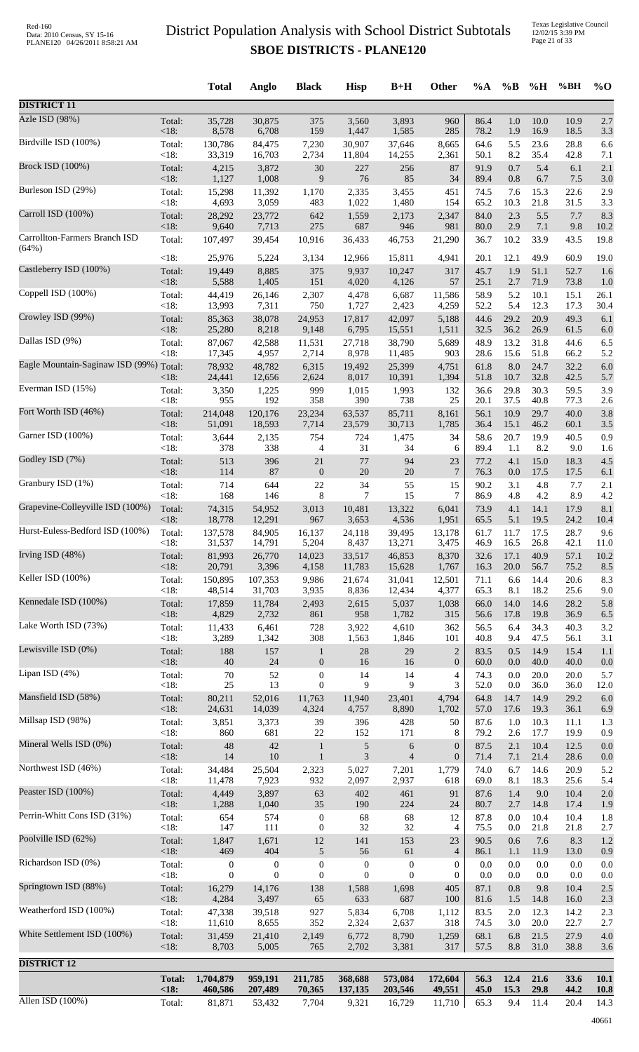|                                         |                | <b>Total</b>     | Anglo            | <b>Black</b>     | <b>Hisp</b>      | $B+H$            | Other            | $\%A$        | $\%$ B      | %H           | %BH          | $\%$ O      |
|-----------------------------------------|----------------|------------------|------------------|------------------|------------------|------------------|------------------|--------------|-------------|--------------|--------------|-------------|
| <b>DISTRICT 11</b>                      |                |                  |                  |                  |                  |                  |                  |              |             |              |              |             |
| Azle ISD (98%)                          | Total:         | 35,728           | 30,875           | 375              | 3,560            | 3,893            | 960              | 86.4         | 1.0         | 10.0         | 10.9         | 2.7         |
|                                         | $<18$ :        | 8,578            | 6,708            | 159              | 1,447            | 1,585            | 285              | 78.2         | 1.9         | 16.9         | 18.5         | 3.3         |
| Birdville ISD (100%)                    | Total:         | 130,786          | 84,475           | 7,230            | 30,907           | 37,646           | 8,665            | 64.6         | 5.5         | 23.6         | 28.8         | 6.6         |
| <b>Brock ISD (100%)</b>                 | <18:           | 33,319           | 16,703           | 2,734            | 11,804           | 14,255           | 2,361            | 50.1         | 8.2         | 35.4         | 42.8         | 7.1         |
|                                         | Total:         | 4,215            | 3,872            | $30\,$           | 227              | 256              | 87               | 91.9         | 0.7         | 5.4          | 6.1          | 2.1         |
|                                         | $<18$ :        | 1,127            | 1,008            | 9                | 76               | 85               | 34               | 89.4         | 0.8         | 6.7          | 7.5          | 3.0         |
| Burleson ISD (29%)                      | Total:         | 15,298           | 11,392           | 1,170            | 2,335            | 3,455            | 451              | 74.5         | 7.6         | 15.3         | 22.6         | 2.9         |
|                                         | < 18:          | 4,693            | 3,059            | 483              | 1,022            | 1,480            | 154              | 65.2         | 10.3        | 21.8         | 31.5         | 3.3         |
| Carroll ISD (100%)                      | Total:         | 28,292           | 23,772           | 642              | 1,559            | 2,173            | 2,347            | 84.0         | 2.3         | 5.5          | 7.7          | 8.3         |
|                                         | $<18$ :        | 9,640            | 7,713            | 275              | 687              | 946              | 981              | 80.0         | 2.9         | 7.1          | 9.8          | 10.2        |
| Carrollton-Farmers Branch ISD           | Total:         | 107,497          | 39,454           | 10,916           | 36,433           | 46,753           | 21,290           | 36.7         | 10.2        | 33.9         | 43.5         | 19.8        |
| (64%)                                   | < 18:          | 25,976           | 5,224            | 3,134            | 12,966           | 15,811           | 4,941            | 20.1         | 12.1        | 49.9         | 60.9         | 19.0        |
| Castleberry ISD (100%)                  | Total:         | 19,449           | 8,885            | 375              | 9,937            | 10,247           | 317              | 45.7         | 1.9         | 51.1         | 52.7         | 1.6         |
|                                         | $<18$ :        | 5,588            | 1,405            | 151              | 4,020            | 4,126            | 57               | 25.1         | 2.7         | 71.9         | 73.8         | 1.0         |
| Coppell ISD (100%)                      | Total:         | 44,419           | 26,146           | 2,307            | 4,478            | 6,687            | 11,586           | 58.9         | 5.2         | 10.1         | 15.1         | 26.1        |
| Crowley ISD (99%)                       | <18:           | 13,993           | 7,311            | 750              | 1,727            | 2,423            | 4,259            | 52.2         | 5.4         | 12.3         | 17.3         | 30.4        |
|                                         | Total:         | 85,363           | 38,078           | 24,953           | 17,817           | 42,097           | 5,188            | 44.6         | 29.2        | 20.9         | 49.3         | 6.1         |
| Dallas ISD (9%)                         | $<18$ :        | 25,280           | 8,218            | 9,148            | 6,795            | 15,551           | 1,511            | 32.5         | 36.2        | 26.9         | 61.5         | 6.0         |
|                                         | Total:         | 87,067           | 42,588           | 11,531           | 27,718           | 38,790           | 5,689            | 48.9         | 13.2        | 31.8         | 44.6         | 6.5         |
|                                         | < 18:          | 17,345           | 4,957            | 2,714            | 8,978            | 11,485           | 903              | 28.6         | 15.6        | 51.8         | 66.2         | 5.2         |
| Eagle Mountain-Saginaw ISD (99%) Total: | $<18$ :        | 78,932<br>24,441 | 48,782<br>12,656 | 6,315<br>2,624   | 19,492<br>8,017  | 25,399<br>10,391 | 4,751<br>1,394   | 61.8<br>51.8 | 8.0<br>10.7 | 24.7<br>32.8 | 32.2<br>42.5 | 6.0<br>5.7  |
| Everman ISD (15%)                       | Total:         | 3,350            | 1,225            | 999              | 1,015            | 1,993            | 132              | 36.6         | 29.8        | 30.3         | 59.5         | 3.9         |
|                                         | < 18:          | 955              | 192              | 358              | 390              | 738              | 25               | 20.1         | 37.5        | 40.8         | 77.3         | 2.6         |
| Fort Worth ISD (46%)                    | Total:         | 214,048          | 120,176          | 23,234           | 63,537           | 85,711           | 8,161            | 56.1         | 10.9        | 29.7         | 40.0         | 3.8         |
| Garner ISD (100%)                       | <18:           | 51,091           | 18,593           | 7,714            | 23,579           | 30,713           | 1,785            | 36.4         | 15.1        | 46.2         | 60.1         | 3.5         |
|                                         | Total:         | 3,644            | 2,135            | 754              | 724              | 1,475            | 34               | 58.6         | 20.7        | 19.9         | 40.5         | 0.9         |
| Godley ISD (7%)                         | <18:           | 378              | 338              | 4                | 31               | 34               | 6                | 89.4         | 1.1         | 8.2          | 9.0          | 1.6         |
|                                         | Total:         | 513              | 396              | 21               | 77               | 94               | 23               | 77.2         | 4.1         | 15.0         | 18.3         | 4.5         |
|                                         | <18:           | 114              | 87               | $\boldsymbol{0}$ | 20               | 20               | $\overline{7}$   | 76.3         | 0.0         | 17.5         | 17.5         | 6.1         |
| Granbury ISD (1%)                       | Total:         | 714              | 644              | 22               | 34               | 55               | 15               | 90.2         | 3.1         | 4.8          | 7.7          | 2.1         |
|                                         | <18:           | 168              | 146              | 8                | 7                | 15               | 7                | 86.9         | 4.8         | 4.2          | 8.9          | 4.2         |
| Grapevine-Colleyville ISD (100%)        | Total:<br><18: | 74,315<br>18,778 | 54,952           | 3,013<br>967     | 10,481           | 13,322           | 6,041            | 73.9<br>65.5 | 4.1<br>5.1  | 14.1<br>19.5 | 17.9<br>24.2 | 8.1         |
| Hurst-Euless-Bedford ISD (100%)         | Total:         | 137,578          | 12,291<br>84,905 | 16,137           | 3,653<br>24,118  | 4,536<br>39,495  | 1,951<br>13,178  | 61.7         | 11.7        | 17.5         | 28.7         | 10.4<br>9.6 |
| Irving ISD $(48%)$                      | $<18$ :        | 31,537           | 14,791           | 5,204            | 8,437            | 13,271           | 3,475            | 46.9         | 16.5        | 26.8         | 42.1         | 11.0        |
|                                         | Total:         | 81,993           | 26,770           | 14,023           | 33,517           | 46,853           | 8,370            | 32.6         | 17.1        | 40.9         | 57.1         | 10.2        |
|                                         | <18:           | 20,791           | 3,396            | 4,158            | 11,783           | 15,628           | 1,767            | 16.3         | 20.0        | 56.7         | 75.2         | 8.5         |
| Keller ISD (100%)                       | Total:         | 150,895          | 107,353          | 9,986            | 21,674           | 31,041           | 12,501           | 71.1         | 6.6         | 14.4         | 20.6         | 8.3         |
|                                         | <18:           | 48,514           | 31,703           | 3,935            | 8,836            | 12,434           | 4,377            | 65.3         | 8.1         | 18.2         | 25.6         | 9.0         |
| Kennedale ISD (100%)                    | Total:         | 17,859           | 11,784           | 2,493            | 2,615            | 5,037            | 1,038            | 66.0         | 14.0        | 14.6         | 28.2         | 5.8         |
|                                         | $<18$ :        | 4,829            | 2,732            | 861              | 958              | 1,782            | 315              | 56.6         | 17.8        | 19.8         | 36.9         | 6.5         |
| Lake Worth ISD (73%)                    | Total:         | 11,433           | 6,461            | 728              | 3,922            | 4,610            | 362              | 56.5         | 6.4         | 34.3         | 40.3         | 3.2         |
| Lewisville ISD (0%)                     | < 18:          | 3,289            | 1,342            | 308              | 1,563            | 1,846            | 101              | 40.8         | 9.4         | 47.5         | 56.1         | 3.1         |
|                                         | Total:         | 188              | 157              | $\mathbf{1}$     | 28               | 29               | $\overline{c}$   | 83.5         | 0.5         | 14.9         | 15.4         | 1.1         |
| Lipan ISD (4%)                          | <18:           | 40               | 24               | $\boldsymbol{0}$ | 16               | 16               | $\boldsymbol{0}$ | 60.0         | 0.0         | 40.0         | 40.0         | 0.0         |
|                                         | Total:         | $70\,$           | 52               | $\boldsymbol{0}$ | 14               | 14               | 4                | 74.3         | 0.0         | 20.0         | 20.0         | 5.7         |
|                                         | < 18:          | 25               | 13               | $\boldsymbol{0}$ | 9                | 9                | 3                | 52.0         | $0.0\,$     | 36.0         | 36.0         | 12.0        |
| Mansfield ISD (58%)                     | Total:         | 80,211           | 52,016           | 11,763           | 11,940           | 23,401           | 4,794            | 64.8         | 14.7        | 14.9         | 29.2         | 6.0         |
|                                         | <18:           | 24,631           | 14,039           | 4,324            | 4,757            | 8,890            | 1,702            | 57.0         | 17.6        | 19.3         | 36.1         | 6.9         |
| Millsap ISD (98%)                       | Total:         | 3,851            | 3,373            | 39               | 396              | 428              | 50               | 87.6         | 1.0         | 10.3         | 11.1         | 1.3         |
|                                         | < 18:          | 860              | 681              | $22\,$           | 152              | 171              | 8                | 79.2         | 2.6         | 17.7         | 19.9         | 0.9         |
| Mineral Wells ISD (0%)                  | Total:         | 48               | 42               | $\mathbf{1}$     | 5                | 6                | $\boldsymbol{0}$ | 87.5         | 2.1         | 10.4         | 12.5         | 0.0         |
| Northwest ISD (46%)                     | $<18$ :        | 14               | 10               | $\mathbf{1}$     | $\mathfrak{Z}$   | $\overline{4}$   | $\boldsymbol{0}$ | 71.4         | 7.1         | 21.4         | 28.6         | 0.0         |
|                                         | Total:         | 34,484           | 25,504           | 2,323            | 5,027            | 7,201            | 1,779            | 74.0         | 6.7         | 14.6         | 20.9         | 5.2         |
| Peaster ISD (100%)                      | <18:           | 11,478           | 7,923            | 932              | 2,097            | 2,937            | 618              | 69.0         | 8.1         | 18.3         | 25.6         | 5.4         |
|                                         | Total:         | 4,449            | 3,897            | 63               | 402              | 461              | 91               | 87.6         | 1.4         | 9.0          | 10.4         | 2.0         |
|                                         | <18:           | 1,288            | 1,040            | 35               | 190              | 224              | 24               | 80.7         | 2.7         | 14.8         | 17.4         | 1.9         |
| Perrin-Whitt Cons ISD (31%)             | Total:         | 654              | 574              | $\boldsymbol{0}$ | 68               | 68               | 12               | 87.8         | 0.0         | 10.4         | 10.4         | 1.8         |
|                                         | < 18:          | 147              | 111              | $\boldsymbol{0}$ | 32               | 32               | 4                | 75.5         | 0.0         | 21.8         | 21.8         | 2.7         |
| Poolville ISD (62%)                     | Total:         | 1,847            | 1,671            | 12               | 141              | 153              | 23               | 90.5         | 0.6         | 7.6          | 8.3          | 1.2         |
|                                         | <18:           | 469              | 404              | 5                | 56               | 61               | $\overline{4}$   | 86.1         | 1.1         | 11.9         | 13.0         | 0.9         |
| Richardson ISD (0%)                     | Total:         | $\boldsymbol{0}$ | $\boldsymbol{0}$ | $\boldsymbol{0}$ | $\boldsymbol{0}$ | $\boldsymbol{0}$ | $\theta$         | $0.0\,$      | 0.0         | 0.0          | 0.0          | 0.0         |
| Springtown ISD (88%)                    | < 18:          | $\mathbf{0}$     | $\boldsymbol{0}$ | $\boldsymbol{0}$ | $\mathbf{0}$     | $\boldsymbol{0}$ | 0                | 0.0          | 0.0         | 0.0          | 0.0          | 0.0         |
|                                         | Total:         | 16,279           | 14,176           | 138              | 1,588            | 1,698            | 405              | 87.1         | 0.8         | 9.8          | 10.4         | 2.5         |
| Weatherford ISD (100%)                  | <18:           | 4,284            | 3,497            | 65               | 633              | 687              | 100              | 81.6         | 1.5         | 14.8         | 16.0         | 2.3         |
|                                         | Total:         | 47,338           | 39,518           | 927              | 5,834            | 6,708            | 1,112            | 83.5         | 2.0         | 12.3         | 14.2         | 2.3         |
|                                         | < 18:          | 11,610           | 8,655            | 352              | 2,324            | 2,637            | 318              | 74.5         | 3.0         | 20.0         | 22.7         | 2.7         |
| White Settlement ISD (100%)             | Total:         | 31,459           | 21,410           | 2,149            | 6,772            | 8,790            | 1,259            | 68.1         | 6.8         | 21.5         | 27.9         | 4.0         |
|                                         | $<18$ :        | 8,703            | 5,005            | 765              | 2,702            | 3,381            | 317              | 57.5         | 8.8         | 31.0         | 38.8         | 3.6         |
| <b>DISTRICT 12</b>                      |                |                  |                  |                  |                  |                  |                  |              |             |              |              |             |
|                                         | <b>Total:</b>  | 1,704,879        | 959,191          | 211,785          | 368,688          | 573,084          | 172,604          | 56.3         | 12.4        | 21.6         | 33.6         | 10.1        |
| Allen ISD $(100\%)$                     | < 18:          | 460,586          | 207,489          | 70,365           | 137,135          | 203,546          | 49,551           | 45.0         | 15.3        | 29.8         | 44.2         | <b>10.8</b> |
|                                         | Total:         | 81,871           | 53,432           | 7,704            | 9,321            | 16,729           | 11,710           | 65.3         | 9.4         | 11.4         | 20.4         | 14.3        |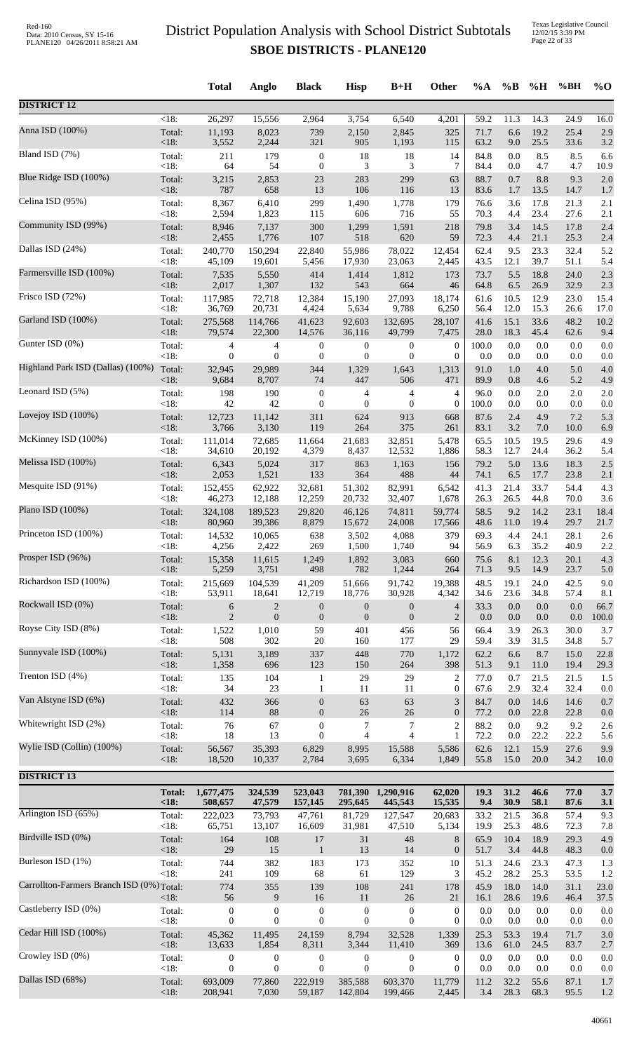|                                           |                   | <b>Total</b>     | Anglo            | <b>Black</b>     | <b>Hisp</b>      | $B+H$            | <b>Other</b>     | $\%A$        | $\%B$        | %H           | %BH          | $\%$ O      |
|-------------------------------------------|-------------------|------------------|------------------|------------------|------------------|------------------|------------------|--------------|--------------|--------------|--------------|-------------|
| <b>DISTRICT 12</b>                        |                   |                  |                  |                  |                  |                  |                  |              |              |              |              |             |
| Anna ISD (100%)                           | $<18$ :           | 26,297           | 15,556           | 2,964            | 3,754            | 6,540            | 4,201            | 59.2         | 11.3         | 14.3         | 24.9         | 16.0        |
|                                           | Total:            | 11,193           | 8,023            | 739              | 2,150            | 2,845            | 325              | 71.7         | 6.6          | 19.2         | 25.4         | 2.9         |
| Bland ISD (7%)                            | < 18:             | 3,552            | 2,244            | 321              | 905              | 1,193            | 115              | 63.2         | 9.0          | 25.5         | 33.6         | 3.2         |
|                                           | Total:            | 211              | 179              | $\boldsymbol{0}$ | 18               | 18               | 14               | 84.8         | 0.0          | 8.5          | 8.5          | 6.6         |
| Blue Ridge ISD (100%)                     | < 18:             | 64               | 54               | $\boldsymbol{0}$ | 3                | 3                | 7                | 84.4         | 0.0          | 4.7          | 4.7          | 10.9        |
|                                           | Total:            | 3,215            | 2,853            | 23               | 283              | 299              | 63               | 88.7         | 0.7          | 8.8          | 9.3          | 2.0         |
|                                           | < 18:             | 787              | 658              | 13               | 106              | 116              | 13               | 83.6         | 1.7          | 13.5         | 14.7         | 1.7         |
| Celina ISD (95%)                          | Total:            | 8,367            | 6,410            | 299              | 1,490            | 1,778            | 179              | 76.6         | 3.6          | 17.8         | 21.3         | 2.1         |
|                                           | < 18:             | 2,594            | 1,823            | 115              | 606              | 716              | 55               | 70.3         | 4.4          | 23.4         | 27.6         | 2.1         |
| Community ISD (99%)                       | Total:            | 8,946            | 7,137            | 300              | 1,299            | 1,591            | 218              | 79.8         | 3.4          | 14.5         | 17.8         | 2.4         |
|                                           | < 18:             | 2,455            | 1,776            | 107              | 518              | 620              | 59               | 72.3         | 4.4          | 21.1         | 25.3         | 2.4         |
| Dallas ISD (24%)                          | Total:            | 240,770          | 150,294          | 22,840           | 55,986           | 78,022           | 12,454           | 62.4         | 9.5          | 23.3         | 32.4         | 5.2         |
|                                           | < 18:             | 45,109           | 19,601           | 5,456            | 17,930           | 23,063           | 2,445            | 43.5         | 12.1         | 39.7         | 51.1         | 5.4         |
| Farmersville ISD (100%)                   | Total:            | 7,535            | 5,550            | 414              | 1,414            | 1,812            | 173              | 73.7         | 5.5          | 18.8         | 24.0         | 2.3         |
| Frisco ISD (72%)                          | < 18:             | 2,017            | 1,307            | 132              | 543              | 664              | 46               | 64.8         | 6.5          | 26.9         | 32.9         | 2.3         |
|                                           | Total:            | 117,985          | 72,718           | 12,384           | 15,190           | 27,093           | 18,174           | 61.6         | 10.5         | 12.9         | 23.0         | 15.4        |
| Garland ISD (100%)                        | < 18:             | 36,769           | 20,731           | 4,424            | 5,634            | 9,788            | 6,250            | 56.4         | 12.0         | 15.3         | 26.6         | 17.0        |
|                                           | Total:            | 275,568          | 114,766          | 41,623           | 92,603           | 132,695          | 28,107           | 41.6         | 15.1         | 33.6         | 48.2         | 10.2        |
| Gunter ISD (0%)                           | < 18:             | 79,574           | 22,300           | 14,576           | 36,116           | 49,799           | 7,475            | 28.0         | 18.3         | 45.4         | 62.6         | 9.4         |
|                                           | Total:            | 4                | 4                | $\boldsymbol{0}$ | $\boldsymbol{0}$ | $\boldsymbol{0}$ | $\boldsymbol{0}$ | 100.0        | 0.0          | 0.0          | 0.0          | 0.0         |
| Highland Park ISD (Dallas) (100%)         | < 18:             | 0                | $\boldsymbol{0}$ | $\boldsymbol{0}$ | $\mathbf{0}$     | $\boldsymbol{0}$ | $\boldsymbol{0}$ | 0.0          | 0.0          | 0.0          | 0.0          | 0.0         |
|                                           | Total:            | 32,945           | 29,989           | 344              | 1,329            | 1,643            | 1,313            | 91.0         | 1.0          | 4.0          | 5.0          | 4.0         |
|                                           | $<18$ :           | 9,684            | 8,707            | 74               | 447              | 506              | 471              | 89.9         | 0.8          | 4.6          | 5.2          | 4.9         |
| Leonard ISD (5%)                          | Total:            | 198              | 190              | $\boldsymbol{0}$ | 4                | 4                | 4                | 96.0         | 0.0          | 2.0          | 2.0          | 2.0         |
|                                           | < 18:             | 42               | 42               | $\boldsymbol{0}$ | $\mathbf{0}$     | $\boldsymbol{0}$ | $\overline{0}$   | 100.0        | 0.0          | 0.0          | 0.0          | 0.0         |
| Lovejoy ISD (100%)                        | Total:            | 12,723           | 11,142           | 311              | 624              | 913              | 668              | 87.6         | 2.4          | 4.9          | 7.2          | 5.3         |
|                                           | $<18$ :           | 3,766            | 3,130            | 119              | 264              | 375              | 261              | 83.1         | 3.2          | 7.0          | 10.0         | 6.9         |
| McKinney ISD (100%)                       | Total:            | 111,014          | 72,685           | 11,664           | 21,683           | 32,851           | 5,478            | 65.5         | 10.5         | 19.5         | 29.6         | 4.9         |
|                                           | < 18:             | 34,610           | 20,192           | 4,379            | 8,437            | 12,532           | 1,886            | 58.3         | 12.7         | 24.4         | 36.2         | 5.4         |
| Melissa ISD (100%)                        | Total:            | 6,343            | 5,024            | 317              | 863              | 1,163            | 156              | 79.2         | 5.0          | 13.6         | 18.3         | 2.5         |
| Mesquite ISD (91%)                        | <18:              | 2,053            | 1,521            | 133              | 364              | 488              | 44               | 74.1         | 6.5          | 17.7         | 23.8         | 2.1         |
|                                           | Total:            | 152,455          | 62,922           | 32,681           | 51,302           | 82,991           | 6,542            | 41.3         | 21.4         | 33.7         | 54.4         | 4.3         |
| Plano ISD (100%)                          | < 18:             | 46,273           | 12,188           | 12,259           | 20,732           | 32,407           | 1,678            | 26.3         | 26.5         | 44.8         | 70.0         | 3.6         |
|                                           | Total:            | 324,108          | 189,523          | 29.820           | 46,126           | 74,811           | 59,774           | 58.5         | 9.2          | 14.2         | 23.1         | 18.4        |
| Princeton ISD (100%)                      | < 18:             | 80,960           | 39,386           | 8,879            | 15,672           | 24,008           | 17,566           | 48.6         | 11.0         | 19.4         | 29.7         | 21.7        |
|                                           | Total:            | 14,532           | 10,065           | 638              | 3,502            | 4,088            | 379              | 69.3         | 4.4          | 24.1         | 28.1         | 2.6         |
| Prosper ISD (96%)                         | <18:              | 4,256            | 2,422            | 269              | 1,500            | 1,740            | 94               | 56.9         | 6.3          | 35.2         | 40.9         | 2.2         |
|                                           | Total:            | 15,358           | 11,615           | 1,249            | 1,892            | 3,083            | 660              | 75.6         | 8.1          | 12.3         | 20.1         | 4.3         |
|                                           | < 18:             | 5,259            | 3,751            | 498              | 782              | 1,244            | 264              | 71.3         | 9.5          | 14.9         | 23.7         | 5.0         |
| Richardson ISD (100%)                     | Total:            | 215,669          | 104,539          | 41,209           | 51,666           | 91,742           | 19,388           | 48.5         | 19.1         | 24.0         | 42.5         | 9.0         |
|                                           | < 18:             | 53,911           | 18,641           | 12,719           | 18,776           | 30,928           | 4,342            | 34.6         | 23.6         | 34.8         | 57.4         | 8.1         |
| Rockwall ISD (0%)                         | Total:            | 6                | $\overline{c}$   | $\boldsymbol{0}$ | $\boldsymbol{0}$ | $\boldsymbol{0}$ | 4                | 33.3         | 0.0          | 0.0          | 0.0          | 66.7        |
|                                           | < 18:             | $\overline{2}$   | $\mathbf{0}$     | $\boldsymbol{0}$ | $\mathbf{0}$     | $\boldsymbol{0}$ | $\overline{2}$   | 0.0          | 0.0          | 0.0          | 0.0          | 100.0       |
| Royse City ISD (8%)                       | Total:            | 1,522            | 1,010            | 59               | 401              | 456              | 56               | 66.4         | 3.9          | 26.3         | 30.0         | 3.7         |
|                                           | < 18:             | 508              | 302              | 20               | 160              | 177              | 29               | 59.4         | 3.9          | 31.5         | 34.8         | 5.7         |
| Sunnyvale ISD (100%)                      | Total:            | 5,131            | 3,189<br>696     | 337              | 448              | 770              | 1,172            | 62.2         | 6.6          | 8.7          | 15.0<br>19.4 | 22.8        |
| Trenton ISD (4%)                          | $<18$ :<br>Total: | 1,358<br>135     | 104              | 123<br>1         | 150<br>29        | 264<br>29        | 398<br>2         | 51.3<br>77.0 | 9.1<br>0.7   | 11.0<br>21.5 | 21.5         | 29.3<br>1.5 |
| Van Alstyne ISD (6%)                      | < 18:             | 34               | 23               | 1                | 11               | 11               | $\boldsymbol{0}$ | 67.6         | 2.9          | 32.4         | 32.4         | 0.0         |
|                                           | Total:            | 432              | 366              | $\boldsymbol{0}$ | 63               | 63               | 3                | 84.7         | 0.0          | 14.6         | 14.6         | 0.7         |
| Whitewright ISD (2%)                      | $<18$ :           | 114              | 88               | $\boldsymbol{0}$ | 26               | 26               | $\boldsymbol{0}$ | 77.2         | 0.0          | 22.8         | 22.8         | 0.0         |
|                                           | Total:            | 76               | 67               | $\boldsymbol{0}$ | 7                | 7                | $\overline{c}$   | 88.2         | 0.0          | 9.2          | 9.2          | 2.6         |
| Wylie ISD (Collin) (100%)                 | < 18:             | 18               | 13               | $\overline{0}$   | $\overline{4}$   | $\overline{4}$   | 1                | 72.2         | 0.0          | 22.2         | 22.2         | 5.6         |
|                                           | Total:            | 56,567           | 35,393           | 6,829            | 8,995            | 15,588           | 5,586            | 62.6         | 12.1         | 15.9         | 27.6         | 9.9         |
|                                           | $<18$ :           | 18,520           | 10,337           | 2,784            | 3,695            | 6,334            | 1,849            | 55.8         | 15.0         | 20.0         | 34.2         | 10.0        |
| <b>DISTRICT 13</b>                        |                   |                  |                  |                  |                  |                  |                  |              |              |              |              |             |
|                                           | <b>Total:</b>     | 1,677,475        | 324,539          | 523,043          | 781,390          | 1,290,916        | 62,020           | 19.3         | 31.2         | 46.6         | 77.0         | 3.7         |
|                                           | <18:              | 508,657          | 47,579           | 157,145          | 295,645          | 445,543          | 15,535           | 9.4          | 30.9         | 58.1         | 87.6         | 3.1         |
| Arlington ISD (65%)                       | Total:            | 222,023          | 73,793           | 47,761           | 81,729           | 127,547          | 20,683           | 33.2         | 21.5         | 36.8         | 57.4         | 9.3         |
|                                           | < 18:             | 65,751           | 13,107           | 16,609           | 31,981           | 47,510           | 5,134            | 19.9         | 25.3         | 48.6         | 72.3         | 7.8         |
| Birdville ISD (0%)                        | Total:            | 164              | 108              | 17               | 31               | 48               | 8                | 65.9         | 10.4         | 18.9         | 29.3         | 4.9         |
|                                           | <18:              | 29               | 15               | $\mathbf{1}$     | 13               | 14               | $\boldsymbol{0}$ | 51.7         | 3.4          | 44.8         | 48.3         | 0.0         |
| Burleson ISD (1%)                         | Total:<br>< 18:   | 744              | 382              | 183              | 173              | 352              | 10<br>3          | 51.3         | 24.6         | 23.3         | 47.3         | 1.3         |
| Carrollton-Farmers Branch ISD (0%) Total: |                   | 241<br>774       | 109<br>355       | 68<br>139        | 61<br>108        | 129<br>241       | 178              | 45.2<br>45.9 | 28.2<br>18.0 | 25.3<br>14.0 | 53.5<br>31.1 | 1.2<br>23.0 |
| Castleberry ISD (0%)                      | $<18$ :           | 56               | 9                | 16               | 11               | 26               | 21               | 16.1         | 28.6         | 19.6         | 46.4         | 37.5        |
|                                           | Total:            | $\boldsymbol{0}$ | $\boldsymbol{0}$ | $\boldsymbol{0}$ | $\boldsymbol{0}$ | $\boldsymbol{0}$ | $\boldsymbol{0}$ | 0.0          | 0.0          | 0.0          | 0.0          | 0.0         |
| Cedar Hill ISD (100%)                     | < 18:             | $\overline{0}$   | $\overline{0}$   | $\boldsymbol{0}$ | $\mathbf{0}$     | $\boldsymbol{0}$ | $\mathbf{0}$     | 0.0          | 0.0          | 0.0          | 0.0          | 0.0         |
|                                           | Total:            | 45,362           | 11,495           | 24,159           | 8,794            | 32,528           | 1,339            | 25.3         | 53.3         | 19.4         | 71.7         | 3.0         |
| Crowley ISD (0%)                          | < 18:             | 13,633           | 1,854            | 8,311            | 3,344            | 11,410           | 369              | 13.6         | 61.0         | 24.5         | 83.7         | 2.7         |
|                                           | Total:            | $\boldsymbol{0}$ | $\boldsymbol{0}$ | 0                | $\boldsymbol{0}$ | $\boldsymbol{0}$ | $\boldsymbol{0}$ | 0.0          | 0.0          | 0.0          | 0.0          | 0.0         |
|                                           | < 18:             | 0                | $\boldsymbol{0}$ | $\boldsymbol{0}$ | $\boldsymbol{0}$ | $\boldsymbol{0}$ | $\boldsymbol{0}$ | 0.0          | 0.0          | 0.0          | 0.0          | 0.0         |
| Dallas ISD (68%)                          | Total:            | 693,009          | 77,860           | 222,919          | 385,588          | 603,370          | 11,779           | 11.2         | 32.2         | 55.6         | 87.1         | 1.7         |
|                                           | <18:              | 208,941          | 7,030            | 59,187           | 142,804          | 199,466          | 2,445            | 3.4          | 28.3         | 68.3         | 95.5         | 1.2         |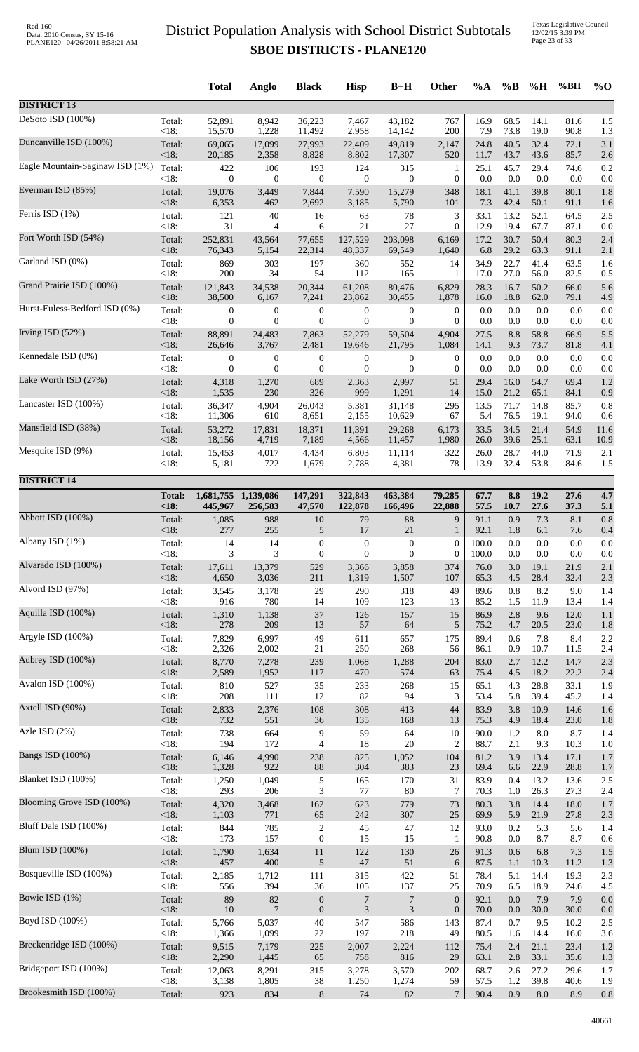Texas Legislative Council 12/02/15 3:39 PM Page 23 of 33

|                                 |               | <b>Total</b>     | Anglo            | <b>Black</b>     | <b>Hisp</b>      | $B+H$                       | Other            | $\%A$ | $\%$ B  | %H      | %BH  | $\%$ O |
|---------------------------------|---------------|------------------|------------------|------------------|------------------|-----------------------------|------------------|-------|---------|---------|------|--------|
| <b>DISTRICT 13</b>              |               |                  |                  |                  |                  |                             |                  |       |         |         |      |        |
| DeSoto ISD (100%)               | Total:        | 52,891           | 8,942            | 36,223           | 7,467            | 43,182                      | 767              | 16.9  | 68.5    | 14.1    | 81.6 | 1.5    |
|                                 | < 18:         | 15,570           | 1,228            | 11,492           | 2,958            | 14,142                      | 200              | 7.9   | 73.8    | 19.0    | 90.8 | 1.3    |
| Duncanville ISD (100%)          | Total:        | 69,065           | 17,099           | 27,993           | 22,409           | 49,819                      | 2,147            | 24.8  | 40.5    | 32.4    | 72.1 | 3.1    |
| Eagle Mountain-Saginaw ISD (1%) | < 18:         | 20,185           | 2,358            | 8,828            | 8,802            | 17,307                      | 520              | 11.7  | 43.7    | 43.6    | 85.7 | 2.6    |
|                                 | Total:        | 422              | 106              | 193              | 124              | 315                         | $\mathbf{1}$     | 25.1  | 45.7    | 29.4    | 74.6 | 0.2    |
|                                 | <18:          | $\mathbf{0}$     | $\boldsymbol{0}$ | $\boldsymbol{0}$ | $\overline{0}$   | $\boldsymbol{0}$            | $\boldsymbol{0}$ | 0.0   | 0.0     | 0.0     | 0.0  | 0.0    |
| Everman ISD (85%)               | Total:        | 19,076           | 3,449            | 7,844            | 7,590            | 15,279                      | 348              | 18.1  | 41.1    | 39.8    | 80.1 | 1.8    |
|                                 | < 18:         | 6,353            | 462              | 2,692            | 3,185            | 5,790                       | 101              | 7.3   | 42.4    | 50.1    | 91.1 | 1.6    |
| Ferris ISD (1%)                 | Total:        | 121              | 40               | 16               | 63               | 78                          | 3                | 33.1  | 13.2    | 52.1    | 64.5 | 2.5    |
|                                 | < 18:         | 31               | 4                | 6                | 21               | 27                          | $\boldsymbol{0}$ | 12.9  | 19.4    | 67.7    | 87.1 | 0.0    |
| Fort Worth ISD (54%)            | Total:        | 252,831          | 43,564           | 77,655           | 127,529          | 203,098                     | 6,169            | 17.2  | 30.7    | 50.4    | 80.3 | 2.4    |
| Garland ISD (0%)                | < 18:         | 76,343           | 5,154            | 22,314           | 48,337           | 69,549                      | 1,640            | 6.8   | 29.2    | 63.3    | 91.1 | 2.1    |
|                                 | Total:        | 869              | 303              | 197              | 360              | 552                         | 14               | 34.9  | 22.7    | 41.4    | 63.5 | 1.6    |
| Grand Prairie ISD (100%)        | <18:          | 200              | 34               | 54               | 112              | 165                         | 1                | 17.0  | 27.0    | 56.0    | 82.5 | 0.5    |
|                                 | Total:        | 121,843          | 34,538           | 20,344           | 61,208           | 80,476                      | 6,829            | 28.3  | 16.7    | 50.2    | 66.0 | 5.6    |
|                                 | <18:          | 38,500           | 6,167            | 7,241            | 23,862           | 30,455                      | 1,878            | 16.0  | 18.8    | 62.0    | 79.1 | 4.9    |
| Hurst-Euless-Bedford ISD (0%)   | Total:        | 0                | $\boldsymbol{0}$ | $\boldsymbol{0}$ | $\boldsymbol{0}$ | $\boldsymbol{0}$            | $\boldsymbol{0}$ | 0.0   | 0.0     | 0.0     | 0.0  | 0.0    |
|                                 | <18:          | $\boldsymbol{0}$ | $\boldsymbol{0}$ | $\mathbf{0}$     | $\boldsymbol{0}$ | $\boldsymbol{0}$            | $\boldsymbol{0}$ | 0.0   | 0.0     | 0.0     | 0.0  | 0.0    |
| Irving ISD $(52%)$              | Total:        | 88,891           | 24,483           | 7,863            | 52,279           | 59,504                      | 4,904            | 27.5  | 8.8     | 58.8    | 66.9 | 5.5    |
|                                 | <18:          | 26,646           | 3,767            | 2,481            | 19,646           | 21,795                      | 1,084            | 14.1  | 9.3     | 73.7    | 81.8 | 4.1    |
| Kennedale ISD (0%)              | Total:        | $\boldsymbol{0}$ | $\boldsymbol{0}$ | $\boldsymbol{0}$ | $\boldsymbol{0}$ | $\boldsymbol{0}$            | $\boldsymbol{0}$ | 0.0   | 0.0     | 0.0     | 0.0  | 0.0    |
|                                 | < 18:         | $\boldsymbol{0}$ | $\boldsymbol{0}$ | $\mathbf{0}$     | $\boldsymbol{0}$ | $\theta$                    | $\mathbf{0}$     | 0.0   | 0.0     | 0.0     | 0.0  | 0.0    |
| Lake Worth ISD (27%)            | Total:        | 4,318            | 1,270            | 689              | 2,363            | 2,997                       | 51               | 29.4  | 16.0    | 54.7    | 69.4 | 1.2    |
| Lancaster ISD (100%)            | < 18:         | 1,535            | 230              | 326              | 999              | 1,291                       | 14               | 15.0  | 21.2    | 65.1    | 84.1 | 0.9    |
|                                 | Total:        | 36,347           | 4,904            | 26,043           | 5,381            | 31,148                      | 295              | 13.5  | 71.7    | 14.8    | 85.7 | 0.8    |
|                                 | <18:          | 11,306           | 610              | 8,651            | 2,155            | 10,629                      | 67               | 5.4   | 76.5    | 19.1    | 94.0 | 0.6    |
| Mansfield ISD (38%)             | Total:        | 53,272           | 17,831           | 18,371           | 11,391           | 29,268                      | 6,173            | 33.5  | 34.5    | 21.4    | 54.9 | 11.6   |
|                                 | < 18:         | 18,156           | 4,719            | 7,189            | 4,566            | 11,457                      | 1,980            | 26.0  | 39.6    | 25.1    | 63.1 | 10.9   |
| Mesquite ISD (9%)               | Total:        | 15,453           | 4,017            | 4,434            | 6,803            | 11,114                      | 322              | 26.0  | 28.7    | 44.0    | 71.9 | 2.1    |
|                                 | < 18:         | 5,181            | 722              | 1,679            | 2,788            | 4,381                       | 78               | 13.9  | 32.4    | 53.8    | 84.6 | 1.5    |
| <b>DISTRICT 14</b>              |               |                  |                  |                  |                  |                             |                  |       |         |         |      |        |
|                                 | <b>Total:</b> | 1,681,755        | 1,139,086        | 147,291          | 322,843          | 463,384                     | 79,285           | 67.7  | 8.8     | 19.2    | 27.6 | 4.7    |
| Abbott ISD (100%)               | < 18:         | 445,967          | 256,583          | 47,570           | 122,878          | 166,496                     | 22,888           | 57.5  | 10.7    | 27.6    | 37.3 | 5.1    |
|                                 | Total:        | 1,085            | 988              | 10               | 79               | 88                          | 9                | 91.1  | 0.9     | 7.3     | 8.1  | 0.8    |
|                                 | <18:          | 277              | 255              | 5                | 17               | 21                          | 1                | 92.1  | 1.8     | 6.1     | 7.6  | 0.4    |
| Albany ISD (1%)                 | Total:        | 14               | 14               | $\boldsymbol{0}$ | $\boldsymbol{0}$ | $\boldsymbol{0}$            | $\boldsymbol{0}$ | 100.0 | 0.0     | $0.0\,$ | 0.0  | 0.0    |
|                                 | < 18:         | 3                | 3                | $\mathbf{0}$     | $\boldsymbol{0}$ | $\overline{0}$              | $\boldsymbol{0}$ | 100.0 | 0.0     | 0.0     | 0.0  | 0.0    |
| Alvarado ISD (100%)             | Total:        | 17,611           | 13,379           | 529              | 3,366            | 3,858                       | 374              | 76.0  | 3.0     | 19.1    | 21.9 | 2.1    |
|                                 | <18:          | 4,650            | 3,036            | 211              | 1,319            | 1,507                       | 107              | 65.3  | 4.5     | 28.4    | 32.4 | 2.3    |
| Alvord ISD (97%)                | Total:        | 3,545            | 3,178            | 29               | 290              | 318                         | 49               | 89.6  | 0.8     | 8.2     | 9.0  | 1.4    |
|                                 | <18:          | 916              | 780              | 14               | 109              | 123                         | 13               | 85.2  | 1.5     | 11.9    | 13.4 | 1.4    |
| Aquilla ISD (100%)              | Total:        | 1,310            | 1,138            | 37               | 126              | 157                         | 15               | 86.9  | 2.8     | 9.6     | 12.0 | 1.1    |
| Argyle ISD (100%)               | < 18:         | 278              | 209              | 13               | 57               | 64                          | $\sqrt{5}$       | 75.2  | 4.7     | 20.5    | 23.0 | 1.8    |
|                                 | Total:        | 7,829            | 6,997            | 49               | 611              | 657                         | 175              | 89.4  | 0.6     | 7.8     | 8.4  | 2.2    |
|                                 | <18:          | 2,326            | 2,002            | 21               | 250              | 268                         | 56               | 86.1  | 0.9     | 10.7    | 11.5 | 2.4    |
| Aubrey ISD (100%)               | Total:        | 8,770            | 7,278            | 239              | 1,068            | 1,288                       | 204              | 83.0  | 2.7     | 12.2    | 14.7 | 2.3    |
|                                 | < 18:         | 2,589            | 1,952            | 117              | 470              | 574                         | 63               | 75.4  | 4.5     | 18.2    | 22.2 | 2.4    |
| Avalon ISD (100%)               | Total:        | 810              | 527              | 35               | 233              | 268                         | 15               | 65.1  | 4.3     | 28.8    | 33.1 | 1.9    |
|                                 | <18:          | 208              | 111              | 12               | 82               | 94                          | 3                | 53.4  | 5.8     | 39.4    | 45.2 | 1.4    |
| Axtell ISD (90%)                | Total:        | 2,833            | 2,376            | 108              | 308              | 413                         | 44               | 83.9  | 3.8     | 10.9    | 14.6 | 1.6    |
|                                 | < 18:         | 732              | 551              | 36               | 135              | 168                         | 13               | 75.3  | 4.9     | 18.4    | 23.0 | 1.8    |
| Azle ISD $(2%)$                 | Total:        | 738              | 664              | $\boldsymbol{9}$ | 59               | 64                          | 10               | 90.0  | 1.2     | 8.0     | 8.7  | 1.4    |
| <b>Bangs ISD</b> (100%)         | <18:          | 194              | 172              | $\overline{4}$   | 18               | $20\,$                      | $\overline{c}$   | 88.7  | 2.1     | 9.3     | 10.3 | 1.0    |
|                                 | Total:        | 6,146            | 4,990            | 238              | 825              | 1,052                       | 104              | 81.2  | 3.9     | 13.4    | 17.1 | 1.7    |
| Blanket ISD (100%)              | <18:          | 1,328            | 922              | $88\,$           | 304              | 383                         | 23               | 69.4  | 6.6     | 22.9    | 28.8 | 1.7    |
|                                 | Total:        | 1,250            | 1,049            | $\sqrt{5}$       | 165              | 170                         | 31               | 83.9  | 0.4     | 13.2    | 13.6 | 2.5    |
| Blooming Grove ISD (100%)       | <18:          | 293              | 206              | 3                | 77               | 80                          | $\tau$           | 70.3  | 1.0     | 26.3    | 27.3 | 2.4    |
|                                 | Total:        | 4,320            | 3,468            | 162              | 623              | 779                         | 73               | 80.3  | 3.8     | 14.4    | 18.0 | 1.7    |
|                                 | <18:          | 1,103            | 771              | 65               | 242              | 307                         | 25               | 69.9  | 5.9     | 21.9    | 27.8 | 2.3    |
| Bluff Dale ISD (100%)           | Total:        | 844              | 785              | $\sqrt{2}$       | 45               | $47\,$                      | 12               | 93.0  | 0.2     | 5.3     | 5.6  | 1.4    |
|                                 | < 18:         | 173              | 157              | $\boldsymbol{0}$ | 15               | 15                          | 1                | 90.8  | 0.0     | 8.7     | 8.7  | 0.6    |
| Blum ISD (100%)                 | Total:        | 1,790            | 1,634            | $11\,$           | 122              | 130                         | 26               | 91.3  | 0.6     | 6.8     | 7.3  | 1.5    |
|                                 | < 18:         | 457              | 400              | $\sqrt{5}$       | 47               | 51                          | 6                | 87.5  | 1.1     | 10.3    | 11.2 | 1.3    |
| Bosqueville ISD (100%)          | Total:        | 2,185            | 1,712            | 111              | 315              | 422                         | 51               | 78.4  | 5.1     | 14.4    | 19.3 | 2.3    |
| Bowie ISD (1%)                  | <18:          | 556              | 394              | 36               | 105              | 137                         | 25               | 70.9  | 6.5     | 18.9    | 24.6 | 4.5    |
|                                 | Total:        | 89               | 82               | $\boldsymbol{0}$ | $\overline{7}$   | $\boldsymbol{7}$            | $\boldsymbol{0}$ | 92.1  | 0.0     | 7.9     | 7.9  | 0.0    |
| Boyd ISD (100%)                 | < 18:         | $10\,$           | $7\phantom{.0}$  | $\boldsymbol{0}$ | $\mathfrak{Z}$   | $\ensuremath{\mathfrak{Z}}$ | $\boldsymbol{0}$ | 70.0  | $0.0\,$ | 30.0    | 30.0 | 0.0    |
|                                 | Total:        | 5,766            | 5,037            | $40\,$           | 547              | 586                         | 143              | 87.4  | 0.7     | 9.5     | 10.2 | 2.5    |
| Breckenridge ISD (100%)         | < 18:         | 1,366            | 1,099            | 22               | 197              | 218                         | 49               | 80.5  | 1.6     | 14.4    | 16.0 | 3.6    |
|                                 | Total:        | 9,515            | 7,179            | 225              | 2,007            | 2,224                       | 112              | 75.4  | 2.4     | 21.1    | 23.4 | 1.2    |
|                                 | < 18:         | 2,290            | 1,445            | 65               | 758              | 816                         | 29               | 63.1  | 2.8     | 33.1    | 35.6 | 1.3    |
| Bridgeport ISD (100%)           | Total:        | 12,063           | 8,291            | 315              | 3,278            | 3,570                       | 202              | 68.7  | 2.6     | 27.2    | 29.6 | 1.7    |
|                                 | < 18:         | 3,138            | 1,805            | 38               | 1,250            | 1,274                       | 59               | 57.5  | 1.2     | 39.8    | 40.6 | 1.9    |
| Brookesmith ISD (100%)          | Total:        | 923              | 834              | $\,8\,$          | 74               | 82                          | $\overline{7}$   | 90.4  | 0.9     | $8.0\,$ | 8.9  | 0.8    |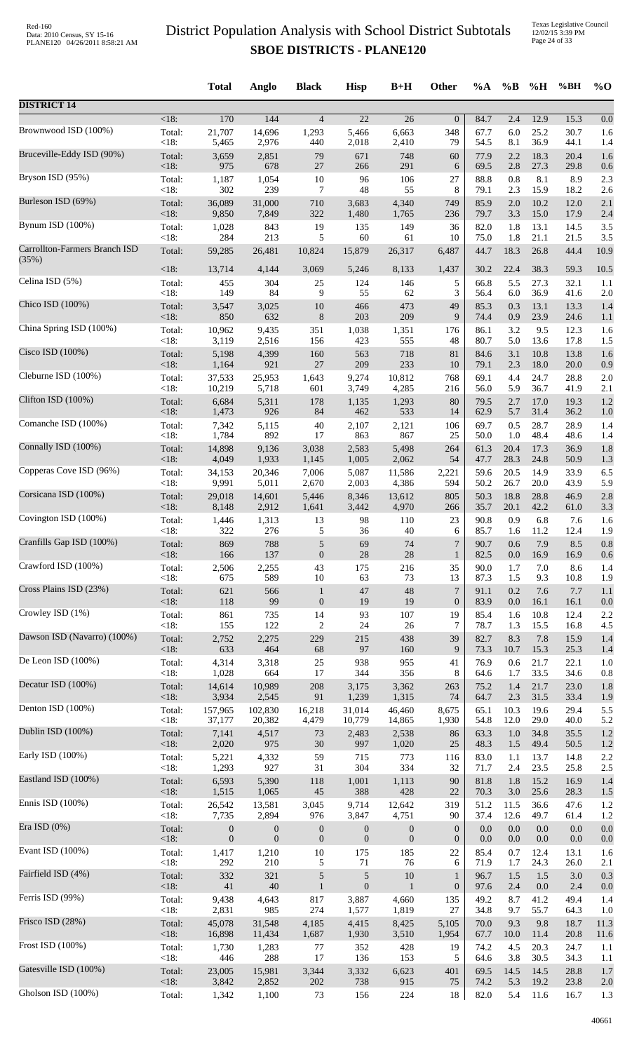|                               |                | <b>Total</b>     | Anglo            | <b>Black</b>     | <b>Hisp</b>       | $B+H$            | Other            | $\%A$        | $\%$ B      | $\%$ H       | %BH          | $\%$ O     |
|-------------------------------|----------------|------------------|------------------|------------------|-------------------|------------------|------------------|--------------|-------------|--------------|--------------|------------|
| <b>DISTRICT 14</b>            |                |                  |                  |                  |                   |                  |                  |              |             |              |              |            |
| Brownwood ISD (100%)          | $<18$ :        | 170              | 144              | $\overline{4}$   | $\overline{22}$   | 26               | $\overline{0}$   | 84.7         | 2.4         | 12.9         | 15.3         | 0.0        |
|                               | Total:         | 21,707           | 14,696           | 1,293            | 5,466             | 6,663            | 348              | 67.7         | 6.0         | 25.2         | 30.7         | 1.6        |
|                               | < 18:          | 5,465            | 2,976            | 440              | 2,018             | 2,410            | 79               | 54.5         | 8.1         | 36.9         | 44.1         | 1.4        |
| Bruceville-Eddy ISD (90%)     | Total:         | 3,659            | 2,851            | 79               | 671               | 748              | 60               | 77.9         | 2.2         | 18.3         | 20.4         | 1.6        |
|                               | < 18:          | 975              | 678              | $27\,$           | 266               | 291              | 6                | 69.5         | 2.8         | 27.3         | 29.8         | 0.6        |
| Bryson ISD (95%)              | Total:         | 1,187            | 1,054            | 10               | 96                | 106              | 27               | 88.8         | 0.8         | 8.1          | 8.9          | 2.3        |
|                               | < 18:          | 302              | 239              | 7                | 48                | 55               | 8                | 79.1         | 2.3         | 15.9         | 18.2         | 2.6        |
| Burleson ISD (69%)            | Total:         | 36,089           | 31,000           | 710              | 3,683             | 4,340            | 749              | 85.9         | 2.0         | 10.2         | 12.0         | 2.1        |
| Bynum ISD (100%)              | < 18:          | 9,850            | 7,849            | 322              | 1,480             | 1,765            | 236              | 79.7         | 3.3         | 15.0         | 17.9         | 2.4        |
|                               | Total:         | 1,028            | 843              | 19               | 135               | 149              | 36               | 82.0         | 1.8         | 13.1         | 14.5         | 3.5        |
| Carrollton-Farmers Branch ISD | < 18:          | 284              | 213              | 5                | 60                | 61               | 10               | 75.0         | 1.8         | 21.1         | 21.5         | 3.5        |
|                               | Total:         | 59,285           | 26,481           | 10,824           | 15,879            | 26,317           | 6,487            | 44.7         | 18.3        | 26.8         | 44.4         | 10.9       |
| (35%)                         | <18:           | 13,714           | 4,144            | 3,069            | 5,246             | 8,133            | 1,437            | 30.2         | 22.4        | 38.3         | 59.3         | 10.5       |
| Celina ISD (5%)               | Total:         | 455              | 304              | 25               | 124               | 146              | 5                | 66.8         | 5.5         | 27.3         | 32.1         | 1.1        |
| Chico ISD (100%)              | < 18:          | 149              | 84               | 9                | 55                | 62               | 3                | 56.4         | 6.0         | 36.9         | 41.6         | 2.0        |
|                               | Total:         | 3,547            | 3,025            | 10               | 466               | 473              | 49               | 85.3         | 0.3         | 13.1         | 13.3         | 1.4        |
| China Spring ISD (100%)       | < 18:          | 850              | 632              | $\,8\,$          | 203               | 209              | 9                | 74.4         | 0.9         | 23.9         | 24.6         | 1.1        |
|                               | Total:         | 10,962           | 9,435            | 351              | 1,038             | 1,351            | 176              | 86.1         | 3.2         | 9.5          | 12.3         | 1.6        |
| Cisco ISD (100%)              | < 18:          | 3,119            | 2,516            | 156              | 423               | 555              | 48               | 80.7         | 5.0         | 13.6         | 17.8         | 1.5        |
|                               | Total:         | 5,198            | 4,399            | 160              | 563               | 718              | 81               | 84.6         | 3.1         | 10.8         | 13.8         | 1.6        |
|                               | < 18:          | 1,164            | 921              | 27               | 209               | 233              | 10               | 79.1         | 2.3         | 18.0         | 20.0         | 0.9        |
| Cleburne ISD (100%)           | Total:         | 37,533           | 25,953           | 1,643            | 9,274             | 10,812           | 768              | 69.1         | 4.4         | 24.7         | 28.8         | 2.0        |
|                               | < 18:          | 10,219           | 5,718            | 601              | 3,749             | 4,285            | 216              | 56.0         | 5.9         | 36.7         | 41.9         | 2.1        |
| Clifton ISD (100%)            | Total:         | 6,684            | 5,311            | 178              | 1,135             | 1,293            | 80               | 79.5         | 2.7         | 17.0         | 19.3         | 1.2        |
|                               | < 18:          | 1,473            | 926              | 84               | 462               | 533              | 14               | 62.9         | 5.7         | 31.4         | 36.2         | 1.0        |
| Comanche ISD (100%)           | Total:         | 7,342            | 5,115            | 40               | 2,107             | 2,121            | 106              | 69.7         | 0.5         | 28.7         | 28.9         | 1.4        |
| Connally ISD (100%)           | < 18:          | 1,784            | 892              | 17               | 863               | 867              | 25               | 50.0         | 1.0         | 48.4         | 48.6         | 1.4        |
|                               | Total:         | 14,898           | 9,136            | 3,038            | 2,583             | 5,498            | 264              | 61.3         | 20.4        | 17.3         | 36.9         | 1.8        |
| Copperas Cove ISD (96%)       | < 18:          | 4,049            | 1,933            | 1,145            | 1,005             | 2,062            | 54               | 47.7         | 28.3        | 24.8         | 50.9         | 1.3        |
|                               | Total:         | 34,153           | 20,346           | 7,006            | 5,087             | 11,586           | 2,221            | 59.6         | 20.5        | 14.9         | 33.9         | 6.5        |
| Corsicana ISD (100%)          | < 18:          | 9,991            | 5,011            | 2,670            | 2,003             | 4,386            | 594              | 50.2         | 26.7        | 20.0         | 43.9         | 5.9        |
|                               | Total:         | 29,018           | 14,601           | 5,446            | 8,346             | 13,612           | 805              | 50.3         | 18.8        | 28.8         | 46.9         | 2.8        |
|                               | $<18$ :        | 8,148            | 2,912            | 1,641            | 3,442             | 4,970            | 266              | 35.7         | 20.1        | 42.2         | 61.0         | 3.3        |
| Covington ISD (100%)          | Total:         | 1,446            | 1,313            | 13               | 98                | 110              | 23               | 90.8         | 0.9         | 6.8          | 7.6          | 1.6        |
|                               | < 18:          | 322              | 276              | 5                | 36                | 40               | 6                | 85.7         | 1.6         | 11.2         | 12.4         | 1.9        |
| Cranfills Gap ISD (100%)      | Total:         | 869              | 788              | $\sqrt{5}$       | 69                | 74               | $\boldsymbol{7}$ | 90.7         | $0.6\,$     | 7.9          | 8.5          | $0.8\,$    |
|                               | $<18$ :        | 166              | 137              | $\boldsymbol{0}$ | 28                | 28               | 1                | 82.5         | 0.0         | 16.9         | 16.9         | 0.6        |
| Crawford ISD (100%)           | Total:         | 2,506            | 2,255            | 43               | 175               | 216              | 35               | 90.0         | 1.7         | 7.0          | 8.6          | 1.4        |
| Cross Plains ISD (23%)        | < 18:          | 675              | 589              | 10               | 63                | 73               | 13               | 87.3         | 1.5         | 9.3          | 10.8         | 1.9        |
|                               | Total:         | 621              | 566              | $\mathbf{1}$     | $47\,$            | 48               | $\boldsymbol{7}$ | 91.1         | $0.2\,$     | 7.6          | 7.7          | 1.1        |
| Crowley ISD (1%)              | < 18:          | 118              | 99               | $\boldsymbol{0}$ | 19                | 19               | $\mathbf{0}$     | 83.9         | $0.0\,$     | 16.1         | 16.1         | 0.0        |
|                               | Total:         | 861              | 735              | 14               | 93                | 107              | 19               | 85.4         | 1.6         | 10.8         | 12.4         | 2.2        |
|                               | < 18:          | 155              | 122              | $\overline{c}$   | 24                | 26               | 7                | 78.7         | 1.3         | 15.5         | 16.8         | 4.5        |
| Dawson ISD (Navarro) (100%)   | Total:         | 2,752            | 2,275            | 229              | 215               | 438              | 39               | 82.7         | 8.3         | 7.8          | 15.9         | 1.4        |
|                               | <18:           | 633              | 464              | 68               | $\ensuremath{97}$ | 160              | 9                | 73.3         | 10.7        | 15.3         | 25.3         | 1.4        |
| De Leon ISD (100%)            | Total:         | 4,314            | 3,318            | 25               | 938               | 955              | 41               | 76.9         | 0.6         | 21.7         | 22.1         | 1.0        |
|                               | < 18:          | 1,028            | 664              | 17               | 344               | 356              | 8                | 64.6         | 1.7         | 33.5         | 34.6         | 0.8        |
| Decatur ISD (100%)            | Total:         | 14,614           | 10,989           | 208              | 3,175             | 3,362            | 263              | 75.2         | 1.4         | 21.7         | 23.0         | 1.8        |
|                               | <18:           | 3,934            | 2,545            | 91               | 1,239             | 1,315            | 74               | 64.7         | 2.3         | 31.5         | 33.4         | 1.9        |
| Denton ISD (100%)             | Total:         | 157,965          | 102,830          | 16,218           | 31,014            | 46,460           | 8,675            | 65.1         | 10.3        | 19.6         | 29.4         | 5.5        |
| Dublin ISD (100%)             | <18:           | 37,177           | 20,382           | 4,479            | 10,779            | 14,865           | 1,930            | 54.8         | 12.0        | 29.0         | 40.0         | 5.2        |
|                               | Total:         | 7,141            | 4,517            | 73               | 2,483             | 2,538            | 86               | 63.3         | 1.0         | 34.8         | 35.5         | 1.2        |
| Early ISD (100%)              | <18:           | 2,020            | 975              | 30               | 997               | 1,020            | 25               | 48.3         | 1.5         | 49.4         | 50.5         | 1.2        |
|                               | Total:         | 5,221            | 4,332            | 59               | 715               | 773              | 116              | 83.0         | 1.1         | 13.7         | 14.8         | 2.2        |
| Eastland ISD (100%)           | < 18:          | 1,293            | 927              | 31               | 304               | 334              | 32               | 71.7         | 2.4         | 23.5         | 25.8         | 2.5        |
|                               | Total:         | 6,593            | 5,390            | 118              | 1,001             | 1,113            | 90               | 81.8         | 1.8         | 15.2         | 16.9         | 1.4        |
|                               | < 18:          | 1,515            | 1,065            | 45               | 388               | 428              | 22               | 70.3         | 3.0         | 25.6         | 28.3         | 1.5        |
| Ennis ISD (100%)              | Total:         | 26,542           | 13,581           | 3,045            | 9,714             | 12,642           | 319              | 51.2         | 11.5        | 36.6         | 47.6         | 1.2        |
|                               | <18:           | 7,735            | 2,894            | 976              | 3,847             | 4,751            | 90               | 37.4         | 12.6        | 49.7         | 61.4         | 1.2        |
| Era ISD (0%)                  | Total:         | $\boldsymbol{0}$ | $\boldsymbol{0}$ | $\boldsymbol{0}$ | $\boldsymbol{0}$  | $\boldsymbol{0}$ | $\boldsymbol{0}$ | 0.0          | $0.0\,$     | $0.0\,$      | 0.0          | 0.0        |
|                               | <18:           | $\mathbf{0}$     | $\boldsymbol{0}$ | $\boldsymbol{0}$ | $\mathbf{0}$      | $\mathbf{0}$     | $\boldsymbol{0}$ | 0.0          | 0.0         | 0.0          | 0.0          | 0.0        |
| Evant ISD (100%)              | Total:         | 1,417            | 1,210            | 10               | 175               | 185              | 22               | 85.4         | 0.7         | 12.4         | 13.1         | 1.6        |
| Fairfield ISD (4%)            | < 18:          | 292              | 210              | 5                | 71                | 76               | 6                | 71.9         | 1.7         | 24.3         | 26.0         | 2.1        |
|                               | Total:         | 332              | 321              | $\sqrt{5}$       | $\sqrt{5}$        | $10\,$           | $\mathbf{1}$     | 96.7         | 1.5         | 1.5          | 3.0          | 0.3        |
| Ferris ISD (99%)              | < 18:          | $41\,$           | 40               | $\mathbf{1}$     | $\boldsymbol{0}$  | $\mathbf{1}$     | $\boldsymbol{0}$ | 97.6         | 2.4         | 0.0          | 2.4          | 0.0        |
|                               | Total:         | 9,438            | 4,643            | 817              | 3,887             | 4,660            | 135              | 49.2         | 8.7         | 41.2         | 49.4         | 1.4        |
|                               | < 18:          | 2,831            | 985              | 274              | 1,577             | 1,819            | 27               | 34.8         | 9.7         | 55.7         | 64.3         | 1.0        |
| Frisco ISD (28%)              | Total:         | 45,078           | 31,548           | 4,185            | 4,415             | 8,425            | 5,105            | 70.0         | 9.3         | 9.8          | 18.7         | 11.3       |
|                               | <18:           | 16,898           | 11,434           | 1,687            | 1,930             | 3,510            | 1,954            | 67.7         | 10.0        | 11.4         | 20.8         | 11.6       |
| Frost ISD (100%)              | Total:         | 1,730            | 1,283            | 77               | 352               | 428              | 19               | 74.2         | 4.5         | 20.3         | 24.7         | 1.1        |
|                               | <18:           | 446              | 288              | 17               | 136               | 153              | 5                | 64.6         | 3.8         | 30.5         | 34.3         | 1.1        |
| Gatesville ISD (100%)         | Total:<br><18: | 23,005<br>3,842  | 15,981<br>2,852  | 3,344<br>$202\,$ | 3,332<br>738      | 6,623<br>915     | 401<br>75        | 69.5<br>74.2 | 14.5<br>5.3 | 14.5<br>19.2 | 28.8<br>23.8 | 1.7        |
| Gholson ISD (100%)            | Total:         | 1,342            | 1,100            | 73               | 156               | 224              | 18               | 82.0         | 5.4         | 11.6         | 16.7         | 2.0<br>1.3 |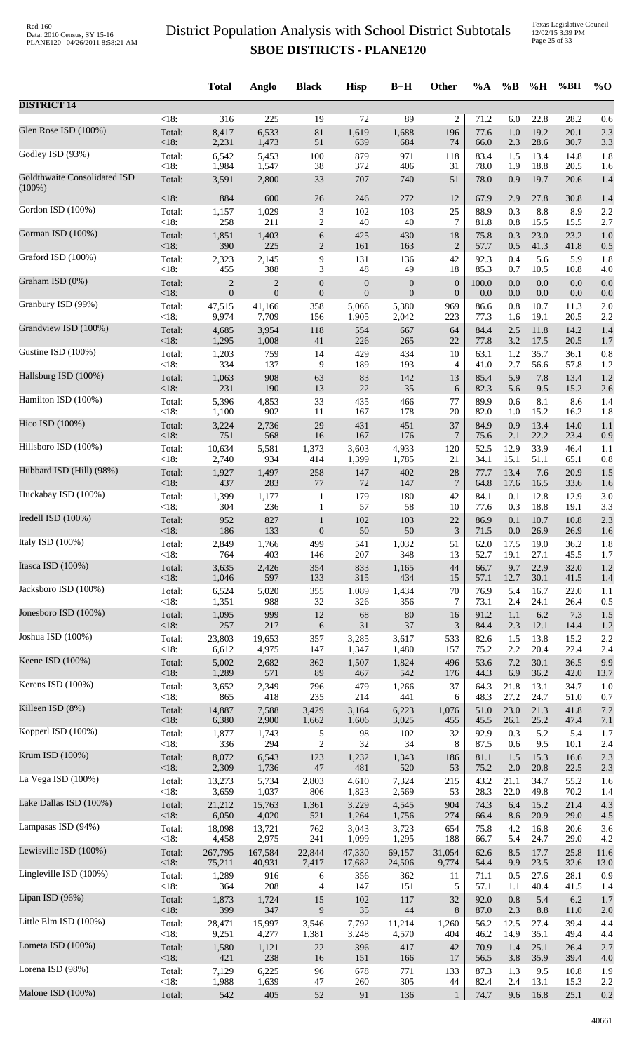|                                           |                    | <b>Total</b>     | Anglo            | <b>Black</b>     | <b>Hisp</b>      | $B+H$            | Other            | %A    | $\%B$   | %H      | %BH  | $%$ <sup>O</sup> |
|-------------------------------------------|--------------------|------------------|------------------|------------------|------------------|------------------|------------------|-------|---------|---------|------|------------------|
| <b>DISTRICT 14</b>                        |                    |                  |                  |                  |                  |                  |                  |       |         |         |      |                  |
| Glen Rose ISD (100%)                      | $\overline{<}18$ : | 316              | $\overline{225}$ | $\overline{19}$  | $\overline{72}$  | 89               | $\overline{c}$   | 71.2  | 6.0     | 22.8    | 28.2 | 0.6              |
|                                           | Total:             | 8,417            | 6,533            | $81\,$           | 1,619            | 1,688            | 196              | 77.6  | $1.0\,$ | 19.2    | 20.1 | 2.3              |
| Godley ISD (93%)                          | $<18$ :            | 2,231            | 1,473            | 51               | 639              | 684              | 74               | 66.0  | 2.3     | 28.6    | 30.7 | 3.3              |
|                                           | Total:             | 6,542            | 5,453            | 100              | 879              | 971              | 118              | 83.4  | 1.5     | 13.4    | 14.8 | 1.8              |
|                                           | <18:               | 1,984            | 1,547            | 38               | 372              | 406              | 31               | 78.0  | 1.9     | 18.8    | 20.5 | 1.6              |
| Goldthwaite Consolidated ISD<br>$(100\%)$ | Total:             | 3,591            | 2,800            | 33               | 707              | 740              | 51               | 78.0  | 0.9     | 19.7    | 20.6 | 1.4              |
| Gordon ISD (100%)                         | <18:               | 884              | 600              | 26               | 246              | 272              | 12               | 67.9  | 2.9     | 27.8    | 30.8 | 1.4              |
|                                           | Total:             | 1,157            | 1,029            | $\sqrt{3}$       | 102              | 103              | 25               | 88.9  | 0.3     | 8.8     | 8.9  | 2.2              |
|                                           | < 18:              | 258              | 211              | $\overline{c}$   | 40               | 40               | 7                | 81.8  | $0.8\,$ | 15.5    | 15.5 | 2.7              |
| Gorman ISD (100%)                         | Total:             | 1,851            | 1,403            | $\sqrt{6}$       | 425              | 430              | 18               | 75.8  | 0.3     | 23.0    | 23.2 | 1.0              |
|                                           | <18:               | 390              | 225              | $\mathbf{2}$     | 161              | 163              | $\mathbf{2}$     | 57.7  | 0.5     | 41.3    | 41.8 | 0.5              |
| Graford ISD (100%)                        | Total:             | 2,323            | 2,145            | 9                | 131              | 136              | 42               | 92.3  | 0.4     | 5.6     | 5.9  | 1.8              |
|                                           | <18:               | 455              | 388              | 3                | 48               | 49               | 18               | 85.3  | 0.7     | 10.5    | 10.8 | 4.0              |
| Graham ISD (0%)                           | Total:             | $\overline{c}$   | $\overline{2}$   | $\boldsymbol{0}$ | $\boldsymbol{0}$ | $\boldsymbol{0}$ | $\boldsymbol{0}$ | 100.0 | 0.0     | $0.0\,$ | 0.0  | 0.0              |
|                                           | $<18$ :            | $\boldsymbol{0}$ | $\boldsymbol{0}$ | $\boldsymbol{0}$ | $\boldsymbol{0}$ | $\boldsymbol{0}$ | $\boldsymbol{0}$ | 0.0   | $0.0\,$ | $0.0\,$ | 0.0  | 0.0              |
| Granbury ISD (99%)                        | Total:             | 47,515           | 41,166           | 358              | 5,066            | 5,380            | 969              | 86.6  | 0.8     | 10.7    | 11.3 | 2.0              |
| Grandview ISD (100%)                      | <18:               | 9,974            | 7,709            | 156              | 1,905            | 2,042            | 223              | 77.3  | 1.6     | 19.1    | 20.5 | 2.2              |
|                                           | Total:             | 4,685            | 3,954            | 118              | 554              | 667              | 64               | 84.4  | 2.5     | 11.8    | 14.2 | 1.4              |
| Gustine ISD (100%)                        | <18:               | 1,295            | 1,008            | 41               | 226              | 265              | 22               | 77.8  | 3.2     | 17.5    | 20.5 | 1.7              |
|                                           | Total:             | 1,203            | 759              | 14               | 429              | 434              | 10               | 63.1  | 1.2     | 35.7    | 36.1 | 0.8              |
|                                           | <18:               | 334              | 137              | 9                | 189              | 193              | 4                | 41.0  | 2.7     | 56.6    | 57.8 | 1.2              |
| Hallsburg ISD (100%)                      | Total:             | 1,063            | 908              | 63               | 83               | 142              | 13               | 85.4  | 5.9     | 7.8     | 13.4 | 1.2              |
|                                           | <18:               | 231              | 190              | 13               | $22\,$           | 35               | 6                | 82.3  | 5.6     | 9.5     | 15.2 | 2.6              |
| Hamilton ISD (100%)                       | Total:             | 5,396            | 4,853            | 33               | 435              | 466              | 77               | 89.9  | 0.6     | 8.1     | 8.6  | 1.4              |
|                                           | < 18:              | 1,100            | 902              | 11               | 167              | 178              | 20               | 82.0  | 1.0     | 15.2    | 16.2 | 1.8              |
| Hico ISD (100%)                           | Total:             | 3,224            | 2,736            | 29               | 431              | 451              | 37               | 84.9  | 0.9     | 13.4    | 14.0 | 1.1              |
| Hillsboro ISD (100%)                      | <18:               | 751              | 568              | 16               | 167              | 176              | $\overline{7}$   | 75.6  | 2.1     | 22.2    | 23.4 | 0.9              |
|                                           | Total:             | 10,634           | 5,581            | 1,373            | 3,603            | 4,933            | 120              | 52.5  | 12.9    | 33.9    | 46.4 | 1.1              |
| Hubbard ISD (Hill) (98%)                  | < 18:              | 2,740            | 934              | 414              | 1,399            | 1,785            | 21               | 34.1  | 15.1    | 51.1    | 65.1 | 0.8              |
|                                           | Total:             | 1,927            | 1,497            | 258              | 147              | 402              | $28\,$           | 77.7  | 13.4    | 7.6     | 20.9 | 1.5              |
|                                           | <18:               | 437              | 283              | 77               | $72\,$           | 147              | $\overline{7}$   | 64.8  | 17.6    | 16.5    | 33.6 | 1.6              |
| Huckabay ISD (100%)                       | Total:             | 1,399            | 1,177            | $\mathbf{1}$     | 179              | 180              | 42               | 84.1  | 0.1     | 12.8    | 12.9 | 3.0              |
|                                           | < 18:              | 304              | 236              | $\mathbf{1}$     | 57               | 58               | 10               | 77.6  | 0.3     | 18.8    | 19.1 | 3.3              |
| Iredell ISD (100%)                        | Total:             | 952              | 827              | $\mathbf{1}$     | 102              | 103              | $22\,$           | 86.9  | 0.1     | 10.7    | 10.8 | 2.3              |
|                                           | <18:               | 186              | 133              | $\boldsymbol{0}$ | 50               | 50               | $\mathfrak{Z}$   | 71.5  | 0.0     | 26.9    | 26.9 | 1.6              |
| Italy ISD (100%)                          | Total:             | 2,849            | 1,766            | 499              | 541              | 1,032            | 51               | 62.0  | 17.5    | 19.0    | 36.2 | 1.8              |
| Itasca ISD (100%)                         | <18:               | 764              | 403              | 146              | 207              | 348              | 13               | 52.7  | 19.1    | 27.1    | 45.5 | 1.7              |
|                                           | Total:             | 3,635            | 2,426            | 354              | 833              | 1,165            | 44               | 66.7  | 9.7     | 22.9    | 32.0 | 1.2              |
| Jacksboro ISD (100%)                      | <18:               | 1,046            | 597              | 133              | 315              | 434              | 15               | 57.1  | 12.7    | 30.1    | 41.5 | 1.4              |
|                                           | Total:             | 6,524            | 5,020            | 355              | 1,089            | 1,434            | 70               | 76.9  | 5.4     | 16.7    | 22.0 | 1.1              |
| Jonesboro ISD (100%)                      | <18:               | 1,351            | 988              | 32               | 326              | 356              | 7                | 73.1  | 2.4     | 24.1    | 26.4 | 0.5              |
|                                           | Total:             | 1,095            | 999              | 12               | 68               | 80               | 16               | 91.2  | 1.1     | 6.2     | 7.3  | 1.5              |
|                                           | $<18$ :            | 257              | 217              | $\sqrt{6}$       | 31               | 37               | 3                | 84.4  | 2.3     | 12.1    | 14.4 | 1.2              |
| Joshua ISD (100%)                         | Total:             | 23,803           | 19,653           | 357              | 3,285            | 3,617            | 533              | 82.6  | 1.5     | 13.8    | 15.2 | 2.2              |
|                                           | $<18$ :            | 6,612            | 4,975            | 147              | 1,347            | 1,480            | 157              | 75.2  | 2.2     | 20.4    | 22.4 | 2.4              |
| Keene ISD (100%)                          | Total:             | 5,002            | 2,682            | 362              | 1,507            | 1,824            | 496              | 53.6  | 7.2     | 30.1    | 36.5 | 9.9              |
|                                           | <18:               | 1,289            | 571              | 89               | 467              | 542              | 176              | 44.3  | 6.9     | 36.2    | 42.0 | 13.7             |
| Kerens ISD (100%)                         | Total:             | 3,652            | 2,349            | 796              | 479              | 1,266            | 37               | 64.3  | 21.8    | 13.1    | 34.7 | 1.0              |
| Killeen ISD (8%)                          | < 18:              | 865              | 418              | 235              | 214              | 441              | 6                | 48.3  | 27.2    | 24.7    | 51.0 | 0.7              |
|                                           | Total:             | 14,887           | 7,588            | 3,429            | 3,164            | 6,223            | 1,076            | 51.0  | 23.0    | 21.3    | 41.8 | 7.2              |
| Kopperl ISD (100%)                        | $<18$ :            | 6,380            | 2,900            | 1,662            | 1,606            | 3,025            | 455              | 45.5  | 26.1    | 25.2    | 47.4 | 7.1              |
|                                           | Total:             | 1,877            | 1,743            | 5                | 98               | 102              | 32               | 92.9  | 0.3     | 5.2     | 5.4  | 1.7              |
|                                           | < 18:              | 336              | 294              | $\overline{2}$   | 32               | 34               | 8                | 87.5  | 0.6     | 9.5     | 10.1 | 2.4              |
| Krum ISD (100%)                           | Total:             | 8,072            | 6,543            | 123              | 1,232            | 1,343            | 186              | 81.1  | 1.5     | 15.3    | 16.6 | 2.3              |
|                                           | <18:               | 2,309            | 1,736            | $47\,$           | 481              | 520              | 53               | 75.2  | 2.0     | 20.8    | 22.5 | 2.3              |
| La Vega ISD (100%)                        | Total:             | 13,273           | 5,734            | 2,803            | 4,610            | 7,324            | 215              | 43.2  | 21.1    | 34.7    | 55.2 | 1.6              |
|                                           | < 18:              | 3,659            | 1,037            | 806              | 1,823            | 2,569            | 53               | 28.3  | 22.0    | 49.8    | 70.2 | 1.4              |
| Lake Dallas ISD (100%)                    | Total:             | 21,212           | 15,763           | 1,361            | 3,229            | 4,545            | 904              | 74.3  | 6.4     | 15.2    | 21.4 | 4.3              |
|                                           | $<18$ :            | 6,050            | 4,020            | 521              | 1,264            | 1,756            | 274              | 66.4  | 8.6     | 20.9    | 29.0 | 4.5              |
| Lampasas ISD (94%)                        | Total:             | 18,098           | 13,721           | 762              | 3,043            | 3,723            | 654              | 75.8  | 4.2     | 16.8    | 20.6 | 3.6              |
| Lewisville ISD (100%)                     | <18:               | 4,458            | 2,975            | 241              | 1,099            | 1,295            | 188              | 66.7  | 5.4     | 24.7    | 29.0 | 4.2              |
|                                           | Total:             | 267,795          | 167,584          | 22,844           | 47,330           | 69,157           | 31,054           | 62.6  | 8.5     | 17.7    | 25.8 | 11.6             |
| Lingleville ISD (100%)                    | $<18$ :            | 75,211           | 40,931           | 7,417            | 17,682           | 24,506           | 9,774            | 54.4  | 9.9     | 23.5    | 32.6 | 13.0             |
|                                           | Total:             | 1,289            | 916              | 6                | 356              | 362              | 11               | 71.1  | 0.5     | 27.6    | 28.1 | 0.9              |
| Lipan ISD (96%)                           | <18:               | 364              | 208              | 4                | 147              | 151              | 5                | 57.1  | 1.1     | 40.4    | 41.5 | 1.4              |
|                                           | Total:             | 1,873            | 1,724            | 15               | 102              | 117              | 32               | 92.0  | 0.8     | 5.4     | 6.2  | 1.7              |
|                                           | <18:               | 399              | 347              | 9                | 35               | 44               | 8                | 87.0  | 2.3     | 8.8     | 11.0 | 2.0              |
| Little Elm ISD (100%)                     | Total:             | 28,471           | 15,997           | 3,546            | 7,792            | 11,214           | 1,260            | 56.2  | 12.5    | 27.4    | 39.4 | 4.4              |
|                                           | $<18$ :            | 9,251            | 4,277            | 1,381            | 3,248            | 4,570            | 404              | 46.2  | 14.9    | 35.1    | 49.4 | 4.4              |
| Lometa ISD (100%)                         | Total:             | 1,580            | 1,121            | 22               | 396              | 417              | 42               | 70.9  | 1.4     | 25.1    | 26.4 | 2.7              |
|                                           | <18:               | 421              | 238              | 16               | 151              | 166              | 17               | 56.5  | 3.8     | 35.9    | 39.4 | 4.0              |
| Lorena ISD (98%)                          | Total:             | 7,129            | 6,225            | 96               | 678              | 771              | 133              | 87.3  | 1.3     | 9.5     | 10.8 | 1.9              |
| Malone ISD (100%)                         | <18:               | 1,988            | 1,639            | 47               | 260              | 305              | 44               | 82.4  | 2.4     | 13.1    | 15.3 | 2.2              |
|                                           | Total:             | 542              | 405              | 52               | 91               | 136              | $\mathbf{1}$     | 74.7  | 9.6     | 16.8    | 25.1 | 0.2              |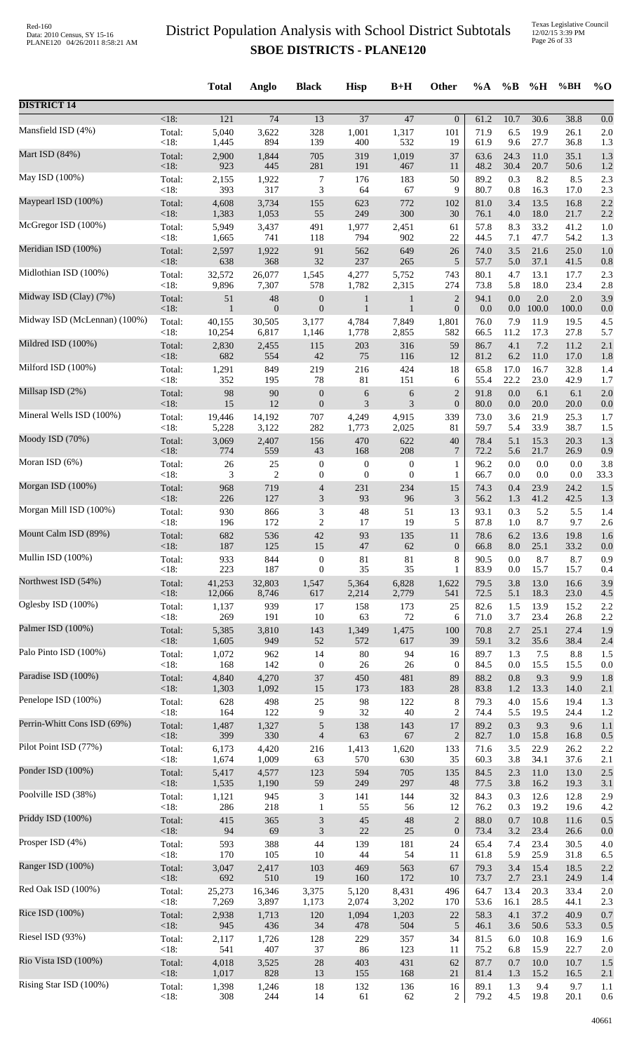|                              |                 | <b>Total</b>   | Anglo                           | <b>Black</b>                         | <b>Hisp</b>                  | $B+H$                        | Other                              | %A           | $\%B$      | %H                 | %BH          | $%$ <sup>O</sup> |
|------------------------------|-----------------|----------------|---------------------------------|--------------------------------------|------------------------------|------------------------------|------------------------------------|--------------|------------|--------------------|--------------|------------------|
| <b>DISTRICT 14</b>           |                 |                |                                 |                                      |                              |                              |                                    |              |            |                    |              |                  |
| Mansfield ISD (4%)           | <18:            | 121            | $\overline{74}$                 | 13                                   | $\overline{37}$              | 47                           | $\boldsymbol{0}$                   | 61.2         | 10.7       | 30.6               | 38.8         | 0.0              |
|                              | Total:          | 5,040          | 3,622                           | 328                                  | 1,001                        | 1,317                        | 101                                | 71.9         | 6.5        | 19.9               | 26.1         | 2.0              |
|                              | < 18:           | 1,445          | 894                             | 139                                  | 400                          | 532                          | 19                                 | 61.9         | 9.6        | 27.7               | 36.8         | 1.3              |
| Mart ISD $(84%)$             | Total:          | 2,900          | 1,844                           | 705                                  | 319                          | 1,019                        | 37                                 | 63.6         | 24.3       | 11.0               | 35.1         | 1.3              |
|                              | <18:            | 923            | 445                             | 281                                  | 191                          | 467                          | 11                                 | 48.2         | 30.4       | 20.7               | 50.6         | 1.2              |
| May ISD (100%)               | Total:          | 2,155          | 1,922                           | 7                                    | 176                          | 183                          | 50                                 | 89.2         | 0.3        | 8.2                | 8.5          | 2.3              |
|                              | <18:            | 393            | 317                             | $\ensuremath{\mathfrak{Z}}$          | 64                           | 67                           | 9                                  | 80.7         | 0.8        | 16.3               | 17.0         | 2.3              |
| Maypearl ISD (100%)          | Total:          | 4,608          | 3,734                           | 155                                  | 623                          | 772                          | 102                                | 81.0         | 3.4        | 13.5               | 16.8         | 2.2              |
| McGregor ISD (100%)          | <18:            | 1,383          | 1,053                           | 55                                   | 249                          | 300                          | 30                                 | 76.1         | 4.0        | 18.0               | 21.7         | 2.2              |
|                              | Total:          | 5,949          | 3,437                           | 491                                  | 1,977                        | 2,451                        | 61                                 | 57.8         | 8.3        | 33.2               | 41.2         | 1.0              |
| Meridian ISD (100%)          | <18:            | 1,665          | 741                             | 118                                  | 794                          | 902                          | 22                                 | 44.5         | 7.1        | 47.7               | 54.2         | 1.3              |
|                              | Total:          | 2,597          | 1,922                           | 91                                   | 562                          | 649                          | 26                                 | 74.0         | 3.5        | 21.6               | 25.0         | 1.0              |
|                              | <18:            | 638            | 368                             | 32                                   | 237                          | 265                          | 5                                  | 57.7         | 5.0        | 37.1               | 41.5         | 0.8              |
| Midlothian ISD (100%)        | Total:          | 32,572         | 26,077                          | 1,545                                | 4,277                        | 5,752                        | 743                                | 80.1         | 4.7        | 13.1               | 17.7         | 2.3              |
|                              | < 18:           | 9,896          | 7,307                           | 578                                  | 1,782                        | 2,315                        | 274                                | 73.8         | 5.8        | 18.0               | 23.4         | 2.8              |
| Midway ISD (Clay) (7%)       | Total:<br>< 18: | 51<br>1        | $\sqrt{48}$<br>$\boldsymbol{0}$ | $\boldsymbol{0}$<br>$\boldsymbol{0}$ | $\mathbf{1}$<br>$\mathbf{1}$ | $\mathbf{1}$<br>$\mathbf{1}$ | $\overline{2}$<br>$\boldsymbol{0}$ | 94.1<br>0.0  | 0.0        | 2.0<br>$0.0$ 100.0 | 2.0<br>100.0 | 3.9<br>0.0       |
| Midway ISD (McLennan) (100%) | Total:          | 40,155         | 30,505                          | 3,177                                | 4,784                        | 7,849                        | 1,801                              | 76.0         | 7.9        | 11.9               | 19.5         | 4.5              |
|                              | <18:            | 10,254         | 6,817                           | 1,146                                | 1,778                        | 2,855                        | 582                                | 66.5         | 11.2       | 17.3               | 27.8         | 5.7              |
| Mildred ISD (100%)           | Total:          | 2,830          | 2,455                           | 115                                  | 203                          | 316                          | 59                                 | 86.7         | 4.1        | 7.2                | 11.2         | 2.1              |
| Milford ISD (100%)           | $<18$ :         | 682            | 554                             | 42                                   | 75                           | 116                          | 12                                 | 81.2         | 6.2        | 11.0               | 17.0         | 1.8              |
|                              | Total:          | 1,291          | 849                             | 219                                  | 216                          | 424                          | 18                                 | 65.8         | 17.0       | 16.7               | 32.8         | 1.4              |
| Millsap ISD (2%)             | < 18:           | 352            | 195                             | $78\,$                               | 81                           | 151                          | 6                                  | 55.4         | 22.2       | 23.0               | 42.9         | 1.7              |
|                              | Total:          | 98             | 90                              | $\boldsymbol{0}$                     | 6                            | 6                            | $\overline{2}$                     | 91.8         | 0.0        | 6.1                | 6.1          | 2.0              |
|                              | <18:            | 15             | 12                              | $\boldsymbol{0}$                     | 3                            | 3                            | $\boldsymbol{0}$                   | 80.0         | 0.0        | 20.0               | 20.0         | 0.0              |
| Mineral Wells ISD (100%)     | Total:          | 19,446         | 14,192                          | 707                                  | 4,249                        | 4,915                        | 339                                | 73.0         | 3.6        | 21.9               | 25.3         | 1.7              |
|                              | <18:            | 5,228          | 3,122                           | 282                                  | 1,773                        | 2,025                        | 81                                 | 59.7         | 5.4        | 33.9               | 38.7         | 1.5              |
| Moody ISD (70%)              | Total:          | 3,069          | 2,407                           | 156                                  | 470                          | 622                          | 40                                 | 78.4         | 5.1        | 15.3               | 20.3         | 1.3              |
|                              | $<18$ :         | 774            | 559                             | 43                                   | 168                          | 208                          | 7                                  | 72.2         | 5.6        | 21.7               | 26.9         | 0.9              |
| Moran ISD (6%)               | Total:          | $26\,$         | $25\,$                          | $\boldsymbol{0}$                     | $\boldsymbol{0}$             | $\boldsymbol{0}$             | $\mathbf{1}$                       | 96.2         | 0.0        | 0.0                | 0.0          | 3.8              |
| Morgan ISD (100%)            | < 18:           | 3              | $\overline{c}$                  | $\boldsymbol{0}$                     | $\boldsymbol{0}$             | $\boldsymbol{0}$             | 1                                  | 66.7         | 0.0        | 0.0                | $0.0\,$      | 33.3             |
|                              | Total:          | 968            | 719                             | $\overline{4}$                       | 231                          | 234                          | 15                                 | 74.3         | 0.4        | 23.9               | 24.2         | 1.5              |
| Morgan Mill ISD (100%)       | $<18$ :         | 226            | 127                             | $\mathfrak{Z}$                       | 93                           | 96                           | 3                                  | 56.2         | 1.3        | 41.2               | 42.5         | 1.3              |
|                              | Total:          | 930            | 866                             | $\ensuremath{\mathfrak{Z}}$          | $\sqrt{48}$                  | 51                           | 13                                 | 93.1         | 0.3        | 5.2                | 5.5          | 1.4              |
| Mount Calm ISD (89%)         | <18:            | 196            | 172                             | $\overline{c}$                       | 17                           | 19                           | 5                                  | 87.8         | 1.0        | 8.7                | 9.7          | 2.6              |
|                              | Total:          | 682            | 536                             | 42                                   | 93                           | 135                          | 11                                 | 78.6         | 6.2        | 13.6               | 19.8         | 1.6              |
|                              | < 18:           | 187            | 125                             | 15                                   | 47                           | 62                           | $\overline{0}$                     | 66.8         | 8.0        | 25.1               | 33.2         | 0.0              |
| Mullin ISD (100%)            | Total:          | 933            | 844                             | $\boldsymbol{0}$                     | 81                           | $81\,$                       | 8                                  | 90.5         | 0.0        | 8.7                | 8.7          | 0.9              |
|                              | <18:            | 223            | 187                             | $\boldsymbol{0}$                     | 35                           | 35                           | 1                                  | 83.9         | 0.0        | 15.7               | 15.7         | 0.4              |
| Northwest ISD (54%)          | Total:          | 41,253         | 32,803                          | 1,547                                | 5,364                        | 6,828                        | 1,622                              | 79.5         | 3.8        | 13.0               | 16.6         | 3.9              |
|                              | $<18$ :         | 12,066         | 8,746                           | 617                                  | 2,214                        | 2,779                        | 541                                | 72.5         | 5.1        | 18.3               | 23.0         | 4.5              |
| Oglesby ISD (100%)           | Total:          | 1,137          | 939                             | 17                                   | 158                          | 173                          | $25\,$                             | 82.6         | 1.5        | 13.9               | 15.2         | 2.2              |
|                              | < 18:           | 269            | 191                             | 10                                   | 63                           | $72\,$                       | 6                                  | 71.0         | 3.7        | 23.4               | 26.8         | 2.2              |
| Palmer ISD (100%)            | Total:          | 5,385          | 3,810                           | 143                                  | 1,349                        | 1,475                        | 100                                | 70.8         | 2.7        | 25.1               | 27.4         | 1.9              |
| Palo Pinto ISD (100%)        | < 18:           | 1,605          | 949                             | 52                                   | 572                          | 617                          | 39                                 | 59.1         | $3.2\,$    | 35.6               | 38.4         | 2.4              |
|                              | Total:          | 1,072          | 962                             | 14                                   | $80\,$                       | 94                           | 16                                 | 89.7         | 1.3        | 7.5                | 8.8          | 1.5              |
| Paradise ISD (100%)          | < 18:<br>Total: | 168            | 142                             | $\boldsymbol{0}$                     | $26\,$<br>450                | 26<br>481                    | $\boldsymbol{0}$<br>89             | 84.5<br>88.2 | 0.0<br>0.8 | 15.5<br>9.3        | 15.5<br>9.9  | 0.0<br>1.8       |
|                              | <18:            | 4,840<br>1,303 | 4,270<br>1,092                  | $37\,$<br>15                         | 173                          | 183                          | $28\,$                             | 83.8         | 1.2        | 13.3               | 14.0         | 2.1              |
| Penelope ISD (100%)          | Total:          | 628            | 498                             | $25\,$                               | 98                           | 122                          | 8                                  | 79.3         | 4.0        | 15.6               | 19.4         | 1.3              |
|                              | < 18:           | 164            | 122                             | 9                                    | 32                           | 40                           | $\overline{c}$                     | 74.4         | 5.5        | 19.5               | 24.4         | 1.2              |
| Perrin-Whitt Cons ISD (69%)  | Total:          | 1,487          | 1,327                           | $\sqrt{5}$                           | 138                          | 143                          | 17                                 | 89.2         | 0.3        | 9.3                | 9.6          | 1.1              |
|                              | <18:            | 399            | 330                             | $\overline{4}$                       | 63                           | 67                           | $\overline{2}$                     | 82.7         | $1.0\,$    | 15.8               | 16.8         | 0.5              |
| Pilot Point ISD (77%)        | Total:          | 6,173          | 4,420                           | 216                                  | 1,413                        | 1,620                        | 133                                | 71.6         | 3.5        | 22.9               | 26.2         | 2.2              |
| Ponder ISD (100%)            | < 18:           | 1,674          | 1,009                           | 63                                   | 570                          | 630                          | 35                                 | 60.3         | 3.8        | 34.1               | 37.6         | 2.1              |
|                              | Total:          | 5,417          | 4,577                           | 123                                  | 594                          | 705                          | 135                                | 84.5         | 2.3        | 11.0               | 13.0         | 2.5              |
| Poolville ISD (38%)          | <18:            | 1,535          | 1,190                           | 59                                   | 249                          | 297                          | 48                                 | 77.5         | 3.8        | 16.2               | 19.3         | 3.1              |
|                              | Total:          | 1,121          | 945                             | $\ensuremath{\mathfrak{Z}}$          | 141                          | 144                          | 32                                 | 84.3         | 0.3        | 12.6               | 12.8         | 2.9              |
|                              | < 18:           | 286            | 218                             | $\mathbf{1}$                         | 55                           | 56                           | 12                                 | 76.2         | 0.3        | 19.2               | 19.6         | 4.2              |
| Priddy ISD (100%)            | Total:          | 415            | 365                             | 3                                    | $45\,$                       | 48                           | $\overline{c}$                     | 88.0         | 0.7        | 10.8               | 11.6         | 0.5              |
|                              | $<18$ :         | 94             | 69                              | $\mathfrak 3$                        | $22\,$                       | 25                           | $\boldsymbol{0}$                   | 73.4         | 3.2        | 23.4               | 26.6         | 0.0              |
| Prosper ISD (4%)             | Total:          | 593            | 388                             | 44                                   | 139                          | 181                          | 24                                 | 65.4         | 7.4        | 23.4               | 30.5         | 4.0              |
|                              | <18:            | 170            | 105                             | 10                                   | 44                           | 54                           | 11                                 | 61.8         | 5.9        | 25.9               | 31.8         | 6.5              |
| Ranger ISD (100%)            | Total:          | 3,047          | 2,417                           | 103                                  | 469                          | 563                          | 67                                 | 79.3         | 3.4        | 15.4               | 18.5         | 2.2              |
|                              | <18:            | 692            | 510                             | 19                                   | 160                          | 172                          | 10                                 | 73.7         | 2.7        | 23.1               | 24.9         | 1.4              |
| Red Oak ISD (100%)           | Total:          | 25,273         | 16,346                          | 3,375                                | 5,120                        | 8,431                        | 496                                | 64.7         | 13.4       | 20.3               | 33.4         | 2.0              |
| Rice ISD (100%)              | <18:            | 7,269          | 3,897                           | 1,173                                | 2,074                        | 3,202                        | 170                                | 53.6         | 16.1       | 28.5               | 44.1         | 2.3              |
|                              | Total:          | 2,938          | 1,713                           | 120                                  | 1,094                        | 1,203                        | 22                                 | 58.3         | 4.1        | 37.2               | 40.9         | 0.7              |
| Riesel ISD (93%)             | <18:            | 945            | 436                             | 34                                   | 478                          | 504                          | $\sqrt{5}$                         | 46.1         | 3.6        | 50.6               | 53.3         | 0.5              |
|                              | Total:          | 2,117          | 1,726                           | 128                                  | $229\,$                      | 357                          | 34                                 | 81.5         | 6.0        | 10.8               | 16.9         | 1.6              |
|                              | <18:            | 541            | 407                             | 37                                   | 86                           | 123                          | 11                                 | 75.2         | 6.8        | 15.9               | 22.7         | 2.0              |
| Rio Vista ISD (100%)         | Total:          | 4,018          | 3,525                           | $28\,$                               | 403                          | 431                          | 62                                 | 87.7         | 0.7        | 10.0               | 10.7         | 1.5              |
|                              | <18:            | 1,017          | 828                             | 13                                   | 155                          | 168                          | 21                                 | 81.4         | 1.3        | 15.2               | 16.5         | 2.1              |
| Rising Star ISD (100%)       | Total:          | 1,398          | 1,246                           | 18                                   | 132                          | 136                          | 16                                 | 89.1         | 1.3        | 9.4                | 9.7          | 1.1              |
|                              | <18:            | 308            | 244                             | 14                                   | 61                           | 62                           | $\overline{c}$                     | 79.2         | 4.5        | 19.8               | 20.1         | 0.6              |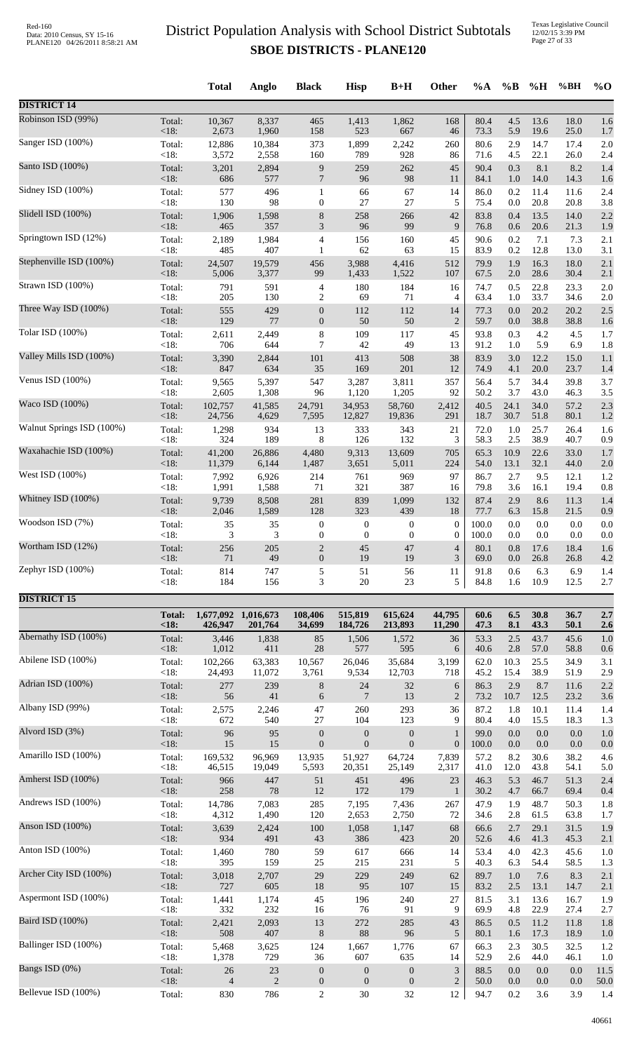Texas Legislative Council 12/02/15 3:39 PM Page 27 of 33

|                           |                 | <b>Total</b>        | Anglo          | <b>Black</b>            | <b>Hisp</b>             | $B+H$                   | Other                       | %A            | $\%B$       | %H              | %BH             | $\%$ O     |
|---------------------------|-----------------|---------------------|----------------|-------------------------|-------------------------|-------------------------|-----------------------------|---------------|-------------|-----------------|-----------------|------------|
| <b>DISTRICT 14</b>        |                 |                     |                |                         |                         |                         |                             |               |             |                 |                 |            |
| Robinson ISD (99%)        | Total:          | 10,367              | 8,337          | 465                     | 1,413                   | 1,862                   | 168                         | 80.4          | 4.5         | 13.6            | 18.0            | 1.6        |
|                           | < 18:           | 2,673               | 1,960          | 158                     | 523                     | 667                     | 46                          | 73.3          | 5.9         | 19.6            | 25.0            | 1.7        |
| Sanger ISD (100%)         | Total:          | 12,886              | 10,384         | 373                     | 1,899                   | 2,242                   | 260                         | 80.6          | 2.9         | 14.7            | 17.4            | 2.0        |
| Santo ISD (100%)          | < 18:           | 3,572               | 2,558          | 160                     | 789                     | 928                     | 86                          | 71.6          | 4.5         | 22.1            | 26.0            | 2.4        |
|                           | Total:          | 3,201               | 2,894          | $\boldsymbol{9}$        | 259                     | 262                     | 45                          | 90.4          | 0.3         | 8.1             | 8.2             | 1.4        |
| Sidney ISD (100%)         | <18:            | 686                 | 577            | $\overline{7}$          | 96                      | 98                      | 11                          | 84.1          | 1.0         | 14.0            | 14.3            | 1.6        |
|                           | Total:          | 577                 | 496            | $\mathbf{1}$            | 66                      | 67                      | 14                          | 86.0          | 0.2         | 11.4            | 11.6            | 2.4        |
|                           | < 18:           | 130                 | 98             | $\boldsymbol{0}$        | 27                      | 27                      | 5                           | 75.4          | 0.0         | 20.8            | 20.8            | 3.8        |
| Slidell ISD (100%)        | Total:          | 1,906               | 1,598          | $8\phantom{1}$          | 258                     | 266                     | 42                          | 83.8          | 0.4         | 13.5            | 14.0            | 2.2        |
|                           | < 18:           | 465                 | 357            | $\mathfrak{Z}$          | 96                      | 99                      | 9                           | 76.8          | 0.6         | 20.6            | 21.3            | 1.9        |
| Springtown ISD (12%)      | Total:          | 2,189               | 1,984          | $\overline{4}$          | 156                     | 160                     | 45                          | 90.6          | 0.2         | 7.1             | 7.3             | 2.1        |
|                           | < 18:           | 485                 | 407            | $\mathbf{1}$            | 62                      | 63                      | 15                          | 83.9          | 0.2         | 12.8            | 13.0            | 3.1        |
| Stephenville ISD (100%)   | Total:          | 24,507              | 19,579         | 456                     | 3,988                   | 4,416                   | 512                         | 79.9          | 1.9         | 16.3            | 18.0            | 2.1        |
|                           | < 18:           | 5,006               | 3,377          | 99                      | 1,433                   | 1,522                   | 107                         | 67.5          | $2.0\,$     | 28.6            | 30.4            | 2.1        |
| Strawn ISD (100%)         | Total:          | 791                 | 591            | $\overline{4}$          | 180                     | 184                     | 16                          | 74.7          | 0.5         | 22.8            | 23.3            | 2.0        |
|                           | <18:            | 205                 | 130            | $\overline{2}$          | 69                      | 71                      | 4                           | 63.4          | 1.0         | 33.7            | 34.6            | 2.0        |
| Three Way ISD (100%)      | Total:          | 555                 | 429            | $\boldsymbol{0}$        | 112                     | 112                     | 14                          | 77.3          | 0.0         | 20.2            | 20.2            | 2.5        |
| Tolar ISD (100%)          | < 18:           | 129                 | 77             | $\mathbf{0}$            | 50                      | 50                      | $\overline{2}$              | 59.7          | 0.0         | 38.8            | 38.8            | 1.6        |
|                           | Total:          | 2,611               | 2,449          | $\,8\,$                 | 109                     | 117                     | 45                          | 93.8          | 0.3         | 4.2             | 4.5             | 1.7        |
| Valley Mills ISD (100%)   | <18:            | 706                 | 644            | $\tau$                  | 42                      | 49                      | 13                          | 91.2          | 1.0         | 5.9             | 6.9             | 1.8        |
|                           | Total:          | 3,390               | 2,844          | 101                     | 413                     | 508                     | 38                          | 83.9          | 3.0         | 12.2            | 15.0            | 1.1        |
| Venus ISD (100%)          | <18:            | 847                 | 634            | 35                      | 169                     | 201                     | 12                          | 74.9          | 4.1         | 20.0            | 23.7            | 1.4        |
|                           | Total:          | 9,565               | 5,397          | 547                     | 3,287                   | 3,811                   | 357                         | 56.4          | 5.7         | 34.4            | 39.8            | 3.7        |
|                           | < 18:           | 2,605               | 1,308          | 96                      | 1,120                   | 1,205                   | 92                          | 50.2          | 3.7         | 43.0            | 46.3            | 3.5        |
| Waco ISD (100%)           | Total:          | 102,757             | 41,585         | 24,791                  | 34,953                  | 58,760                  | 2,412                       | 40.5          | 24.1        | 34.0            | 57.2            | 2.3        |
|                           | <18:            | 24,756              | 4,629          | 7,595                   | 12,827                  | 19,836                  | 291                         | 18.7          | 30.7        | 51.8            | 80.1            | 1.2        |
| Walnut Springs ISD (100%) | Total:          | 1,298               | 934            | 13                      | 333                     | 343                     | 21                          | 72.0          | 1.0         | 25.7            | 26.4            | 1.6        |
|                           | <18:            | 324                 | 189            | 8                       | 126                     | 132                     | 3                           | 58.3          | 2.5         | 38.9            | 40.7            | 0.9        |
| Waxahachie ISD (100%)     | Total:          | 41,200              | 26,886         | 4,480                   | 9,313                   | 13,609                  | 705                         | 65.3          | 10.9        | 22.6            | 33.0            | 1.7        |
|                           | < 18:           | 11,379              | 6,144          | 1,487                   | 3,651                   | 5,011                   | 224                         | 54.0          | 13.1        | 32.1            | 44.0            | 2.0        |
| West ISD (100%)           | Total:          | 7,992               | 6,926          | 214                     | 761                     | 969                     | 97                          | 86.7          | 2.7         | 9.5             | 12.1            | 1.2        |
|                           | < 18:           | 1,991               | 1,588          | 71                      | 321                     | 387                     | 16                          | 79.8          | 3.6         | 16.1            | 19.4            | 0.8        |
| Whitney ISD (100%)        | Total:<br>< 18: | 9,739               | 8,508<br>1,589 | 281                     | 839                     | 1,099                   | 132                         | 87.4          | 2.9         | 8.6             | 11.3            | 1.4        |
| Woodson ISD (7%)          | Total:          | 2,046<br>35         | 35             | 128<br>$\boldsymbol{0}$ | 323<br>$\boldsymbol{0}$ | 439<br>$\boldsymbol{0}$ | 18<br>$\boldsymbol{0}$      | 77.7<br>100.0 | 6.3<br>0.0  | 15.8<br>$0.0\,$ | 21.5<br>$0.0\,$ | 0.9<br>0.0 |
| Wortham ISD (12%)         | < 18:           | 3                   | 3              | $\mathbf{0}$            | $\boldsymbol{0}$        | $\mathbf{0}$            | $\boldsymbol{0}$            | 100.0         | 0.0         | 0.0             | 0.0             | 0.0        |
|                           | Total:          | 256                 | 205            | $\overline{2}$          | 45                      | 47                      | $\overline{4}$              | 80.1          | 0.8         | 17.6            | 18.4            | 1.6        |
| Zephyr ISD (100%)         | <18:            | 71                  | 49             | $\mathbf{0}$            | 19                      | 19                      | 3                           | 69.0          | 0.0         | 26.8            | 26.8            | 4.2        |
|                           | Total:          | 814                 | 747            | 5                       | 51                      | 56                      | 11                          | 91.8          | 0.6         | 6.3             | 6.9             | 1.4        |
|                           | < 18:           | 184                 | 156            | 3                       | $20\,$                  | 23                      | 5                           | 84.8          | 1.6         | 10.9            | 12.5            | 2.7        |
| <b>DISTRICT 15</b>        | <b>Total:</b>   | 1,677,092 1,016,673 |                | 108,406                 | 515,819                 | 615,624                 | 44,795                      | 60.6          | 6.5         | 30.8            | 36.7            | 2.7        |
|                           | < 18:           | 426,947             | 201,764        | 34,699                  | 184,726                 | 213,893                 | 11,290                      | 47.3          | 8.1         | 43.3            | 50.1            | 2.6        |
| Abernathy ISD (100%)      | Total:          | 3,446               | 1,838          | 85                      | 1,506                   | 1,572                   | 36                          | 53.3          | 2.5         | 43.7            | 45.6            | 1.0        |
|                           | <18:            | 1,012               | 411            | 28                      | 577                     | 595                     | 6                           | 40.6          | 2.8         | 57.0            | 58.8            | 0.6        |
| Abilene ISD (100%)        | Total:          | 102,266             | 63,383         | 10,567                  | 26,046                  | 35,684                  | 3,199                       | 62.0          | 10.3        | 25.5            | 34.9            | 3.1        |
|                           | <18:            | 24,493              | 11,072         | 3,761                   | 9,534                   | 12,703                  | 718                         | 45.2          | 15.4        | 38.9            | 51.9            | 2.9        |
| Adrian ISD (100%)         | Total:<br>< 18: | 277<br>56           | 239<br>41      | 8                       | 24<br>7                 | 32<br>13                | 6<br>$\overline{2}$         | 86.3<br>73.2  | 2.9         | 8.7             | 11.6            | 2.2        |
| Albany ISD (99%)          | Total:          | 2,575               | 2,246          | 6<br>47                 | 260                     | 293                     | 36                          | 87.2          | 10.7<br>1.8 | 12.5<br>10.1    | 23.2<br>11.4    | 3.6<br>1.4 |
| Alvord ISD (3%)           | < 18:           | 672                 | 540            | 27                      | 104                     | 123                     | 9                           | 80.4          | 4.0         | 15.5            | 18.3            | 1.3        |
|                           | Total:          | 96                  | 95             | $\boldsymbol{0}$        | $\mathbf{0}$            | $\boldsymbol{0}$        | $\mathbf{1}$                | 99.0          | 0.0         | 0.0             | 0.0             | 1.0        |
| Amarillo ISD (100%)       | < 18:           | 15                  | 15             | $\mathbf{0}$            | $\boldsymbol{0}$        | $\boldsymbol{0}$        | $\boldsymbol{0}$            | 100.0         | 0.0         | $0.0\,$         | 0.0             | 0.0        |
|                           | Total:          | 169,532             | 96,969         | 13,935                  | 51,927                  | 64,724                  | 7,839                       | 57.2          | 8.2         | 30.6            | 38.2            | 4.6        |
| Amherst ISD (100%)        | < 18:           | 46,515              | 19,049         | 5,593                   | 20,351                  | 25,149                  | 2,317                       | 41.0          | 12.0        | 43.8            | 54.1            | 5.0        |
|                           | Total:          | 966                 | 447            | 51                      | 451                     | 496                     | 23                          | 46.3          | 5.3         | 46.7            | 51.3            | 2.4        |
| Andrews ISD (100%)        | < 18:           | 258                 | $78\,$         | 12                      | 172                     | 179                     | $\mathbf{1}$                | 30.2          | 4.7         | 66.7            | 69.4            | 0.4        |
|                           | Total:          | 14,786              | 7,083          | 285                     | 7,195                   | 7,436                   | 267                         | 47.9          | 1.9         | 48.7            | 50.3            | 1.8        |
| Anson ISD (100%)          | <18:            | 4,312               | 1,490          | 120                     | 2,653                   | 2,750                   | 72                          | 34.6          | 2.8         | 61.5            | 63.8            | 1.7        |
|                           | Total:          | 3,639               | 2,424          | 100                     | 1,058                   | 1,147                   | 68                          | 66.6          | 2.7         | 29.1            | 31.5            | 1.9        |
|                           | < 18:           | 934                 | 491            | 43                      | 386                     | 423                     | 20                          | 52.6          | 4.6         | 41.3            | 45.3            | 2.1        |
| Anton ISD (100%)          | Total:          | 1,460               | 780            | 59                      | 617                     | 666                     | 14                          | 53.4          | 4.0         | 42.3            | 45.6            | 1.0        |
|                           | < 18:           | 395                 | 159            | 25                      | 215                     | 231                     | 5                           | 40.3          | 6.3         | 54.4            | 58.5            | 1.3        |
| Archer City ISD (100%)    | Total:          | 3,018               | 2,707          | 29                      | 229                     | 249                     | 62                          | 89.7          | 1.0         | 7.6             | 8.3             | 2.1        |
|                           | < 18:           | 727                 | 605            | 18                      | 95                      | 107                     | 15                          | 83.2          | 2.5         | 13.1            | 14.7            | 2.1        |
| Aspermont ISD (100%)      | Total:          | 1,441               | 1,174          | 45                      | 196                     | 240                     | 27                          | 81.5          | 3.1         | 13.6            | 16.7            | 1.9        |
|                           | <18:            | 332                 | 232            | 16                      | 76                      | 91                      | 9                           | 69.9          | 4.8         | 22.9            | 27.4            | 2.7        |
| Baird ISD (100%)          | Total:          | 2,421               | 2,093          | 13                      | 272                     | 285                     | 43                          | 86.5          | 0.5         | 11.2            | 11.8            | 1.8        |
|                           | < 18:           | 508                 | 407            | $\,8\,$                 | 88                      | 96                      | 5                           | 80.1          | 1.6         | 17.3            | 18.9            | 1.0        |
| Ballinger ISD (100%)      | Total:          | 5,468               | 3,625          | 124                     | 1,667                   | 1,776                   | 67                          | 66.3          | 2.3         | 30.5            | 32.5            | 1.2        |
|                           | < 18:           | 1,378               | 729            | 36                      | 607                     | 635                     | 14                          | 52.9          | 2.6         | 44.0            | 46.1            | 1.0        |
| Bangs ISD (0%)            | Total:          | 26                  | 23             | $\boldsymbol{0}$        | $\boldsymbol{0}$        | $\boldsymbol{0}$        | $\ensuremath{\mathfrak{Z}}$ | 88.5          | 0.0         | 0.0             | 0.0             | 11.5       |
| Bellevue ISD (100%)       | < 18:           | $\overline{4}$      | $\overline{2}$ | $\mathbf{0}$            | $\boldsymbol{0}$        | $\boldsymbol{0}$        | $\mathbf{2}$                | 50.0          | 0.0         | 0.0             | 0.0             | 50.0       |
|                           | Total:          | 830                 | 786            | $\mathbf{2}$            | 30                      | 32                      | 12                          | 94.7          | 0.2         | 3.6             | 3.9             | 1.4        |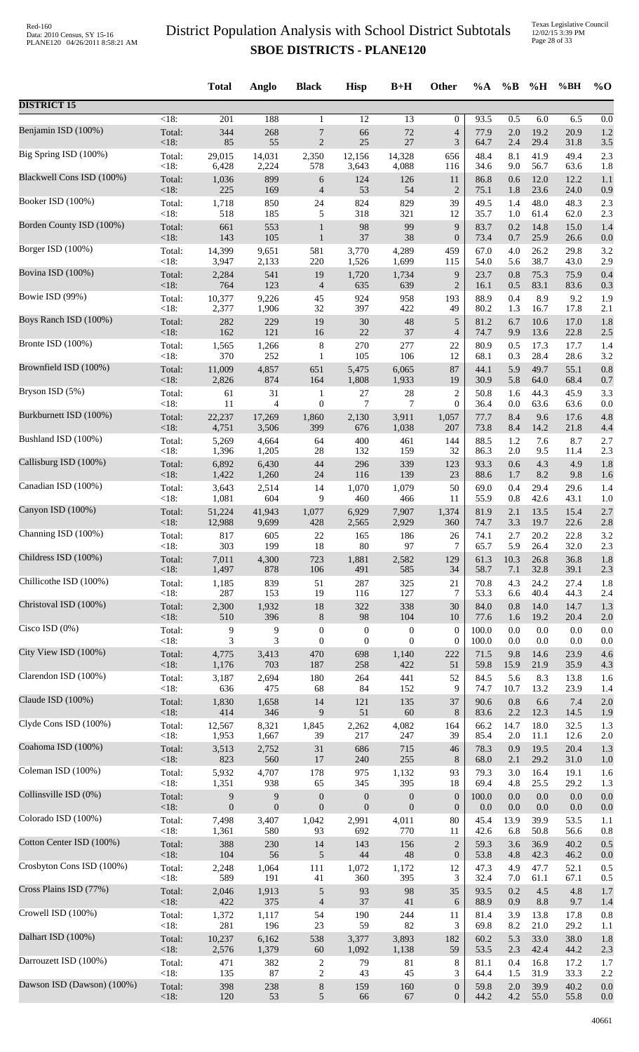|                            |                   | <b>Total</b>     | Anglo          | <b>Black</b>     | <b>Hisp</b>      | $B+H$            | Other            | $\%A$        | $\%$ B     | %H           | %BH          | $\%$ O     |
|----------------------------|-------------------|------------------|----------------|------------------|------------------|------------------|------------------|--------------|------------|--------------|--------------|------------|
| <b>DISTRICT 15</b>         |                   |                  |                |                  |                  |                  |                  |              |            |              |              |            |
| Benjamin ISD (100%)        | <18               | 201              | 188            | 1                | 12               | 13               | $\theta$         | 93.5         | 0.5        | 6.0          | 6.5          | 0.0        |
|                            | Total:            | 344              | 268            | 7                | 66               | 72               | $\overline{4}$   | 77.9         | 2.0        | 19.2         | 20.9         | 1.2        |
| Big Spring ISD (100%)      | $<18$ :           | 85               | 55             | $\overline{2}$   | 25               | 27               | 3                | 64.7         | 2.4        | 29.4         | 31.8         | 3.5        |
|                            | Total:            | 29,015           | 14,031         | 2,350            | 12,156           | 14,328           | 656              | 48.4         | 8.1        | 41.9         | 49.4         | 2.3        |
|                            | $<18$ :           | 6,428            | 2,224          | 578              | 3,643            | 4,088            | 116              | 34.6         | 9.0        | 56.7         | 63.6         | 1.8        |
| Blackwell Cons ISD (100%)  | Total:            | 1,036            | 899            | 6                | 124              | 126              | 11               | 86.8         | 0.6        | 12.0         | 12.2         | 1.1        |
|                            | $<18$ :           | 225              | 169            | $\overline{4}$   | 53               | 54               | $\overline{2}$   | 75.1         | 1.8        | 23.6         | 24.0         | 0.9        |
| Booker ISD (100%)          | Total:<br>$<18$ : | 1,718<br>518     | 850<br>185     | 24<br>5          | 824<br>318       | 829<br>321       | 39<br>12         | 49.5<br>35.7 | 1.4<br>1.0 | 48.0<br>61.4 | 48.3<br>62.0 | 2.3        |
| Borden County ISD (100%)   | Total:            | 661              | 553            | $\mathbf{1}$     | 98               | 99               | 9                | 83.7         | 0.2        | 14.8         | 15.0         | 2.3<br>1.4 |
| Borger ISD (100%)          | $<18$ :           | 143              | 105            | $\mathbf{1}$     | 37               | 38               | $\boldsymbol{0}$ | 73.4         | 0.7        | 25.9         | 26.6         | 0.0        |
|                            | Total:            | 14,399           | 9,651          | 581              | 3,770            | 4,289            | 459              | 67.0         | 4.0        | 26.2         | 29.8         | 3.2        |
| Bovina ISD (100%)          | < 18:             | 3,947            | 2,133          | 220              | 1,526            | 1,699            | 115              | 54.0         | 5.6        | 38.7         | 43.0         | 2.9        |
|                            | Total:            | 2,284            | 541            | 19               | 1,720            | 1,734            | 9                | 23.7         | 0.8        | 75.3         | 75.9         | 0.4        |
| Bowie ISD (99%)            | <18:              | 764              | 123            | $\overline{4}$   | 635              | 639              | $\overline{2}$   | 16.1         | 0.5        | 83.1         | 83.6         | 0.3        |
|                            | Total:            | 10,377           | 9,226          | 45               | 924              | 958              | 193              | 88.9         | 0.4        | 8.9          | 9.2          | 1.9        |
|                            | <18:              | 2,377            | 1,906          | 32               | 397              | 422              | 49               | 80.2         | 1.3        | 16.7         | 17.8         | 2.1        |
| Boys Ranch ISD (100%)      | Total:            | 282              | 229            | 19               | $30\,$           | 48               | 5                | 81.2         | 6.7        | 10.6         | 17.0         | 1.8        |
|                            | <18:              | 162              | 121            | 16               | 22               | 37               | $\overline{4}$   | 74.7         | 9.9        | 13.6         | 22.8         | 2.5        |
| Bronte ISD (100%)          | Total:            | 1,565            | 1,266          | $\,8\,$          | 270              | 277              | 22               | 80.9         | 0.5        | 17.3         | 17.7         | 1.4        |
|                            | $<18$ :           | 370              | 252            | $\mathbf{1}$     | 105              | 106              | 12               | 68.1         | 0.3        | 28.4         | 28.6         | 3.2        |
| Brownfield ISD (100%)      | Total:            | 11,009           | 4,857          | 651              | 5,475            | 6,065            | 87               | 44.1         | 5.9        | 49.7         | 55.1         | 0.8        |
| Bryson ISD (5%)            | <18:              | 2,826            | 874            | 164              | 1,808            | 1,933            | 19               | 30.9         | 5.8        | 64.0         | 68.4         | 0.7        |
|                            | Total:            | 61               | 31             | $\mathbf{1}$     | 27               | 28               | $\overline{2}$   | 50.8         | 1.6        | 44.3         | 45.9         | 3.3        |
| Burkburnett ISD (100%)     | <18:              | 11               | $\overline{4}$ | $\boldsymbol{0}$ | 7                | 7                | $\theta$         | 36.4         | 0.0        | 63.6         | 63.6         | 0.0        |
|                            | Total:            | 22,237           | 17,269         | 1,860            | 2,130            | 3,911            | 1,057            | 77.7         | 8.4        | 9.6          | 17.6         | 4.8        |
|                            | <18:              | 4,751            | 3,506          | 399              | 676              | 1,038            | 207              | 73.8         | 8.4        | 14.2         | 21.8         | 4.4        |
| Bushland ISD (100%)        | Total:            | 5,269            | 4,664          | 64               | 400              | 461              | 144              | 88.5         | 1.2        | 7.6          | 8.7          | 2.7        |
|                            | <18:              | 1,396            | 1,205          | 28               | 132              | 159              | 32               | 86.3         | 2.0        | 9.5          | 11.4         | 2.3        |
| Callisburg ISD (100%)      | Total:            | 6,892            | 6,430          | 44               | 296              | 339              | 123              | 93.3         | 0.6        | 4.3          | 4.9          | 1.8        |
|                            | <18:              | 1,422            | 1,260          | 24               | 116              | 139              | 23               | 88.6         | 1.7        | 8.2          | 9.8          | 1.6        |
| Canadian ISD (100%)        | Total:            | 3,643            | 2,514          | 14               | 1,070            | 1,079            | 50               | 69.0         | 0.4        | 29.4         | 29.6         | 1.4        |
|                            | <18:              | 1,081            | 604            | 9                | 460              | 466              | 11               | 55.9         | 0.8        | 42.6         | 43.1         | 1.0        |
| Canyon ISD (100%)          | Total:            | 51,224           | 41,943         | 1,077            | 6,929            | 7,907            | 1,374            | 81.9         | 2.1        | 13.5         | 15.4         | 2.7        |
| Channing ISD (100%)        | $<18$ :           | 12,988           | 9,699          | 428              | 2,565            | 2,929            | 360              | 74.7         | 3.3        | 19.7         | 22.6         | 2.8        |
|                            | Total:            | 817              | 605            | 22               | 165              | 186              | 26               | 74.1         | 2.7        | 20.2         | 22.8         | 3.2        |
| Childress ISD (100%)       | <18:              | 303              | 199            | 18               | 80               | 97               | 7                | 65.7         | 5.9        | 26.4         | 32.0         | 2.3        |
|                            | Total:            | 7,011            | 4,300          | 723              | 1,881            | 2,582            | 129              | 61.3         | 10.3       | 26.8         | 36.8         | 1.8        |
| Chillicothe ISD (100%)     | $<18$ :           | 1,497            | 878            | 106              | 491              | 585              | 34               | 58.7         | 7.1        | 32.8         | 39.1         | 2.3        |
|                            | Total:            | 1,185            | 839            | 51               | 287              | 325              | 21               | 70.8         | 4.3        | 24.2         | 27.4         | 1.8        |
|                            | <18:              | 287              | 153            | 19               | 116              | 127              | $\tau$           | 53.3         | 6.6        | 40.4         | 44.3         | 2.4        |
| Christoval ISD (100%)      | Total:            | 2,300            | 1,932          | 18               | 322              | 338              | 30               | 84.0         | 0.8        | 14.0         | 14.7         | 1.3        |
|                            | <18:              | 510              | 396            | $\,8\,$          | 98               | 104              | 10               | 77.6         | 1.6        | 19.2         | 20.4         | 2.0        |
| Cisco ISD (0%)             | Total:            | 9                | 9              | $\boldsymbol{0}$ | $\boldsymbol{0}$ | $\boldsymbol{0}$ | $\boldsymbol{0}$ | 100.0        | 0.0        | 0.0          | 0.0          | 0.0        |
|                            | <18:              | 3                | 3              | $\boldsymbol{0}$ | $\boldsymbol{0}$ | $\mathbf{0}$     | $\mathbf{0}$     | 100.0        | 0.0        | 0.0          | 0.0          | 0.0        |
| City View ISD (100%)       | Total:            | 4,775            | 3,413          | 470              | 698              | 1,140            | 222              | 71.5         | 9.8        | 14.6         | 23.9         | 4.6        |
| Clarendon ISD (100%)       | <18:              | 1,176            | 703            | 187              | 258              | 422              | 51               | 59.8         | 15.9       | 21.9         | 35.9         | 4.3        |
|                            | Total:            | 3,187            | 2,694          | 180              | 264              | 441              | 52               | 84.5         | 5.6        | 8.3          | 13.8         | 1.6        |
| Claude ISD (100%)          | $<18$ :           | 636              | 475            | 68               | 84               | 152              | 9                | 74.7         | 10.7       | 13.2         | 23.9         | 1.4        |
|                            | Total:            | 1,830            | 1,658          | 14               | 121              | 135              | 37               | 90.6         | 0.8        | 6.6          | 7.4          | 2.0        |
| Clyde Cons ISD (100%)      | $<18$ :           | 414              | 346            | 9                | 51               | 60               | 8                | 83.6         | 2.2        | 12.3         | 14.5         | 1.9        |
|                            | Total:            | 12,567           | 8,321          | 1,845            | 2,262            | 4,082            | 164              | 66.2         | 14.7       | 18.0         | 32.5         | 1.3        |
|                            | <18:              | 1,953            | 1,667          | 39               | 217              | 247              | 39               | 85.4         | 2.0        | 11.1         | 12.6         | 2.0        |
| Coahoma ISD (100%)         | Total:            | 3,513            | 2,752          | $31\,$           | 686              | 715              | 46               | 78.3         | 0.9        | 19.5         | 20.4         | 1.3        |
|                            | <18:              | 823              | 560            | 17               | 240              | 255              | 8                | 68.0         | 2.1        | 29.2         | 31.0         | 1.0        |
| Coleman ISD (100%)         | Total:            | 5,932            | 4,707          | 178              | 975              | 1,132            | 93               | 79.3         | 3.0        | 16.4         | 19.1         | 1.6        |
|                            | <18:              | 1,351            | 938            | 65               | 345              | 395              | 18               | 69.4         | 4.8        | 25.5         | 29.2         | 1.3        |
| Collinsville ISD (0%)      | Total:            | 9                | 9              | $\boldsymbol{0}$ | $\boldsymbol{0}$ | $\boldsymbol{0}$ | $\mathbf{0}$     | 100.0        | 0.0        | $0.0\,$      | 0.0          | 0.0        |
|                            | $<18$ :           | $\boldsymbol{0}$ | $\overline{0}$ | $\boldsymbol{0}$ | $\boldsymbol{0}$ | $\boldsymbol{0}$ | $\mathbf{0}$     | 0.0          | 0.0        | 0.0          | 0.0          | 0.0        |
| Colorado ISD (100%)        | Total:            | 7,498            | 3,407          | 1,042            | 2,991            | 4,011            | 80               | 45.4         | 13.9       | 39.9         | 53.5         | 1.1        |
| Cotton Center ISD (100%)   | <18:              | 1,361            | 580            | 93               | 692              | 770              | 11               | 42.6         | 6.8        | 50.8         | 56.6         | 0.8        |
|                            | Total:            | 388              | 230            | 14               | 143              | 156              | $\overline{2}$   | 59.3         | 3.6        | 36.9         | 40.2         | 0.5        |
| Crosbyton Cons ISD (100%)  | <18:              | 104              | 56             | $\sqrt{5}$       | $44$             | 48               | $\boldsymbol{0}$ | 53.8         | 4.8        | 42.3         | 46.2         | 0.0        |
|                            | Total:            | 2,248            | 1,064          | 111              | 1,072            | 1,172            | 12               | 47.3         | 4.9        | 47.7         | 52.1         | 0.5        |
| Cross Plains ISD (77%)     | <18:              | 589              | 191            | 41               | 360              | 395              | 3                | 32.4         | 7.0        | 61.1         | 67.1         | 0.5        |
|                            | Total:            | 2,046            | 1,913          | $\sqrt{5}$       | 93               | 98               | 35               | 93.5         | 0.2        | 4.5          | 4.8          | 1.7        |
|                            | <18:              | 422              | 375            | $\overline{4}$   | 37               | 41               | 6                | 88.9         | 0.9        | 8.8          | 9.7          | 1.4        |
| Crowell ISD (100%)         | Total:            | 1,372            | 1,117          | 54               | 190              | 244              | 11               | 81.4         | 3.9        | 13.8         | 17.8         | 0.8        |
|                            | $<18$ :           | 281              | 196            | 23               | 59               | 82               | 3                | 69.8         | 8.2        | 21.0         | 29.2         | 1.1        |
| Dalhart ISD (100%)         | Total:            | 10,237           | 6,162          | 538              | 3,377            | 3,893            | 182              | 60.2         | 5.3        | 33.0         | 38.0         | 1.8        |
|                            | <18:              | 2,576            | 1,379          | $60\,$           | 1,092            | 1,138            | 59               | 53.5         | 2.3        | 42.4         | 44.2         | 2.3        |
| Darrouzett ISD (100%)      | Total:            | 471              | 382            | $\overline{c}$   | 79               | 81               | 8                | 81.1         | 0.4        | 16.8         | 17.2         | 1.7        |
| Dawson ISD (Dawson) (100%) | <18:              | 135              | 87             | $\sqrt{2}$       | 43               | 45               | 3                | 64.4         | 1.5        | 31.9         | 33.3         | 2.2        |
|                            | Total:            | 398              | 238            | $\,8\,$          | 159              | 160              | $\mathbf{0}$     | 59.8         | 2.0        | 39.9         | 40.2         | 0.0        |
|                            | <18:              | 120              | 53             | 5                | 66               | 67               | $\mathbf{0}$     | 44.2         | $4.2\,$    | 55.0         | 55.8         | 0.0        |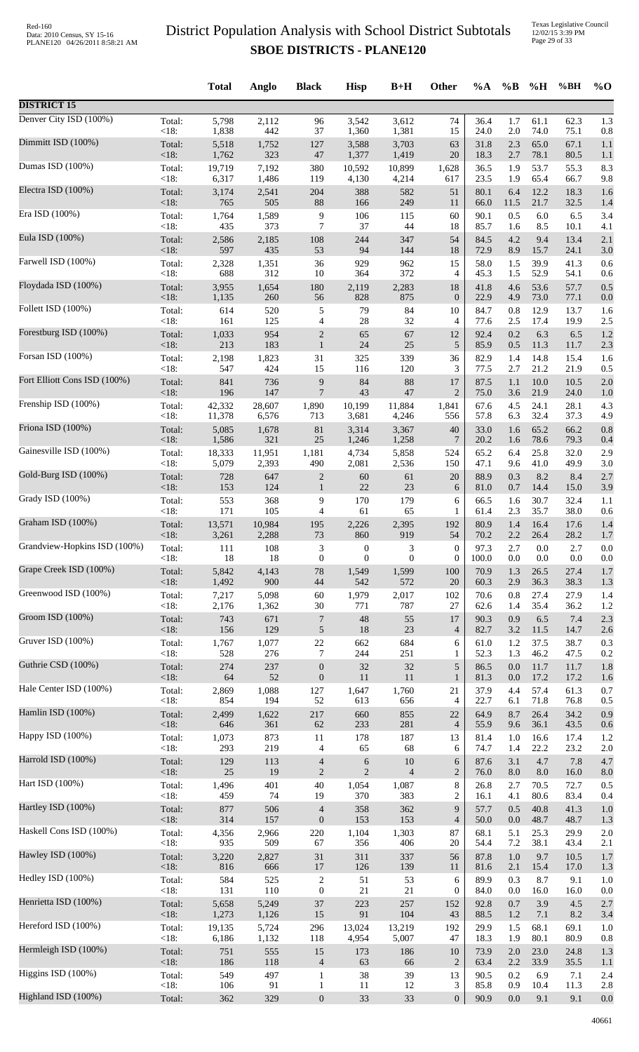|                              |                 | <b>Total</b> | Anglo      | <b>Black</b>                   | <b>Hisp</b>      | $B+H$            | <b>Other</b>         | $\%A$        | $\%$ B     | %H           | %BH          | $\%$ O     |
|------------------------------|-----------------|--------------|------------|--------------------------------|------------------|------------------|----------------------|--------------|------------|--------------|--------------|------------|
| <b>DISTRICT 15</b>           |                 |              |            |                                |                  |                  |                      |              |            |              |              |            |
| Denver City ISD (100%)       | Total:          | 5,798        | 2,112      | 96                             | 3,542            | 3,612            | 74                   | 36.4         | 1.7        | 61.1         | 62.3         | 1.3        |
| Dimmitt ISD (100%)           | <18:            | 1,838        | 442        | 37                             | 1,360            | 1,381            | 15                   | 24.0         | 2.0        | 74.0         | 75.1         | 0.8        |
|                              | Total:          | 5,518        | 1,752      | 127                            | 3,588            | 3,703            | 63                   | 31.8         | 2.3        | 65.0         | 67.1         | 1.1        |
| Dumas ISD (100%)             | $<18$ :         | 1,762        | 323        | 47                             | 1,377            | 1,419            | 20                   | 18.3         | 2.7        | 78.1         | 80.5         | 1.1        |
|                              | Total:          | 19,719       | 7,192      | 380                            | 10,592           | 10,899           | 1,628                | 36.5         | 1.9        | 53.7         | 55.3         | 8.3        |
|                              | < 18:           | 6,317        | 1,486      | 119                            | 4,130            | 4,214            | 617                  | 23.5         | 1.9        | 65.4         | 66.7         | 9.8        |
| Electra ISD (100%)           | Total:          | 3,174        | 2,541      | 204                            | 388              | 582              | 51                   | 80.1         | 6.4        | 12.2         | 18.3         | 1.6        |
|                              | $<18$ :         | 765          | 505        | 88                             | 166              | 249              | 11                   | 66.0         | 11.5       | 21.7         | 32.5         | 1.4        |
| Era ISD (100%)               | Total:          | 1,764        | 1,589      | 9                              | 106              | 115              | 60                   | 90.1         | 0.5        | $6.0\,$      | 6.5          | 3.4        |
|                              | < 18:           | 435          | 373        | 7                              | 37               | $44$             | 18                   | 85.7         | 1.6        | 8.5          | 10.1         | 4.1        |
| Eula ISD (100%)              | Total:          | 2,586        | 2,185      | 108                            | 244              | 347              | 54                   | 84.5         | 4.2        | 9.4          | 13.4         | 2.1        |
| Farwell ISD (100%)           | < 18:           | 597          | 435        | 53                             | 94               | 144              | 18                   | 72.9         | 8.9        | 15.7         | 24.1         | 3.0        |
|                              | Total:          | 2,328        | 1,351      | 36                             | 929              | 962              | 15                   | 58.0         | 1.5        | 39.9         | 41.3         | 0.6        |
| Floydada ISD (100%)          | <18:            | 688          | 312        | 10                             | 364              | 372              | 4                    | 45.3         | 1.5        | 52.9         | 54.1         | 0.6        |
|                              | Total:          | 3,955        | 1,654      | 180                            | 2,119            | 2,283            | 18                   | 41.8         | 4.6        | 53.6         | 57.7         | 0.5        |
| Follett ISD (100%)           | <18:            | 1,135        | 260        | 56                             | 828              | 875              | $\mathbf{0}$         | 22.9         | 4.9        | 73.0         | 77.1         | 0.0        |
|                              | Total:          | 614          | 520        | 5                              | 79               | 84               | 10                   | 84.7         | 0.8        | 12.9         | 13.7         | 1.6        |
| Forestburg ISD (100%)        | $<18$ :         | 161          | 125        | $\overline{\mathcal{A}}$       | 28               | 32               | 4                    | 77.6         | 2.5        | 17.4         | 19.9         | 2.5        |
|                              | Total:          | 1,033        | 954        | $\overline{c}$                 | 65               | 67               | 12                   | 92.4         | 0.2        | 6.3          | 6.5          | 1.2        |
|                              | < 18:           | 213          | 183        | $\mathbf{1}$                   | 24               | 25               | 5                    | 85.9         | 0.5        | 11.3         | 11.7         | 2.3        |
| Forsan ISD (100%)            | Total:          | 2,198        | 1,823      | 31                             | 325              | 339              | 36                   | 82.9         | 1.4        | 14.8         | 15.4         | 1.6        |
|                              | $<18$ :         | 547          | 424        | 15                             | 116              | 120              | 3                    | 77.5         | 2.7        | 21.2         | 21.9         | 0.5        |
| Fort Elliott Cons ISD (100%) | Total:<br><18:  | 841<br>196   | 736<br>147 | 9<br>$\boldsymbol{7}$          | 84<br>43         | 88<br>47         | 17<br>$\overline{2}$ | 87.5<br>75.0 | 1.1<br>3.6 | 10.0<br>21.9 | 10.5         | 2.0        |
| Frenship ISD (100%)          | Total:          | 42,332       | 28,607     | 1,890                          | 10,199           | 11,884           | 1,841                | 67.6         | 4.5        | 24.1         | 24.0<br>28.1 | 1.0<br>4.3 |
| Friona ISD (100%)            | <18:            | 11,378       | 6,576      | 713                            | 3,681            | 4,246            | 556                  | 57.8         | 6.3        | 32.4         | 37.3         | 4.9        |
|                              | Total:          | 5,085        | 1,678      | 81                             | 3,314            | 3,367            | 40                   | 33.0         | 1.6        | 65.2         | 66.2         | 0.8        |
|                              | $<18$ :         | 1,586        | 321        | 25                             | 1,246            | 1,258            | 7                    | 20.2         | 1.6        | 78.6         | 79.3         | 0.4        |
| Gainesville ISD (100%)       | Total:          | 18,333       | 11,951     | 1,181                          | 4,734            | 5,858            | 524                  | 65.2         | 6.4        | 25.8         | 32.0         | 2.9        |
|                              | <18:            | 5,079        | 2,393      | 490                            | 2,081            | 2,536            | 150                  | 47.1         | 9.6        | 41.0         | 49.9         | 3.0        |
| Gold-Burg ISD (100%)         | Total:          | 728          | 647        | $\overline{c}$                 | 60               | 61               | $20\,$               | 88.9         | 0.3        | 8.2          | 8.4          | 2.7        |
|                              | $<18$ :         | 153          | 124        | $\mathbf{1}$                   | 22               | 23               | 6                    | 81.0         | 0.7        | 14.4         | 15.0         | 3.9        |
| Grady ISD (100%)             | Total:          | 553          | 368        | 9                              | 170              | 179              | 6                    | 66.5         | 1.6        | 30.7         | 32.4         | 1.1        |
|                              | <18:            | 171          | 105        | 4                              | 61               | 65               | 1                    | 61.4         | 2.3        | 35.7         | 38.0         | 0.6        |
| Graham ISD (100%)            | Total:          | 13,571       | 10,984     | 195                            | 2,226            | 2,395            | 192                  | 80.9         | 1.4        | 16.4         | 17.6         | 1.4        |
| Grandview-Hopkins ISD (100%) | $<18$ :         | 3,261        | 2,288      | 73                             | 860              | 919              | 54                   | 70.2         | 2.2        | 26.4         | 28.2         | 1.7        |
|                              | Total:          | 111          | 108        | 3                              | $\boldsymbol{0}$ | 3                | $\boldsymbol{0}$     | 97.3         | 2.7        | 0.0          | 2.7          | 0.0        |
| Grape Creek ISD (100%)       | $<18$ :         | 18           | 18         | $\boldsymbol{0}$               | $\mathbf{0}$     | $\boldsymbol{0}$ | $\boldsymbol{0}$     | 100.0        | 0.0        | 0.0          | 0.0          | $0.0\,$    |
|                              | Total:          | 5,842        | 4,143      | 78                             | 1,549            | 1,599            | 100                  | 70.9         | 1.3        | 26.5         | 27.4         | 1.7        |
| Greenwood ISD (100%)         | $<18$ :         | 1,492        | 900        | $44\,$                         | 542              | 572              | $20\,$               | 60.3         | 2.9        | 36.3         | 38.3         | 1.3        |
|                              | Total:          | 7,217        | 5,098      | 60                             | 1,979            | 2,017            | 102                  | 70.6         | 0.8        | 27.4         | 27.9         | 1.4        |
|                              | $<18$ :         | 2,176        | 1,362      | 30                             | 771              | 787              | 27                   | 62.6         | 1.4        | 35.4         | 36.2         | 1.2        |
| Groom ISD (100%)             | Total:          | 743          | 671        | $\overline{7}$                 | 48               | 55               | 17                   | 90.3         | 0.9        | 6.5          | 7.4          | 2.3        |
|                              | $<18$ :         | 156          | 129        | $\mathfrak s$                  | 18               | 23               | 4                    | 82.7         | 3.2        | 11.5         | 14.7         | 2.6        |
| Gruver ISD (100%)            | Total:          | 1,767        | 1,077      | $22\,$                         | 662              | 684              | 6                    | 61.0         | 1.2        | 37.5         | 38.7         | 0.3        |
|                              | <18:            | 528          | 276        | 7                              | 244              | 251              | 1                    | 52.3         | 1.3        | 46.2         | 47.5         | 0.2        |
| Guthrie CSD (100%)           | Total:<br>< 18: | 274<br>64    | 237<br>52  | $\boldsymbol{0}$               | 32               | 32               | 5<br>$\mathbf{1}$    | 86.5         | 0.0        | 11.7<br>17.2 | 11.7         | 1.8        |
| Hale Center ISD (100%)       | Total:          | 2,869        | 1,088      | $\boldsymbol{0}$<br>127        | 11<br>1,647      | 11<br>1,760      | 21                   | 81.3<br>37.9 | 0.0<br>4.4 | 57.4         | 17.2<br>61.3 | 1.6<br>0.7 |
| Hamlin ISD (100%)            | $<18$ :         | 854          | 194        | 52                             | 613              | 656              | 4                    | 22.7         | 6.1        | 71.8         | 76.8         | 0.5        |
|                              | Total:          | 2,499        | 1,622      | 217                            | 660              | 855              | 22                   | 64.9         | 8.7        | 26.4         | 34.2         | 0.9        |
| Happy ISD (100%)             | $<18$ :         | 646          | 361        | $62\,$                         | 233              | 281              | $\overline{4}$       | 55.9         | 9.6        | 36.1         | 43.5         | 0.6        |
|                              | Total:          | 1,073        | 873        | 11                             | 178              | 187              | 13                   | 81.4         | 1.0        | 16.6         | 17.4         | 1.2        |
|                              | <18:            | 293          | 219        | 4                              | 65               | 68               | 6                    | 74.7         | 1.4        | 22.2         | 23.2         | 2.0        |
| Harrold ISD (100%)           | Total:          | 129          | 113        | 4                              | $\sqrt{6}$       | $10\,$           | 6                    | 87.6         | 3.1        | 4.7          | 7.8          | 4.7        |
|                              | $<18$ :         | 25           | 19         | $\overline{2}$                 | 2                | $\overline{4}$   | $\overline{2}$       | 76.0         | 8.0        | 8.0          | 16.0         | 8.0        |
| Hart ISD (100%)              | Total:          | 1,496        | 401        | $40\,$                         | 1,054            | 1,087            | 8                    | 26.8         | 2.7        | 70.5         | 72.7         | 0.5        |
|                              | < 18:           | 459          | 74         | 19                             | 370              | 383              | 2                    | 16.1         | 4.1        | 80.6         | 83.4         | 0.4        |
| Hartley ISD (100%)           | Total:<br>< 18: | 877<br>314   | 506<br>157 | $\overline{4}$                 | 358<br>153       | 362<br>153       | $\overline{9}$       | 57.7         | 0.5        | 40.8         | 41.3         | 1.0        |
| Haskell Cons ISD (100%)      | Total:          | 4,356        | 2,966      | $\boldsymbol{0}$<br>220        | 1,104            | 1,303            | $\overline{4}$<br>87 | 50.0<br>68.1 | 0.0<br>5.1 | 48.7<br>25.3 | 48.7<br>29.9 | 1.3<br>2.0 |
| Hawley ISD (100%)            | < 18:           | 935          | 509        | 67                             | 356              | 406              | 20                   | 54.4         | 7.2        | 38.1         | 43.4         | 2.1        |
|                              | Total:          | 3,220        | 2,827      | 31                             | 311              | 337              | 56                   | 87.8         | 1.0        | 9.7          | 10.5         | 1.7        |
| Hedley ISD (100%)            | $<18$ :         | 816          | 666        | 17                             | 126              | 139              | 11                   | 81.6         | 2.1        | 15.4         | 17.0         | 1.3        |
|                              | Total:          | 584          | 525        | $\boldsymbol{2}$               | 51               | 53               | 6                    | 89.9         | 0.3        | 8.7          | 9.1          | 1.0        |
|                              | $<18$ :         | 131          | 110        | $\boldsymbol{0}$               | 21               | 21               | $\boldsymbol{0}$     | 84.0         | 0.0        | 16.0         | 16.0         | 0.0        |
| Henrietta ISD (100%)         | Total:          | 5,658        | 5,249      | 37                             | 223              | 257              | 152                  | 92.8         | 0.7        | 3.9          | 4.5          | 2.7        |
|                              | $<18$ :         | 1,273        | 1,126      | 15                             | 91               | 104              | 43                   | 88.5         | 1.2        | 7.1          | 8.2          | 3.4        |
| Hereford ISD (100%)          | Total:          | 19,135       | 5,724      | 296                            | 13,024           | 13,219           | 192                  | 29.9         | 1.5        | 68.1         | 69.1         | 1.0        |
|                              | $<18$ :         | 6,186        | 1,132      | 118                            | 4,954            | 5,007            | 47                   | 18.3         | 1.9        | 80.1         | 80.9         | 0.8        |
| Hermleigh ISD (100%)         | Total:<br>< 18: | 751          | 555        | 15                             | 173<br>63        | 186              | 10                   | 73.9         | 2.0<br>2.2 | 23.0<br>33.9 | 24.8         | 1.3        |
| Higgins ISD (100%)           | Total:          | 186<br>549   | 118<br>497 | $\overline{4}$<br>$\mathbf{1}$ | 38               | 66<br>39         | $\overline{c}$<br>13 | 63.4<br>90.5 | 0.2        | 6.9          | 35.5<br>7.1  | 1.1<br>2.4 |
| Highland ISD (100%)          | <18:            | 106          | 91         | $\mathbf{1}$                   | 11               | 12               | 3                    | 85.8         | 0.9        | 10.4         | 11.3         | 2.8        |
|                              | Total:          | 362          | 329        | $\boldsymbol{0}$               | 33               | 33               | $\overline{0}$       | 90.9         | 0.0        | 9.1          | 9.1          | $0.0\,$    |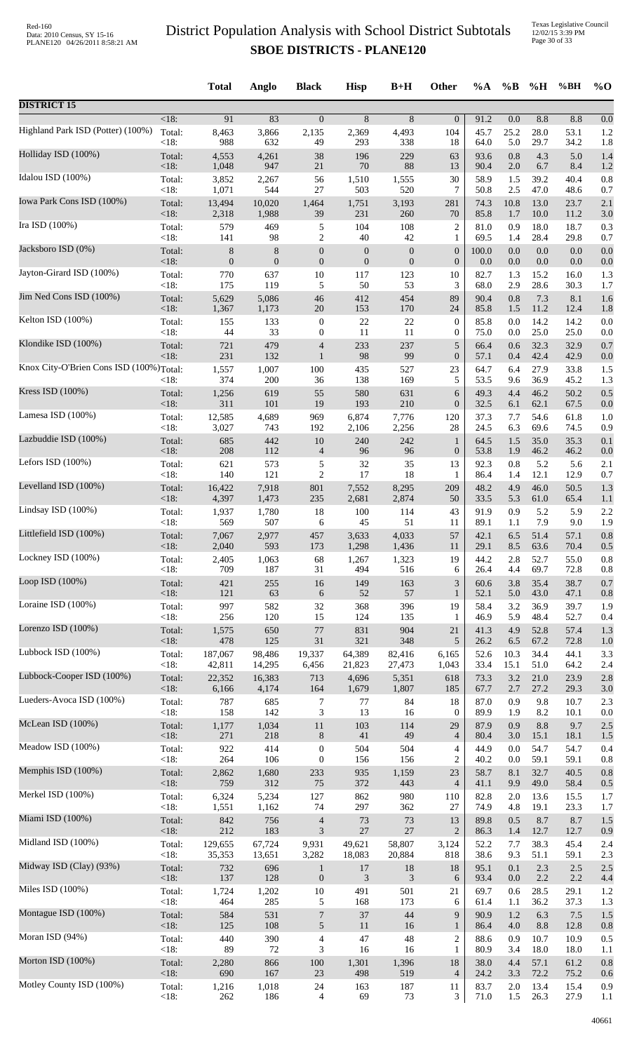|                                         |                | <b>Total</b>     | Anglo        | <b>Black</b>     | <b>Hisp</b>                 | $B+H$            | Other                    | $\%A$        | $\%B$      | %H           | %BH          | $\%$ O     |
|-----------------------------------------|----------------|------------------|--------------|------------------|-----------------------------|------------------|--------------------------|--------------|------------|--------------|--------------|------------|
| <b>DISTRICT 15</b>                      |                |                  |              |                  |                             |                  |                          |              |            |              |              |            |
| Highland Park ISD (Potter) (100%)       | <18:           | 91               | 83           | $\overline{0}$   | 8                           | 8                | $\boldsymbol{0}$         | 91.2         | 0.0        | 8.8          | 8.8          | 0.0        |
|                                         | Total:         | 8,463            | 3,866        | 2,135            | 2,369                       | 4,493            | 104                      | 45.7         | 25.2       | 28.0         | 53.1         | 1.2        |
|                                         | < 18:          | 988              | 632          | 49               | 293                         | 338              | 18                       | 64.0         | 5.0        | 29.7         | 34.2         | 1.8        |
| Holliday ISD (100%)                     | Total:         | 4,553            | 4,261        | 38               | 196                         | 229              | 63                       | 93.6         | 0.8        | 4.3          | 5.0          | 1.4        |
|                                         | < 18:          | 1,048            | 947          | 21               | 70                          | 88               | 13                       | 90.4         | 2.0        | 6.7          | 8.4          | 1.2        |
| Idalou ISD (100%)                       | Total:         | 3,852            | 2,267        | 56               | 1,510                       | 1,555            | 30                       | 58.9         | 1.5        | 39.2         | 40.4         | 0.8        |
|                                         | < 18:          | 1,071            | 544          | 27               | 503                         | 520              | 7                        | 50.8         | 2.5        | 47.0         | 48.6         | 0.7        |
| Iowa Park Cons ISD (100%)               | Total:         | 13,494           | 10,020       | 1,464            | 1,751                       | 3,193            | 281                      | 74.3         | 10.8       | 13.0         | 23.7         | 2.1        |
| Ira ISD (100%)                          | < 18:          | 2,318            | 1,988        | 39               | 231                         | 260              | 70                       | 85.8         | 1.7        | 10.0         | 11.2         | 3.0        |
|                                         | Total:         | 579              | 469          | 5                | 104                         | 108              | $\overline{c}$           | 81.0         | 0.9        | 18.0         | 18.7         | 0.3        |
| Jacksboro ISD (0%)                      | < 18:          | 141              | 98           | $\mathbf{2}$     | 40                          | 42               | 1                        | 69.5         | 1.4        | 28.4         | 29.8         | 0.7        |
|                                         | Total:         | 8                | 8            | $\boldsymbol{0}$ | $\boldsymbol{0}$            | $\boldsymbol{0}$ | $\boldsymbol{0}$         | 100.0        | 0.0        | 0.0          | 0.0          | 0.0        |
| Jayton-Girard ISD (100%)                | < 18:          | $\boldsymbol{0}$ | $\mathbf{0}$ | $\boldsymbol{0}$ | $\boldsymbol{0}$            | $\boldsymbol{0}$ | $\boldsymbol{0}$         | 0.0          | 0.0        | $0.0\,$      | 0.0          | 0.0        |
|                                         | Total:         | 770              | 637          | $10\,$           | 117                         | 123              | 10                       | 82.7         | 1.3        | 15.2         | 16.0         | 1.3        |
|                                         | <18:           | 175              | 119          | 5                | 50                          | 53               | 3                        | 68.0         | 2.9        | 28.6         | 30.3         | 1.7        |
| Jim Ned Cons ISD (100%)                 | Total:         | 5,629            | 5,086        | 46               | 412                         | 454              | 89                       | 90.4         | 0.8        | 7.3          | 8.1          | 1.6        |
|                                         | <18:           | 1,367            | 1,173        | 20               | 153                         | 170              | 24                       | 85.8         | 1.5        | 11.2         | 12.4         | 1.8        |
| Kelton ISD (100%)                       | Total:         | 155              | 133          | $\boldsymbol{0}$ | 22                          | $22\,$           | $\boldsymbol{0}$         | 85.8         | 0.0        | 14.2         | 14.2         | 0.0        |
|                                         | < 18:          | 44               | 33           | $\boldsymbol{0}$ | 11                          | 11               | $\boldsymbol{0}$         | 75.0         | 0.0        | 25.0         | 25.0         | 0.0        |
| Klondike ISD (100%)                     | Total:         | 721              | 479          | $\overline{4}$   | 233                         | 237              | 5                        | 66.4         | 0.6        | 32.3         | 32.9         | 0.7        |
|                                         | <18:           | 231              | 132          | $\mathbf{1}$     | 98                          | 99               | $\boldsymbol{0}$         | 57.1         | 0.4        | 42.4         | 42.9         | 0.0        |
| Knox City-O'Brien Cons ISD (100%)Total: |                | 1,557            | 1,007        | 100              | 435                         | 527              | 23                       | 64.7         | 6.4        | 27.9         | 33.8         | 1.5        |
| Kress ISD (100%)                        | <18:           | 374              | 200          | 36               | 138                         | 169              | 5                        | 53.5         | 9.6        | 36.9         | 45.2         | 1.3        |
|                                         | Total:         | 1,256            | 619          | 55               | 580                         | 631              | 6                        | 49.3         | 4.4        | 46.2         | 50.2         | 0.5        |
| Lamesa ISD (100%)                       | < 18:          | 311              | 101          | 19               | 193                         | 210              | $\boldsymbol{0}$         | 32.5         | 6.1        | 62.1         | 67.5         | 0.0        |
|                                         | Total:         | 12,585           | 4,689        | 969              | 6,874                       | 7,776            | 120                      | 37.3         | 7.7        | 54.6         | 61.8         | 1.0        |
|                                         | < 18:          | 3,027            | 743          | 192              | 2,106                       | 2,256            | 28                       | 24.5         | 6.3        | 69.6         | 74.5         | 0.9        |
| Lazbuddie ISD (100%)                    | Total:         | 685              | 442          | $10\,$           | 240                         | 242              | $\mathbf{1}$             | 64.5         | 1.5        | 35.0         | 35.3         | 0.1        |
|                                         | < 18:          | 208              | 112          | $\overline{4}$   | 96                          | 96               | $\boldsymbol{0}$         | 53.8         | 1.9        | 46.2         | 46.2         | 0.0        |
| Lefors ISD $(100\%)$                    | Total:         | 621              | 573          | 5                | 32                          | 35               | 13                       | 92.3         | 0.8        | 5.2          | 5.6          | 2.1        |
|                                         | <18:           | 140              | 121          | $\mathfrak{2}$   | 17                          | 18               | 1                        | 86.4         | 1.4        | 12.1         | 12.9         | 0.7        |
| Levelland ISD (100%)                    | Total:         | 16,422           | 7,918        | 801              | 7,552                       | 8,295            | 209                      | 48.2         | 4.9        | 46.0         | 50.5         | 1.3        |
|                                         | < 18:          | 4,397            | 1,473        | 235              | 2,681                       | 2,874            | 50                       | 33.5         | 5.3        | 61.0         | 65.4         | 1.1        |
| Lindsay ISD (100%)                      | Total:         | 1,937            | 1,780        | 18               | 100                         | 114              | 43                       | 91.9         | 0.9        | 5.2          | 5.9          | 2.2        |
| Littlefield ISD (100%)                  | < 18:          | 569              | 507          | 6                | 45                          | 51               | 11                       | 89.1         | 1.1        | 7.9          | 9.0          | 1.9        |
|                                         | Total:         | 7,067            | 2,977        | 457              | 3,633                       | 4,033            | 57                       | 42.1         | 6.5        | 51.4         | 57.1         | 0.8        |
| Lockney ISD (100%)                      | < 18:          | 2,040            | 593          | 173              | 1,298                       | 1,436            | 11                       | 29.1         | 8.5        | 63.6         | 70.4         | 0.5        |
|                                         | Total:         | 2,405            | 1,063        | 68               | 1,267                       | 1,323            | 19                       | 44.2         | 2.8        | 52.7         | 55.0         | 0.8        |
| Loop ISD (100%)                         | < 18:          | 709              | 187          | 31               | 494                         | 516              | 6                        | 26.4         | 4.4        | 69.7         | 72.8         | 0.8        |
|                                         | Total:         | 421              | 255          | 16               | 149                         | 163              | 3                        | 60.6         | 3.8        | 35.4         | 38.7         | 0.7        |
|                                         | < 18:          | 121              | 63           | 6                | 52                          | 57               | $\mathbf{1}$             | 52.1         | 5.0        | 43.0         | 47.1         | 0.8        |
| Loraine ISD $(100\%)$                   | Total:         | 997              | 582          | 32               | 368                         | 396              | 19                       | 58.4         | 3.2        | 36.9         | 39.7         | 1.9        |
|                                         | <18:           | 256              | 120          | 15               | 124                         | 135              | 1                        | 46.9         | 5.9        | 48.4         | 52.7         | 0.4        |
| Lorenzo ISD $(100\%)$                   | Total:         | 1,575            | 650          | 77               | 831                         | 904              | 21                       | 41.3         | 4.9        | 52.8         | 57.4         | 1.3        |
|                                         | < 18:          | 478              | 125          | 31               | 321                         | 348              | 5                        | 26.2         | 6.5        | 67.2         | 72.8         | 1.0        |
| Lubbock ISD (100%)                      | Total:         | 187,067          | 98,486       | 19,337           | 64,389                      | 82,416           | 6,165                    | 52.6         | 10.3       | 34.4         | 44.1         | 3.3        |
| Lubbock-Cooper ISD (100%)               | < 18:          | 42,811           | 14,295       | 6,456            | 21,823                      | 27,473           | 1,043                    | 33.4         | 15.1       | 51.0         | 64.2         | 2.4        |
|                                         | Total:         | 22,352           | 16,383       | 713              | 4,696                       | 5,351            | 618                      | 73.3         | 3.2        | 21.0         | 23.9         | 2.8        |
| Lueders-Avoca ISD (100%)                | <18:           | 6,166            | 4,174        | 164              | 1,679                       | 1,807            | 185                      | 67.7         | 2.7        | 27.2         | 29.3         | 3.0        |
|                                         | Total:         | 787              | 685          | $\tau$           | 77                          | 84               | 18                       | 87.0         | 0.9        | 9.8          | 10.7         | 2.3        |
| McLean ISD (100%)                       | <18:           | 158              | 142          | 3                | 13                          | 16               | $\mathbf{0}$             | 89.9         | 1.9        | 8.2          | 10.1         | 0.0        |
|                                         | Total:         | 1,177            | 1,034        | 11               | 103                         | 114              | 29                       | 87.9         | 0.9        | 8.8          | 9.7          | 2.5        |
|                                         | < 18:          | 271              | 218          | $\,8\,$          | 41                          | 49               | $\overline{4}$           | 80.4         | 3.0        | 15.1         | 18.1         | 1.5        |
| Meadow ISD (100%)                       | Total:         | 922              | 414          | $\boldsymbol{0}$ | 504                         | 504              | 4                        | 44.9         | $0.0\,$    | 54.7         | 54.7         | 0.4        |
|                                         | < 18:          | 264              | 106          | $\mathbf{0}$     | 156                         | 156              | $\overline{c}$           | 40.2         | 0.0        | 59.1         | 59.1         | 0.8        |
| Memphis ISD (100%)                      | Total:         | 2,862            | 1,680        | 233              | 935                         | 1,159            | 23                       | 58.7         | 8.1        | 32.7         | 40.5         | 0.8        |
|                                         | < 18:          | 759              | 312          | 75               | 372                         | 443              | $\overline{\mathcal{L}}$ | 41.1         | 9.9        | 49.0         | 58.4         | 0.5        |
| Merkel ISD (100%)                       | Total:         | 6,324            | 5,234        | 127              | 862                         | 980              | 110                      | 82.8         | 2.0        | 13.6         | 15.5         | 1.7        |
|                                         | <18:           | 1,551            | 1,162        | 74               | 297                         | 362              | 27                       | 74.9         | 4.8        | 19.1         | 23.3         | 1.7        |
| Miami ISD (100%)                        | Total:         | 842              | 756          | $\overline{4}$   | 73                          | 73               | 13                       | 89.8         | 0.5        | 8.7          | 8.7          | 1.5        |
| Midland ISD (100%)                      | < 18:          | 212              | 183          | $\mathfrak{Z}$   | $27\,$                      | 27               | $\overline{2}$           | 86.3         | 1.4        | 12.7         | 12.7         | 0.9        |
|                                         | Total:         | 129,655          | 67,724       | 9,931            | 49,621                      | 58,807           | 3,124                    | 52.2         | 7.7        | 38.3         | 45.4         | 2.4        |
| Midway ISD (Clay) (93%)                 | <18:           | 35,353           | 13,651       | 3,282            | 18,083                      | 20,884           | 818                      | 38.6         | 9.3        | 51.1         | 59.1         | 2.3        |
|                                         | Total:         | 732              | 696          | $\mathbf{1}$     | 17                          | 18               | 18                       | 95.1         | 0.1        | 2.3          | 2.5          | 2.5        |
| Miles ISD (100%)                        | < 18:          | 137              | 128          | $\boldsymbol{0}$ | $\ensuremath{\mathfrak{Z}}$ | $\mathfrak{Z}$   | 6                        | 93.4         | 0.0        | 2.2          | 2.2          | 4.4        |
|                                         | Total:         | 1,724            | 1,202        | $10\,$           | 491                         | 501              | 21                       | 69.7         | 0.6        | 28.5         | 29.1         | 1.2        |
|                                         | <18:           | 464              | 285          | 5                | 168                         | 173              | 6                        | 61.4         | 1.1        | 36.2         | 37.3         | 1.3        |
| Montague ISD (100%)                     | Total:         | 584              | 531          | $\overline{7}$   | 37                          | 44               | 9                        | 90.9         | 1.2        | 6.3          | 7.5          | 1.5        |
|                                         | <18:           | 125              | 108          | $\sqrt{5}$       | 11                          | 16               | $\mathbf{1}$             | 86.4         | $4.0\,$    | 8.8          | 12.8         | 0.8        |
| Moran ISD (94%)                         | Total:         | 440              | 390          | $\overline{4}$   | 47                          | 48               | $\overline{c}$           | 88.6         | 0.9        | 10.7         | 10.9         | 0.5        |
|                                         | < 18:          | 89               | $72\,$       | 3                | 16                          | 16               | 1                        | 80.9         | 3.4        | 18.0         | 18.0         | 1.1        |
| Morton ISD (100%)                       | Total:<br><18: | 2,280<br>690     | 866<br>167   | 100<br>$23\,$    | 1,301                       | 1,396            | 18                       | 38.0         | 4.4        | 57.1<br>72.2 | 61.2<br>75.2 | 0.8        |
| Motley County ISD (100%)                | Total:         | 1,216            | 1,018        | 24               | 498<br>163                  | 519<br>187       | $\overline{4}$<br>11     | 24.2<br>83.7 | 3.3<br>2.0 | 13.4         | 15.4         | 0.6<br>0.9 |
|                                         | <18:           | 262              | 186          | $\overline{4}$   | 69                          | 73               | 3                        | 71.0         | 1.5        | 26.3         | 27.9         | 1.1        |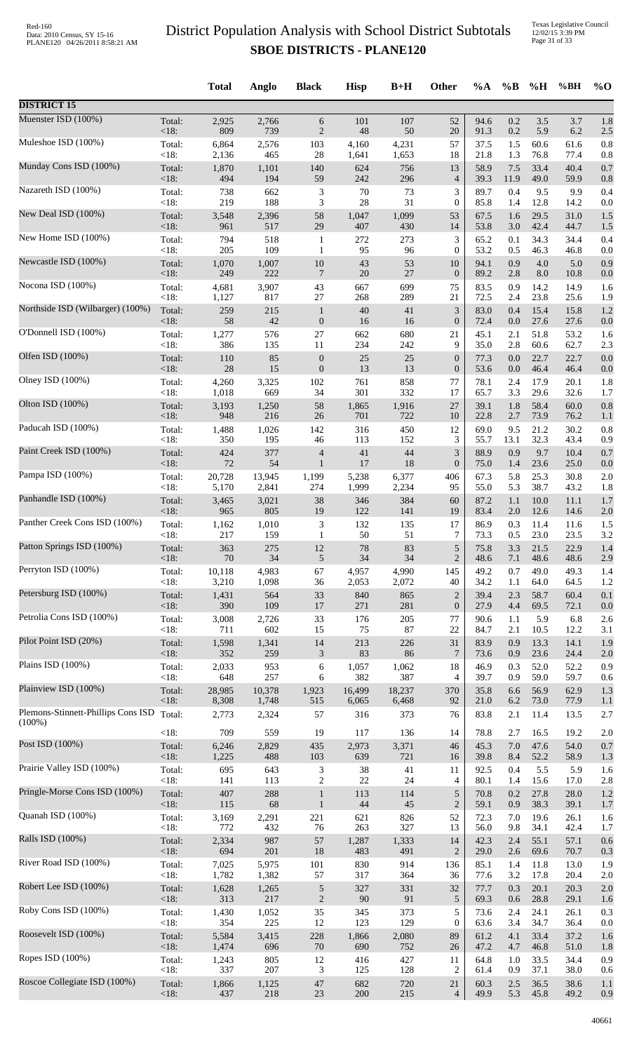|                                    |                 | <b>Total</b> | Anglo        | <b>Black</b>         | <b>Hisp</b>   | $B+H$      | Other                       | %A           | $\%$ B      | %H           | %BH          | $\%$ O     |
|------------------------------------|-----------------|--------------|--------------|----------------------|---------------|------------|-----------------------------|--------------|-------------|--------------|--------------|------------|
| <b>DISTRICT 15</b>                 |                 |              |              |                      |               |            |                             |              |             |              |              |            |
| Muenster ISD (100%)                | Total:          | 2,925        | 2,766        | 6                    | 101           | 107        | 52                          | 94.6         | 0.2         | 3.5          | 3.7          | 1.8        |
|                                    | $<18$ :         | 809          | 739          | $\overline{2}$       | 48            | 50         | 20                          | 91.3         | 0.2         | 5.9          | 6.2          | 2.5        |
| Muleshoe ISD (100%)                | Total:          | 6,864        | 2,576        | 103                  | 4,160         | 4,231      | 57                          | 37.5         | 1.5         | 60.6         | 61.6         | 0.8        |
|                                    | < 18:           | 2,136        | 465          | 28                   | 1,641         | 1,653      | 18                          | 21.8         | 1.3         | 76.8         | 77.4         | 0.8        |
| Munday Cons ISD (100%)             | Total:<br>< 18: | 1,870<br>494 | 1,101<br>194 | 140                  | 624           | 756        | 13<br>$\overline{4}$        | 58.9<br>39.3 | $7.5$       | 33.4         | 40.4         | 0.7        |
| Nazareth ISD (100%)                | Total:          | 738          | 662          | 59<br>$\mathfrak{Z}$ | 242<br>$70\,$ | 296<br>73  | 3                           | 89.7         | 11.9<br>0.4 | 49.0<br>9.5  | 59.9<br>9.9  | 0.8<br>0.4 |
| New Deal ISD (100%)                | < 18:           | 219          | 188          | 3                    | 28            | 31         | $\boldsymbol{0}$            | 85.8         | 1.4         | 12.8         | 14.2         | 0.0        |
|                                    | Total:          | 3,548        | 2,396        | 58                   | 1,047         | 1,099      | 53                          | 67.5         | 1.6         | 29.5         | 31.0         | 1.5        |
| New Home ISD (100%)                | < 18:           | 961          | 517          | 29                   | 407           | 430        | 14                          | 53.8         | 3.0         | 42.4         | 44.7         | 1.5        |
|                                    | Total:          | 794          | 518          | $\mathbf{1}$         | 272           | 273        | $\mathfrak 3$               | 65.2         | 0.1         | 34.3         | 34.4         | 0.4        |
| Newcastle ISD (100%)               | < 18:           | 205          | 109          | $\mathbf{1}$         | 95            | 96         | $\boldsymbol{0}$            | 53.2         | 0.5         | 46.3         | 46.8         | 0.0        |
|                                    | Total:          | 1,070        | 1,007        | 10                   | 43            | 53         | 10                          | 94.1         | 0.9         | 4.0          | 5.0          | 0.9        |
|                                    | < 18:           | 249          | 222          | $\overline{7}$       | $20\,$        | 27         | $\boldsymbol{0}$            | 89.2         | 2.8         | $8.0\,$      | 10.8         | 0.0        |
| Nocona ISD (100%)                  | Total:          | 4,681        | 3,907        | 43                   | 667           | 699        | 75                          | 83.5         | 0.9         | 14.2         | 14.9         | 1.6        |
|                                    | <18:            | 1,127        | 817          | $27\,$               | 268           | 289        | 21                          | 72.5         | 2.4         | 23.8         | 25.6         | 1.9        |
| Northside ISD (Wilbarger) (100%)   | Total:          | 259          | 215          | $\mathbf{1}$         | 40            | 41         | $\mathfrak{Z}$              | 83.0         | 0.4         | 15.4         | 15.8         | 1.2        |
|                                    | < 18:           | 58           | 42           | $\boldsymbol{0}$     | 16            | 16         | $\boldsymbol{0}$            | 72.4         | 0.0         | 27.6         | 27.6         | 0.0        |
| O'Donnell ISD (100%)               | Total:          | 1,277        | 576          | 27                   | 662           | 680        | 21                          | 45.1         | 2.1         | 51.8         | 53.2         | 1.6        |
|                                    | < 18:           | 386          | 135          | 11                   | 234           | 242        | 9                           | 35.0         | 2.8         | 60.6         | 62.7         | 2.3        |
| Olfen ISD (100%)                   | Total:          | 110          | 85           | $\boldsymbol{0}$     | 25            | 25         | $\boldsymbol{0}$            | 77.3         | 0.0         | 22.7         | 22.7         | 0.0        |
| Olney ISD (100%)                   | < 18:           | $28\,$       | 15           | $\boldsymbol{0}$     | 13            | 13         | $\boldsymbol{0}$            | 53.6         | 0.0         | 46.4         | 46.4         | 0.0        |
|                                    | Total:          | 4,260        | 3,325        | 102                  | 761           | 858        | 77                          | 78.1         | 2.4         | 17.9         | 20.1         | 1.8        |
| Olton ISD (100%)                   | < 18:           | 1,018        | 669          | 34                   | 301           | 332        | 17                          | 65.7         | 3.3         | 29.6         | 32.6         | 1.7        |
|                                    | Total:          | 3,193        | 1,250        | 58                   | 1,865         | 1,916      | 27                          | 39.1         | 1.8         | 58.4         | 60.0         | 0.8        |
|                                    | < 18:           | 948          | 216          | 26                   | 701           | 722        | 10                          | 22.8         | 2.7         | 73.9         | 76.2         | 1.1        |
| Paducah ISD (100%)                 | Total:          | 1,488        | 1,026        | 142                  | 316           | 450        | 12                          | 69.0         | 9.5         | 21.2         | 30.2         | 0.8        |
|                                    | < 18:           | 350          | 195          | 46                   | 113           | 152        | 3                           | 55.7         | 13.1        | 32.3         | 43.4         | 0.9        |
| Paint Creek ISD (100%)             | Total:          | 424          | 377          | $\overline{4}$       | 41            | 44         | $\ensuremath{\mathfrak{Z}}$ | 88.9         | 0.9         | 9.7          | 10.4         | 0.7        |
|                                    | < 18:           | 72           | 54           | $\mathbf{1}$         | 17            | 18         | $\mathbf{0}$                | 75.0         | 1.4         | 23.6         | 25.0         | 0.0        |
| Pampa ISD (100%)                   | Total:          | 20,728       | 13,945       | 1,199                | 5,238         | 6,377      | 406                         | 67.3         | 5.8         | 25.3         | 30.8         | 2.0        |
|                                    | < 18:           | 5,170        | 2,841        | 274                  | 1,999         | 2,234      | 95                          | 55.0         | 5.3         | 38.7         | 43.2         | 1.8        |
| Panhandle ISD (100%)               | Total:          | 3,465        | 3,021        | 38                   | 346           | 384        | 60                          | 87.2         | 1.1         | $10.0\,$     | 11.1         | 1.7        |
| Panther Creek Cons ISD (100%)      | <18:            | 965          | 805          | 19                   | 122           | 141        | 19                          | 83.4         | 2.0         | 12.6         | 14.6         | 2.0        |
|                                    | Total:          | 1,162        | 1,010        | $\mathfrak{Z}$       | 132           | 135        | 17                          | 86.9         | 0.3         | 11.4         | 11.6         | 1.5        |
| Patton Springs ISD (100%)          | $<18$ :         | 217          | 159          | $\mathbf{1}$         | 50            | 51         | 7                           | 73.3         | 0.5         | 23.0         | 23.5         | 3.2        |
|                                    | Total:          | 363          | 275          | 12                   | 78            | 83         | $\sqrt{5}$                  | 75.8         | 3.3         | 21.5         | 22.9         | 1.4        |
| Perryton ISD (100%)                | < 18:           | $70\,$       | 34           | $\sqrt{5}$           | 34            | 34         | $\overline{2}$              | 48.6         | 7.1         | 48.6         | 48.6         | 2.9        |
|                                    | Total:          | 10,118       | 4,983        | 67                   | 4,957         | 4,990      | 145                         | 49.2         | 0.7         | 49.0         | 49.3         | 1.4        |
|                                    | < 18:           | 3,210        | 1,098        | 36                   | 2,053         | 2,072      | 40                          | 34.2         | 1.1         | 64.0         | 64.5         | 1.2        |
| Petersburg ISD (100%)              | Total:          | 1,431        | 564          | 33                   | 840           | 865        | $\overline{c}$              | 39.4         | 2.3         | 58.7         | 60.4         | 0.1        |
|                                    | < 18:           | 390          | 109          | $17\,$               | 271           | 281        | $\boldsymbol{0}$            | 27.9         | 4.4         | 69.5         | 72.1         | 0.0        |
| Petrolia Cons ISD (100%)           | Total:          | 3,008        | 2,726        | 33                   | 176           | 205        | 77                          | 90.6         | 1.1         | 5.9          | 6.8          | 2.6        |
|                                    | < 18:           | 711          | 602          | 15                   | 75            | 87         | 22                          | 84.7         | 2.1         | 10.5         | 12.2         | 3.1        |
| Pilot Point ISD (20%)              | Total:          | 1,598        | 1,341        | 14                   | 213           | 226        | 31                          | 83.9         | 0.9         | 13.3         | 14.1         | 1.9        |
| Plains ISD (100%)                  | < 18:           | 352          | 259          | $\mathfrak{Z}$       | 83            | 86         | $7\phantom{.0}$             | 73.6         | 0.9         | 23.6         | 24.4         | 2.0        |
|                                    | Total:          | 2,033        | 953          | 6                    | 1,057         | 1,062      | 18                          | 46.9         | 0.3         | 52.0         | 52.2         | 0.9        |
| Plainview ISD (100%)               | < 18:           | 648          | 257          | 6                    | 382           | 387        | $\overline{4}$              | 39.7         | 0.9         | 59.0         | 59.7         | 0.6        |
|                                    | Total:          | 28,985       | 10,378       | 1,923                | 16,499        | 18,237     | 370                         | 35.8         | 6.6         | 56.9         | 62.9         | 1.3        |
| Plemons-Stinnett-Phillips Cons ISD | <18:            | 8,308        | 1,748        | 515                  | 6,065         | 6,468      | 92                          | 21.0         | 6.2         | 73.0         | 77.9         | 1.1        |
|                                    | Total:          | 2,773        | 2,324        | 57                   | 316           | 373        | 76                          | 83.8         | 2.1         | 11.4         | 13.5         | 2.7        |
| $(100\%)$                          | < 18:           | 709          | 559          | 19                   | 117           | 136        | 14                          | 78.8         | 2.7         | 16.5         | 19.2         | 2.0        |
| Post ISD (100%)                    | Total:          | 6,246        | 2,829        | 435                  | 2,973         | 3,371      | 46                          | 45.3         | 7.0         | 47.6         | 54.0         | 0.7        |
| Prairie Valley ISD (100%)          | <18:            | 1,225        | 488          | 103                  | 639           | 721        | 16                          | 39.8         | 8.4         | 52.2         | 58.9         | 1.3        |
|                                    | Total:          | 695          | 643          | $\mathfrak{Z}$       | $38\,$        | 41         | 11                          | 92.5         | 0.4         | 5.5          | 5.9          | 1.6        |
| Pringle-Morse Cons ISD (100%)      | < 18:           | 141          | 113          | $\overline{c}$       | $22\,$        | 24         | 4                           | 80.1         | 1.4         | 15.6         | 17.0         | 2.8        |
|                                    | Total:          | 407          | 288          | $\mathbf{1}$         | 113           | 114        | $\sqrt{5}$                  | 70.8         | 0.2         | 27.8         | 28.0         | 1.2        |
| Quanah ISD (100%)                  | <18:            | 115          | 68           | $\mathbf{1}$         | 44            | 45         | $\sqrt{2}$                  | 59.1         | 0.9         | 38.3         | 39.1         | 1.7        |
|                                    | Total:          | 3,169        | 2,291        | 221                  | 621           | 826        | 52                          | 72.3         | 7.0         | 19.6         | 26.1         | 1.6        |
| Ralls ISD (100%)                   | < 18:           | 772          | 432          | 76                   | 263           | 327        | 13                          | 56.0         | 9.8         | 34.1         | 42.4         | 1.7        |
|                                    | Total:          | 2,334        | 987          | 57                   | 1,287         | 1,333      | 14                          | 42.3         | 2.4         | 55.1         | 57.1         | 0.6        |
|                                    | $<18$ :         | 694          | 201          | 18                   | 483           | 491        | $\overline{2}$              | 29.0         | 2.6         | 69.6         | 70.7         | 0.3        |
| River Road ISD (100%)              | Total:          | 7,025        | 5,975        | 101                  | 830           | 914        | 136                         | 85.1         | 1.4         | 11.8         | 13.0         | 1.9        |
|                                    | < 18:           | 1,782        | 1,382        | 57                   | 317           | 364        | 36                          | 77.6         | 3.2         | 17.8         | 20.4         | 2.0        |
| Robert Lee ISD (100%)              | Total:          | 1,628        | 1,265        | $\sqrt{5}$           | 327           | 331        | 32                          | 77.7         | 0.3         | 20.1         | 20.3         | 2.0        |
|                                    | <18:            | 313          | 217          | $\sqrt{2}$           | 90            | 91         | 5                           | 69.3         | 0.6         | 28.8         | 29.1         | 1.6        |
| Roby Cons ISD (100%)               | Total:<br>< 18: | 1,430<br>354 | 1,052<br>225 | 35<br>12             | 345<br>123    | 373<br>129 | 5<br>$\overline{0}$         | 73.6         | 2.4<br>3.4  | 24.1<br>34.7 | 26.1         | 0.3        |
| Roosevelt ISD (100%)               | Total:          | 5,584        | 3,415        | 228                  | 1,866         | 2,080      | 89                          | 63.6<br>61.2 | 4.1         | 33.4         | 36.4<br>37.2 | 0.0<br>1.6 |
| Ropes ISD (100%)                   | <18:            | 1,474        | 696          | 70                   | 690           | 752        | 26                          | 47.2         | 4.7         | 46.8         | 51.0         | 1.8        |
|                                    | Total:          | 1,243        | 805          | 12                   | 416           | 427        | 11                          | 64.8         | 1.0         | 33.5         | 34.4         | 0.9        |
| Roscoe Collegiate ISD (100%)       | < 18:           | 337          | 207          | 3                    | 125           | 128        | $\overline{2}$              | 61.4         | 0.9         | 37.1         | 38.0         | 0.6        |
|                                    | Total:          | 1,866        | 1,125        | $47\,$               | 682           | 720        | 21                          | 60.3         | 2.5         | 36.5         | 38.6         | 1.1        |
|                                    | <18:            | 437          | 218          | 23                   | 200           | 215        | $\overline{4}$              | 49.9         | 5.3         | 45.8         | 49.2         | 0.9        |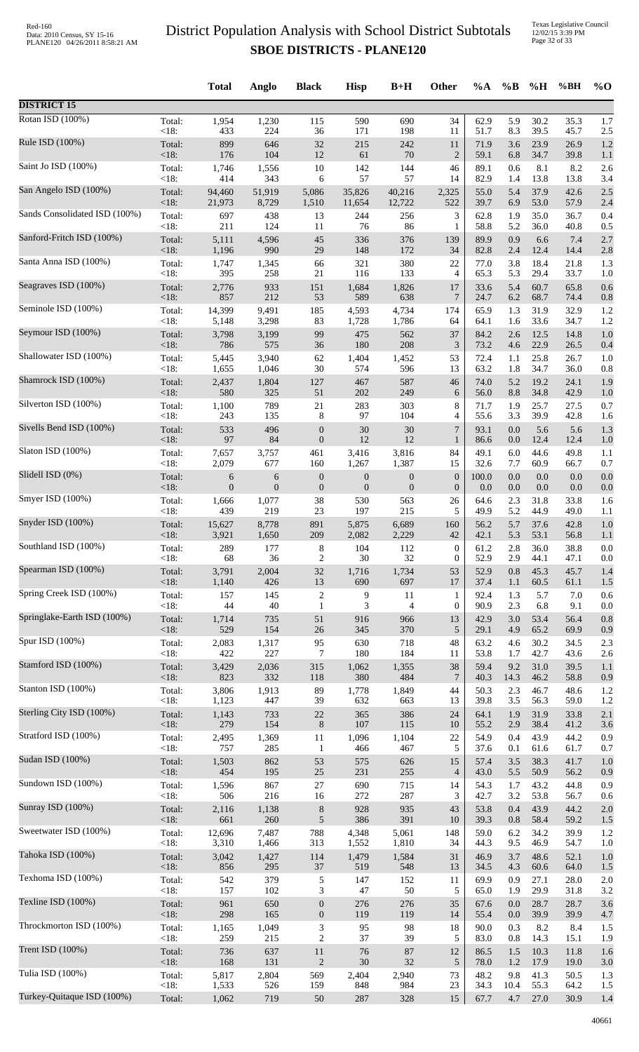|                               |                | <b>Total</b>   | Anglo            | <b>Black</b>            | <b>Hisp</b>               | $B+H$                     | <b>Other</b>       | %A           | $\%B$      | %H           | %BH          | $\%$ O     |
|-------------------------------|----------------|----------------|------------------|-------------------------|---------------------------|---------------------------|--------------------|--------------|------------|--------------|--------------|------------|
| <b>DISTRICT 15</b>            |                |                |                  |                         |                           |                           |                    |              |            |              |              |            |
| Rotan ISD (100%)              | Total:         | 1,954          | 1,230            | 115                     | 590                       | 690                       | 34                 | 62.9         | 5.9        | 30.2         | 35.3         | 1.7        |
|                               | <18:           | 433            | 224              | 36                      | 171                       | 198                       | 11                 | 51.7         | 8.3        | 39.5         | 45.7         | 2.5        |
| Rule ISD (100%)               | Total:         | 899            | 646              | 32                      | 215                       | 242                       | 11                 | 71.9         | 3.6        | 23.9         | 26.9         | 1.2        |
| Saint Jo ISD (100%)           | <18:           | 176            | 104              | 12                      | 61                        | $70\,$                    | $\overline{2}$     | 59.1         | 6.8        | 34.7         | 39.8         | 1.1        |
|                               | Total:         | 1,746          | 1,556            | 10                      | 142                       | 144                       | 46                 | 89.1         | 0.6        | 8.1          | 8.2          | 2.6        |
| San Angelo ISD (100%)         | <18:           | 414            | 343              | 6                       | 57                        | 57                        | 14                 | 82.9         | 1.4        | 13.8         | 13.8         | 3.4        |
|                               | Total:         | 94,460         | 51,919           | 5,086                   | 35,826                    | 40,216                    | 2,325              | 55.0         | 5.4        | 37.9         | 42.6         | 2.5        |
| Sands Consolidated ISD (100%) | <18:           | 21,973         | 8,729            | 1,510                   | 11,654                    | 12,722                    | 522                | 39.7         | 6.9        | 53.0         | 57.9         | 2.4        |
|                               | Total:         | 697            | 438              | 13                      | 244                       | 256                       | 3                  | 62.8         | 1.9        | 35.0         | 36.7         | 0.4        |
|                               | <18:           | 211            | 124              | 11                      | 76                        | 86                        | 1                  | 58.8         | 5.2        | 36.0         | 40.8         | 0.5        |
| Sanford-Fritch ISD (100%)     | Total:         | 5,111          | 4,596            | 45                      | 336                       | 376                       | 139                | 89.9         | 0.9        | 6.6          | 7.4          | 2.7        |
|                               | <18:           | 1,196          | 990              | 29                      | 148                       | 172                       | 34                 | 82.8         | 2.4        | 12.4         | 14.4         | 2.8        |
| Santa Anna ISD (100%)         | Total:         | 1,747          | 1,345            | 66                      | 321                       | 380                       | 22                 | 77.0         | 3.8        | 18.4         | 21.8         | 1.3        |
|                               | <18:           | 395            | 258              | 21                      | 116                       | 133                       | $\overline{4}$     | 65.3         | 5.3        | 29.4         | 33.7         | 1.0        |
| Seagraves ISD (100%)          | Total:         | 2,776          | 933              | 151                     | 1,684                     | 1,826                     | 17                 | 33.6         | 5.4        | 60.7         | 65.8         | 0.6        |
|                               | <18:           | 857            | 212              | 53                      | 589                       | 638                       | $7\phantom{.0}$    | 24.7         | 6.2        | 68.7         | 74.4         | 0.8        |
| Seminole ISD (100%)           | Total:         | 14,399         | 9,491            | 185                     | 4,593                     | 4,734                     | 174                | 65.9         | 1.3        | 31.9         | 32.9         | 1.2        |
| Seymour ISD (100%)            | <18:           | 5,148          | 3,298            | 83                      | 1,728                     | 1,786                     | 64                 | 64.1         | 1.6        | 33.6         | 34.7         | 1.2        |
|                               | Total:         | 3,798          | 3,199            | 99                      | 475                       | 562                       | 37                 | 84.2         | 2.6        | 12.5         | 14.8         | 1.0        |
| Shallowater ISD (100%)        | <18:           | 786            | 575              | 36                      | 180                       | 208                       | $\mathfrak{Z}$     | 73.2         | 4.6        | 22.9         | 26.5         | 0.4        |
|                               | Total:         | 5,445          | 3,940            | 62                      | 1,404                     | 1,452                     | 53                 | 72.4         | 1.1        | 25.8         | 26.7         | 1.0        |
| Shamrock ISD (100%)           | <18:           | 1,655          | 1,046            | 30                      | 574                       | 596                       | 13                 | 63.2         | 1.8        | 34.7         | 36.0         | 0.8        |
|                               | Total:         | 2,437          | 1,804            | 127                     | 467                       | 587                       | 46                 | 74.0         | 5.2        | 19.2         | 24.1         | 1.9        |
|                               | <18:           | 580            | 325              | 51                      | 202                       | 249                       | 6                  | 56.0         | $8.8\,$    | 34.8         | 42.9         | 1.0        |
| Silverton ISD (100%)          | Total:         | 1,100          | 789              | 21                      | 283                       | 303                       | 8                  | 71.7         | 1.9        | 25.7         | 27.5         | 0.7        |
|                               | <18:           | 243            | 135              | 8                       | 97                        | 104                       | 4                  | 55.6         | 3.3        | 39.9         | 42.8         | 1.6        |
| Sivells Bend ISD (100%)       | Total:         | 533            | 496              | $\boldsymbol{0}$        | 30                        | $30\,$                    | $\overline{7}$     | 93.1         | 0.0        | 5.6          | 5.6          | 1.3        |
|                               | <18:           | 97             | 84               | $\mathbf{0}$            | 12                        | 12                        | $\mathbf{1}$       | 86.6         | 0.0        | 12.4         | 12.4         | 1.0        |
| Slaton ISD (100%)             | Total:<br><18: | 7,657          | 3,757<br>677     | 461                     | 3,416                     | 3,816                     | 84                 | 49.1<br>32.6 | 6.0<br>7.7 | 44.6<br>60.9 | 49.8<br>66.7 | 1.1<br>0.7 |
| Slidell ISD (0%)              | Total:         | 2,079<br>6     | 6                | 160<br>$\boldsymbol{0}$ | 1,267<br>$\boldsymbol{0}$ | 1,387<br>$\boldsymbol{0}$ | 15<br>$\mathbf{0}$ | 100.0        | 0.0        | 0.0          | 0.0          | 0.0        |
| Smyer ISD (100%)              | <18:           | $\overline{0}$ | $\boldsymbol{0}$ | $\mathbf{0}$            | $\boldsymbol{0}$          | $\boldsymbol{0}$          | $\mathbf{0}$       | 0.0          | 0.0        | $0.0\,$      | 0.0          | 0.0        |
|                               | Total:         | 1,666          | 1,077            | 38                      | 530                       | 563                       | 26                 | 64.6         | 2.3        | 31.8         | 33.8         | 1.6        |
| Snyder ISD (100%)             | <18:           | 439            | 219              | 23                      | 197                       | 215                       | 5                  | 49.9         | 5.2        | 44.9         | 49.0         | 1.1        |
|                               | Total:         | 15,627         | 8,778            | 891                     | 5,875                     | 6,689                     | 160                | 56.2         | 5.7        | 37.6         | 42.8         | 1.0        |
| Southland ISD (100%)          | $<18$ :        | 3,921          | 1,650            | 209                     | 2,082                     | 2,229                     | 42                 | 42.1         | 5.3        | 53.1         | 56.8         | 1.1        |
|                               | Total:         | 289            | 177              | 8                       | 104                       | 112                       | $\theta$           | 61.2         | 2.8        | 36.0         | 38.8         | 0.0        |
|                               | <18:           | 68             | 36               | $\overline{c}$          | 30                        | 32                        | $\mathbf{0}$       | 52.9         | 2.9        | 44.1         | 47.1         | 0.0        |
| Spearman ISD (100%)           | Total:         | 3,791          | 2,004            | 32                      | 1,716                     | 1,734                     | 53                 | 52.9         | 0.8        | 45.3         | 45.7         | 1.4        |
|                               | <18:           | 1,140          | 426              | 13                      | 690                       | 697                       | 17                 | 37.4         | 1.1        | 60.5         | 61.1         | 1.5        |
| Spring Creek ISD (100%)       | Total:         | 157            | 145              | $\sqrt{2}$              | 9                         | 11                        | $\mathbf{1}$       | 92.4         | 1.3        | 5.7          | 7.0          | 0.6        |
|                               | <18:           | 44             | 40               | $\mathbf{1}$            | 3                         | $\overline{4}$            | $\mathbf{0}$       | 90.9         | 2.3        | 6.8          | 9.1          | 0.0        |
| Springlake-Earth ISD (100%)   | Total:         | 1,714          | 735              | 51                      | 916                       | 966                       | 13                 | 42.9         | 3.0        | 53.4         | 56.4         | 0.8        |
|                               | $<18$ :        | 529            | 154              | 26                      | 345                       | 370                       | 5                  | 29.1         | 4.9        | 65.2         | 69.9         | 0.9        |
| Spur ISD (100%)               | Total:         | 2,083          | 1,317            | 95                      | 630                       | 718                       | 48                 | 63.2         | 4.6        | 30.2         | 34.5         | 2.3        |
| Stamford ISD (100%)           | <18:           | 422            | 227              | 7                       | 180                       | 184                       | 11                 | 53.8         | 1.7        | 42.7         | 43.6         | 2.6        |
|                               | Total:         | 3,429          | 2,036            | 315                     | 1,062                     | 1,355                     | 38                 | 59.4         | 9.2        | 31.0         | 39.5         | 1.1        |
| Stanton ISD (100%)            | $<18$ :        | 823            | 332              | 118                     | 380                       | 484                       | $\tau$             | 40.3         | 14.3       | 46.2         | 58.8         | 0.9        |
|                               | Total:         | 3,806          | 1,913            | 89                      | 1,778                     | 1,849                     | 44                 | 50.3         | 2.3        | 46.7         | 48.6         | 1.2        |
| Sterling City ISD (100%)      | <18:           | 1,123          | 447              | 39                      | 632                       | 663                       | 13                 | 39.8         | 3.5        | 56.3         | 59.0         | 1.2        |
|                               | Total:         | 1,143          | 733              | $22\,$                  | 365                       | 386                       | 24                 | 64.1         | 1.9        | 31.9         | 33.8         | 2.1        |
|                               | <18:           | 279            | 154              | $\,8\,$                 | 107                       | 115                       | 10                 | 55.2         | 2.9        | 38.4         | 41.2         | 3.6        |
| Stratford ISD (100%)          | Total:         | 2,495          | 1,369            | 11                      | 1,096                     | 1,104                     | 22                 | 54.9         | 0.4        | 43.9         | 44.2         | 0.9        |
|                               | <18:           | 757            | 285              | $\mathbf{1}$            | 466                       | 467                       | 5                  | 37.6         | 0.1        | 61.6         | 61.7         | 0.7        |
| Sudan ISD (100%)              | Total:         | 1,503          | 862              | 53                      | 575                       | 626                       | 15                 | 57.4         | 3.5        | 38.3         | 41.7         | 1.0        |
|                               | <18:           | 454            | 195              | 25                      | 231                       | 255                       | $\overline{4}$     | 43.0         | 5.5        | 50.9         | 56.2         | 0.9        |
| Sundown ISD (100%)            | Total:         | 1,596          | 867              | $27\,$                  | 690                       | 715                       | 14                 | 54.3         | 1.7        | 43.2         | 44.8         | 0.9        |
|                               | <18:           | 506            | 216              | 16                      | 272                       | 287                       | 3                  | 42.7         | 3.2        | 53.8         | 56.7         | 0.6        |
| Sunray ISD (100%)             | Total:<br><18: | 2,116<br>661   | 1,138<br>260     | $\,$ 8 $\,$             | 928<br>386                | 935<br>391                | 43<br>10           | 53.8         | 0.4        | 43.9<br>58.4 | 44.2         | 2.0        |
| Sweetwater ISD (100%)         | Total:         | 12,696         | 7,487            | $\sqrt{5}$<br>788       | 4,348                     | 5,061                     | 148                | 39.3<br>59.0 | 0.8<br>6.2 | 34.2         | 59.2<br>39.9 | 1.5<br>1.2 |
| Tahoka ISD (100%)             | <18:           | 3,310          | 1,466            | 313                     | 1,552                     | 1,810                     | 34                 | 44.3         | 9.5        | 46.9         | 54.7         | 1.0        |
|                               | Total:         | 3,042          | 1,427            | 114                     | 1,479                     | 1,584                     | 31                 | 46.9         | 3.7        | 48.6         | 52.1         | 1.0        |
| Texhoma ISD (100%)            | <18:           | 856            | $295\,$          | 37                      | 519                       | 548                       | 13                 | 34.5         | 4.3        | 60.6         | 64.0         | 1.5        |
|                               | Total:         | 542            | 379              | 5                       | 147                       | 152                       | 11                 | 69.9         | 0.9        | 27.1         | 28.0         | 2.0        |
| Texline ISD (100%)            | <18:           | 157            | 102              | 3                       | 47                        | 50                        | 5                  | 65.0         | 1.9        | 29.9         | 31.8         | 3.2        |
|                               | Total:         | 961            | 650              | $\boldsymbol{0}$        | 276                       | 276                       | 35                 | 67.6         | 0.0        | 28.7         | 28.7         | 3.6        |
|                               | $<18$ :        | 298            | 165              | $\mathbf{0}$            | 119                       | 119                       | 14                 | 55.4         | 0.0        | 39.9         | 39.9         | 4.7        |
| Throckmorton ISD (100%)       | Total:         | 1,165          | 1,049            | $\mathfrak{Z}$          | 95                        | 98                        | 18                 | 90.0         | 0.3        | 8.2          | 8.4          | 1.5        |
|                               | <18:           | 259            | 215              | $\overline{c}$          | 37                        | 39                        | 5                  | 83.0         | $0.8\,$    | 14.3         | 15.1         | 1.9        |
| Trent ISD (100%)              | Total:         | 736            | 637              | 11                      | 76                        | 87                        | 12                 | 86.5         | 1.5        | 10.3         | 11.8         | 1.6        |
|                               | <18:           | 168            | 131              | $\overline{2}$          | 30                        | 32                        | 5                  | 78.0         | 1.2        | 17.9         | 19.0         | 3.0        |
| Tulia ISD (100%)              | Total:         | 5,817          | 2,804            | 569                     | 2,404                     | 2,940                     | 73                 | 48.2         | 9.8        | 41.3         | 50.5         | 1.3        |
|                               | <18:           | 1,533          | 526              | 159                     | 848                       | 984                       | $23\,$             | 34.3         | 10.4       | 55.3         | 64.2         | 1.5        |
| Turkey-Quitaque ISD (100%)    | Total:         | 1,062          | 719              | 50                      | 287                       | 328                       | 15                 | 67.7         | 4.7        | 27.0         | 30.9         | 1.4        |